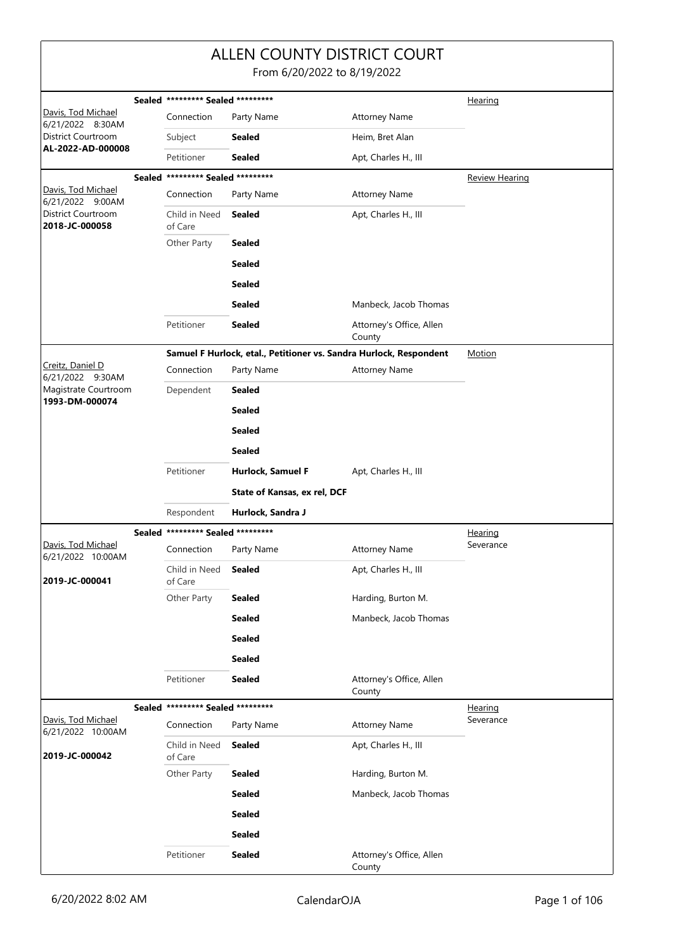|                                         |                                   |                                   |                              | <b>ALLEN COUNTY DISTRICT COURT</b><br>From 6/20/2022 to 8/19/2022  |                |  |
|-----------------------------------------|-----------------------------------|-----------------------------------|------------------------------|--------------------------------------------------------------------|----------------|--|
|                                         | Sealed ********* Sealed ********* |                                   |                              |                                                                    |                |  |
| Davis, Tod Michael<br>6/21/2022 8:30AM  |                                   | Connection                        | Party Name                   | <b>Attorney Name</b>                                               | Hearing        |  |
| District Courtroom                      |                                   | Subject                           | <b>Sealed</b>                | Heim, Bret Alan                                                    |                |  |
| AL-2022-AD-000008                       |                                   | Petitioner                        | <b>Sealed</b>                | Apt, Charles H., III                                               |                |  |
|                                         |                                   | Sealed ********* Sealed ********* |                              |                                                                    | Review Hearing |  |
| Davis, Tod Michael<br>6/21/2022 9:00AM  |                                   | Connection                        | Party Name                   | <b>Attorney Name</b>                                               |                |  |
| District Courtroom<br>2018-JC-000058    |                                   | Child in Need<br>of Care          | <b>Sealed</b>                | Apt, Charles H., III                                               |                |  |
|                                         |                                   | Other Party                       | <b>Sealed</b>                |                                                                    |                |  |
|                                         |                                   |                                   | <b>Sealed</b>                |                                                                    |                |  |
|                                         |                                   |                                   | <b>Sealed</b>                |                                                                    |                |  |
|                                         |                                   |                                   | <b>Sealed</b>                | Manbeck, Jacob Thomas                                              |                |  |
|                                         |                                   | Petitioner                        | <b>Sealed</b>                | Attorney's Office, Allen<br>County                                 |                |  |
|                                         |                                   |                                   |                              | Samuel F Hurlock, etal., Petitioner vs. Sandra Hurlock, Respondent | Motion         |  |
| Creitz, Daniel D<br>6/21/2022 9:30AM    |                                   | Connection                        | Party Name                   | <b>Attorney Name</b>                                               |                |  |
| Magistrate Courtroom                    |                                   | Dependent                         | <b>Sealed</b>                |                                                                    |                |  |
| 1993-DM-000074                          |                                   |                                   | <b>Sealed</b>                |                                                                    |                |  |
|                                         |                                   |                                   | <b>Sealed</b>                |                                                                    |                |  |
|                                         |                                   |                                   | <b>Sealed</b>                |                                                                    |                |  |
|                                         |                                   | Petitioner                        | Hurlock, Samuel F            | Apt, Charles H., III                                               |                |  |
|                                         |                                   |                                   | State of Kansas, ex rel, DCF |                                                                    |                |  |
|                                         |                                   | Respondent                        | Hurlock, Sandra J            |                                                                    |                |  |
|                                         |                                   | Sealed ********* Sealed ********* |                              |                                                                    | <u>Hearing</u> |  |
| Davis, Tod Michael<br>6/21/2022 10:00AM |                                   | Connection                        | Party Name                   | <b>Attorney Name</b>                                               | Severance      |  |
| 2019-JC-000041                          |                                   | Child in Need<br>of Care          | <b>Sealed</b>                | Apt, Charles H., III                                               |                |  |
|                                         |                                   | Other Party                       | <b>Sealed</b>                | Harding, Burton M.                                                 |                |  |
|                                         |                                   |                                   | <b>Sealed</b>                | Manbeck, Jacob Thomas                                              |                |  |
|                                         |                                   |                                   | <b>Sealed</b>                |                                                                    |                |  |
|                                         |                                   |                                   | <b>Sealed</b>                |                                                                    |                |  |
|                                         |                                   | Petitioner                        | <b>Sealed</b>                | Attorney's Office, Allen<br>County                                 |                |  |
|                                         |                                   | Sealed ********* Sealed ********* |                              |                                                                    | Hearing        |  |
| Davis, Tod Michael<br>6/21/2022 10:00AM |                                   | Connection                        | Party Name                   | <b>Attorney Name</b>                                               | Severance      |  |
| 2019-JC-000042                          |                                   | Child in Need<br>of Care          | <b>Sealed</b>                | Apt, Charles H., III                                               |                |  |
|                                         |                                   | Other Party                       | <b>Sealed</b>                | Harding, Burton M.                                                 |                |  |
|                                         |                                   |                                   | <b>Sealed</b>                | Manbeck, Jacob Thomas                                              |                |  |
|                                         |                                   |                                   | <b>Sealed</b>                |                                                                    |                |  |
|                                         |                                   |                                   | <b>Sealed</b>                |                                                                    |                |  |
|                                         |                                   | Petitioner                        | <b>Sealed</b>                | Attorney's Office, Allen<br>County                                 |                |  |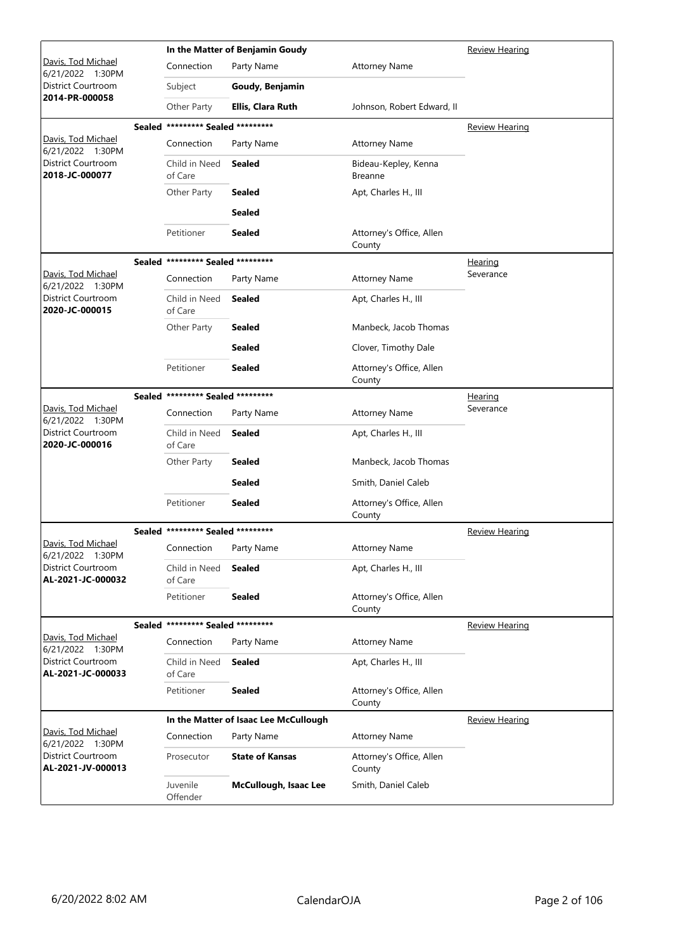|                                         |                                   | In the Matter of Benjamin Goudy       | <b>Review Hearing</b>                  |                       |
|-----------------------------------------|-----------------------------------|---------------------------------------|----------------------------------------|-----------------------|
| Davis, Tod Michael<br>6/21/2022 1:30PM  | Connection                        | Party Name                            | <b>Attorney Name</b>                   |                       |
| District Courtroom<br>2014-PR-000058    | Subject                           | Goudy, Benjamin                       |                                        |                       |
|                                         | Other Party                       | Ellis, Clara Ruth                     | Johnson, Robert Edward, II             |                       |
|                                         | Sealed ********* Sealed ********* |                                       |                                        | <b>Review Hearing</b> |
| Davis, Tod Michael<br>6/21/2022 1:30PM  | Connection                        | Party Name                            | <b>Attorney Name</b>                   |                       |
| District Courtroom<br>2018-JC-000077    | Child in Need<br>of Care          | <b>Sealed</b>                         | Bideau-Kepley, Kenna<br><b>Breanne</b> |                       |
|                                         | Other Party                       | Sealed                                | Apt, Charles H., III                   |                       |
|                                         |                                   | <b>Sealed</b>                         |                                        |                       |
|                                         | Petitioner                        | <b>Sealed</b>                         | Attorney's Office, Allen<br>County     |                       |
|                                         | Sealed ********* Sealed ********* |                                       |                                        | <u>Hearing</u>        |
| Davis, Tod Michael<br>6/21/2022 1:30PM  | Connection                        | Party Name                            | <b>Attorney Name</b>                   | Severance             |
| District Courtroom<br>2020-JC-000015    | Child in Need<br>of Care          | <b>Sealed</b>                         | Apt, Charles H., III                   |                       |
|                                         | Other Party                       | <b>Sealed</b>                         | Manbeck, Jacob Thomas                  |                       |
|                                         |                                   | <b>Sealed</b>                         | Clover, Timothy Dale                   |                       |
|                                         | Petitioner                        | <b>Sealed</b>                         | Attorney's Office, Allen<br>County     |                       |
|                                         | Sealed ********* Sealed ********* |                                       |                                        | <u>Hearing</u>        |
| Davis, Tod Michael<br>6/21/2022 1:30PM  | Connection                        | Party Name                            | <b>Attorney Name</b>                   | Severance             |
| District Courtroom<br>2020-JC-000016    | Child in Need<br>of Care          | <b>Sealed</b>                         | Apt, Charles H., III                   |                       |
|                                         | Other Party                       | Sealed                                | Manbeck, Jacob Thomas                  |                       |
|                                         |                                   | <b>Sealed</b>                         | Smith, Daniel Caleb                    |                       |
|                                         | Petitioner                        | <b>Sealed</b>                         | Attorney's Office, Allen<br>County     |                       |
|                                         | Sealed ********* Sealed ********* |                                       |                                        | <b>Review Hearing</b> |
| Davis, Tod Michael<br>6/21/2022 1:30PM  | Connection Party Name             |                                       | <b>Attorney Name</b>                   |                       |
| District Courtroom<br>AL-2021-JC-000032 | Child in Need<br>of Care          | <b>Sealed</b>                         | Apt, Charles H., III                   |                       |
|                                         | Petitioner                        | <b>Sealed</b>                         | Attorney's Office, Allen<br>County     |                       |
|                                         | Sealed ********* Sealed ********* |                                       |                                        | <b>Review Hearing</b> |
| Davis, Tod Michael<br>6/21/2022 1:30PM  | Connection                        | Party Name                            | <b>Attorney Name</b>                   |                       |
| District Courtroom<br>AL-2021-JC-000033 | Child in Need<br>of Care          | <b>Sealed</b>                         | Apt, Charles H., III                   |                       |
|                                         | Petitioner                        | <b>Sealed</b>                         | Attorney's Office, Allen<br>County     |                       |
|                                         |                                   | In the Matter of Isaac Lee McCullough |                                        | <b>Review Hearing</b> |
| Davis, Tod Michael<br>6/21/2022 1:30PM  | Connection                        | Party Name                            | <b>Attorney Name</b>                   |                       |
| District Courtroom<br>AL-2021-JV-000013 | Prosecutor                        | <b>State of Kansas</b>                | Attorney's Office, Allen<br>County     |                       |
|                                         | Juvenile<br>Offender              | McCullough, Isaac Lee                 | Smith, Daniel Caleb                    |                       |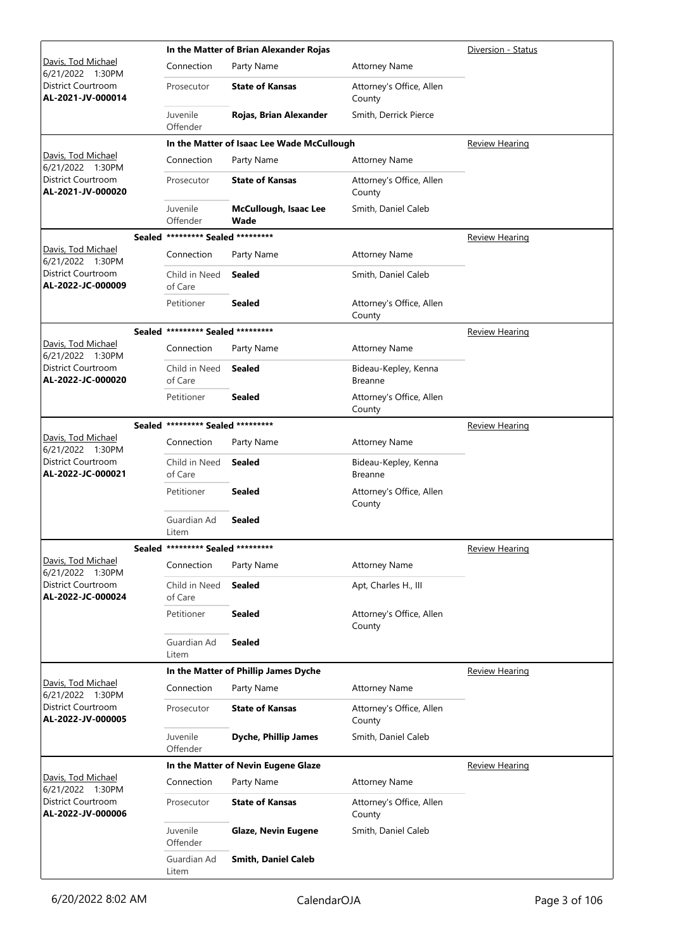|                                         |                                   | In the Matter of Brian Alexander Rojas     | Diversion - Status                     |                       |
|-----------------------------------------|-----------------------------------|--------------------------------------------|----------------------------------------|-----------------------|
| Davis, Tod Michael<br>6/21/2022 1:30PM  | Connection                        | Party Name                                 | <b>Attorney Name</b>                   |                       |
| District Courtroom<br>AL-2021-JV-000014 | Prosecutor                        | <b>State of Kansas</b>                     | Attorney's Office, Allen<br>County     |                       |
|                                         | Juvenile<br>Offender              | Rojas, Brian Alexander                     | Smith, Derrick Pierce                  |                       |
|                                         |                                   | In the Matter of Isaac Lee Wade McCullough |                                        | <b>Review Hearing</b> |
| Davis, Tod Michael<br>6/21/2022 1:30PM  | Connection                        | Party Name                                 | <b>Attorney Name</b>                   |                       |
| District Courtroom<br>AL-2021-JV-000020 | Prosecutor                        | <b>State of Kansas</b>                     | Attorney's Office, Allen<br>County     |                       |
|                                         | Juvenile<br>Offender              | McCullough, Isaac Lee<br>Wade              | Smith, Daniel Caleb                    |                       |
|                                         | Sealed ********* Sealed ********* |                                            |                                        | <b>Review Hearing</b> |
| Davis, Tod Michael<br>6/21/2022 1:30PM  | Connection                        | Party Name                                 | <b>Attorney Name</b>                   |                       |
| District Courtroom<br>AL-2022-JC-000009 | Child in Need<br>of Care          | <b>Sealed</b>                              | Smith, Daniel Caleb                    |                       |
|                                         | Petitioner                        | <b>Sealed</b>                              | Attorney's Office, Allen<br>County     |                       |
|                                         | Sealed ********* Sealed ********* |                                            |                                        | <b>Review Hearing</b> |
| Davis, Tod Michael<br>6/21/2022 1:30PM  | Connection                        | Party Name                                 | <b>Attorney Name</b>                   |                       |
| District Courtroom<br>AL-2022-JC-000020 | Child in Need<br>of Care          | <b>Sealed</b>                              | Bideau-Kepley, Kenna<br><b>Breanne</b> |                       |
|                                         | Petitioner                        | Sealed                                     | Attorney's Office, Allen<br>County     |                       |
|                                         | Sealed ********* Sealed ********* |                                            |                                        | <b>Review Hearing</b> |
| Davis, Tod Michael<br>6/21/2022 1:30PM  | Connection                        | Party Name                                 | <b>Attorney Name</b>                   |                       |
| District Courtroom<br>AL-2022-JC-000021 | Child in Need<br>of Care          | <b>Sealed</b>                              | Bideau-Kepley, Kenna<br><b>Breanne</b> |                       |
|                                         | Petitioner                        | <b>Sealed</b>                              | Attorney's Office, Allen<br>County     |                       |
|                                         | Guardian Ad<br>Litem              | <b>Sealed</b>                              |                                        |                       |
|                                         | Sealed ********* Sealed ********* |                                            |                                        | <b>Review Hearing</b> |
| Davis, Tod Michael<br>6/21/2022 1:30PM  | Connection                        | Party Name                                 | <b>Attorney Name</b>                   |                       |
| District Courtroom<br>AL-2022-JC-000024 | Child in Need<br>of Care          | <b>Sealed</b>                              | Apt, Charles H., III                   |                       |
|                                         | Petitioner                        | <b>Sealed</b>                              | Attorney's Office, Allen<br>County     |                       |
|                                         | Guardian Ad<br>Litem              | <b>Sealed</b>                              |                                        |                       |
|                                         |                                   | In the Matter of Phillip James Dyche       |                                        | <b>Review Hearing</b> |
| Davis, Tod Michael<br>6/21/2022 1:30PM  | Connection                        | Party Name                                 | <b>Attorney Name</b>                   |                       |
| District Courtroom<br>AL-2022-JV-000005 | Prosecutor                        | <b>State of Kansas</b>                     | Attorney's Office, Allen<br>County     |                       |
|                                         | Juvenile<br>Offender              | <b>Dyche, Phillip James</b>                | Smith, Daniel Caleb                    |                       |
|                                         |                                   | In the Matter of Nevin Eugene Glaze        |                                        | <b>Review Hearing</b> |
| Davis, Tod Michael<br>6/21/2022 1:30PM  | Connection                        | Party Name                                 | <b>Attorney Name</b>                   |                       |
| District Courtroom<br>AL-2022-JV-000006 | Prosecutor                        | <b>State of Kansas</b>                     | Attorney's Office, Allen<br>County     |                       |
|                                         | Juvenile<br>Offender              | <b>Glaze, Nevin Eugene</b>                 | Smith, Daniel Caleb                    |                       |
|                                         | Guardian Ad<br>Litem              | <b>Smith, Daniel Caleb</b>                 |                                        |                       |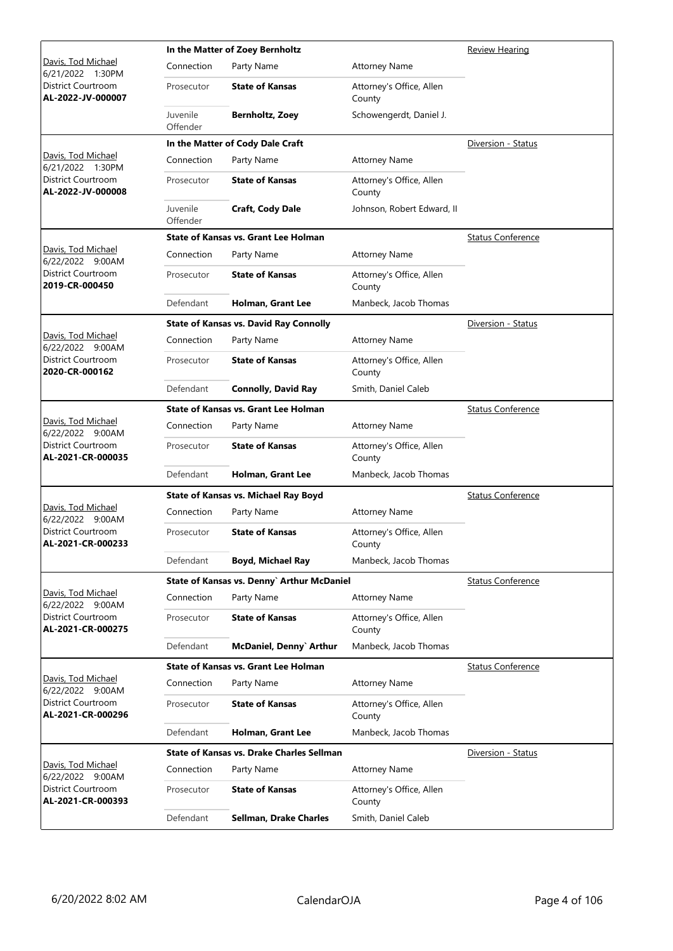|                                                |                      | In the Matter of Zoey Bernholtz                  | Review Hearing                     |                          |
|------------------------------------------------|----------------------|--------------------------------------------------|------------------------------------|--------------------------|
| Davis, Tod Michael<br>6/21/2022 1:30PM         | Connection           | Party Name                                       | <b>Attorney Name</b>               |                          |
| District Courtroom<br>AL-2022-JV-000007        | Prosecutor           | <b>State of Kansas</b>                           | Attorney's Office, Allen<br>County |                          |
|                                                | Juvenile<br>Offender | <b>Bernholtz, Zoey</b>                           | Schowengerdt, Daniel J.            |                          |
|                                                |                      | In the Matter of Cody Dale Craft                 |                                    | Diversion - Status       |
| Davis, Tod Michael<br>6/21/2022 1:30PM         | Connection           | Party Name                                       | <b>Attorney Name</b>               |                          |
| District Courtroom<br>AL-2022-JV-000008        | Prosecutor           | <b>State of Kansas</b>                           | Attorney's Office, Allen<br>County |                          |
|                                                | Juvenile<br>Offender | Craft, Cody Dale                                 | Johnson, Robert Edward, II         |                          |
|                                                |                      | <b>State of Kansas vs. Grant Lee Holman</b>      |                                    | <b>Status Conference</b> |
| Davis, Tod Michael<br>6/22/2022 9:00AM         | Connection           | Party Name                                       | <b>Attorney Name</b>               |                          |
| District Courtroom<br>2019-CR-000450           | Prosecutor           | <b>State of Kansas</b>                           | Attorney's Office, Allen<br>County |                          |
|                                                | Defendant            | Holman, Grant Lee                                | Manbeck, Jacob Thomas              |                          |
|                                                |                      | <b>State of Kansas vs. David Ray Connolly</b>    |                                    | Diversion - Status       |
| Davis, Tod Michael<br>6/22/2022 9:00AM         | Connection           | Party Name                                       | <b>Attorney Name</b>               |                          |
| District Courtroom<br>2020-CR-000162           | Prosecutor           | <b>State of Kansas</b>                           | Attorney's Office, Allen<br>County |                          |
|                                                | Defendant            | <b>Connolly, David Ray</b>                       | Smith, Daniel Caleb                |                          |
|                                                |                      | <b>State of Kansas vs. Grant Lee Holman</b>      |                                    | <b>Status Conference</b> |
| Davis, Tod Michael<br>6/22/2022 9:00AM         | Connection           | Party Name                                       | <b>Attorney Name</b>               |                          |
| <b>District Courtroom</b><br>AL-2021-CR-000035 | Prosecutor           | <b>State of Kansas</b>                           | Attorney's Office, Allen<br>County |                          |
|                                                | Defendant            | Holman, Grant Lee                                | Manbeck, Jacob Thomas              |                          |
|                                                |                      | State of Kansas vs. Michael Ray Boyd             |                                    | <b>Status Conference</b> |
| Davis, Tod Michael<br>6/22/2022 9:00AM         | Connection           | Party Name                                       | <b>Attorney Name</b>               |                          |
| District Courtroom<br>AL-2021-CR-000233        | Prosecutor           | <b>State of Kansas</b>                           | Attorney's Office, Allen<br>County |                          |
|                                                | Defendant            | <b>Boyd, Michael Ray</b>                         | Manbeck, Jacob Thomas              |                          |
|                                                |                      | State of Kansas vs. Denny` Arthur McDaniel       |                                    | <b>Status Conference</b> |
| Davis, Tod Michael<br>6/22/2022 9:00AM         | Connection           | Party Name                                       | <b>Attorney Name</b>               |                          |
| District Courtroom<br>AL-2021-CR-000275        | Prosecutor           | <b>State of Kansas</b>                           | Attorney's Office, Allen<br>County |                          |
|                                                | Defendant            | McDaniel, Denny` Arthur                          | Manbeck, Jacob Thomas              |                          |
|                                                |                      | <b>State of Kansas vs. Grant Lee Holman</b>      |                                    | <b>Status Conference</b> |
| Davis, Tod Michael<br>6/22/2022 9:00AM         | Connection           | Party Name                                       | <b>Attorney Name</b>               |                          |
| District Courtroom<br>AL-2021-CR-000296        | Prosecutor           | <b>State of Kansas</b>                           | Attorney's Office, Allen<br>County |                          |
|                                                | Defendant            | Holman, Grant Lee                                | Manbeck, Jacob Thomas              |                          |
|                                                |                      | <b>State of Kansas vs. Drake Charles Sellman</b> |                                    | Diversion - Status       |
| Davis, Tod Michael<br>6/22/2022 9:00AM         | Connection           | Party Name                                       | <b>Attorney Name</b>               |                          |
| District Courtroom<br>AL-2021-CR-000393        | Prosecutor           | <b>State of Kansas</b>                           | Attorney's Office, Allen<br>County |                          |
|                                                | Defendant            | Sellman, Drake Charles                           | Smith, Daniel Caleb                |                          |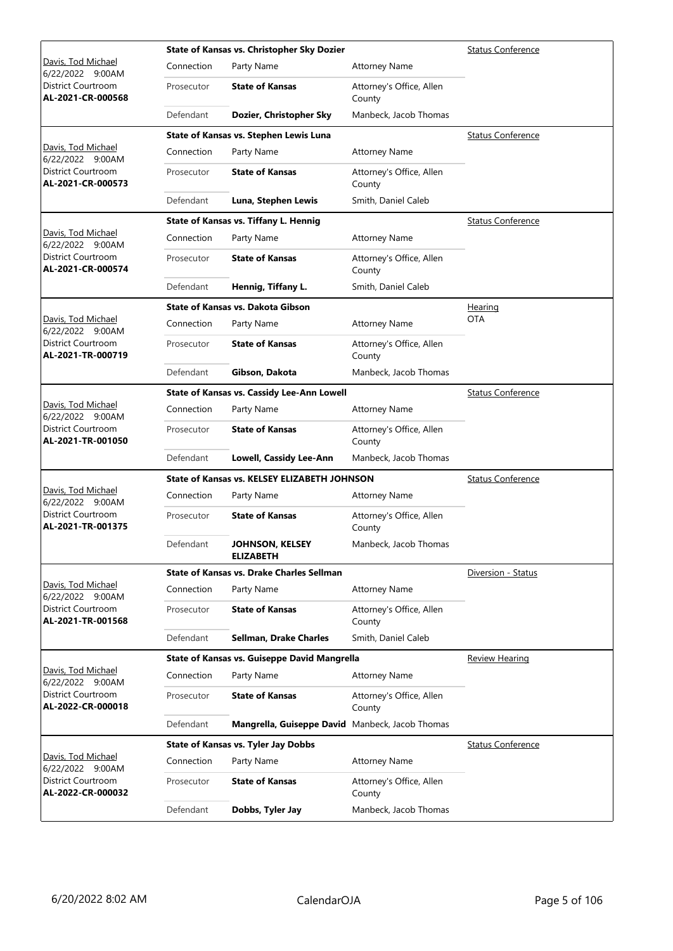|                                                |            | State of Kansas vs. Christopher Sky Dozier          | <b>Status Conference</b>           |                          |
|------------------------------------------------|------------|-----------------------------------------------------|------------------------------------|--------------------------|
| Davis, Tod Michael<br>6/22/2022 9:00AM         | Connection | Party Name                                          | <b>Attorney Name</b>               |                          |
| District Courtroom<br>AL-2021-CR-000568        | Prosecutor | <b>State of Kansas</b>                              | Attorney's Office, Allen<br>County |                          |
|                                                | Defendant  | Dozier, Christopher Sky                             | Manbeck, Jacob Thomas              |                          |
|                                                |            | State of Kansas vs. Stephen Lewis Luna              |                                    | <b>Status Conference</b> |
| Davis, Tod Michael<br>6/22/2022 9:00AM         | Connection | Party Name                                          | <b>Attorney Name</b>               |                          |
| District Courtroom<br>AL-2021-CR-000573        | Prosecutor | <b>State of Kansas</b>                              | Attorney's Office, Allen<br>County |                          |
|                                                | Defendant  | Luna, Stephen Lewis                                 | Smith, Daniel Caleb                |                          |
|                                                |            | State of Kansas vs. Tiffany L. Hennig               |                                    | <b>Status Conference</b> |
| Davis, Tod Michael<br>6/22/2022 9:00AM         | Connection | Party Name                                          | <b>Attorney Name</b>               |                          |
| <b>District Courtroom</b><br>AL-2021-CR-000574 | Prosecutor | <b>State of Kansas</b>                              | Attorney's Office, Allen<br>County |                          |
|                                                | Defendant  | Hennig, Tiffany L.                                  | Smith, Daniel Caleb                |                          |
|                                                |            | State of Kansas vs. Dakota Gibson                   |                                    | <b>Hearing</b>           |
| Davis, Tod Michael<br>6/22/2022 9:00AM         | Connection | Party Name                                          | <b>Attorney Name</b>               | <b>OTA</b>               |
| District Courtroom<br>AL-2021-TR-000719        | Prosecutor | <b>State of Kansas</b>                              | Attorney's Office, Allen<br>County |                          |
|                                                | Defendant  | Gibson, Dakota                                      | Manbeck, Jacob Thomas              |                          |
|                                                |            | State of Kansas vs. Cassidy Lee-Ann Lowell          |                                    | <b>Status Conference</b> |
| Davis, Tod Michael<br>6/22/2022 9:00AM         | Connection | Party Name                                          | <b>Attorney Name</b>               |                          |
| <b>District Courtroom</b><br>AL-2021-TR-001050 | Prosecutor | <b>State of Kansas</b>                              | Attorney's Office, Allen<br>County |                          |
|                                                | Defendant  | <b>Lowell, Cassidy Lee-Ann</b>                      | Manbeck, Jacob Thomas              |                          |
|                                                |            | State of Kansas vs. KELSEY ELIZABETH JOHNSON        |                                    | <b>Status Conference</b> |
| Davis, Tod Michael<br>6/22/2022 9:00AM         | Connection | Party Name                                          | <b>Attorney Name</b>               |                          |
| <b>District Courtroom</b><br>AL-2021-TR-001375 | Prosecutor | <b>State of Kansas</b>                              | Attorney's Office, Allen<br>County |                          |
|                                                | Defendant  | JOHNSON, KELSEY<br><b>ELIZABETH</b>                 | Manbeck, Jacob Thomas              |                          |
|                                                |            | State of Kansas vs. Drake Charles Sellman           |                                    | Diversion - Status       |
| Davis, Tod Michael<br>6/22/2022 9:00AM         | Connection | Party Name                                          | <b>Attorney Name</b>               |                          |
| District Courtroom<br>AL-2021-TR-001568        | Prosecutor | <b>State of Kansas</b>                              | Attorney's Office, Allen<br>County |                          |
|                                                | Defendant  | <b>Sellman, Drake Charles</b>                       | Smith, Daniel Caleb                |                          |
|                                                |            | <b>State of Kansas vs. Guiseppe David Mangrella</b> |                                    | Review Hearing           |
| Davis, Tod Michael<br>6/22/2022 9:00AM         | Connection | Party Name                                          | <b>Attorney Name</b>               |                          |
| District Courtroom<br>AL-2022-CR-000018        | Prosecutor | <b>State of Kansas</b>                              | Attorney's Office, Allen<br>County |                          |
|                                                | Defendant  | Mangrella, Guiseppe David Manbeck, Jacob Thomas     |                                    |                          |
|                                                |            | <b>State of Kansas vs. Tyler Jay Dobbs</b>          |                                    | <b>Status Conference</b> |
| Davis, Tod Michael<br>6/22/2022 9:00AM         | Connection | Party Name                                          | <b>Attorney Name</b>               |                          |
| District Courtroom<br>AL-2022-CR-000032        | Prosecutor | <b>State of Kansas</b>                              | Attorney's Office, Allen<br>County |                          |
|                                                | Defendant  | Dobbs, Tyler Jay                                    | Manbeck, Jacob Thomas              |                          |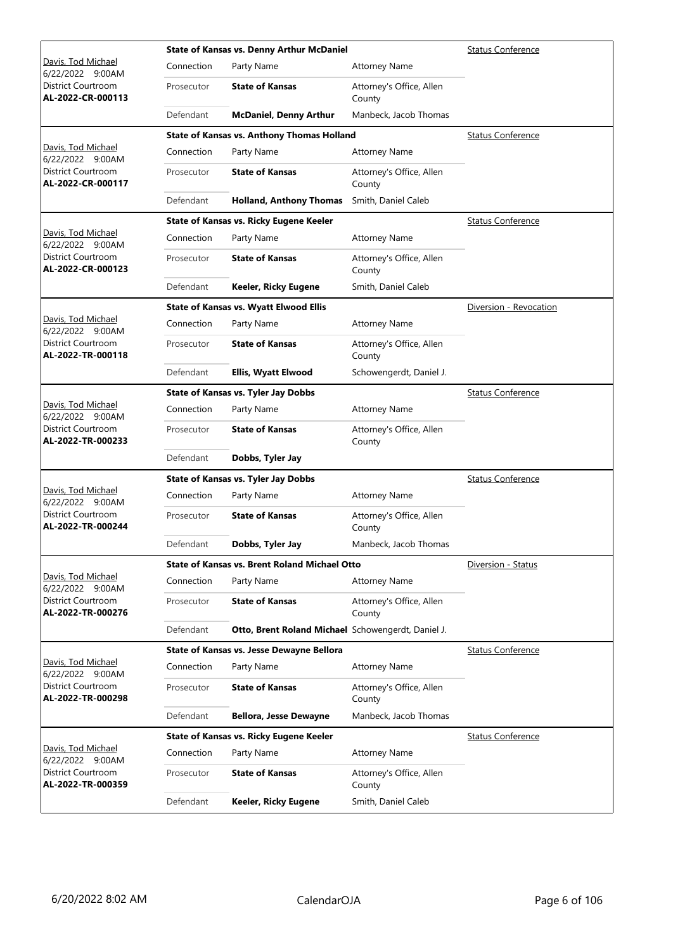|                                                |            | <b>State of Kansas vs. Denny Arthur McDaniel</b>     | <b>Status Conference</b>           |                          |
|------------------------------------------------|------------|------------------------------------------------------|------------------------------------|--------------------------|
| Davis, Tod Michael<br>6/22/2022 9:00AM         | Connection | Party Name                                           | <b>Attorney Name</b>               |                          |
| District Courtroom<br>AL-2022-CR-000113        | Prosecutor | <b>State of Kansas</b>                               | Attorney's Office, Allen<br>County |                          |
|                                                | Defendant  | <b>McDaniel, Denny Arthur</b>                        | Manbeck, Jacob Thomas              |                          |
|                                                |            | <b>State of Kansas vs. Anthony Thomas Holland</b>    |                                    | <b>Status Conference</b> |
| Davis, Tod Michael<br>6/22/2022 9:00AM         | Connection | Party Name                                           | <b>Attorney Name</b>               |                          |
| <b>District Courtroom</b><br>AL-2022-CR-000117 | Prosecutor | <b>State of Kansas</b>                               | Attorney's Office, Allen<br>County |                          |
|                                                | Defendant  | <b>Holland, Anthony Thomas</b>                       | Smith, Daniel Caleb                |                          |
|                                                |            | State of Kansas vs. Ricky Eugene Keeler              |                                    | <b>Status Conference</b> |
| Davis, Tod Michael<br>6/22/2022 9:00AM         | Connection | Party Name                                           | <b>Attorney Name</b>               |                          |
| District Courtroom<br>AL-2022-CR-000123        | Prosecutor | <b>State of Kansas</b>                               | Attorney's Office, Allen<br>County |                          |
|                                                | Defendant  | Keeler, Ricky Eugene                                 | Smith, Daniel Caleb                |                          |
|                                                |            | <b>State of Kansas vs. Wyatt Elwood Ellis</b>        |                                    | Diversion - Revocation   |
| Davis, Tod Michael<br>6/22/2022 9:00AM         | Connection | Party Name                                           | <b>Attorney Name</b>               |                          |
| <b>District Courtroom</b><br>AL-2022-TR-000118 | Prosecutor | <b>State of Kansas</b>                               | Attorney's Office, Allen<br>County |                          |
|                                                | Defendant  | <b>Ellis, Wyatt Elwood</b>                           | Schowengerdt, Daniel J.            |                          |
|                                                |            | <b>State of Kansas vs. Tyler Jay Dobbs</b>           |                                    | <b>Status Conference</b> |
| Davis, Tod Michael<br>6/22/2022 9:00AM         | Connection | Party Name                                           | <b>Attorney Name</b>               |                          |
| District Courtroom<br>AL-2022-TR-000233        | Prosecutor | <b>State of Kansas</b>                               | Attorney's Office, Allen<br>County |                          |
|                                                | Defendant  | Dobbs, Tyler Jay                                     |                                    |                          |
|                                                |            | <b>State of Kansas vs. Tyler Jay Dobbs</b>           |                                    | <b>Status Conference</b> |
| Davis, Tod Michael<br>6/22/2022 9:00AM         | Connection | Party Name                                           | <b>Attorney Name</b>               |                          |
| District Courtroom<br>AL-2022-TR-000244        | Prosecutor | <b>State of Kansas</b>                               | Attorney's Office, Allen<br>County |                          |
|                                                | Defendant  | Dobbs, Tyler Jay                                     | Manbeck, Jacob Thomas              |                          |
|                                                |            | <b>State of Kansas vs. Brent Roland Michael Otto</b> |                                    | Diversion - Status       |
| Davis, Tod Michael<br>6/22/2022 9:00AM         | Connection | Party Name                                           | <b>Attorney Name</b>               |                          |
| District Courtroom<br>AL-2022-TR-000276        | Prosecutor | <b>State of Kansas</b>                               | Attorney's Office, Allen<br>County |                          |
|                                                | Defendant  | Otto, Brent Roland Michael Schowengerdt, Daniel J.   |                                    |                          |
|                                                |            | State of Kansas vs. Jesse Dewayne Bellora            |                                    | <b>Status Conference</b> |
| Davis, Tod Michael<br>6/22/2022 9:00AM         | Connection | Party Name                                           | <b>Attorney Name</b>               |                          |
| District Courtroom<br>AL-2022-TR-000298        | Prosecutor | <b>State of Kansas</b>                               | Attorney's Office, Allen<br>County |                          |
|                                                | Defendant  | <b>Bellora, Jesse Dewayne</b>                        | Manbeck, Jacob Thomas              |                          |
|                                                |            | State of Kansas vs. Ricky Eugene Keeler              |                                    | <b>Status Conference</b> |
| Davis, Tod Michael<br>6/22/2022 9:00AM         | Connection | Party Name                                           | <b>Attorney Name</b>               |                          |
| District Courtroom<br>AL-2022-TR-000359        | Prosecutor | <b>State of Kansas</b>                               | Attorney's Office, Allen<br>County |                          |
|                                                | Defendant  | Keeler, Ricky Eugene                                 | Smith, Daniel Caleb                |                          |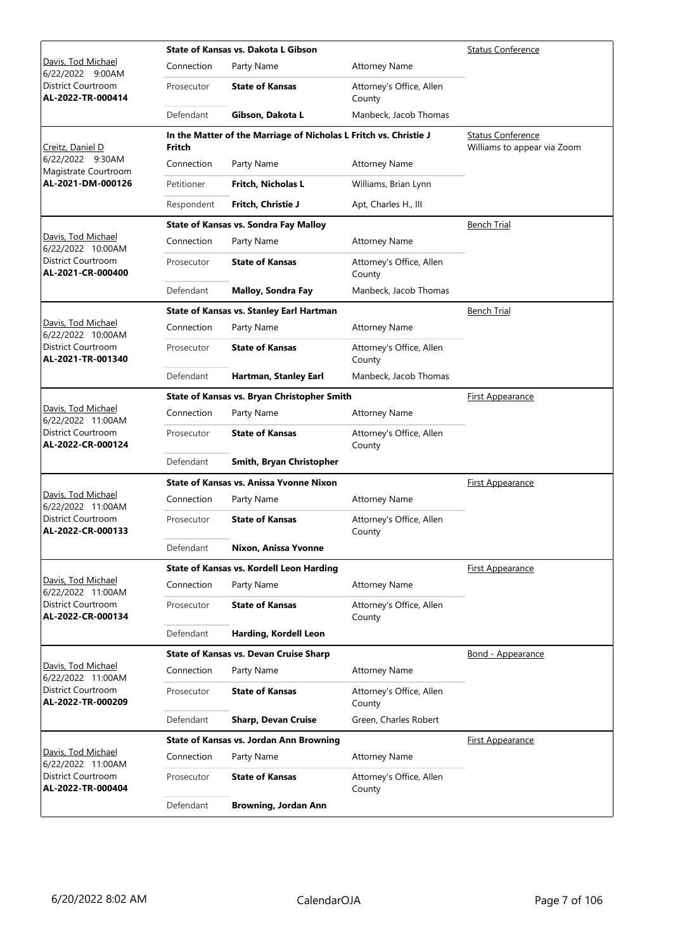|                                                |            | State of Kansas vs. Dakota L Gibson                               | Status Conference                  |                                                         |
|------------------------------------------------|------------|-------------------------------------------------------------------|------------------------------------|---------------------------------------------------------|
| Davis, Tod Michael<br>6/22/2022 9:00AM         | Connection | Party Name                                                        | <b>Attorney Name</b>               |                                                         |
| District Courtroom<br>AL-2022-TR-000414        | Prosecutor | <b>State of Kansas</b>                                            | Attorney's Office, Allen<br>County |                                                         |
|                                                | Defendant  | Gibson, Dakota L                                                  | Manbeck, Jacob Thomas              |                                                         |
| Creitz, Daniel D                               | Fritch     | In the Matter of the Marriage of Nicholas L Fritch vs. Christie J |                                    | <b>Status Conference</b><br>Williams to appear via Zoom |
| 6/22/2022 9:30AM<br>Magistrate Courtroom       | Connection | Party Name                                                        | <b>Attorney Name</b>               |                                                         |
| AL-2021-DM-000126                              | Petitioner | Fritch, Nicholas L                                                | Williams, Brian Lynn               |                                                         |
|                                                | Respondent | Fritch, Christie J                                                | Apt, Charles H., III               |                                                         |
|                                                |            | <b>State of Kansas vs. Sondra Fay Malloy</b>                      |                                    | Bench Trial                                             |
| Davis, Tod Michael<br>6/22/2022 10:00AM        | Connection | Party Name                                                        | <b>Attorney Name</b>               |                                                         |
| District Courtroom<br>AL-2021-CR-000400        | Prosecutor | <b>State of Kansas</b>                                            | Attorney's Office, Allen<br>County |                                                         |
|                                                | Defendant  | <b>Malloy, Sondra Fay</b>                                         | Manbeck, Jacob Thomas              |                                                         |
|                                                |            | State of Kansas vs. Stanley Earl Hartman                          |                                    | <b>Bench Trial</b>                                      |
| Davis, Tod Michael<br>6/22/2022 10:00AM        | Connection | Party Name                                                        | <b>Attorney Name</b>               |                                                         |
| District Courtroom<br>AL-2021-TR-001340        | Prosecutor | <b>State of Kansas</b>                                            | Attorney's Office, Allen<br>County |                                                         |
|                                                | Defendant  | Hartman, Stanley Earl                                             | Manbeck, Jacob Thomas              |                                                         |
|                                                |            | State of Kansas vs. Bryan Christopher Smith                       |                                    | <b>First Appearance</b>                                 |
| Davis, Tod Michael<br>6/22/2022 11:00AM        | Connection | Party Name                                                        | <b>Attorney Name</b>               |                                                         |
| <b>District Courtroom</b><br>AL-2022-CR-000124 | Prosecutor | <b>State of Kansas</b>                                            | Attorney's Office, Allen<br>County |                                                         |
|                                                | Defendant  | Smith, Bryan Christopher                                          |                                    |                                                         |
|                                                |            | State of Kansas vs. Anissa Yvonne Nixon                           |                                    | <b>First Appearance</b>                                 |
| Davis, Tod Michael<br>6/22/2022 11:00AM        | Connection | Party Name                                                        | <b>Attorney Name</b>               |                                                         |
| <b>District Courtroom</b><br>AL-2022-CR-000133 | Prosecutor | <b>State of Kansas</b>                                            | Attorney's Office, Allen<br>County |                                                         |
|                                                | Defendant  | Nixon, Anissa Yvonne                                              |                                    |                                                         |
|                                                |            | <b>State of Kansas vs. Kordell Leon Harding</b>                   |                                    | First Appearance                                        |
| Davis, Tod Michael<br>6/22/2022 11:00AM        | Connection | Party Name                                                        | <b>Attorney Name</b>               |                                                         |
| <b>District Courtroom</b><br>AL-2022-CR-000134 | Prosecutor | <b>State of Kansas</b>                                            | Attorney's Office, Allen<br>County |                                                         |
|                                                | Defendant  | Harding, Kordell Leon                                             |                                    |                                                         |
|                                                |            | <b>State of Kansas vs. Devan Cruise Sharp</b>                     |                                    | <b>Bond - Appearance</b>                                |
| Davis, Tod Michael<br>6/22/2022 11:00AM        | Connection | Party Name                                                        | <b>Attorney Name</b>               |                                                         |
| District Courtroom<br>AL-2022-TR-000209        | Prosecutor | <b>State of Kansas</b>                                            | Attorney's Office, Allen<br>County |                                                         |
|                                                | Defendant  | <b>Sharp, Devan Cruise</b>                                        | Green, Charles Robert              |                                                         |
|                                                |            | State of Kansas vs. Jordan Ann Browning                           |                                    | First Appearance                                        |
| Davis, Tod Michael<br>6/22/2022 11:00AM        | Connection | Party Name                                                        | <b>Attorney Name</b>               |                                                         |
| District Courtroom<br>AL-2022-TR-000404        | Prosecutor | <b>State of Kansas</b>                                            | Attorney's Office, Allen<br>County |                                                         |
|                                                | Defendant  | <b>Browning, Jordan Ann</b>                                       |                                    |                                                         |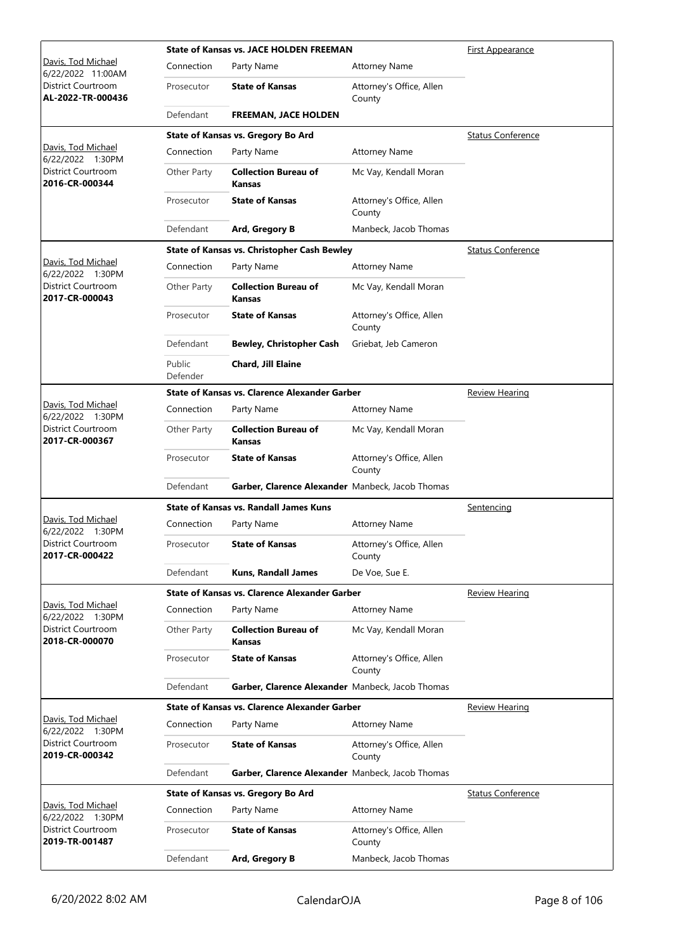|                                                |                    | <b>State of Kansas vs. JACE HOLDEN FREEMAN</b>       | <u>First Appearance</u>            |                          |
|------------------------------------------------|--------------------|------------------------------------------------------|------------------------------------|--------------------------|
| Davis, Tod Michael<br>6/22/2022 11:00AM        | Connection         | Party Name                                           | <b>Attorney Name</b>               |                          |
| <b>District Courtroom</b><br>AL-2022-TR-000436 | Prosecutor         | <b>State of Kansas</b>                               | Attorney's Office, Allen<br>County |                          |
|                                                | Defendant          | <b>FREEMAN, JACE HOLDEN</b>                          |                                    |                          |
|                                                |                    | State of Kansas vs. Gregory Bo Ard                   |                                    | <b>Status Conference</b> |
| Davis, Tod Michael<br>6/22/2022 1:30PM         | Connection         | Party Name                                           | <b>Attorney Name</b>               |                          |
| District Courtroom<br>2016-CR-000344           | Other Party        | <b>Collection Bureau of</b><br>Kansas                | Mc Vay, Kendall Moran              |                          |
|                                                | Prosecutor         | <b>State of Kansas</b>                               | Attorney's Office, Allen<br>County |                          |
|                                                | Defendant          | Ard, Gregory B                                       | Manbeck, Jacob Thomas              |                          |
|                                                |                    | <b>State of Kansas vs. Christopher Cash Bewley</b>   |                                    | <b>Status Conference</b> |
| Davis, Tod Michael<br>6/22/2022 1:30PM         | Connection         | Party Name                                           | <b>Attorney Name</b>               |                          |
| <b>District Courtroom</b><br>2017-CR-000043    | Other Party        | <b>Collection Bureau of</b><br><b>Kansas</b>         | Mc Vay, Kendall Moran              |                          |
|                                                | Prosecutor         | <b>State of Kansas</b>                               | Attorney's Office, Allen<br>County |                          |
|                                                | Defendant          | <b>Bewley, Christopher Cash</b>                      | Griebat, Jeb Cameron               |                          |
|                                                | Public<br>Defender | <b>Chard, Jill Elaine</b>                            |                                    |                          |
|                                                |                    | <b>State of Kansas vs. Clarence Alexander Garber</b> |                                    | <b>Review Hearing</b>    |
| Davis, Tod Michael<br>6/22/2022 1:30PM         | Connection         | Party Name                                           | <b>Attorney Name</b>               |                          |
| District Courtroom<br>2017-CR-000367           | Other Party        | <b>Collection Bureau of</b><br><b>Kansas</b>         | Mc Vay, Kendall Moran              |                          |
|                                                | Prosecutor         | <b>State of Kansas</b>                               | Attorney's Office, Allen<br>County |                          |
|                                                | Defendant          | Garber, Clarence Alexander Manbeck, Jacob Thomas     |                                    |                          |
|                                                |                    | <b>State of Kansas vs. Randall James Kuns</b>        |                                    | Sentencing               |
| Davis, Tod Michael<br>6/22/2022 1:30PM         | Connection         | Party Name                                           | <b>Attorney Name</b>               |                          |
| District Courtroom<br>2017-CR-000422           | Prosecutor         | <b>State of Kansas</b>                               | Attorney's Office, Allen<br>County |                          |
|                                                | Defendant          | <b>Kuns, Randall James</b>                           | De Voe, Sue E.                     |                          |
|                                                |                    | State of Kansas vs. Clarence Alexander Garber        |                                    | <b>Review Hearing</b>    |
| Davis, Tod Michael<br>6/22/2022 1:30PM         | Connection         | Party Name                                           | <b>Attorney Name</b>               |                          |
| District Courtroom<br>2018-CR-000070           | Other Party        | <b>Collection Bureau of</b><br>Kansas                | Mc Vay, Kendall Moran              |                          |
|                                                | Prosecutor         | <b>State of Kansas</b>                               | Attorney's Office, Allen<br>County |                          |
|                                                | Defendant          | Garber, Clarence Alexander Manbeck, Jacob Thomas     |                                    |                          |
|                                                |                    | State of Kansas vs. Clarence Alexander Garber        |                                    | <u>Review Hearing</u>    |
| Davis, Tod Michael<br>6/22/2022 1:30PM         | Connection         | Party Name                                           | <b>Attorney Name</b>               |                          |
| District Courtroom<br>2019-CR-000342           | Prosecutor         | <b>State of Kansas</b>                               | Attorney's Office, Allen<br>County |                          |
|                                                | Defendant          | Garber, Clarence Alexander Manbeck, Jacob Thomas     |                                    |                          |
|                                                |                    | State of Kansas vs. Gregory Bo Ard                   |                                    | <b>Status Conference</b> |
| Davis, Tod Michael<br>6/22/2022 1:30PM         | Connection         | Party Name                                           | <b>Attorney Name</b>               |                          |
| District Courtroom<br>2019-TR-001487           | Prosecutor         | <b>State of Kansas</b>                               | Attorney's Office, Allen<br>County |                          |
|                                                | Defendant          | Ard, Gregory B                                       | Manbeck, Jacob Thomas              |                          |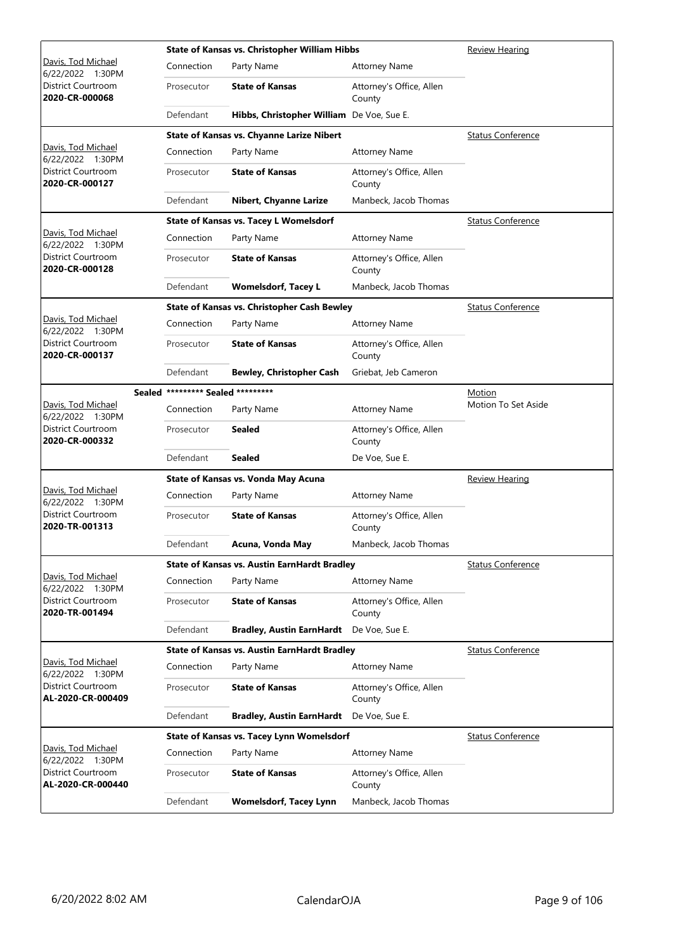|                                                |                                   | State of Kansas vs. Christopher William Hibbs       | Review Hearing                     |                          |
|------------------------------------------------|-----------------------------------|-----------------------------------------------------|------------------------------------|--------------------------|
| Davis, Tod Michael<br>6/22/2022 1:30PM         | Connection                        | Party Name                                          | <b>Attorney Name</b>               |                          |
| <b>District Courtroom</b><br>2020-CR-000068    | Prosecutor                        | <b>State of Kansas</b>                              | Attorney's Office, Allen<br>County |                          |
|                                                | Defendant                         | Hibbs, Christopher William De Voe, Sue E.           |                                    |                          |
|                                                |                                   | <b>State of Kansas vs. Chyanne Larize Nibert</b>    |                                    | <b>Status Conference</b> |
| Davis, Tod Michael<br>6/22/2022 1:30PM         | Connection                        | Party Name                                          | <b>Attorney Name</b>               |                          |
| District Courtroom<br>2020-CR-000127           | Prosecutor                        | <b>State of Kansas</b>                              | Attorney's Office, Allen<br>County |                          |
|                                                | Defendant                         | Nibert, Chyanne Larize                              | Manbeck, Jacob Thomas              |                          |
|                                                |                                   | <b>State of Kansas vs. Tacey L Womelsdorf</b>       |                                    | <b>Status Conference</b> |
| Davis, Tod Michael<br>6/22/2022 1:30PM         | Connection                        | Party Name                                          | <b>Attorney Name</b>               |                          |
| District Courtroom<br>2020-CR-000128           | Prosecutor                        | <b>State of Kansas</b>                              | Attorney's Office, Allen<br>County |                          |
|                                                | Defendant                         | <b>Womelsdorf, Tacey L</b>                          | Manbeck, Jacob Thomas              |                          |
|                                                |                                   | <b>State of Kansas vs. Christopher Cash Bewley</b>  |                                    | <b>Status Conference</b> |
| Davis, Tod Michael<br>6/22/2022 1:30PM         | Connection                        | Party Name                                          | <b>Attorney Name</b>               |                          |
| <b>District Courtroom</b><br>2020-CR-000137    | Prosecutor                        | <b>State of Kansas</b>                              | Attorney's Office, Allen<br>County |                          |
|                                                | Defendant                         | <b>Bewley, Christopher Cash</b>                     | Griebat, Jeb Cameron               |                          |
|                                                | Sealed ********* Sealed ********* |                                                     |                                    | Motion                   |
| Davis, Tod Michael<br>6/22/2022 1:30PM         | Connection                        | Party Name                                          | <b>Attorney Name</b>               | Motion To Set Aside      |
| District Courtroom<br>2020-CR-000332           | Prosecutor                        | Sealed                                              | Attorney's Office, Allen<br>County |                          |
|                                                | Defendant                         | Sealed                                              | De Voe, Sue E.                     |                          |
|                                                |                                   | State of Kansas vs. Vonda May Acuna                 |                                    | <u>Review Hearing</u>    |
| Davis, Tod Michael<br>6/22/2022 1:30PM         | Connection                        | Party Name                                          | <b>Attorney Name</b>               |                          |
| <b>District Courtroom</b><br>2020-TR-001313    | Prosecutor                        | <b>State of Kansas</b>                              | Attorney's Office, Allen<br>County |                          |
|                                                | Defendant                         | Acuna, Vonda May                                    | Manbeck, Jacob Thomas              |                          |
|                                                |                                   | State of Kansas vs. Austin EarnHardt Bradley        |                                    | <b>Status Conference</b> |
| Davis, Tod Michael<br>6/22/2022 1:30PM         | Connection                        | Party Name                                          | <b>Attorney Name</b>               |                          |
| District Courtroom<br>2020-TR-001494           | Prosecutor                        | <b>State of Kansas</b>                              | Attorney's Office, Allen<br>County |                          |
|                                                | Defendant                         | <b>Bradley, Austin EarnHardt</b>                    | De Voe, Sue E.                     |                          |
|                                                |                                   | <b>State of Kansas vs. Austin EarnHardt Bradley</b> |                                    | <b>Status Conference</b> |
| Davis, Tod Michael<br>6/22/2022 1:30PM         | Connection                        | Party Name                                          | <b>Attorney Name</b>               |                          |
| District Courtroom<br>AL-2020-CR-000409        | Prosecutor                        | <b>State of Kansas</b>                              | Attorney's Office, Allen<br>County |                          |
|                                                | Defendant                         | <b>Bradley, Austin EarnHardt</b>                    | De Voe, Sue E.                     |                          |
|                                                |                                   | State of Kansas vs. Tacey Lynn Womelsdorf           |                                    | <b>Status Conference</b> |
| <u> Davis, Tod Michael</u><br>6/22/2022 1:30PM | Connection                        | Party Name                                          | <b>Attorney Name</b>               |                          |
| District Courtroom<br>AL-2020-CR-000440        | Prosecutor                        | <b>State of Kansas</b>                              | Attorney's Office, Allen<br>County |                          |
|                                                | Defendant                         | <b>Womelsdorf, Tacey Lynn</b>                       | Manbeck, Jacob Thomas              |                          |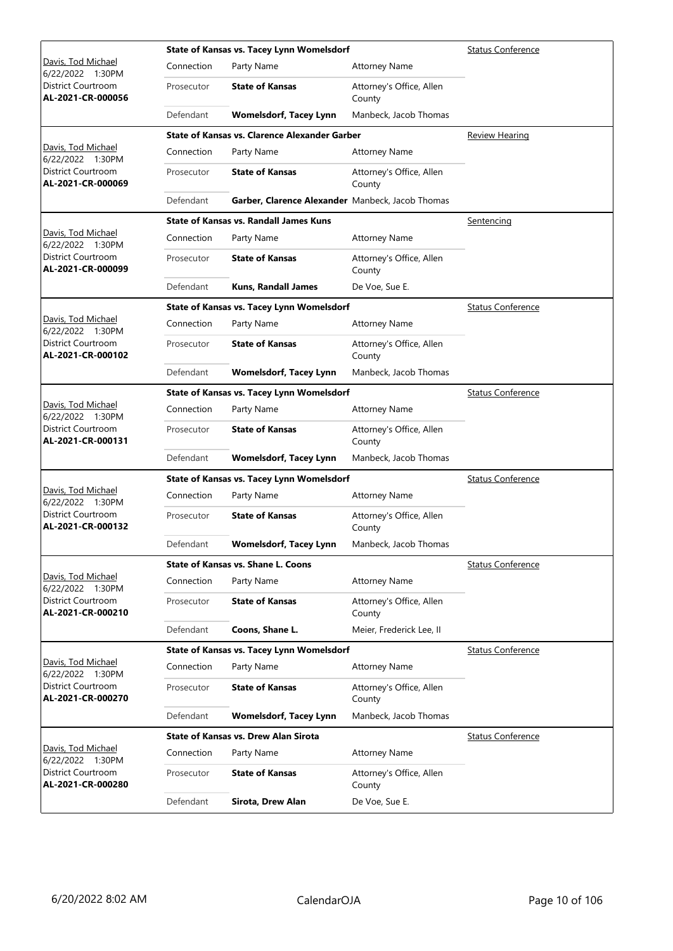|                                                |            | State of Kansas vs. Tacey Lynn Womelsdorf            | Status Conference                  |                          |
|------------------------------------------------|------------|------------------------------------------------------|------------------------------------|--------------------------|
| Davis, Tod Michael<br>6/22/2022 1:30PM         | Connection | Party Name                                           | <b>Attorney Name</b>               |                          |
| District Courtroom<br>AL-2021-CR-000056        | Prosecutor | <b>State of Kansas</b>                               | Attorney's Office, Allen<br>County |                          |
|                                                | Defendant  | <b>Womelsdorf, Tacey Lynn</b>                        | Manbeck, Jacob Thomas              |                          |
|                                                |            | <b>State of Kansas vs. Clarence Alexander Garber</b> |                                    | <b>Review Hearing</b>    |
| Davis, Tod Michael<br>6/22/2022 1:30PM         | Connection | Party Name                                           | <b>Attorney Name</b>               |                          |
| District Courtroom<br>AL-2021-CR-000069        | Prosecutor | <b>State of Kansas</b>                               | Attorney's Office, Allen<br>County |                          |
|                                                | Defendant  | Garber, Clarence Alexander Manbeck, Jacob Thomas     |                                    |                          |
|                                                |            | <b>State of Kansas vs. Randall James Kuns</b>        |                                    | <u>Sentencing</u>        |
| Davis, Tod Michael<br>6/22/2022 1:30PM         | Connection | Party Name                                           | <b>Attorney Name</b>               |                          |
| District Courtroom<br>AL-2021-CR-000099        | Prosecutor | <b>State of Kansas</b>                               | Attorney's Office, Allen<br>County |                          |
|                                                | Defendant  | <b>Kuns, Randall James</b>                           | De Voe, Sue E.                     |                          |
|                                                |            | State of Kansas vs. Tacey Lynn Womelsdorf            |                                    | <b>Status Conference</b> |
| Davis, Tod Michael<br>6/22/2022 1:30PM         | Connection | Party Name                                           | <b>Attorney Name</b>               |                          |
| District Courtroom<br>AL-2021-CR-000102        | Prosecutor | <b>State of Kansas</b>                               | Attorney's Office, Allen<br>County |                          |
|                                                | Defendant  | <b>Womelsdorf, Tacey Lynn</b>                        | Manbeck, Jacob Thomas              |                          |
|                                                |            | State of Kansas vs. Tacey Lynn Womelsdorf            |                                    | <b>Status Conference</b> |
| Davis, Tod Michael<br>6/22/2022 1:30PM         | Connection | Party Name                                           | <b>Attorney Name</b>               |                          |
| District Courtroom<br>AL-2021-CR-000131        | Prosecutor | <b>State of Kansas</b>                               | Attorney's Office, Allen<br>County |                          |
|                                                | Defendant  | <b>Womelsdorf, Tacey Lynn</b>                        | Manbeck, Jacob Thomas              |                          |
|                                                |            | State of Kansas vs. Tacey Lynn Womelsdorf            |                                    | <b>Status Conference</b> |
| Davis, Tod Michael<br>6/22/2022 1:30PM         | Connection | Party Name                                           | <b>Attorney Name</b>               |                          |
| <b>District Courtroom</b><br>AL-2021-CR-000132 | Prosecutor | <b>State of Kansas</b>                               | Attorney's Office, Allen<br>County |                          |
|                                                | Defendant  | <b>Womelsdorf, Tacey Lynn</b>                        | Manbeck, Jacob Thomas              |                          |
|                                                |            | <b>State of Kansas vs. Shane L. Coons</b>            |                                    | <b>Status Conference</b> |
| Davis, Tod Michael<br>6/22/2022 1:30PM         | Connection | Party Name                                           | <b>Attorney Name</b>               |                          |
| District Courtroom<br>AL-2021-CR-000210        | Prosecutor | <b>State of Kansas</b>                               | Attorney's Office, Allen<br>County |                          |
|                                                | Defendant  | Coons, Shane L.                                      | Meier, Frederick Lee, II           |                          |
|                                                |            | State of Kansas vs. Tacey Lynn Womelsdorf            |                                    | <b>Status Conference</b> |
| Davis, Tod Michael<br>6/22/2022 1:30PM         | Connection | Party Name                                           | <b>Attorney Name</b>               |                          |
| District Courtroom<br>AL-2021-CR-000270        | Prosecutor | <b>State of Kansas</b>                               | Attorney's Office, Allen<br>County |                          |
|                                                | Defendant  | <b>Womelsdorf, Tacey Lynn</b>                        | Manbeck, Jacob Thomas              |                          |
|                                                |            | <b>State of Kansas vs. Drew Alan Sirota</b>          |                                    | <b>Status Conference</b> |
| Davis, Tod Michael<br>6/22/2022 1:30PM         | Connection | Party Name                                           | <b>Attorney Name</b>               |                          |
| District Courtroom<br>AL-2021-CR-000280        | Prosecutor | <b>State of Kansas</b>                               | Attorney's Office, Allen<br>County |                          |
|                                                | Defendant  | Sirota, Drew Alan                                    | De Voe, Sue E.                     |                          |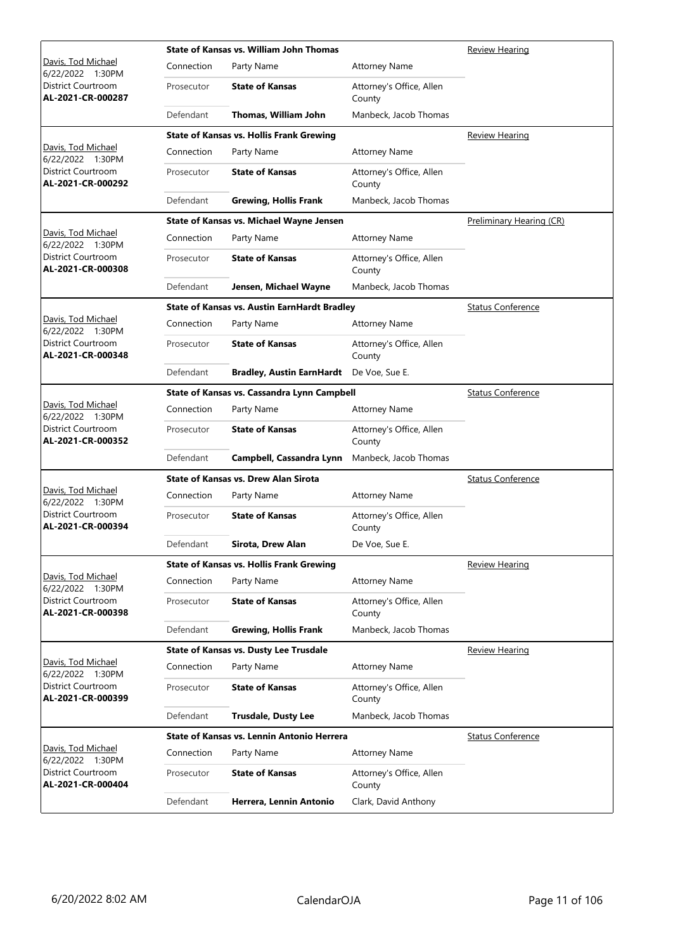|                                                |            | <b>State of Kansas vs. William John Thomas</b>      | Review Hearing                     |                          |
|------------------------------------------------|------------|-----------------------------------------------------|------------------------------------|--------------------------|
| Davis, Tod Michael<br>6/22/2022 1:30PM         | Connection | Party Name                                          | <b>Attorney Name</b>               |                          |
| District Courtroom<br>AL-2021-CR-000287        | Prosecutor | <b>State of Kansas</b>                              | Attorney's Office, Allen<br>County |                          |
|                                                | Defendant  | Thomas, William John                                | Manbeck, Jacob Thomas              |                          |
|                                                |            | <b>State of Kansas vs. Hollis Frank Grewing</b>     |                                    | <b>Review Hearing</b>    |
| Davis, Tod Michael<br>6/22/2022 1:30PM         | Connection | Party Name                                          | <b>Attorney Name</b>               |                          |
| District Courtroom<br>AL-2021-CR-000292        | Prosecutor | <b>State of Kansas</b>                              | Attorney's Office, Allen<br>County |                          |
|                                                | Defendant  | <b>Grewing, Hollis Frank</b>                        | Manbeck, Jacob Thomas              |                          |
|                                                |            | State of Kansas vs. Michael Wayne Jensen            |                                    | Preliminary Hearing (CR) |
| Davis, Tod Michael<br>6/22/2022 1:30PM         | Connection | Party Name                                          | <b>Attorney Name</b>               |                          |
| District Courtroom<br>AL-2021-CR-000308        | Prosecutor | <b>State of Kansas</b>                              | Attorney's Office, Allen<br>County |                          |
|                                                | Defendant  | Jensen, Michael Wayne                               | Manbeck, Jacob Thomas              |                          |
|                                                |            | <b>State of Kansas vs. Austin EarnHardt Bradley</b> |                                    | <b>Status Conference</b> |
| Davis, Tod Michael<br>6/22/2022 1:30PM         | Connection | Party Name                                          | <b>Attorney Name</b>               |                          |
| District Courtroom<br>AL-2021-CR-000348        | Prosecutor | <b>State of Kansas</b>                              | Attorney's Office, Allen<br>County |                          |
|                                                | Defendant  | <b>Bradley, Austin EarnHardt</b>                    | De Voe, Sue E.                     |                          |
|                                                |            | State of Kansas vs. Cassandra Lynn Campbell         |                                    | <b>Status Conference</b> |
| Davis, Tod Michael<br>6/22/2022 1:30PM         | Connection | Party Name                                          | <b>Attorney Name</b>               |                          |
| District Courtroom<br>AL-2021-CR-000352        | Prosecutor | <b>State of Kansas</b>                              | Attorney's Office, Allen<br>County |                          |
|                                                | Defendant  | Campbell, Cassandra Lynn                            | Manbeck, Jacob Thomas              |                          |
|                                                |            | <b>State of Kansas vs. Drew Alan Sirota</b>         |                                    | <b>Status Conference</b> |
| Davis, Tod Michael<br>6/22/2022 1:30PM         | Connection | Party Name                                          | <b>Attorney Name</b>               |                          |
| <b>District Courtroom</b><br>AL-2021-CR-000394 | Prosecutor | <b>State of Kansas</b>                              | Attorney's Office, Allen<br>County |                          |
|                                                | Defendant  | Sirota, Drew Alan                                   | De Voe, Sue E.                     |                          |
|                                                |            | <b>State of Kansas vs. Hollis Frank Grewing</b>     |                                    | <b>Review Hearing</b>    |
| Davis, Tod Michael<br>6/22/2022 1:30PM         | Connection | Party Name                                          | <b>Attorney Name</b>               |                          |
| District Courtroom<br>AL-2021-CR-000398        | Prosecutor | <b>State of Kansas</b>                              | Attorney's Office, Allen<br>County |                          |
|                                                | Defendant  | <b>Grewing, Hollis Frank</b>                        | Manbeck, Jacob Thomas              |                          |
|                                                |            | <b>State of Kansas vs. Dusty Lee Trusdale</b>       |                                    | <b>Review Hearing</b>    |
| Davis, Tod Michael<br>6/22/2022 1:30PM         | Connection | Party Name                                          | <b>Attorney Name</b>               |                          |
| District Courtroom<br>AL-2021-CR-000399        | Prosecutor | <b>State of Kansas</b>                              | Attorney's Office, Allen<br>County |                          |
|                                                | Defendant  | <b>Trusdale, Dusty Lee</b>                          | Manbeck, Jacob Thomas              |                          |
|                                                |            | State of Kansas vs. Lennin Antonio Herrera          |                                    | <b>Status Conference</b> |
| Davis, Tod Michael<br>6/22/2022 1:30PM         | Connection | Party Name                                          | <b>Attorney Name</b>               |                          |
| District Courtroom<br>AL-2021-CR-000404        | Prosecutor | <b>State of Kansas</b>                              | Attorney's Office, Allen<br>County |                          |
|                                                | Defendant  | Herrera, Lennin Antonio                             | Clark, David Anthony               |                          |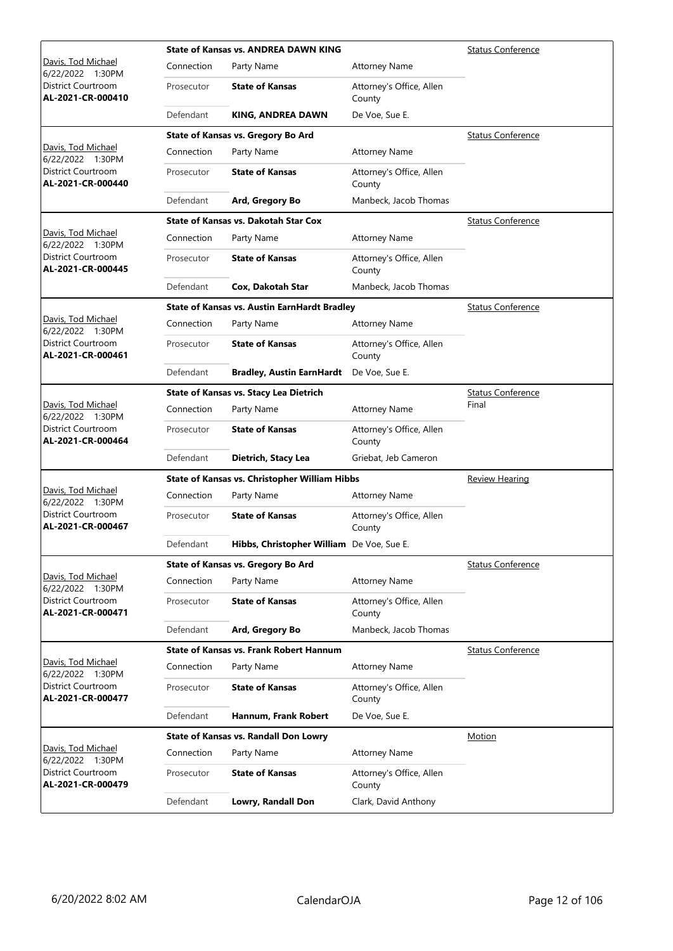|                                                |            | <b>State of Kansas vs. ANDREA DAWN KING</b>         | <b>Status Conference</b>           |                          |
|------------------------------------------------|------------|-----------------------------------------------------|------------------------------------|--------------------------|
| Davis, Tod Michael<br>6/22/2022 1:30PM         | Connection | Party Name                                          | <b>Attorney Name</b>               |                          |
| District Courtroom<br>AL-2021-CR-000410        | Prosecutor | <b>State of Kansas</b>                              | Attorney's Office, Allen<br>County |                          |
|                                                | Defendant  | <b>KING, ANDREA DAWN</b>                            | De Voe, Sue E.                     |                          |
|                                                |            | State of Kansas vs. Gregory Bo Ard                  |                                    | <b>Status Conference</b> |
| Davis, Tod Michael<br>6/22/2022 1:30PM         | Connection | Party Name                                          | <b>Attorney Name</b>               |                          |
| <b>District Courtroom</b><br>AL-2021-CR-000440 | Prosecutor | <b>State of Kansas</b>                              | Attorney's Office, Allen<br>County |                          |
|                                                | Defendant  | Ard, Gregory Bo                                     | Manbeck, Jacob Thomas              |                          |
|                                                |            | <b>State of Kansas vs. Dakotah Star Cox</b>         |                                    | <b>Status Conference</b> |
| Davis, Tod Michael<br>6/22/2022 1:30PM         | Connection | Party Name                                          | <b>Attorney Name</b>               |                          |
| District Courtroom<br>AL-2021-CR-000445        | Prosecutor | <b>State of Kansas</b>                              | Attorney's Office, Allen<br>County |                          |
|                                                | Defendant  | Cox, Dakotah Star                                   | Manbeck, Jacob Thomas              |                          |
|                                                |            | <b>State of Kansas vs. Austin EarnHardt Bradley</b> |                                    | <b>Status Conference</b> |
| Davis, Tod Michael<br>6/22/2022 1:30PM         | Connection | Party Name                                          | <b>Attorney Name</b>               |                          |
| District Courtroom<br>AL-2021-CR-000461        | Prosecutor | <b>State of Kansas</b>                              | Attorney's Office, Allen<br>County |                          |
|                                                | Defendant  | <b>Bradley, Austin EarnHardt</b>                    | De Voe, Sue E.                     |                          |
|                                                |            | <b>State of Kansas vs. Stacy Lea Dietrich</b>       |                                    | <b>Status Conference</b> |
| Davis, Tod Michael<br>6/22/2022 1:30PM         | Connection | Party Name                                          | <b>Attorney Name</b>               | Final                    |
| <b>District Courtroom</b><br>AL-2021-CR-000464 | Prosecutor | <b>State of Kansas</b>                              | Attorney's Office, Allen<br>County |                          |
|                                                | Defendant  | Dietrich, Stacy Lea                                 | Griebat, Jeb Cameron               |                          |
|                                                |            | State of Kansas vs. Christopher William Hibbs       | <b>Review Hearing</b>              |                          |
| Davis, Tod Michael<br>6/22/2022 1:30PM         | Connection | Party Name                                          | <b>Attorney Name</b>               |                          |
| <b>District Courtroom</b><br>AL-2021-CR-000467 | Prosecutor | <b>State of Kansas</b>                              | Attorney's Office, Allen<br>County |                          |
|                                                | Defendant  | Hibbs, Christopher William De Voe, Sue E.           |                                    |                          |
|                                                |            | State of Kansas vs. Gregory Bo Ard                  |                                    | <b>Status Conference</b> |
| Davis, Tod Michael<br>6/22/2022 1:30PM         | Connection | Party Name                                          | <b>Attorney Name</b>               |                          |
| District Courtroom<br>AL-2021-CR-000471        | Prosecutor | <b>State of Kansas</b>                              | Attorney's Office, Allen<br>County |                          |
|                                                | Defendant  | Ard, Gregory Bo                                     | Manbeck, Jacob Thomas              |                          |
|                                                |            | <b>State of Kansas vs. Frank Robert Hannum</b>      |                                    | <b>Status Conference</b> |
| Davis, Tod Michael<br>6/22/2022 1:30PM         | Connection | Party Name                                          | <b>Attorney Name</b>               |                          |
| District Courtroom<br>AL-2021-CR-000477        | Prosecutor | <b>State of Kansas</b>                              | Attorney's Office, Allen<br>County |                          |
|                                                | Defendant  | Hannum, Frank Robert                                | De Voe, Sue E.                     |                          |
|                                                |            | State of Kansas vs. Randall Don Lowry               |                                    | Motion                   |
| Davis, Tod Michael<br>6/22/2022 1:30PM         | Connection | Party Name                                          | <b>Attorney Name</b>               |                          |
| District Courtroom<br>AL-2021-CR-000479        | Prosecutor | <b>State of Kansas</b>                              | Attorney's Office, Allen<br>County |                          |
|                                                | Defendant  | Lowry, Randall Don                                  | Clark, David Anthony               |                          |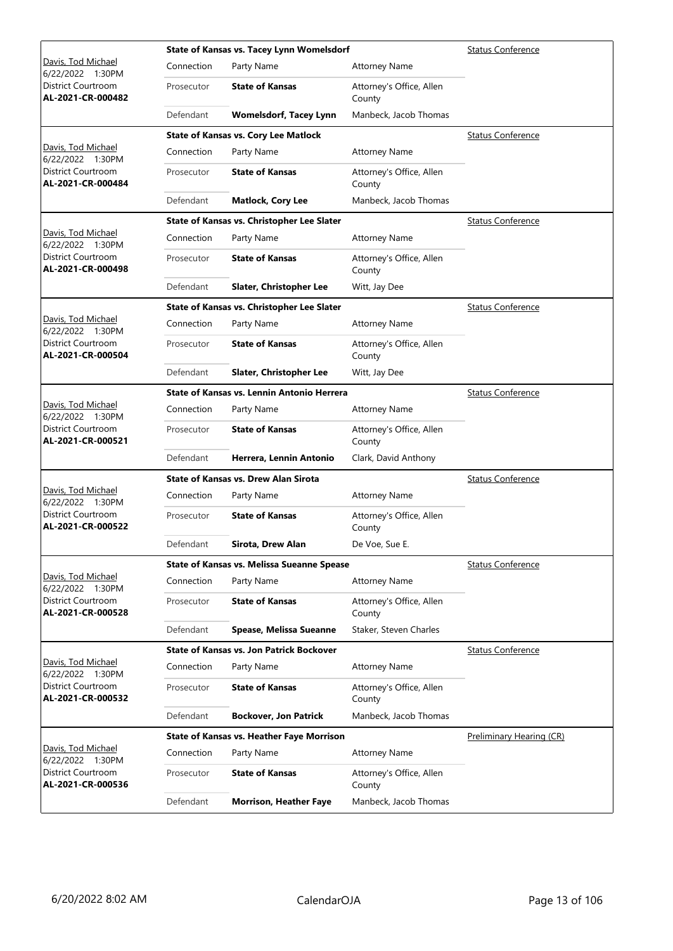|                                                |            | State of Kansas vs. Tacey Lynn Womelsdorf         | <b>Status Conference</b>           |                          |
|------------------------------------------------|------------|---------------------------------------------------|------------------------------------|--------------------------|
| Davis, Tod Michael<br>6/22/2022 1:30PM         | Connection | Party Name                                        | <b>Attorney Name</b>               |                          |
| District Courtroom<br>AL-2021-CR-000482        | Prosecutor | <b>State of Kansas</b>                            | Attorney's Office, Allen<br>County |                          |
|                                                | Defendant  | <b>Womelsdorf, Tacey Lynn</b>                     | Manbeck, Jacob Thomas              |                          |
|                                                |            | <b>State of Kansas vs. Cory Lee Matlock</b>       |                                    | <b>Status Conference</b> |
| Davis, Tod Michael<br>6/22/2022 1:30PM         | Connection | Party Name                                        | <b>Attorney Name</b>               |                          |
| <b>District Courtroom</b><br>AL-2021-CR-000484 | Prosecutor | <b>State of Kansas</b>                            | Attorney's Office, Allen<br>County |                          |
|                                                | Defendant  | <b>Matlock, Cory Lee</b>                          | Manbeck, Jacob Thomas              |                          |
|                                                |            | State of Kansas vs. Christopher Lee Slater        |                                    | <b>Status Conference</b> |
| Davis, Tod Michael<br>6/22/2022 1:30PM         | Connection | Party Name                                        | <b>Attorney Name</b>               |                          |
| District Courtroom<br>AL-2021-CR-000498        | Prosecutor | <b>State of Kansas</b>                            | Attorney's Office, Allen<br>County |                          |
|                                                | Defendant  | Slater, Christopher Lee                           | Witt, Jay Dee                      |                          |
|                                                |            | State of Kansas vs. Christopher Lee Slater        |                                    | <b>Status Conference</b> |
| Davis, Tod Michael<br>6/22/2022 1:30PM         | Connection | Party Name                                        | <b>Attorney Name</b>               |                          |
| District Courtroom<br>AL-2021-CR-000504        | Prosecutor | <b>State of Kansas</b>                            | Attorney's Office, Allen<br>County |                          |
|                                                | Defendant  | Slater, Christopher Lee                           | Witt, Jay Dee                      |                          |
|                                                |            | State of Kansas vs. Lennin Antonio Herrera        |                                    | <b>Status Conference</b> |
| Davis, Tod Michael<br>6/22/2022 1:30PM         | Connection | Party Name                                        | <b>Attorney Name</b>               |                          |
| District Courtroom<br>AL-2021-CR-000521        | Prosecutor | <b>State of Kansas</b>                            | Attorney's Office, Allen<br>County |                          |
|                                                | Defendant  | Herrera, Lennin Antonio                           | Clark, David Anthony               |                          |
|                                                |            | <b>State of Kansas vs. Drew Alan Sirota</b>       |                                    | <b>Status Conference</b> |
| Davis, Tod Michael<br>6/22/2022 1:30PM         | Connection | Party Name                                        | <b>Attorney Name</b>               |                          |
| <b>District Courtroom</b><br>AL-2021-CR-000522 | Prosecutor | <b>State of Kansas</b>                            | Attorney's Office, Allen<br>County |                          |
|                                                | Defendant  | Sirota, Drew Alan                                 | De Voe, Sue E.                     |                          |
|                                                |            | <b>State of Kansas vs. Melissa Sueanne Spease</b> |                                    | <b>Status Conference</b> |
| Davis, Tod Michael<br>6/22/2022 1:30PM         | Connection | Party Name                                        | <b>Attorney Name</b>               |                          |
| <b>District Courtroom</b><br>AL-2021-CR-000528 | Prosecutor | <b>State of Kansas</b>                            | Attorney's Office, Allen<br>County |                          |
|                                                | Defendant  | Spease, Melissa Sueanne                           | Staker, Steven Charles             |                          |
|                                                |            | <b>State of Kansas vs. Jon Patrick Bockover</b>   |                                    | <b>Status Conference</b> |
| Davis, Tod Michael<br>6/22/2022 1:30PM         | Connection | Party Name                                        | <b>Attorney Name</b>               |                          |
| District Courtroom<br>AL-2021-CR-000532        | Prosecutor | <b>State of Kansas</b>                            | Attorney's Office, Allen<br>County |                          |
|                                                | Defendant  | <b>Bockover, Jon Patrick</b>                      | Manbeck, Jacob Thomas              |                          |
|                                                |            | <b>State of Kansas vs. Heather Faye Morrison</b>  |                                    | Preliminary Hearing (CR) |
| Davis, Tod Michael<br>6/22/2022 1:30PM         | Connection | Party Name                                        | <b>Attorney Name</b>               |                          |
| District Courtroom<br>AL-2021-CR-000536        | Prosecutor | <b>State of Kansas</b>                            | Attorney's Office, Allen<br>County |                          |
|                                                | Defendant  | <b>Morrison, Heather Faye</b>                     | Manbeck, Jacob Thomas              |                          |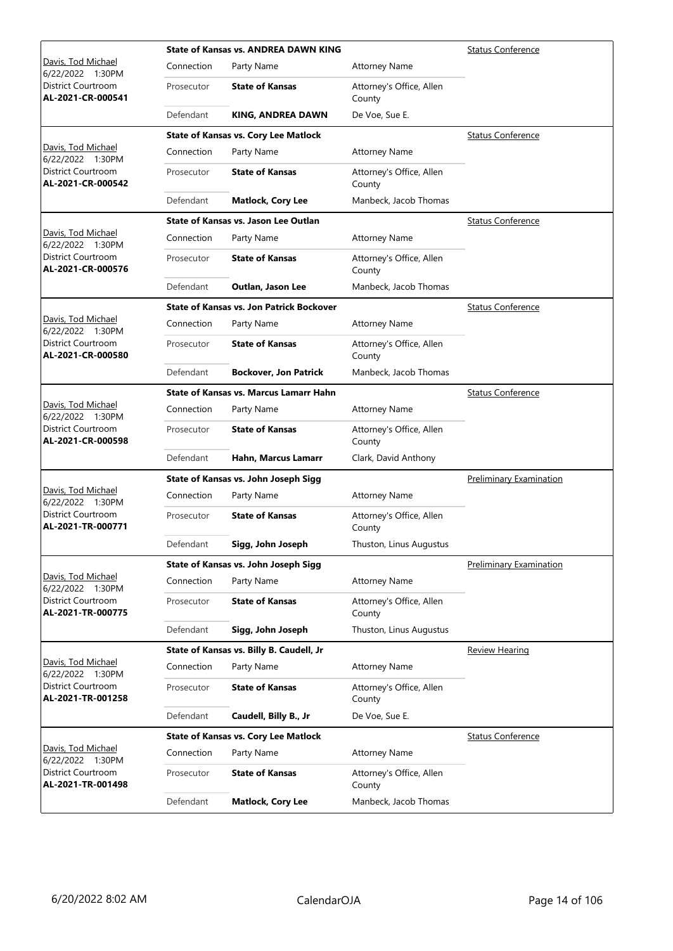|                                         |            | <b>State of Kansas vs. ANDREA DAWN KING</b>     | <b>Status Conference</b>           |                                |
|-----------------------------------------|------------|-------------------------------------------------|------------------------------------|--------------------------------|
| Davis, Tod Michael<br>6/22/2022 1:30PM  | Connection | Party Name                                      | <b>Attorney Name</b>               |                                |
| District Courtroom<br>AL-2021-CR-000541 | Prosecutor | <b>State of Kansas</b>                          | Attorney's Office, Allen<br>County |                                |
|                                         | Defendant  | KING, ANDREA DAWN                               | De Voe, Sue E.                     |                                |
|                                         |            | <b>State of Kansas vs. Cory Lee Matlock</b>     |                                    | <b>Status Conference</b>       |
| Davis, Tod Michael<br>6/22/2022 1:30PM  | Connection | Party Name                                      | <b>Attorney Name</b>               |                                |
| District Courtroom<br>AL-2021-CR-000542 | Prosecutor | <b>State of Kansas</b>                          | Attorney's Office, Allen<br>County |                                |
|                                         | Defendant  | <b>Matlock, Cory Lee</b>                        | Manbeck, Jacob Thomas              |                                |
|                                         |            | <b>State of Kansas vs. Jason Lee Outlan</b>     |                                    | <b>Status Conference</b>       |
| Davis, Tod Michael<br>6/22/2022 1:30PM  | Connection | Party Name                                      | <b>Attorney Name</b>               |                                |
| District Courtroom<br>AL-2021-CR-000576 | Prosecutor | <b>State of Kansas</b>                          | Attorney's Office, Allen<br>County |                                |
|                                         | Defendant  | Outlan, Jason Lee                               | Manbeck, Jacob Thomas              |                                |
|                                         |            | <b>State of Kansas vs. Jon Patrick Bockover</b> |                                    | Status Conference              |
| Davis, Tod Michael<br>6/22/2022 1:30PM  | Connection | Party Name                                      | <b>Attorney Name</b>               |                                |
| District Courtroom<br>AL-2021-CR-000580 | Prosecutor | <b>State of Kansas</b>                          | Attorney's Office, Allen<br>County |                                |
|                                         | Defendant  | <b>Bockover, Jon Patrick</b>                    | Manbeck, Jacob Thomas              |                                |
|                                         |            | <b>State of Kansas vs. Marcus Lamarr Hahn</b>   |                                    | <b>Status Conference</b>       |
| Davis, Tod Michael<br>6/22/2022 1:30PM  | Connection | Party Name                                      | <b>Attorney Name</b>               |                                |
| District Courtroom<br>AL-2021-CR-000598 | Prosecutor | <b>State of Kansas</b>                          | Attorney's Office, Allen<br>County |                                |
|                                         | Defendant  | Hahn, Marcus Lamarr                             | Clark, David Anthony               |                                |
|                                         |            | State of Kansas vs. John Joseph Sigg            |                                    | <b>Preliminary Examination</b> |
| Davis, Tod Michael<br>6/22/2022 1:30PM  | Connection | Party Name                                      | <b>Attorney Name</b>               |                                |
| District Courtroom<br>AL-2021-TR-000771 | Prosecutor | <b>State of Kansas</b>                          | Attorney's Office, Allen<br>County |                                |
|                                         | Defendant  | Sigg, John Joseph                               | Thuston, Linus Augustus            |                                |
|                                         |            | State of Kansas vs. John Joseph Sigg            |                                    | Preliminary Examination        |
| Davis, Tod Michael<br>6/22/2022 1:30PM  | Connection | Party Name                                      | <b>Attorney Name</b>               |                                |
| District Courtroom<br>AL-2021-TR-000775 | Prosecutor | <b>State of Kansas</b>                          | Attorney's Office, Allen<br>County |                                |
|                                         | Defendant  | Sigg, John Joseph                               | Thuston, Linus Augustus            |                                |
|                                         |            | State of Kansas vs. Billy B. Caudell, Jr        |                                    | <b>Review Hearing</b>          |
| Davis, Tod Michael<br>6/22/2022 1:30PM  | Connection | Party Name                                      | <b>Attorney Name</b>               |                                |
| District Courtroom<br>AL-2021-TR-001258 | Prosecutor | <b>State of Kansas</b>                          | Attorney's Office, Allen<br>County |                                |
|                                         | Defendant  | Caudell, Billy B., Jr                           | De Voe, Sue E.                     |                                |
|                                         |            | <b>State of Kansas vs. Cory Lee Matlock</b>     |                                    | <b>Status Conference</b>       |
| Davis, Tod Michael<br>6/22/2022 1:30PM  | Connection | Party Name                                      | <b>Attorney Name</b>               |                                |
| District Courtroom<br>AL-2021-TR-001498 | Prosecutor | <b>State of Kansas</b>                          | Attorney's Office, Allen<br>County |                                |
|                                         | Defendant  | <b>Matlock, Cory Lee</b>                        | Manbeck, Jacob Thomas              |                                |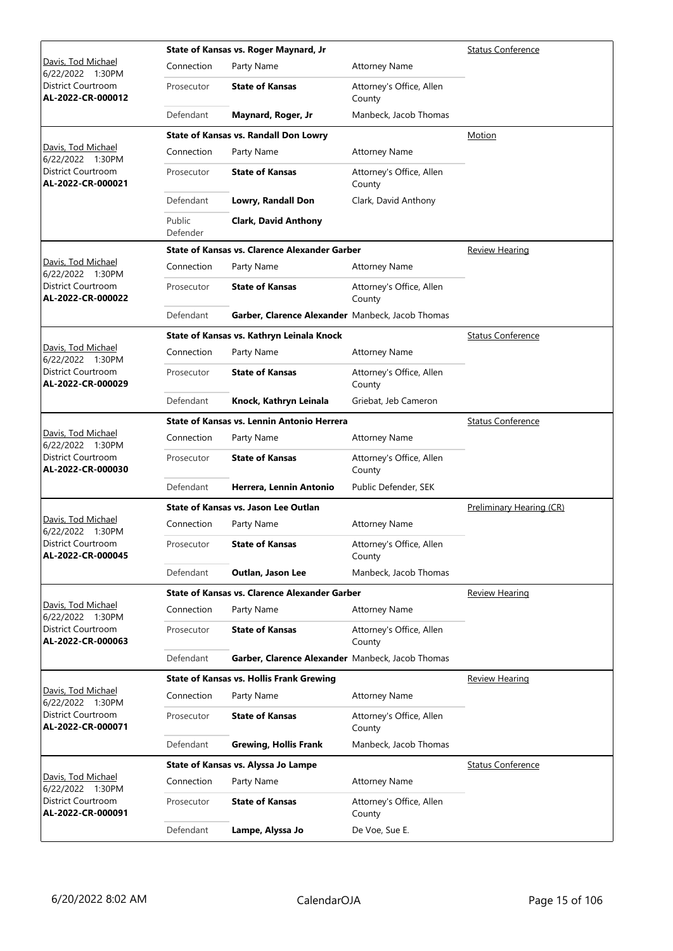|                                                |                    | State of Kansas vs. Roger Maynard, Jr                | <b>Status Conference</b>           |                          |
|------------------------------------------------|--------------------|------------------------------------------------------|------------------------------------|--------------------------|
| Davis, Tod Michael<br>6/22/2022 1:30PM         | Connection         | Party Name                                           | <b>Attorney Name</b>               |                          |
| District Courtroom<br>AL-2022-CR-000012        | Prosecutor         | <b>State of Kansas</b>                               | Attorney's Office, Allen<br>County |                          |
|                                                | Defendant          | Maynard, Roger, Jr                                   | Manbeck, Jacob Thomas              |                          |
|                                                |                    | State of Kansas vs. Randall Don Lowry                |                                    | Motion                   |
| Davis, Tod Michael<br>6/22/2022 1:30PM         | Connection         | Party Name                                           | <b>Attorney Name</b>               |                          |
| <b>District Courtroom</b><br>AL-2022-CR-000021 | Prosecutor         | <b>State of Kansas</b>                               | Attorney's Office, Allen<br>County |                          |
|                                                | Defendant          | Lowry, Randall Don                                   | Clark, David Anthony               |                          |
|                                                | Public<br>Defender | <b>Clark, David Anthony</b>                          |                                    |                          |
|                                                |                    | <b>State of Kansas vs. Clarence Alexander Garber</b> |                                    | <b>Review Hearing</b>    |
| Davis, Tod Michael<br>6/22/2022 1:30PM         | Connection         | Party Name                                           | <b>Attorney Name</b>               |                          |
| District Courtroom<br>AL-2022-CR-000022        | Prosecutor         | <b>State of Kansas</b>                               | Attorney's Office, Allen<br>County |                          |
|                                                | Defendant          | Garber, Clarence Alexander Manbeck, Jacob Thomas     |                                    |                          |
|                                                |                    | State of Kansas vs. Kathryn Leinala Knock            |                                    | <b>Status Conference</b> |
| Davis, Tod Michael<br>6/22/2022 1:30PM         | Connection         | Party Name                                           | <b>Attorney Name</b>               |                          |
| District Courtroom<br>AL-2022-CR-000029        | Prosecutor         | <b>State of Kansas</b>                               | Attorney's Office, Allen<br>County |                          |
|                                                | Defendant          | Knock, Kathryn Leinala                               | Griebat, Jeb Cameron               |                          |
|                                                |                    | State of Kansas vs. Lennin Antonio Herrera           |                                    | <b>Status Conference</b> |
| Davis, Tod Michael<br>6/22/2022 1:30PM         | Connection         | Party Name                                           | <b>Attorney Name</b>               |                          |
| <b>District Courtroom</b><br>AL-2022-CR-000030 | Prosecutor         | <b>State of Kansas</b>                               | Attorney's Office, Allen<br>County |                          |
|                                                | Defendant          | Herrera, Lennin Antonio                              | Public Defender, SEK               |                          |
|                                                |                    | State of Kansas vs. Jason Lee Outlan                 |                                    | Preliminary Hearing (CR) |
| Davis, Tod Michael<br>6/22/2022 1:30PM         | Connection         | Party Name                                           | Attorney Name                      |                          |
| District Courtroom<br>AL-2022-CR-000045        | Prosecutor         | <b>State of Kansas</b>                               | Attorney's Office, Allen<br>County |                          |
|                                                | Defendant          | Outlan, Jason Lee                                    | Manbeck, Jacob Thomas              |                          |
|                                                |                    | <b>State of Kansas vs. Clarence Alexander Garber</b> | <b>Review Hearing</b>              |                          |
| Davis, Tod Michael<br>6/22/2022 1:30PM         | Connection         | Party Name                                           | <b>Attorney Name</b>               |                          |
| District Courtroom<br>AL-2022-CR-000063        | Prosecutor         | <b>State of Kansas</b>                               | Attorney's Office, Allen<br>County |                          |
|                                                | Defendant          | Garber, Clarence Alexander Manbeck, Jacob Thomas     |                                    |                          |
|                                                |                    | <b>State of Kansas vs. Hollis Frank Grewing</b>      |                                    | Review Hearing           |
| Davis, Tod Michael<br>6/22/2022 1:30PM         | Connection         | Party Name                                           | <b>Attorney Name</b>               |                          |
| District Courtroom<br>AL-2022-CR-000071        | Prosecutor         | <b>State of Kansas</b>                               | Attorney's Office, Allen<br>County |                          |
|                                                | Defendant          | <b>Grewing, Hollis Frank</b>                         | Manbeck, Jacob Thomas              |                          |
|                                                |                    | State of Kansas vs. Alyssa Jo Lampe                  |                                    | <b>Status Conference</b> |
| Davis, Tod Michael<br>6/22/2022 1:30PM         | Connection         | Party Name                                           | <b>Attorney Name</b>               |                          |
| District Courtroom<br>AL-2022-CR-000091        | Prosecutor         | <b>State of Kansas</b>                               | Attorney's Office, Allen<br>County |                          |
|                                                | Defendant          | Lampe, Alyssa Jo                                     | De Voe, Sue E.                     |                          |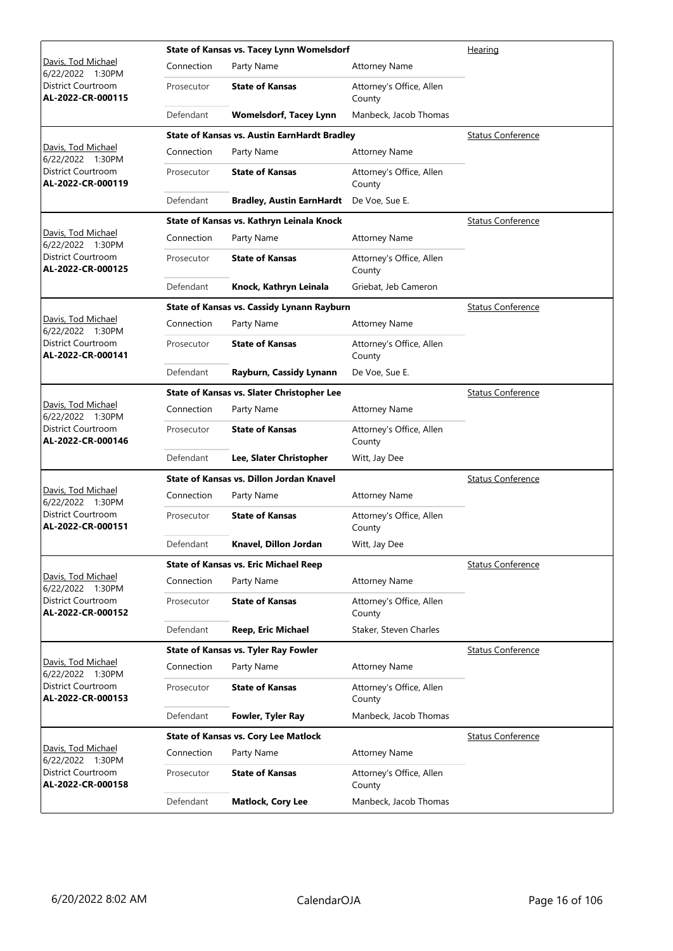|                                                |            | State of Kansas vs. Tacey Lynn Womelsdorf           | Hearing                            |                          |
|------------------------------------------------|------------|-----------------------------------------------------|------------------------------------|--------------------------|
| Davis, Tod Michael<br>6/22/2022 1:30PM         | Connection | Party Name                                          | <b>Attorney Name</b>               |                          |
| District Courtroom<br>AL-2022-CR-000115        | Prosecutor | <b>State of Kansas</b>                              | Attorney's Office, Allen<br>County |                          |
|                                                | Defendant  | <b>Womelsdorf, Tacey Lynn</b>                       | Manbeck, Jacob Thomas              |                          |
|                                                |            | <b>State of Kansas vs. Austin EarnHardt Bradley</b> |                                    | <b>Status Conference</b> |
| Davis, Tod Michael<br>6/22/2022 1:30PM         | Connection | Party Name                                          | <b>Attorney Name</b>               |                          |
| District Courtroom<br>AL-2022-CR-000119        | Prosecutor | <b>State of Kansas</b>                              | Attorney's Office, Allen<br>County |                          |
|                                                | Defendant  | <b>Bradley, Austin EarnHardt</b>                    | De Voe, Sue E.                     |                          |
|                                                |            | State of Kansas vs. Kathryn Leinala Knock           |                                    | <b>Status Conference</b> |
| Davis, Tod Michael<br>6/22/2022 1:30PM         | Connection | Party Name                                          | <b>Attorney Name</b>               |                          |
| District Courtroom<br>AL-2022-CR-000125        | Prosecutor | <b>State of Kansas</b>                              | Attorney's Office, Allen<br>County |                          |
|                                                | Defendant  | Knock, Kathryn Leinala                              | Griebat, Jeb Cameron               |                          |
|                                                |            | State of Kansas vs. Cassidy Lynann Rayburn          |                                    | <b>Status Conference</b> |
| Davis, Tod Michael<br>6/22/2022 1:30PM         | Connection | Party Name                                          | <b>Attorney Name</b>               |                          |
| District Courtroom<br>AL-2022-CR-000141        | Prosecutor | <b>State of Kansas</b>                              | Attorney's Office, Allen<br>County |                          |
|                                                | Defendant  | Rayburn, Cassidy Lynann                             | De Voe, Sue E.                     |                          |
|                                                |            | State of Kansas vs. Slater Christopher Lee          |                                    | <b>Status Conference</b> |
| Davis, Tod Michael<br>6/22/2022 1:30PM         | Connection | Party Name                                          | <b>Attorney Name</b>               |                          |
| District Courtroom<br>AL-2022-CR-000146        | Prosecutor | <b>State of Kansas</b>                              | Attorney's Office, Allen<br>County |                          |
|                                                | Defendant  | Lee, Slater Christopher                             | Witt, Jay Dee                      |                          |
|                                                |            | State of Kansas vs. Dillon Jordan Knavel            |                                    | <b>Status Conference</b> |
| Davis, Tod Michael<br>6/22/2022 1:30PM         | Connection | Party Name                                          | <b>Attorney Name</b>               |                          |
| District Courtroom<br>AL-2022-CR-000151        | Prosecutor | <b>State of Kansas</b>                              | Attorney's Office, Allen<br>County |                          |
|                                                | Defendant  | Knavel, Dillon Jordan                               | Witt, Jay Dee                      |                          |
|                                                |            | State of Kansas vs. Eric Michael Reep               |                                    | <b>Status Conference</b> |
| Davis, Tod Michael<br>6/22/2022 1:30PM         | Connection | Party Name                                          | <b>Attorney Name</b>               |                          |
| <b>District Courtroom</b><br>AL-2022-CR-000152 | Prosecutor | <b>State of Kansas</b>                              | Attorney's Office, Allen<br>County |                          |
|                                                | Defendant  | <b>Reep, Eric Michael</b>                           | Staker, Steven Charles             |                          |
|                                                |            | State of Kansas vs. Tyler Ray Fowler                |                                    | <b>Status Conference</b> |
| Davis, Tod Michael<br>6/22/2022 1:30PM         | Connection | Party Name                                          | <b>Attorney Name</b>               |                          |
| District Courtroom<br>AL-2022-CR-000153        | Prosecutor | <b>State of Kansas</b>                              | Attorney's Office, Allen<br>County |                          |
|                                                | Defendant  | Fowler, Tyler Ray                                   | Manbeck, Jacob Thomas              |                          |
|                                                |            | <b>State of Kansas vs. Cory Lee Matlock</b>         |                                    | <b>Status Conference</b> |
| Davis, Tod Michael<br>6/22/2022 1:30PM         | Connection | Party Name                                          | <b>Attorney Name</b>               |                          |
| District Courtroom<br>AL-2022-CR-000158        | Prosecutor | <b>State of Kansas</b>                              | Attorney's Office, Allen<br>County |                          |
|                                                | Defendant  | <b>Matlock, Cory Lee</b>                            | Manbeck, Jacob Thomas              |                          |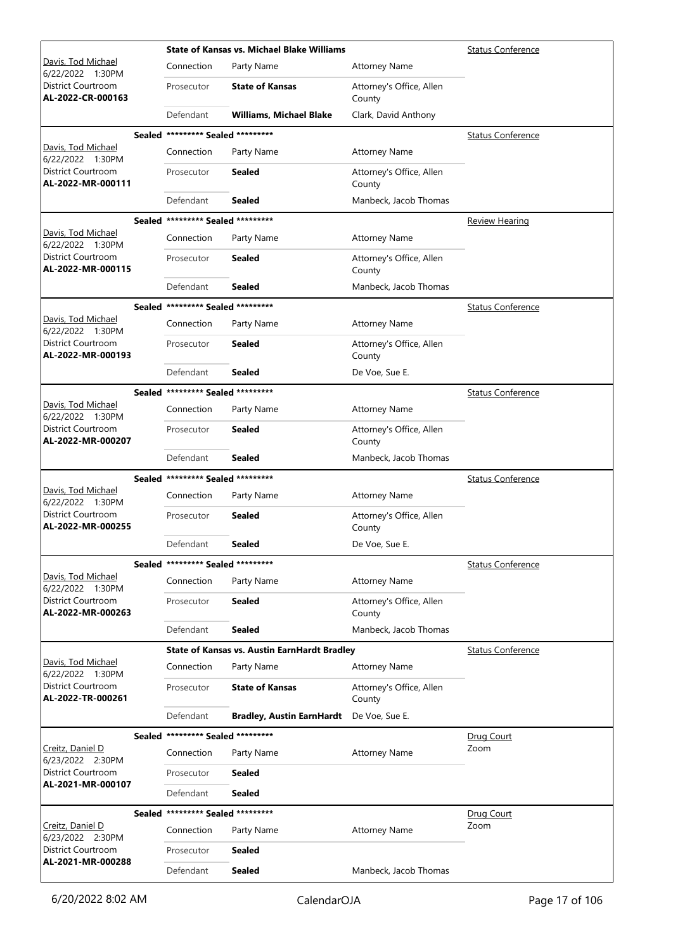|                                                             |                                   | <b>State of Kansas vs. Michael Blake Williams</b>   |                                    | <b>Status Conference</b> |
|-------------------------------------------------------------|-----------------------------------|-----------------------------------------------------|------------------------------------|--------------------------|
| Davis, Tod Michael<br>6/22/2022 1:30PM                      | Connection                        | Party Name                                          | Attorney Name                      |                          |
| District Courtroom<br>AL-2022-CR-000163                     | Prosecutor                        | <b>State of Kansas</b>                              | Attorney's Office, Allen<br>County |                          |
|                                                             | Defendant                         | <b>Williams, Michael Blake</b>                      | Clark, David Anthony               |                          |
|                                                             | Sealed ********* Sealed ********* |                                                     |                                    | Status Conference        |
| <u>Davis, Tod Michael</u>                                   | Connection                        | Party Name                                          | <b>Attorney Name</b>               |                          |
| 6/22/2022 1:30PM<br>District Courtroom<br>AL-2022-MR-000111 | Prosecutor                        | <b>Sealed</b>                                       | Attorney's Office, Allen<br>County |                          |
|                                                             | Defendant                         | <b>Sealed</b>                                       | Manbeck, Jacob Thomas              |                          |
|                                                             | Sealed ********* Sealed ********* |                                                     |                                    | <b>Review Hearing</b>    |
| Davis, Tod Michael                                          | Connection                        | Party Name                                          | <b>Attorney Name</b>               |                          |
| 6/22/2022 1:30PM<br>District Courtroom<br>AL-2022-MR-000115 | Prosecutor                        | <b>Sealed</b>                                       | Attorney's Office, Allen<br>County |                          |
|                                                             | Defendant                         | <b>Sealed</b>                                       | Manbeck, Jacob Thomas              |                          |
|                                                             | Sealed ********* Sealed ********* |                                                     |                                    | <b>Status Conference</b> |
| Davis, Tod Michael<br>6/22/2022 1:30PM                      | Connection                        | Party Name                                          | <b>Attorney Name</b>               |                          |
| District Courtroom<br>AL-2022-MR-000193                     | Prosecutor                        | <b>Sealed</b>                                       | Attorney's Office, Allen<br>County |                          |
|                                                             | Defendant                         | <b>Sealed</b>                                       | De Voe, Sue E.                     |                          |
|                                                             | Sealed ********* Sealed ********* |                                                     |                                    | <b>Status Conference</b> |
| <u>Davis, Tod Michael</u><br>6/22/2022 1:30PM               | Connection                        | Party Name                                          | <b>Attorney Name</b>               |                          |
| District Courtroom<br>AL-2022-MR-000207                     | Prosecutor                        | <b>Sealed</b>                                       | Attorney's Office, Allen<br>County |                          |
|                                                             | Defendant                         | <b>Sealed</b>                                       | Manbeck, Jacob Thomas              |                          |
|                                                             | Sealed ********* Sealed ********* |                                                     |                                    | <b>Status Conference</b> |
| Davis, Tod Michael<br>6/22/2022 1:30PM                      | Connection                        | Party Name                                          | <b>Attorney Name</b>               |                          |
| <b>District Courtroom</b><br>AL-2022-MR-000255              | Prosecutor                        | Sealed                                              | Attorney's Office, Allen<br>County |                          |
|                                                             | Defendant                         | Sealed                                              | De Voe, Sue E.                     |                          |
|                                                             | Sealed ********* Sealed ********* |                                                     |                                    | <b>Status Conference</b> |
| Davis, Tod Michael<br>6/22/2022 1:30PM                      | Connection                        | Party Name                                          | <b>Attorney Name</b>               |                          |
| District Courtroom<br>AL-2022-MR-000263                     | Prosecutor                        | <b>Sealed</b>                                       | Attorney's Office, Allen<br>County |                          |
|                                                             | Defendant                         | <b>Sealed</b>                                       | Manbeck, Jacob Thomas              |                          |
|                                                             |                                   | <b>State of Kansas vs. Austin EarnHardt Bradley</b> |                                    | <b>Status Conference</b> |
| Davis, Tod Michael<br>6/22/2022 1:30PM                      | Connection                        | Party Name                                          | <b>Attorney Name</b>               |                          |
| District Courtroom<br>AL-2022-TR-000261                     | Prosecutor                        | <b>State of Kansas</b>                              | Attorney's Office, Allen<br>County |                          |
|                                                             | Defendant                         | <b>Bradley, Austin EarnHardt</b>                    | De Voe, Sue E.                     |                          |
|                                                             | Sealed ********* Sealed ********* |                                                     |                                    | Drug Court               |
| Creitz, Daniel D<br>6/23/2022 2:30PM                        | Connection                        | Party Name                                          | <b>Attorney Name</b>               | Zoom                     |
| District Courtroom                                          | Prosecutor                        | <b>Sealed</b>                                       |                                    |                          |
| AL-2021-MR-000107                                           | Defendant                         | <b>Sealed</b>                                       |                                    |                          |
|                                                             | Sealed ********* Sealed ********* |                                                     |                                    | Drug Court               |
| Creitz, Daniel D<br>6/23/2022 2:30PM                        | Connection                        | Party Name                                          | <b>Attorney Name</b>               | Zoom                     |
| District Courtroom                                          | Prosecutor                        | <b>Sealed</b>                                       |                                    |                          |
| AL-2021-MR-000288                                           | Defendant                         | <b>Sealed</b>                                       | Manbeck, Jacob Thomas              |                          |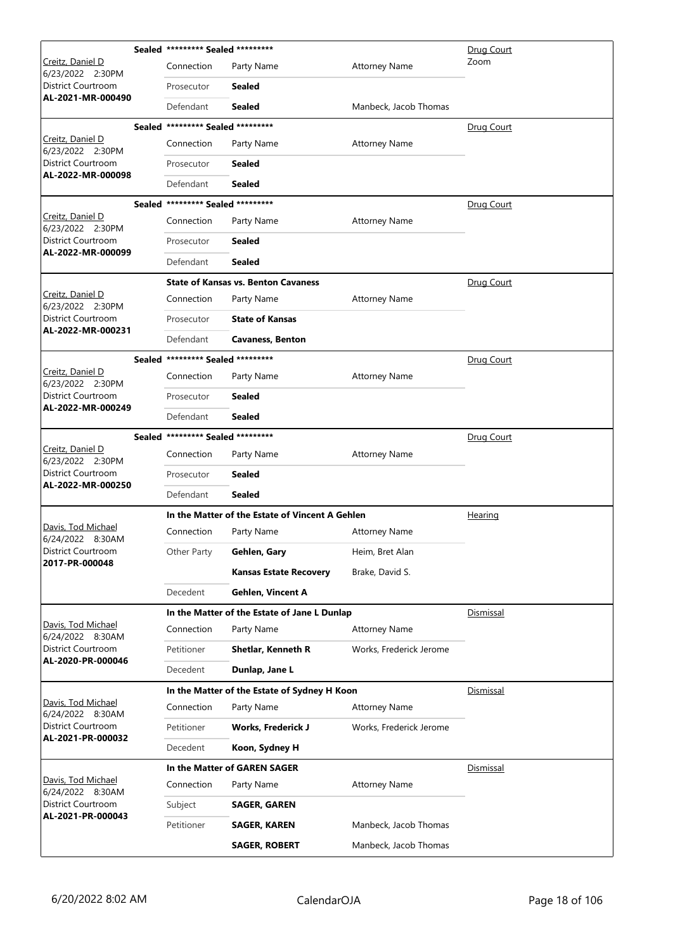|                                                | Sealed ********* Sealed ********* |                                                 |                         | Drug Court       |
|------------------------------------------------|-----------------------------------|-------------------------------------------------|-------------------------|------------------|
| Creitz, Daniel D<br>6/23/2022 2:30PM           | Connection                        | Party Name                                      | <b>Attorney Name</b>    | Zoom             |
| District Courtroom                             | Prosecutor                        | Sealed                                          |                         |                  |
| AL-2021-MR-000490                              | Defendant                         | Sealed                                          | Manbeck, Jacob Thomas   |                  |
|                                                | Sealed ********* Sealed ********* |                                                 |                         | Drug Court       |
| Creitz, Daniel D<br>6/23/2022 2:30PM           | Connection                        | Party Name                                      | <b>Attorney Name</b>    |                  |
| District Courtroom<br>AL-2022-MR-000098        | Prosecutor                        | Sealed                                          |                         |                  |
|                                                | Defendant                         | Sealed                                          |                         |                  |
|                                                | Sealed ********* Sealed ********* |                                                 |                         | Drug Court       |
| Creitz, Daniel D<br>6/23/2022 2:30PM           | Connection                        | Party Name                                      | <b>Attorney Name</b>    |                  |
| District Courtroom<br>AL-2022-MR-000099        | Prosecutor                        | <b>Sealed</b>                                   |                         |                  |
|                                                | Defendant                         | <b>Sealed</b>                                   |                         |                  |
|                                                |                                   | <b>State of Kansas vs. Benton Cavaness</b>      |                         | Drug Court       |
| Creitz, Daniel D<br>6/23/2022 2:30PM           | Connection                        | Party Name                                      | <b>Attorney Name</b>    |                  |
| <b>District Courtroom</b><br>AL-2022-MR-000231 | Prosecutor                        | <b>State of Kansas</b>                          |                         |                  |
|                                                | Defendant                         | <b>Cavaness, Benton</b>                         |                         |                  |
|                                                | Sealed ********* Sealed ********* |                                                 |                         | Drug Court       |
| Creitz, Daniel D<br>6/23/2022 2:30PM           | Connection                        | Party Name                                      | <b>Attorney Name</b>    |                  |
| District Courtroom<br>AL-2022-MR-000249        | Prosecutor                        | <b>Sealed</b>                                   |                         |                  |
|                                                | Defendant                         | <b>Sealed</b>                                   |                         |                  |
|                                                | Sealed ********* Sealed ********* |                                                 |                         | Drug Court       |
| Creitz, Daniel D<br>6/23/2022 2:30PM           | Connection                        | Party Name                                      | <b>Attorney Name</b>    |                  |
| <b>District Courtroom</b><br>AL-2022-MR-000250 | Prosecutor                        | Sealed                                          |                         |                  |
|                                                | Defendant                         | <b>Sealed</b>                                   |                         |                  |
|                                                |                                   | In the Matter of the Estate of Vincent A Gehlen |                         | Hearing          |
| Davis, Tod Michael<br>6/24/2022 8:30AM         | Connection                        | Party Name                                      | <b>Attorney Name</b>    |                  |
| District Courtroom<br>2017-PR-000048           | Other Party                       | Gehlen, Gary                                    | Heim, Bret Alan         |                  |
|                                                |                                   | <b>Kansas Estate Recovery</b>                   | Brake, David S.         |                  |
|                                                | Decedent                          | <b>Gehlen, Vincent A</b>                        |                         |                  |
|                                                |                                   | In the Matter of the Estate of Jane L Dunlap    |                         | Dismissal        |
| Davis, Tod Michael<br>6/24/2022 8:30AM         | Connection                        | Party Name                                      | <b>Attorney Name</b>    |                  |
| <b>District Courtroom</b><br>AL-2020-PR-000046 | Petitioner                        | <b>Shetlar, Kenneth R</b>                       | Works, Frederick Jerome |                  |
|                                                | Decedent                          | Dunlap, Jane L                                  |                         |                  |
|                                                |                                   | In the Matter of the Estate of Sydney H Koon    |                         | Dismissal        |
| Davis, Tod Michael<br>6/24/2022 8:30AM         | Connection                        | Party Name                                      | <b>Attorney Name</b>    |                  |
| District Courtroom<br>AL-2021-PR-000032        | Petitioner                        | <b>Works, Frederick J</b>                       | Works, Frederick Jerome |                  |
|                                                | Decedent                          | Koon, Sydney H                                  |                         |                  |
|                                                |                                   | In the Matter of GAREN SAGER                    |                         | <u>Dismissal</u> |
| Davis, Tod Michael<br>6/24/2022 8:30AM         | Connection                        | Party Name                                      | <b>Attorney Name</b>    |                  |
| District Courtroom<br>AL-2021-PR-000043        | Subject                           | SAGER, GAREN                                    |                         |                  |
|                                                | Petitioner                        | SAGER, KAREN                                    | Manbeck, Jacob Thomas   |                  |
|                                                |                                   | <b>SAGER, ROBERT</b>                            | Manbeck, Jacob Thomas   |                  |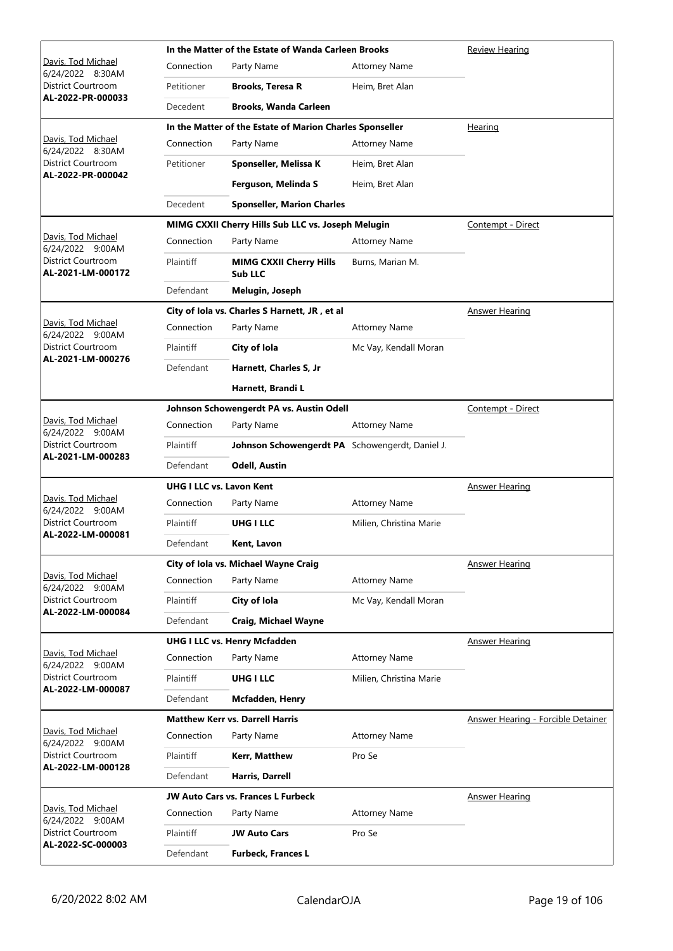|                                                |                                 | In the Matter of the Estate of Wanda Carleen Brooks      | Review Hearing          |                                           |
|------------------------------------------------|---------------------------------|----------------------------------------------------------|-------------------------|-------------------------------------------|
| Davis, Tod Michael<br>6/24/2022 8:30AM         | Connection                      | Party Name                                               | <b>Attorney Name</b>    |                                           |
| District Courtroom                             | Petitioner                      | <b>Brooks, Teresa R</b>                                  | Heim, Bret Alan         |                                           |
| AL-2022-PR-000033                              | Decedent                        | <b>Brooks, Wanda Carleen</b>                             |                         |                                           |
|                                                |                                 | In the Matter of the Estate of Marion Charles Sponseller |                         | Hearing                                   |
| Davis, Tod Michael<br>6/24/2022 8:30AM         | Connection                      | Party Name                                               | <b>Attorney Name</b>    |                                           |
| District Courtroom<br>AL-2022-PR-000042        | Petitioner                      | Sponseller, Melissa K                                    | Heim, Bret Alan         |                                           |
|                                                |                                 | Ferguson, Melinda S                                      | Heim, Bret Alan         |                                           |
|                                                | Decedent                        | <b>Sponseller, Marion Charles</b>                        |                         |                                           |
|                                                |                                 | MIMG CXXII Cherry Hills Sub LLC vs. Joseph Melugin       |                         | Contempt - Direct                         |
| Davis, Tod Michael<br>6/24/2022 9:00AM         | Connection                      | Party Name                                               | <b>Attorney Name</b>    |                                           |
| District Courtroom<br>AL-2021-LM-000172        | Plaintiff                       | <b>MIMG CXXII Cherry Hills</b><br>Sub LLC                | Burns, Marian M.        |                                           |
|                                                | Defendant                       | Melugin, Joseph                                          |                         |                                           |
|                                                |                                 | City of Iola vs. Charles S Harnett, JR, et al            |                         | <b>Answer Hearing</b>                     |
| Davis, Tod Michael<br>6/24/2022 9:00AM         | Connection                      | Party Name                                               | <b>Attorney Name</b>    |                                           |
| District Courtroom<br>AL-2021-LM-000276        | Plaintiff                       | City of Iola                                             | Mc Vay, Kendall Moran   |                                           |
|                                                | Defendant                       | Harnett, Charles S, Jr                                   |                         |                                           |
|                                                |                                 | Harnett, Brandi L                                        |                         |                                           |
|                                                |                                 | Johnson Schowengerdt PA vs. Austin Odell                 |                         | Contempt - Direct                         |
| Davis, Tod Michael<br>6/24/2022 9:00AM         | Connection                      | Party Name                                               | <b>Attorney Name</b>    |                                           |
| <b>District Courtroom</b><br>AL-2021-LM-000283 | Plaintiff                       | Johnson Schowengerdt PA Schowengerdt, Daniel J.          |                         |                                           |
|                                                | Defendant                       | <b>Odell, Austin</b>                                     |                         |                                           |
|                                                | <b>UHG I LLC vs. Lavon Kent</b> |                                                          |                         | Answer Hearing                            |
| Davis, Tod Michael<br>6/24/2022 9:00AM         | Connection                      | Party Name                                               | <b>Attorney Name</b>    |                                           |
| District Courtroom<br>AL-2022-LM-000081        | Plaintiff                       | UHG I LLC                                                | Milien, Christina Marie |                                           |
|                                                | Defendant                       | Kent, Lavon                                              |                         |                                           |
|                                                |                                 | City of Iola vs. Michael Wayne Craig                     |                         | <b>Answer Hearing</b>                     |
| Davis, Tod Michael<br>6/24/2022 9:00AM         | Connection                      | Party Name                                               | <b>Attorney Name</b>    |                                           |
| <b>District Courtroom</b><br>AL-2022-LM-000084 | Plaintiff                       | City of Iola                                             | Mc Vay, Kendall Moran   |                                           |
|                                                | Defendant                       | <b>Craig, Michael Wayne</b>                              |                         |                                           |
|                                                |                                 | <b>UHG I LLC vs. Henry Mcfadden</b>                      |                         | <b>Answer Hearing</b>                     |
| Davis, Tod Michael<br>6/24/2022 9:00AM         | Connection                      | Party Name                                               | <b>Attorney Name</b>    |                                           |
| District Courtroom<br>AL-2022-LM-000087        | Plaintiff                       | <b>UHG I LLC</b>                                         | Milien, Christina Marie |                                           |
|                                                | Defendant                       | <b>Mcfadden, Henry</b>                                   |                         |                                           |
|                                                |                                 | <b>Matthew Kerr vs. Darrell Harris</b>                   |                         | <b>Answer Hearing - Forcible Detainer</b> |
| Davis, Tod Michael<br>6/24/2022 9:00AM         | Connection                      | Party Name                                               | <b>Attorney Name</b>    |                                           |
| District Courtroom<br>AL-2022-LM-000128        | Plaintiff                       | Kerr, Matthew                                            | Pro Se                  |                                           |
|                                                | Defendant                       | Harris, Darrell                                          |                         |                                           |
|                                                |                                 | <b>JW Auto Cars vs. Frances L Furbeck</b>                |                         | <b>Answer Hearing</b>                     |
| Davis, Tod Michael<br>6/24/2022 9:00AM         | Connection                      | Party Name                                               | <b>Attorney Name</b>    |                                           |
| District Courtroom<br>AL-2022-SC-000003        | Plaintiff                       | <b>JW Auto Cars</b>                                      | Pro Se                  |                                           |
|                                                | Defendant                       | <b>Furbeck, Frances L</b>                                |                         |                                           |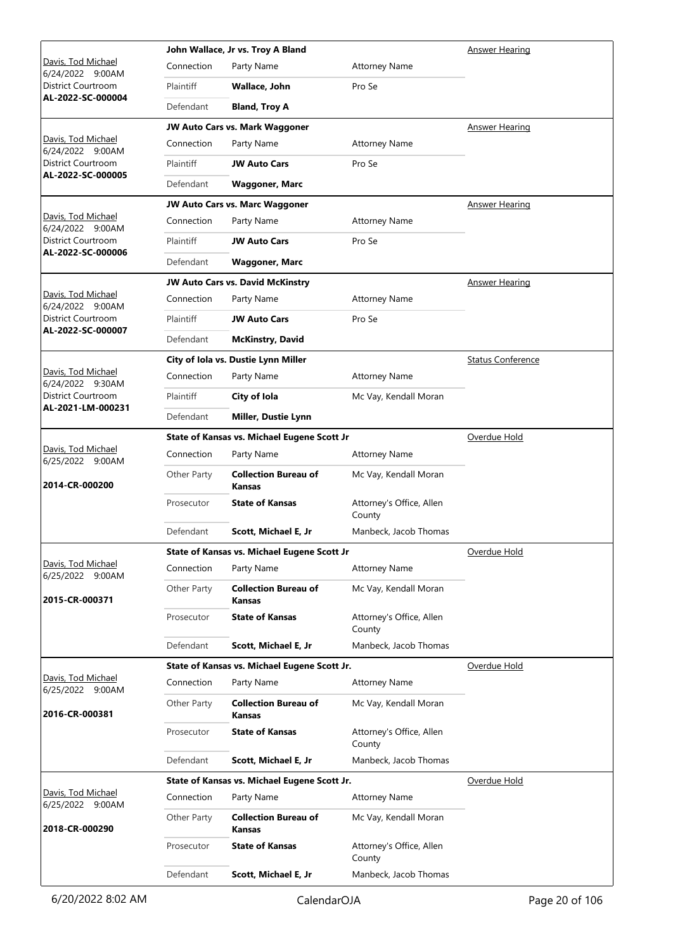|                                                |             | John Wallace, Jr vs. Troy A Bland            |                                    | <b>Answer Hearing</b>    |
|------------------------------------------------|-------------|----------------------------------------------|------------------------------------|--------------------------|
| Davis, Tod Michael<br>6/24/2022 9:00AM         | Connection  | Party Name                                   | <b>Attorney Name</b>               |                          |
| District Courtroom                             | Plaintiff   | Wallace, John                                | Pro Se                             |                          |
| AL-2022-SC-000004                              | Defendant   | <b>Bland, Troy A</b>                         |                                    |                          |
|                                                |             | JW Auto Cars vs. Mark Waggoner               |                                    | <b>Answer Hearing</b>    |
| Davis, Tod Michael<br>6/24/2022 9:00AM         | Connection  | Party Name                                   | <b>Attorney Name</b>               |                          |
| <b>District Courtroom</b>                      | Plaintiff   | <b>JW Auto Cars</b>                          | Pro Se                             |                          |
| AL-2022-SC-000005                              | Defendant   | <b>Waggoner, Marc</b>                        |                                    |                          |
|                                                |             | <b>JW Auto Cars vs. Marc Waggoner</b>        |                                    | <b>Answer Hearing</b>    |
| Davis, Tod Michael<br>6/24/2022 9:00AM         | Connection  | Party Name                                   | <b>Attorney Name</b>               |                          |
| District Courtroom                             | Plaintiff   | <b>JW Auto Cars</b>                          | Pro Se                             |                          |
| AL-2022-SC-000006                              | Defendant   | <b>Waggoner, Marc</b>                        |                                    |                          |
|                                                |             | JW Auto Cars vs. David McKinstry             |                                    | <b>Answer Hearing</b>    |
| Davis, Tod Michael<br>6/24/2022 9:00AM         | Connection  | Party Name                                   | <b>Attorney Name</b>               |                          |
| District Courtroom                             | Plaintiff   | <b>JW Auto Cars</b>                          | Pro Se                             |                          |
| AL-2022-SC-000007                              | Defendant   | <b>McKinstry, David</b>                      |                                    |                          |
|                                                |             | City of Iola vs. Dustie Lynn Miller          |                                    | <b>Status Conference</b> |
| Davis, Tod Michael<br>6/24/2022 9:30AM         | Connection  | Party Name                                   | <b>Attorney Name</b>               |                          |
| District Courtroom                             | Plaintiff   | City of Iola                                 | Mc Vay, Kendall Moran              |                          |
| AL-2021-LM-000231                              | Defendant   | Miller, Dustie Lynn                          |                                    |                          |
|                                                |             | State of Kansas vs. Michael Eugene Scott Jr  |                                    | Overdue Hold             |
| Davis, Tod Michael<br>6/25/2022 9:00AM         | Connection  | Party Name                                   | <b>Attorney Name</b>               |                          |
| 2014-CR-000200                                 | Other Party | <b>Collection Bureau of</b><br><b>Kansas</b> | Mc Vay, Kendall Moran              |                          |
|                                                | Prosecutor  | <b>State of Kansas</b>                       | Attorney's Office, Allen<br>County |                          |
|                                                | Defendant   | Scott, Michael E, Jr                         | Manbeck, Jacob Thomas              |                          |
|                                                |             | State of Kansas vs. Michael Eugene Scott Jr  |                                    | Overdue Hold             |
| <u> Davis, Tod Michael</u><br>6/25/2022 9:00AM | Connection  | Party Name                                   | <b>Attorney Name</b>               |                          |
| 2015-CR-000371                                 | Other Party | <b>Collection Bureau of</b><br>Kansas        | Mc Vay, Kendall Moran              |                          |
|                                                | Prosecutor  | <b>State of Kansas</b>                       | Attorney's Office, Allen<br>County |                          |
|                                                | Defendant   | Scott, Michael E, Jr                         | Manbeck, Jacob Thomas              |                          |
|                                                |             | State of Kansas vs. Michael Eugene Scott Jr. |                                    | Overdue Hold             |
| Davis, Tod Michael<br>6/25/2022 9:00AM         | Connection  | Party Name                                   | <b>Attorney Name</b>               |                          |
| 2016-CR-000381                                 | Other Party | <b>Collection Bureau of</b><br>Kansas        | Mc Vay, Kendall Moran              |                          |
|                                                | Prosecutor  | <b>State of Kansas</b>                       | Attorney's Office, Allen<br>County |                          |
|                                                | Defendant   | Scott, Michael E, Jr                         | Manbeck, Jacob Thomas              |                          |
|                                                |             | State of Kansas vs. Michael Eugene Scott Jr. |                                    | Overdue Hold             |
| <u> Davis, Tod Michael</u><br>6/25/2022 9:00AM | Connection  | Party Name                                   | <b>Attorney Name</b>               |                          |
| 2018-CR-000290                                 | Other Party | <b>Collection Bureau of</b><br><b>Kansas</b> | Mc Vay, Kendall Moran              |                          |
|                                                | Prosecutor  | <b>State of Kansas</b>                       | Attorney's Office, Allen<br>County |                          |
|                                                | Defendant   | Scott, Michael E, Jr                         | Manbeck, Jacob Thomas              |                          |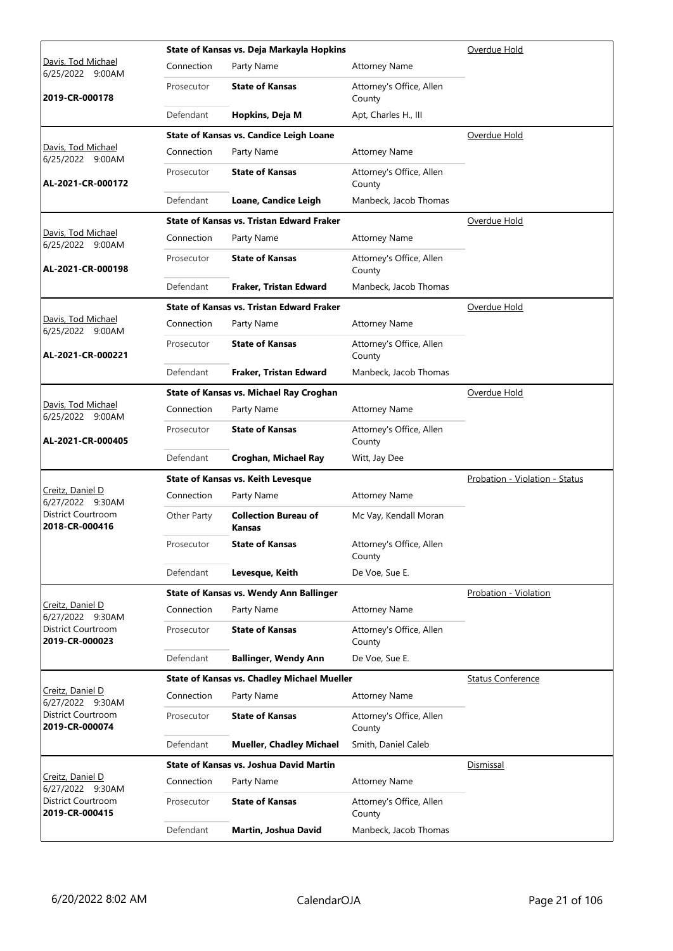|                                        |             | State of Kansas vs. Deja Markayla Hopkins          | Overdue Hold                       |                                |
|----------------------------------------|-------------|----------------------------------------------------|------------------------------------|--------------------------------|
| Davis, Tod Michael<br>6/25/2022 9:00AM | Connection  | Party Name                                         | <b>Attorney Name</b>               |                                |
| 2019-CR-000178                         | Prosecutor  | <b>State of Kansas</b>                             | Attorney's Office, Allen<br>County |                                |
|                                        | Defendant   | Hopkins, Deja M                                    | Apt, Charles H., III               |                                |
|                                        |             | <b>State of Kansas vs. Candice Leigh Loane</b>     |                                    | Overdue Hold                   |
| Davis, Tod Michael<br>6/25/2022 9:00AM | Connection  | Party Name                                         | <b>Attorney Name</b>               |                                |
| AL-2021-CR-000172                      | Prosecutor  | <b>State of Kansas</b>                             | Attorney's Office, Allen<br>County |                                |
|                                        | Defendant   | Loane, Candice Leigh                               | Manbeck, Jacob Thomas              |                                |
|                                        |             | <b>State of Kansas vs. Tristan Edward Fraker</b>   |                                    | Overdue Hold                   |
| Davis, Tod Michael<br>6/25/2022 9:00AM | Connection  | Party Name                                         | <b>Attorney Name</b>               |                                |
| AL-2021-CR-000198                      | Prosecutor  | <b>State of Kansas</b>                             | Attorney's Office, Allen<br>County |                                |
|                                        | Defendant   | Fraker, Tristan Edward                             | Manbeck, Jacob Thomas              |                                |
|                                        |             | <b>State of Kansas vs. Tristan Edward Fraker</b>   |                                    | Overdue Hold                   |
| Davis, Tod Michael<br>6/25/2022 9:00AM | Connection  | Party Name                                         | <b>Attorney Name</b>               |                                |
| AL-2021-CR-000221                      | Prosecutor  | <b>State of Kansas</b>                             | Attorney's Office, Allen<br>County |                                |
|                                        | Defendant   | Fraker, Tristan Edward                             | Manbeck, Jacob Thomas              |                                |
|                                        |             | State of Kansas vs. Michael Ray Croghan            |                                    | Overdue Hold                   |
| Davis, Tod Michael<br>6/25/2022 9:00AM | Connection  | Party Name                                         | <b>Attorney Name</b>               |                                |
| AL-2021-CR-000405                      | Prosecutor  | <b>State of Kansas</b>                             | Attorney's Office, Allen<br>County |                                |
|                                        | Defendant   | Croghan, Michael Ray                               | Witt, Jay Dee                      |                                |
|                                        |             | State of Kansas vs. Keith Levesque                 |                                    | Probation - Violation - Status |
| Creitz, Daniel D<br>6/27/2022 9:30AM   | Connection  | Party Name                                         | <b>Attorney Name</b>               |                                |
| District Courtroom<br>2018-CR-000416   | Other Party | <b>Collection Bureau of</b><br>Kansas              | Mc Vay, Kendall Moran              |                                |
|                                        | Prosecutor  | <b>State of Kansas</b>                             | Attorney's Office, Allen<br>County |                                |
|                                        | Defendant   | Levesque, Keith                                    | De Voe, Sue E.                     |                                |
|                                        |             | <b>State of Kansas vs. Wendy Ann Ballinger</b>     |                                    | <b>Probation - Violation</b>   |
| Creitz, Daniel D<br>6/27/2022 9:30AM   | Connection  | Party Name                                         | <b>Attorney Name</b>               |                                |
| District Courtroom<br>2019-CR-000023   | Prosecutor  | <b>State of Kansas</b>                             | Attorney's Office, Allen<br>County |                                |
|                                        | Defendant   | <b>Ballinger, Wendy Ann</b>                        | De Voe, Sue E.                     |                                |
|                                        |             | <b>State of Kansas vs. Chadley Michael Mueller</b> |                                    | <b>Status Conference</b>       |
| Creitz, Daniel D<br>6/27/2022 9:30AM   | Connection  | Party Name                                         | <b>Attorney Name</b>               |                                |
| District Courtroom<br>2019-CR-000074   | Prosecutor  | <b>State of Kansas</b>                             | Attorney's Office, Allen<br>County |                                |
|                                        | Defendant   | <b>Mueller, Chadley Michael</b>                    | Smith, Daniel Caleb                |                                |
|                                        |             | <b>State of Kansas vs. Joshua David Martin</b>     |                                    | <b>Dismissal</b>               |
| Creitz, Daniel D<br>6/27/2022 9:30AM   | Connection  | Party Name                                         | <b>Attorney Name</b>               |                                |
| District Courtroom<br>2019-CR-000415   | Prosecutor  | <b>State of Kansas</b>                             | Attorney's Office, Allen<br>County |                                |
|                                        | Defendant   | Martin, Joshua David                               | Manbeck, Jacob Thomas              |                                |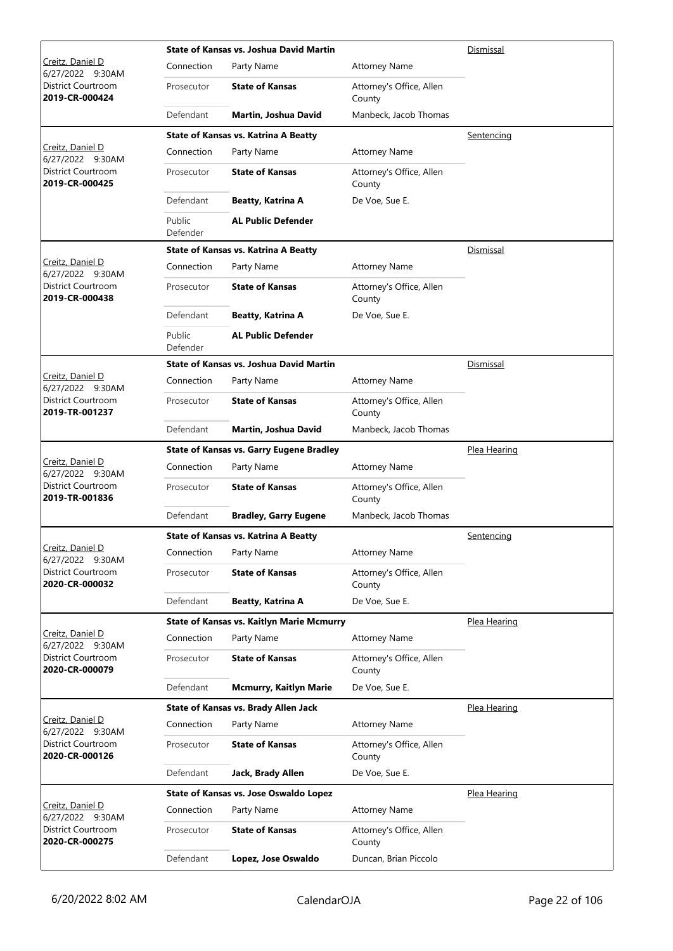|                                             |                    | State of Kansas vs. Joshua David Martin          | Dismissal                          |                     |
|---------------------------------------------|--------------------|--------------------------------------------------|------------------------------------|---------------------|
| Creitz, Daniel D<br>6/27/2022<br>9:30AM     | Connection         | Party Name                                       | <b>Attorney Name</b>               |                     |
| District Courtroom<br>2019-CR-000424        | Prosecutor         | <b>State of Kansas</b>                           | Attorney's Office, Allen<br>County |                     |
|                                             | Defendant          | Martin, Joshua David                             | Manbeck, Jacob Thomas              |                     |
|                                             |                    | <b>State of Kansas vs. Katrina A Beatty</b>      |                                    | Sentencing          |
| Creitz, Daniel D<br>6/27/2022 9:30AM        | Connection         | Party Name                                       | <b>Attorney Name</b>               |                     |
| District Courtroom<br>2019-CR-000425        | Prosecutor         | <b>State of Kansas</b>                           | Attorney's Office, Allen<br>County |                     |
|                                             | Defendant          | Beatty, Katrina A                                | De Voe, Sue E.                     |                     |
|                                             | Public<br>Defender | <b>AL Public Defender</b>                        |                                    |                     |
|                                             |                    | <b>State of Kansas vs. Katrina A Beatty</b>      |                                    | Dismissal           |
| Creitz, Daniel D<br>6/27/2022 9:30AM        | Connection         | Party Name                                       | <b>Attorney Name</b>               |                     |
| District Courtroom<br>2019-CR-000438        | Prosecutor         | <b>State of Kansas</b>                           | Attorney's Office, Allen<br>County |                     |
|                                             | Defendant          | <b>Beatty, Katrina A</b>                         | De Voe, Sue E.                     |                     |
|                                             | Public<br>Defender | <b>AL Public Defender</b>                        |                                    |                     |
|                                             |                    | <b>State of Kansas vs. Joshua David Martin</b>   |                                    | Dismissal           |
| Creitz, Daniel D<br>6/27/2022 9:30AM        | Connection         | Party Name                                       | <b>Attorney Name</b>               |                     |
| District Courtroom<br>2019-TR-001237        | Prosecutor         | <b>State of Kansas</b>                           | Attorney's Office, Allen<br>County |                     |
|                                             | Defendant          | Martin, Joshua David                             | Manbeck, Jacob Thomas              |                     |
|                                             |                    | <b>State of Kansas vs. Garry Eugene Bradley</b>  |                                    | <u>Plea Hearing</u> |
| Creitz, Daniel D<br>6/27/2022 9:30AM        | Connection         | Party Name                                       | <b>Attorney Name</b>               |                     |
| District Courtroom<br>2019-TR-001836        | Prosecutor         | <b>State of Kansas</b>                           | Attorney's Office, Allen<br>County |                     |
|                                             | Defendant          | <b>Bradley, Garry Eugene</b>                     | Manbeck, Jacob Thomas              |                     |
|                                             |                    | <b>State of Kansas vs. Katrina A Beatty</b>      |                                    | <u>Sentencing</u>   |
| Creitz, Daniel D<br>6/27/2022 9:30AM        | Connection         | Party Name                                       | <b>Attorney Name</b>               |                     |
| District Courtroom<br>2020-CR-000032        | Prosecutor         | <b>State of Kansas</b>                           | Attorney's Office, Allen<br>County |                     |
|                                             | Defendant          | <b>Beatty, Katrina A</b>                         | De Voe, Sue E.                     |                     |
|                                             |                    | <b>State of Kansas vs. Kaitlyn Marie Mcmurry</b> |                                    | Plea Hearing        |
| Creitz, Daniel D<br>6/27/2022 9:30AM        | Connection         | Party Name                                       | <b>Attorney Name</b>               |                     |
| District Courtroom<br>2020-CR-000079        | Prosecutor         | <b>State of Kansas</b>                           | Attorney's Office, Allen<br>County |                     |
|                                             | Defendant          | <b>Mcmurry, Kaitlyn Marie</b>                    | De Voe, Sue E.                     |                     |
|                                             |                    | State of Kansas vs. Brady Allen Jack             |                                    | Plea Hearing        |
| Creitz, Daniel D<br>6/27/2022 9:30AM        | Connection         | Party Name                                       | <b>Attorney Name</b>               |                     |
| District Courtroom<br>2020-CR-000126        | Prosecutor         | <b>State of Kansas</b>                           | Attorney's Office, Allen<br>County |                     |
|                                             | Defendant          | Jack, Brady Allen                                | De Voe, Sue E.                     |                     |
|                                             |                    | State of Kansas vs. Jose Oswaldo Lopez           |                                    | Plea Hearing        |
| Creitz, Daniel D<br>6/27/2022 9:30AM        | Connection         | Party Name                                       | <b>Attorney Name</b>               |                     |
| <b>District Courtroom</b><br>2020-CR-000275 | Prosecutor         | <b>State of Kansas</b>                           | Attorney's Office, Allen<br>County |                     |
|                                             | Defendant          | Lopez, Jose Oswaldo                              | Duncan, Brian Piccolo              |                     |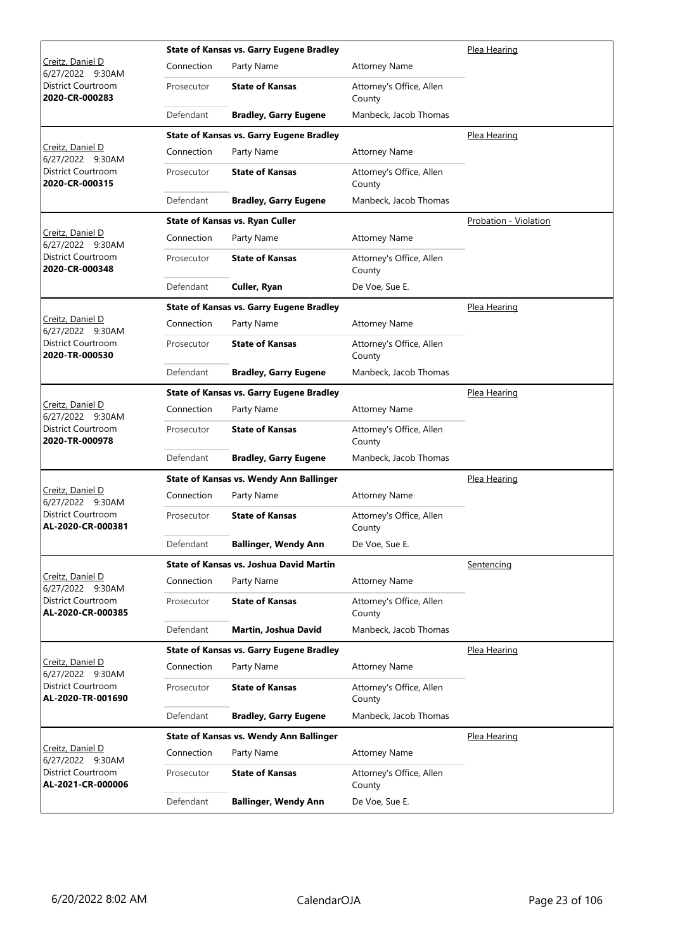|                                                |            | <b>State of Kansas vs. Garry Eugene Bradley</b> | Plea Hearing                       |                       |
|------------------------------------------------|------------|-------------------------------------------------|------------------------------------|-----------------------|
| Creitz, Daniel D<br>6/27/2022 9:30AM           | Connection | Party Name                                      | <b>Attorney Name</b>               |                       |
| District Courtroom<br>2020-CR-000283           | Prosecutor | <b>State of Kansas</b>                          | Attorney's Office, Allen<br>County |                       |
|                                                | Defendant  | <b>Bradley, Garry Eugene</b>                    | Manbeck, Jacob Thomas              |                       |
|                                                |            | <b>State of Kansas vs. Garry Eugene Bradley</b> |                                    | Plea Hearing          |
| Creitz, Daniel D<br>6/27/2022 9:30AM           | Connection | Party Name                                      | <b>Attorney Name</b>               |                       |
| District Courtroom<br>2020-CR-000315           | Prosecutor | <b>State of Kansas</b>                          | Attorney's Office, Allen<br>County |                       |
|                                                | Defendant  | <b>Bradley, Garry Eugene</b>                    | Manbeck, Jacob Thomas              |                       |
|                                                |            | State of Kansas vs. Ryan Culler                 |                                    | Probation - Violation |
| Creitz, Daniel D<br>6/27/2022 9:30AM           | Connection | Party Name                                      | <b>Attorney Name</b>               |                       |
| District Courtroom<br>2020-CR-000348           | Prosecutor | <b>State of Kansas</b>                          | Attorney's Office, Allen<br>County |                       |
|                                                | Defendant  | Culler, Ryan                                    | De Voe, Sue E.                     |                       |
|                                                |            | <b>State of Kansas vs. Garry Eugene Bradley</b> |                                    | Plea Hearing          |
| Creitz, Daniel D<br>6/27/2022 9:30AM           | Connection | Party Name                                      | <b>Attorney Name</b>               |                       |
| District Courtroom<br>2020-TR-000530           | Prosecutor | <b>State of Kansas</b>                          | Attorney's Office, Allen<br>County |                       |
|                                                | Defendant  | <b>Bradley, Garry Eugene</b>                    | Manbeck, Jacob Thomas              |                       |
|                                                |            | <b>State of Kansas vs. Garry Eugene Bradley</b> |                                    | Plea Hearing          |
| Creitz, Daniel D<br>6/27/2022 9:30AM           | Connection | Party Name                                      | <b>Attorney Name</b>               |                       |
| District Courtroom<br>2020-TR-000978           | Prosecutor | <b>State of Kansas</b>                          | Attorney's Office, Allen<br>County |                       |
|                                                | Defendant  | <b>Bradley, Garry Eugene</b>                    | Manbeck, Jacob Thomas              |                       |
|                                                |            | <b>State of Kansas vs. Wendy Ann Ballinger</b>  |                                    | Plea Hearing          |
| Creitz, Daniel D<br>6/27/2022 9:30AM           | Connection | Party Name                                      | <b>Attorney Name</b>               |                       |
| <b>District Courtroom</b><br>AL-2020-CR-000381 | Prosecutor | <b>State of Kansas</b>                          | Attorney's Office, Allen<br>County |                       |
|                                                | Defendant  | <b>Ballinger, Wendy Ann</b>                     | De Voe, Sue E.                     |                       |
|                                                |            | State of Kansas vs. Joshua David Martin         |                                    | Sentencing            |
| Creitz, Daniel D<br>6/27/2022 9:30AM           | Connection | Party Name                                      | <b>Attorney Name</b>               |                       |
| District Courtroom<br>AL-2020-CR-000385        | Prosecutor | <b>State of Kansas</b>                          | Attorney's Office, Allen<br>County |                       |
|                                                | Defendant  | Martin, Joshua David                            | Manbeck, Jacob Thomas              |                       |
|                                                |            | <b>State of Kansas vs. Garry Eugene Bradley</b> |                                    | Plea Hearing          |
| Creitz, Daniel D<br>6/27/2022 9:30AM           | Connection | Party Name                                      | <b>Attorney Name</b>               |                       |
| District Courtroom<br>AL-2020-TR-001690        | Prosecutor | <b>State of Kansas</b>                          | Attorney's Office, Allen<br>County |                       |
|                                                | Defendant  | <b>Bradley, Garry Eugene</b>                    | Manbeck, Jacob Thomas              |                       |
|                                                |            | <b>State of Kansas vs. Wendy Ann Ballinger</b>  |                                    | Plea Hearing          |
| <u>Creitz, Daniel D</u><br>6/27/2022 9:30AM    | Connection | Party Name                                      | <b>Attorney Name</b>               |                       |
| District Courtroom<br>AL-2021-CR-000006        | Prosecutor | <b>State of Kansas</b>                          | Attorney's Office, Allen<br>County |                       |
|                                                | Defendant  | <b>Ballinger, Wendy Ann</b>                     | De Voe, Sue E.                     |                       |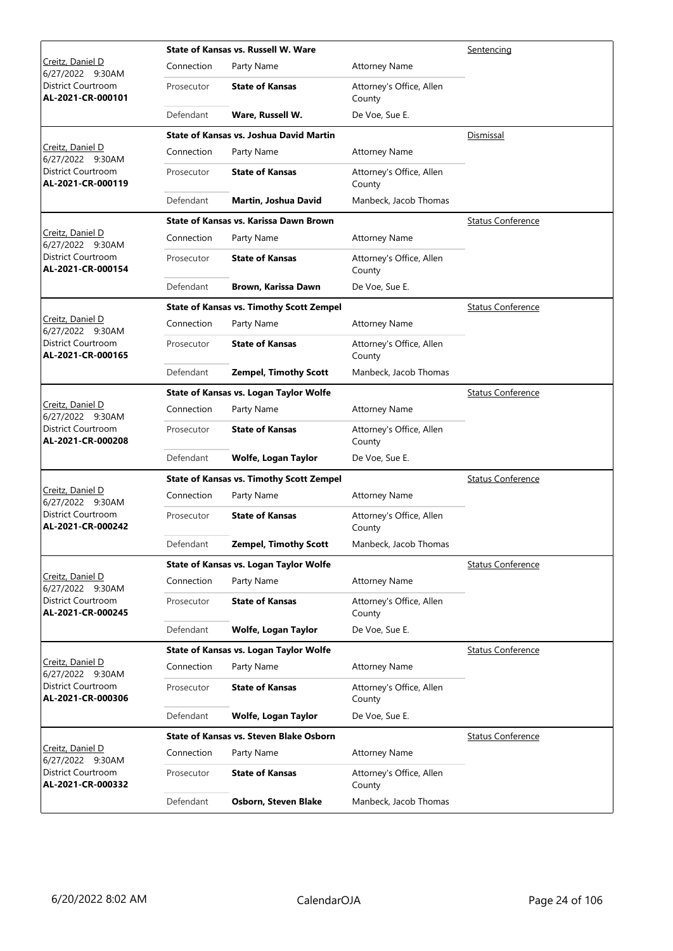|                                         |            | State of Kansas vs. Russell W. Ware             | Sentencing                         |                          |
|-----------------------------------------|------------|-------------------------------------------------|------------------------------------|--------------------------|
| Creitz, Daniel D<br>6/27/2022 9:30AM    | Connection | Party Name                                      | <b>Attorney Name</b>               |                          |
| District Courtroom<br>AL-2021-CR-000101 | Prosecutor | <b>State of Kansas</b>                          | Attorney's Office, Allen<br>County |                          |
|                                         | Defendant  | Ware, Russell W.                                | De Voe, Sue E.                     |                          |
|                                         |            | <b>State of Kansas vs. Joshua David Martin</b>  |                                    | Dismissal                |
| Creitz, Daniel D<br>6/27/2022 9:30AM    | Connection | Party Name                                      | <b>Attorney Name</b>               |                          |
| District Courtroom<br>AL-2021-CR-000119 | Prosecutor | <b>State of Kansas</b>                          | Attorney's Office, Allen<br>County |                          |
|                                         | Defendant  | Martin, Joshua David                            | Manbeck, Jacob Thomas              |                          |
|                                         |            | State of Kansas vs. Karissa Dawn Brown          |                                    | <b>Status Conference</b> |
| Creitz, Daniel D<br>6/27/2022 9:30AM    | Connection | Party Name                                      | <b>Attorney Name</b>               |                          |
| District Courtroom<br>AL-2021-CR-000154 | Prosecutor | <b>State of Kansas</b>                          | Attorney's Office, Allen<br>County |                          |
|                                         | Defendant  | Brown, Karissa Dawn                             | De Voe, Sue E.                     |                          |
|                                         |            | <b>State of Kansas vs. Timothy Scott Zempel</b> |                                    | <b>Status Conference</b> |
| Creitz, Daniel D<br>6/27/2022 9:30AM    | Connection | Party Name                                      | <b>Attorney Name</b>               |                          |
| District Courtroom<br>AL-2021-CR-000165 | Prosecutor | <b>State of Kansas</b>                          | Attorney's Office, Allen<br>County |                          |
|                                         | Defendant  | <b>Zempel, Timothy Scott</b>                    | Manbeck, Jacob Thomas              |                          |
|                                         |            | State of Kansas vs. Logan Taylor Wolfe          |                                    | <b>Status Conference</b> |
| Creitz, Daniel D<br>6/27/2022 9:30AM    | Connection | Party Name                                      | <b>Attorney Name</b>               |                          |
| District Courtroom<br>AL-2021-CR-000208 | Prosecutor | <b>State of Kansas</b>                          | Attorney's Office, Allen<br>County |                          |
|                                         | Defendant  | Wolfe, Logan Taylor                             | De Voe, Sue E.                     |                          |
|                                         |            | <b>State of Kansas vs. Timothy Scott Zempel</b> |                                    | <b>Status Conference</b> |
| Creitz, Daniel D<br>6/27/2022 9:30AM    | Connection | Party Name                                      | <b>Attorney Name</b>               |                          |
| District Courtroom<br>AL-2021-CR-000242 | Prosecutor | <b>State of Kansas</b>                          | Attorney's Office, Allen<br>County |                          |
|                                         | Defendant  | <b>Zempel, Timothy Scott</b>                    | Manbeck, Jacob Thomas              |                          |
|                                         |            | <b>State of Kansas vs. Logan Taylor Wolfe</b>   |                                    | <b>Status Conference</b> |
| Creitz, Daniel D<br>6/27/2022 9:30AM    | Connection | Party Name                                      | <b>Attorney Name</b>               |                          |
| District Courtroom<br>AL-2021-CR-000245 | Prosecutor | <b>State of Kansas</b>                          | Attorney's Office, Allen<br>County |                          |
|                                         | Defendant  | Wolfe, Logan Taylor                             | De Voe, Sue E.                     |                          |
|                                         |            | State of Kansas vs. Logan Taylor Wolfe          |                                    | <b>Status Conference</b> |
| Creitz, Daniel D<br>6/27/2022 9:30AM    | Connection | Party Name                                      | <b>Attorney Name</b>               |                          |
| District Courtroom<br>AL-2021-CR-000306 | Prosecutor | <b>State of Kansas</b>                          | Attorney's Office, Allen<br>County |                          |
|                                         | Defendant  | Wolfe, Logan Taylor                             | De Voe, Sue E.                     |                          |
|                                         |            | <b>State of Kansas vs. Steven Blake Osborn</b>  |                                    | <b>Status Conference</b> |
| Creitz, Daniel D<br>6/27/2022 9:30AM    | Connection | Party Name                                      | <b>Attorney Name</b>               |                          |
| District Courtroom<br>AL-2021-CR-000332 | Prosecutor | <b>State of Kansas</b>                          | Attorney's Office, Allen<br>County |                          |
|                                         | Defendant  | <b>Osborn, Steven Blake</b>                     | Manbeck, Jacob Thomas              |                          |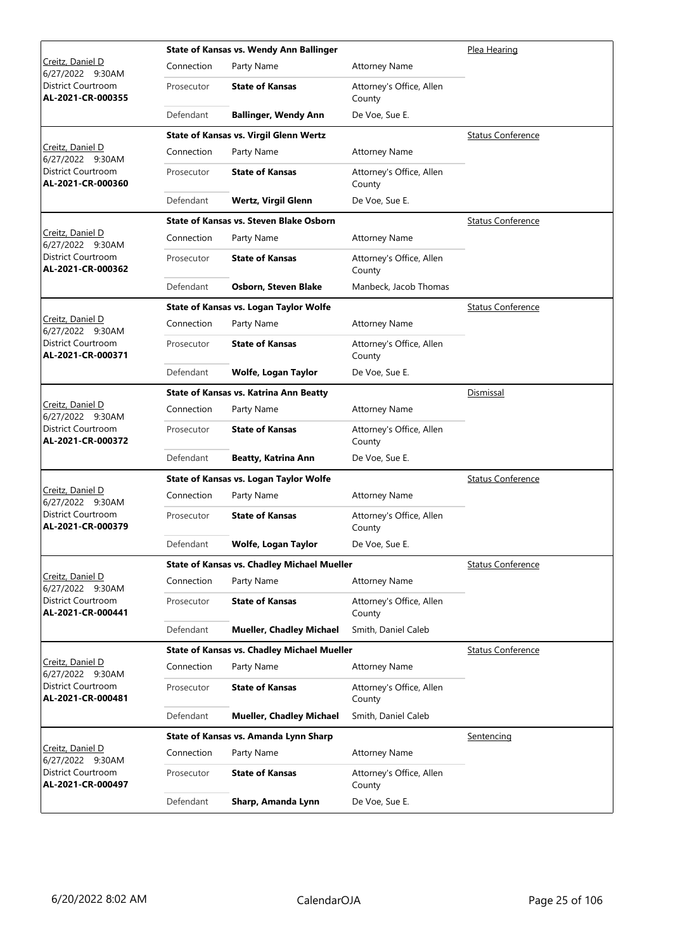|                                                |            | State of Kansas vs. Wendy Ann Ballinger            | Plea Hearing                       |                          |
|------------------------------------------------|------------|----------------------------------------------------|------------------------------------|--------------------------|
| Creitz, Daniel D<br>6/27/2022 9:30AM           | Connection | Party Name                                         | <b>Attorney Name</b>               |                          |
| District Courtroom<br>AL-2021-CR-000355        | Prosecutor | <b>State of Kansas</b>                             | Attorney's Office, Allen<br>County |                          |
|                                                | Defendant  | <b>Ballinger, Wendy Ann</b>                        | De Voe, Sue E.                     |                          |
|                                                |            | <b>State of Kansas vs. Virgil Glenn Wertz</b>      |                                    | <b>Status Conference</b> |
| Creitz, Daniel D<br>6/27/2022 9:30AM           | Connection | Party Name                                         | <b>Attorney Name</b>               |                          |
| District Courtroom<br>AL-2021-CR-000360        | Prosecutor | <b>State of Kansas</b>                             | Attorney's Office, Allen<br>County |                          |
|                                                | Defendant  | Wertz, Virgil Glenn                                | De Voe, Sue E.                     |                          |
|                                                |            | <b>State of Kansas vs. Steven Blake Osborn</b>     |                                    | <b>Status Conference</b> |
| Creitz, Daniel D<br>6/27/2022 9:30AM           | Connection | Party Name                                         | <b>Attorney Name</b>               |                          |
| District Courtroom<br>AL-2021-CR-000362        | Prosecutor | <b>State of Kansas</b>                             | Attorney's Office, Allen<br>County |                          |
|                                                | Defendant  | Osborn, Steven Blake                               | Manbeck, Jacob Thomas              |                          |
|                                                |            | State of Kansas vs. Logan Taylor Wolfe             |                                    | <b>Status Conference</b> |
| Creitz, Daniel D<br>6/27/2022 9:30AM           | Connection | Party Name                                         | <b>Attorney Name</b>               |                          |
| District Courtroom<br>AL-2021-CR-000371        | Prosecutor | <b>State of Kansas</b>                             | Attorney's Office, Allen<br>County |                          |
|                                                | Defendant  | Wolfe, Logan Taylor                                | De Voe, Sue E.                     |                          |
|                                                |            | <b>State of Kansas vs. Katrina Ann Beatty</b>      |                                    | <b>Dismissal</b>         |
| Creitz, Daniel D<br>6/27/2022 9:30AM           | Connection | Party Name                                         | <b>Attorney Name</b>               |                          |
| District Courtroom<br>AL-2021-CR-000372        | Prosecutor | <b>State of Kansas</b>                             | Attorney's Office, Allen<br>County |                          |
|                                                | Defendant  | <b>Beatty, Katrina Ann</b>                         | De Voe, Sue E.                     |                          |
|                                                |            | State of Kansas vs. Logan Taylor Wolfe             |                                    | <b>Status Conference</b> |
| Creitz, Daniel D<br>6/27/2022 9:30AM           | Connection | Party Name                                         | <b>Attorney Name</b>               |                          |
| <b>District Courtroom</b><br>AL-2021-CR-000379 | Prosecutor | <b>State of Kansas</b>                             | Attorney's Office, Allen<br>County |                          |
|                                                | Defendant  | Wolfe, Logan Taylor                                | De Voe, Sue E.                     |                          |
|                                                |            | <b>State of Kansas vs. Chadley Michael Mueller</b> |                                    | <b>Status Conference</b> |
| Creitz, Daniel D<br>6/27/2022 9:30AM           | Connection | Party Name                                         | <b>Attorney Name</b>               |                          |
| District Courtroom<br>AL-2021-CR-000441        | Prosecutor | <b>State of Kansas</b>                             | Attorney's Office, Allen<br>County |                          |
|                                                | Defendant  | <b>Mueller, Chadley Michael</b>                    | Smith, Daniel Caleb                |                          |
|                                                |            | <b>State of Kansas vs. Chadley Michael Mueller</b> |                                    | <b>Status Conference</b> |
| Creitz, Daniel D<br>6/27/2022 9:30AM           | Connection | Party Name                                         | <b>Attorney Name</b>               |                          |
| District Courtroom<br>AL-2021-CR-000481        | Prosecutor | <b>State of Kansas</b>                             | Attorney's Office, Allen<br>County |                          |
|                                                | Defendant  | <b>Mueller, Chadley Michael</b>                    | Smith, Daniel Caleb                |                          |
|                                                |            | State of Kansas vs. Amanda Lynn Sharp              |                                    | Sentencing               |
| Creitz, Daniel D<br>6/27/2022 9:30AM           | Connection | Party Name                                         | <b>Attorney Name</b>               |                          |
| District Courtroom<br>AL-2021-CR-000497        | Prosecutor | <b>State of Kansas</b>                             | Attorney's Office, Allen<br>County |                          |
|                                                | Defendant  | Sharp, Amanda Lynn                                 | De Voe, Sue E.                     |                          |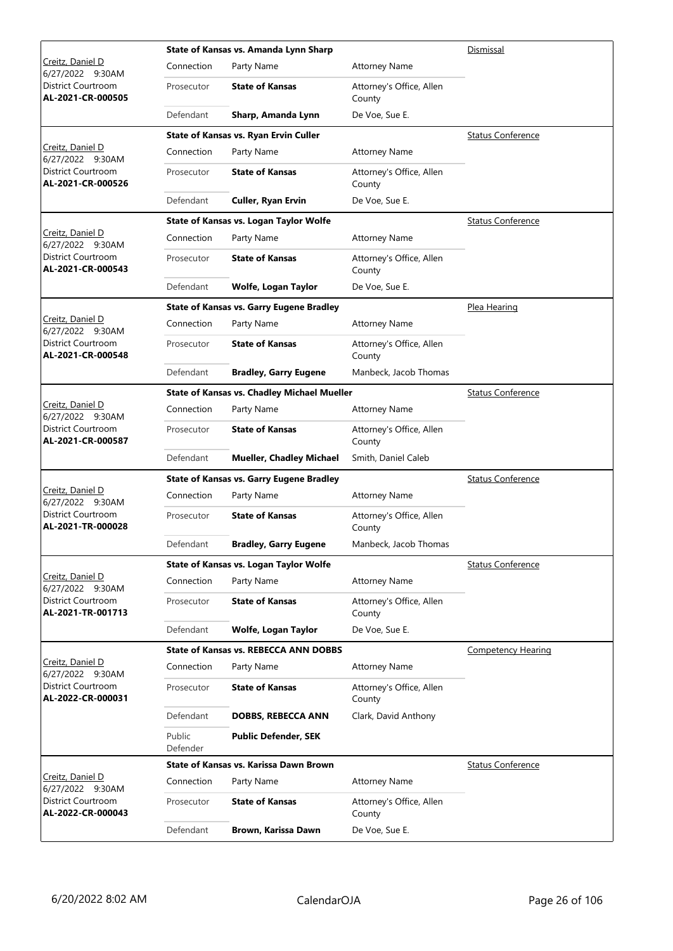|                                                |                    | State of Kansas vs. Amanda Lynn Sharp              | Dismissal                          |                           |
|------------------------------------------------|--------------------|----------------------------------------------------|------------------------------------|---------------------------|
| Creitz, Daniel D<br>6/27/2022 9:30AM           | Connection         | Party Name                                         | <b>Attorney Name</b>               |                           |
| District Courtroom<br>AL-2021-CR-000505        | Prosecutor         | <b>State of Kansas</b>                             | Attorney's Office, Allen<br>County |                           |
|                                                | Defendant          | Sharp, Amanda Lynn                                 | De Voe, Sue E.                     |                           |
|                                                |                    | State of Kansas vs. Ryan Ervin Culler              |                                    | <b>Status Conference</b>  |
| Creitz, Daniel D<br>6/27/2022 9:30AM           | Connection         | Party Name                                         | <b>Attorney Name</b>               |                           |
| District Courtroom<br>AL-2021-CR-000526        | Prosecutor         | <b>State of Kansas</b>                             | Attorney's Office, Allen<br>County |                           |
|                                                | Defendant          | Culler, Ryan Ervin                                 | De Voe, Sue E.                     |                           |
|                                                |                    | State of Kansas vs. Logan Taylor Wolfe             |                                    | <b>Status Conference</b>  |
| Creitz, Daniel D<br>6/27/2022 9:30AM           | Connection         | Party Name                                         | <b>Attorney Name</b>               |                           |
| District Courtroom<br>AL-2021-CR-000543        | Prosecutor         | <b>State of Kansas</b>                             | Attorney's Office, Allen<br>County |                           |
|                                                | Defendant          | Wolfe, Logan Taylor                                | De Voe, Sue E.                     |                           |
|                                                |                    | <b>State of Kansas vs. Garry Eugene Bradley</b>    |                                    | Plea Hearing              |
| Creitz, Daniel D<br>6/27/2022 9:30AM           | Connection         | Party Name                                         | <b>Attorney Name</b>               |                           |
| District Courtroom<br>AL-2021-CR-000548        | Prosecutor         | <b>State of Kansas</b>                             | Attorney's Office, Allen<br>County |                           |
|                                                | Defendant          | <b>Bradley, Garry Eugene</b>                       | Manbeck, Jacob Thomas              |                           |
|                                                |                    | <b>State of Kansas vs. Chadley Michael Mueller</b> |                                    | <b>Status Conference</b>  |
| Creitz, Daniel D<br>6/27/2022 9:30AM           | Connection         | Party Name                                         | <b>Attorney Name</b>               |                           |
| District Courtroom<br>AL-2021-CR-000587        | Prosecutor         | <b>State of Kansas</b>                             | Attorney's Office, Allen<br>County |                           |
|                                                | Defendant          | <b>Mueller, Chadley Michael</b>                    | Smith, Daniel Caleb                |                           |
|                                                |                    | <b>State of Kansas vs. Garry Eugene Bradley</b>    |                                    | <b>Status Conference</b>  |
| Creitz, Daniel D<br>6/27/2022 9:30AM           | Connection         | Party Name                                         | <b>Attorney Name</b>               |                           |
| <b>District Courtroom</b><br>AL-2021-TR-000028 | Prosecutor         | <b>State of Kansas</b>                             | Attorney's Office, Allen<br>County |                           |
|                                                | Defendant          | <b>Bradley, Garry Eugene</b>                       | Manbeck, Jacob Thomas              |                           |
|                                                |                    | State of Kansas vs. Logan Taylor Wolfe             |                                    | <b>Status Conference</b>  |
| Creitz, Daniel D<br>6/27/2022 9:30AM           | Connection         | Party Name                                         | <b>Attorney Name</b>               |                           |
| District Courtroom<br>AL-2021-TR-001713        | Prosecutor         | <b>State of Kansas</b>                             | Attorney's Office, Allen<br>County |                           |
|                                                | Defendant          | Wolfe, Logan Taylor                                | De Voe, Sue E.                     |                           |
|                                                |                    | <b>State of Kansas vs. REBECCA ANN DOBBS</b>       |                                    | <b>Competency Hearing</b> |
| Creitz, Daniel D<br>6/27/2022 9:30AM           | Connection         | Party Name                                         | <b>Attorney Name</b>               |                           |
| District Courtroom<br>AL-2022-CR-000031        | Prosecutor         | <b>State of Kansas</b>                             | Attorney's Office, Allen<br>County |                           |
|                                                | Defendant          | <b>DOBBS, REBECCA ANN</b>                          | Clark, David Anthony               |                           |
|                                                | Public<br>Defender | <b>Public Defender, SEK</b>                        |                                    |                           |
|                                                |                    | State of Kansas vs. Karissa Dawn Brown             |                                    | <b>Status Conference</b>  |
| Creitz, Daniel D<br>6/27/2022 9:30AM           | Connection         | Party Name                                         | <b>Attorney Name</b>               |                           |
| District Courtroom<br>AL-2022-CR-000043        | Prosecutor         | <b>State of Kansas</b>                             | Attorney's Office, Allen<br>County |                           |
|                                                | Defendant          | Brown, Karissa Dawn                                | De Voe, Sue E.                     |                           |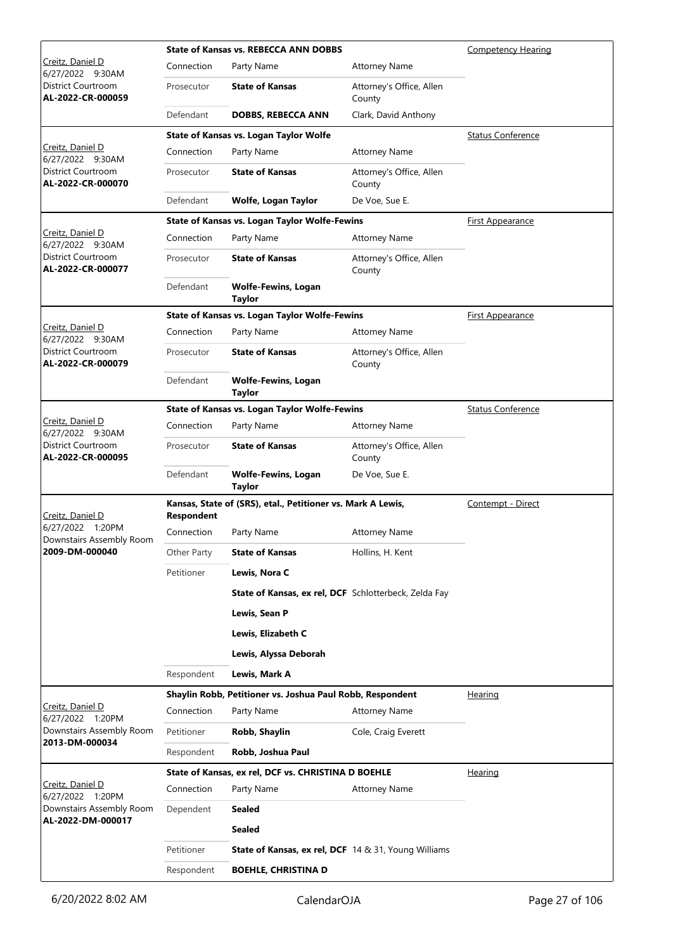|                                                                                 |             | <b>State of Kansas vs. REBECCA ANN DOBBS</b>                | <b>Competency Hearing</b>          |                          |
|---------------------------------------------------------------------------------|-------------|-------------------------------------------------------------|------------------------------------|--------------------------|
| Creitz, Daniel D<br>6/27/2022 9:30AM                                            | Connection  | Party Name                                                  | <b>Attorney Name</b>               |                          |
| District Courtroom<br>AL-2022-CR-000059                                         | Prosecutor  | <b>State of Kansas</b>                                      | Attorney's Office, Allen<br>County |                          |
|                                                                                 | Defendant   | <b>DOBBS, REBECCA ANN</b>                                   | Clark, David Anthony               |                          |
|                                                                                 |             | State of Kansas vs. Logan Taylor Wolfe                      |                                    | <b>Status Conference</b> |
| Creitz, Daniel D<br>6/27/2022 9:30AM                                            | Connection  | Party Name                                                  | <b>Attorney Name</b>               |                          |
| <b>District Courtroom</b><br>AL-2022-CR-000070                                  | Prosecutor  | <b>State of Kansas</b>                                      | Attorney's Office, Allen<br>County |                          |
|                                                                                 | Defendant   | Wolfe, Logan Taylor                                         | De Voe, Sue E.                     |                          |
|                                                                                 |             | State of Kansas vs. Logan Taylor Wolfe-Fewins               |                                    | <b>First Appearance</b>  |
| Creitz, Daniel D<br>6/27/2022 9:30AM                                            | Connection  | Party Name                                                  | <b>Attorney Name</b>               |                          |
| District Courtroom<br>AL-2022-CR-000077                                         | Prosecutor  | <b>State of Kansas</b>                                      | Attorney's Office, Allen<br>County |                          |
|                                                                                 | Defendant   | <b>Wolfe-Fewins, Logan</b><br><b>Taylor</b>                 |                                    |                          |
|                                                                                 |             | <b>State of Kansas vs. Logan Taylor Wolfe-Fewins</b>        |                                    | <b>First Appearance</b>  |
| Creitz, Daniel D<br>6/27/2022 9:30AM                                            | Connection  | Party Name                                                  | <b>Attorney Name</b>               |                          |
| District Courtroom<br>AL-2022-CR-000079                                         | Prosecutor  | <b>State of Kansas</b>                                      | Attorney's Office, Allen<br>County |                          |
|                                                                                 | Defendant   | <b>Wolfe-Fewins, Logan</b><br><b>Taylor</b>                 |                                    |                          |
|                                                                                 |             | State of Kansas vs. Logan Taylor Wolfe-Fewins               |                                    | <b>Status Conference</b> |
| Creitz, Daniel D<br>6/27/2022 9:30AM<br>District Courtroom<br>AL-2022-CR-000095 | Connection  | Party Name                                                  | <b>Attorney Name</b>               |                          |
|                                                                                 | Prosecutor  | <b>State of Kansas</b>                                      | Attorney's Office, Allen<br>County |                          |
|                                                                                 | Defendant   | <b>Wolfe-Fewins, Logan</b><br><b>Taylor</b>                 | De Voe, Sue E.                     |                          |
|                                                                                 |             | Kansas, State of (SRS), etal., Petitioner vs. Mark A Lewis, | Contempt - Direct                  |                          |
| Creitz, Daniel D<br>6/27/2022 1:20PM                                            | Respondent  |                                                             |                                    |                          |
| Downstairs Assembly Room                                                        | Connection  | Party Name                                                  | <b>Attorney Name</b>               |                          |
| 2009-DM-000040                                                                  | Other Party | <b>State of Kansas</b>                                      | Hollins, H. Kent                   |                          |
|                                                                                 | Petitioner  | Lewis, Nora C                                               |                                    |                          |
|                                                                                 |             | State of Kansas, ex rel, DCF Schlotterbeck, Zelda Fay       |                                    |                          |
|                                                                                 |             | Lewis, Sean P                                               |                                    |                          |
|                                                                                 |             | Lewis, Elizabeth C                                          |                                    |                          |
|                                                                                 |             | Lewis, Alyssa Deborah                                       |                                    |                          |
|                                                                                 | Respondent  | Lewis, Mark A                                               |                                    |                          |
|                                                                                 |             | Shaylin Robb, Petitioner vs. Joshua Paul Robb, Respondent   |                                    | Hearing                  |
| Creitz, Daniel D<br>6/27/2022 1:20PM                                            | Connection  | Party Name                                                  | <b>Attorney Name</b>               |                          |
| Downstairs Assembly Room                                                        | Petitioner  | Robb, Shaylin                                               | Cole, Craig Everett                |                          |
| 2013-DM-000034                                                                  | Respondent  | Robb, Joshua Paul                                           |                                    |                          |
|                                                                                 |             | State of Kansas, ex rel, DCF vs. CHRISTINA D BOEHLE         |                                    | <b>Hearing</b>           |
| Creitz, Daniel D<br>6/27/2022 1:20PM                                            | Connection  | Party Name                                                  | Attorney Name                      |                          |
| Downstairs Assembly Room                                                        | Dependent   | <b>Sealed</b>                                               |                                    |                          |
| AL-2022-DM-000017                                                               |             | Sealed                                                      |                                    |                          |
|                                                                                 | Petitioner  | <b>State of Kansas, ex rel, DCF</b> 14 & 31, Young Williams |                                    |                          |
|                                                                                 |             |                                                             |                                    |                          |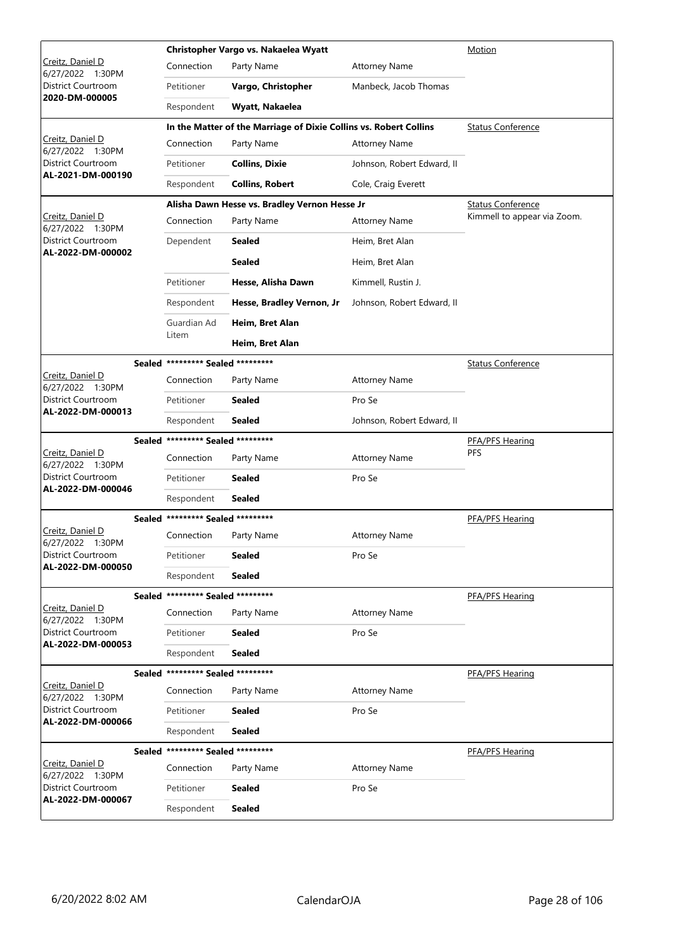|                                         |                |                                   | Christopher Vargo vs. Nakaelea Wyatt                              | Motion                     |                             |
|-----------------------------------------|----------------|-----------------------------------|-------------------------------------------------------------------|----------------------------|-----------------------------|
| Creitz, Daniel D<br>6/27/2022 1:30PM    |                | Connection                        | Party Name                                                        | <b>Attorney Name</b>       |                             |
| District Courtroom                      | 2020-DM-000005 | Petitioner                        | Vargo, Christopher                                                | Manbeck, Jacob Thomas      |                             |
|                                         |                | Respondent                        | Wyatt, Nakaelea                                                   |                            |                             |
|                                         |                |                                   | In the Matter of the Marriage of Dixie Collins vs. Robert Collins |                            | <b>Status Conference</b>    |
| Creitz, Daniel D<br>6/27/2022 1:30PM    |                | Connection                        | Party Name                                                        | <b>Attorney Name</b>       |                             |
| District Courtroom                      |                | Petitioner                        | <b>Collins, Dixie</b>                                             | Johnson, Robert Edward, II |                             |
| AL-2021-DM-000190                       |                | Respondent                        | <b>Collins, Robert</b>                                            | Cole, Craig Everett        |                             |
|                                         |                |                                   | Alisha Dawn Hesse vs. Bradley Vernon Hesse Jr                     |                            | <b>Status Conference</b>    |
| Creitz, Daniel D<br>6/27/2022 1:30PM    |                | Connection                        | Party Name                                                        | <b>Attorney Name</b>       | Kimmell to appear via Zoom. |
| District Courtroom                      |                | Dependent                         | <b>Sealed</b>                                                     | Heim, Bret Alan            |                             |
| AL-2022-DM-000002                       |                |                                   | <b>Sealed</b>                                                     | Heim, Bret Alan            |                             |
|                                         |                | Petitioner                        | Hesse, Alisha Dawn                                                | Kimmell, Rustin J.         |                             |
|                                         |                | Respondent                        | Hesse, Bradley Vernon, Jr                                         | Johnson, Robert Edward, II |                             |
|                                         |                | Guardian Ad                       | Heim, Bret Alan                                                   |                            |                             |
|                                         |                | Litem                             | Heim, Bret Alan                                                   |                            |                             |
|                                         |                | Sealed ********* Sealed ********* |                                                                   |                            | <b>Status Conference</b>    |
| Creitz, Daniel D<br>6/27/2022 1:30PM    |                | Connection                        | Party Name                                                        | <b>Attorney Name</b>       |                             |
| District Courtroom<br>AL-2022-DM-000013 |                | Petitioner                        | <b>Sealed</b>                                                     | Pro Se                     |                             |
|                                         |                | Respondent                        | <b>Sealed</b>                                                     | Johnson, Robert Edward, II |                             |
|                                         |                | Sealed ********* Sealed ********* |                                                                   | PFA/PFS Hearing            |                             |
| Creitz, Daniel D<br>6/27/2022 1:30PM    |                | Connection                        | Party Name                                                        | <b>Attorney Name</b>       | PFS                         |
| District Courtroom<br>AL-2022-DM-000046 |                | Petitioner                        | <b>Sealed</b>                                                     | Pro Se                     |                             |
|                                         |                | Respondent                        | <b>Sealed</b>                                                     |                            |                             |
|                                         |                | Sealed ********* Sealed ********* |                                                                   |                            | PFA/PFS Hearing             |
| Creitz, Daniel D<br>6/27/2022 1:30PM    |                | Connection                        | Party Name                                                        | <b>Attorney Name</b>       |                             |
| District Courtroom<br>AL-2022-DM-000050 |                | Petitioner                        | <b>Sealed</b>                                                     | Pro Se                     |                             |
|                                         |                | Respondent                        | <b>Sealed</b>                                                     |                            |                             |
|                                         |                | Sealed ********* Sealed ********* |                                                                   |                            | PFA/PFS Hearing             |
| Creitz, Daniel D<br>6/27/2022 1:30PM    |                | Connection                        | Party Name                                                        | <b>Attorney Name</b>       |                             |
| District Courtroom<br>AL-2022-DM-000053 |                | Petitioner                        | <b>Sealed</b>                                                     | Pro Se                     |                             |
|                                         |                | Respondent                        | <b>Sealed</b>                                                     |                            |                             |
|                                         |                | Sealed ********* Sealed ********* |                                                                   |                            | PFA/PFS Hearing             |
|                                         |                |                                   |                                                                   |                            |                             |
| Creitz, Daniel D<br>6/27/2022 1:30PM    |                | Connection                        | Party Name                                                        | <b>Attorney Name</b>       |                             |
| District Courtroom                      |                | Petitioner                        | <b>Sealed</b>                                                     | Pro Se                     |                             |
| AL-2022-DM-000066                       |                | Respondent                        | <b>Sealed</b>                                                     |                            |                             |
|                                         |                | Sealed ********* Sealed ********* |                                                                   |                            | PFA/PFS Hearing             |
| Creitz, Daniel D<br>6/27/2022 1:30PM    |                | Connection                        | Party Name                                                        | <b>Attorney Name</b>       |                             |
| District Courtroom<br>AL-2022-DM-000067 |                | Petitioner                        | <b>Sealed</b>                                                     | Pro Se                     |                             |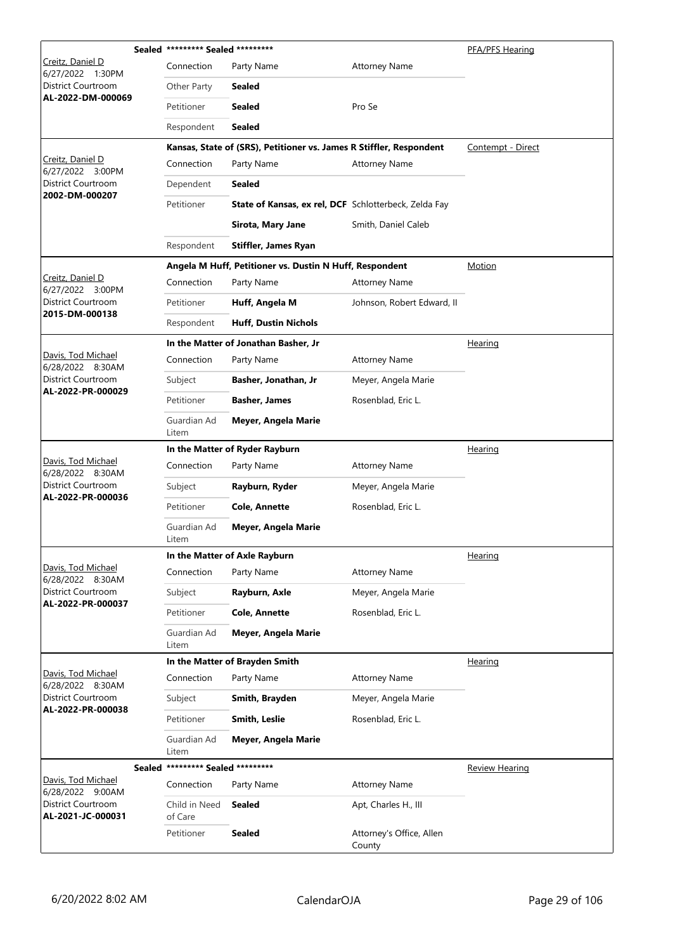|                                         |               | Sealed ********* Sealed ********* |                                                                     |                                    | PFA/PFS Hearing       |
|-----------------------------------------|---------------|-----------------------------------|---------------------------------------------------------------------|------------------------------------|-----------------------|
| Creitz, Daniel D<br>6/27/2022<br>1:30PM |               | Connection                        | Party Name                                                          | <b>Attorney Name</b>               |                       |
| District Courtroom                      |               | Other Party                       | <b>Sealed</b>                                                       |                                    |                       |
| AL-2022-DM-000069                       |               | Petitioner                        | <b>Sealed</b>                                                       | Pro Se                             |                       |
|                                         |               | Respondent                        | <b>Sealed</b>                                                       |                                    |                       |
|                                         |               |                                   | Kansas, State of (SRS), Petitioner vs. James R Stiffler, Respondent |                                    | Contempt - Direct     |
| Creitz, Daniel D<br>6/27/2022 3:00PM    |               | Connection                        | Party Name                                                          | <b>Attorney Name</b>               |                       |
| District Courtroom<br>2002-DM-000207    |               | Dependent                         | <b>Sealed</b>                                                       |                                    |                       |
|                                         |               | Petitioner                        | State of Kansas, ex rel, DCF Schlotterbeck, Zelda Fay               |                                    |                       |
|                                         |               |                                   | Sirota, Mary Jane                                                   | Smith, Daniel Caleb                |                       |
|                                         |               | Respondent                        | <b>Stiffler, James Ryan</b>                                         |                                    |                       |
|                                         |               |                                   | Angela M Huff, Petitioner vs. Dustin N Huff, Respondent             |                                    | Motion                |
| Creitz, Daniel D<br>6/27/2022 3:00PM    |               | Connection                        | Party Name                                                          | <b>Attorney Name</b>               |                       |
| District Courtroom                      |               | Petitioner                        | Huff, Angela M                                                      | Johnson, Robert Edward, II         |                       |
| 2015-DM-000138                          |               | Respondent                        | <b>Huff, Dustin Nichols</b>                                         |                                    |                       |
|                                         |               |                                   | In the Matter of Jonathan Basher, Jr                                |                                    | Hearing               |
| Davis, Tod Michael<br>6/28/2022 8:30AM  |               | Connection                        | Party Name                                                          | <b>Attorney Name</b>               |                       |
| District Courtroom                      |               | Subject                           | Basher, Jonathan, Jr                                                | Meyer, Angela Marie                |                       |
| AL-2022-PR-000029                       |               | Petitioner                        | <b>Basher, James</b>                                                | Rosenblad, Eric L.                 |                       |
|                                         |               | Guardian Ad<br>Litem              | Meyer, Angela Marie                                                 |                                    |                       |
|                                         |               |                                   | In the Matter of Ryder Rayburn                                      | Hearing                            |                       |
| Davis, Tod Michael<br>6/28/2022 8:30AM  |               | Connection                        | Party Name                                                          | <b>Attorney Name</b>               |                       |
| District Courtroom<br>AL-2022-PR-000036 |               | Subject                           | Rayburn, Ryder                                                      | Meyer, Angela Marie                |                       |
|                                         |               | Petitioner                        | <b>Cole, Annette</b>                                                | Rosenblad, Eric L.                 |                       |
|                                         |               | Guardian Ad<br>Litem              | Meyer, Angela Marie                                                 |                                    |                       |
|                                         |               |                                   | In the Matter of Axle Rayburn                                       |                                    | Hearing               |
| Davis, Tod Michael<br>6/28/2022 8:30AM  |               | Connection                        | Party Name                                                          | <b>Attorney Name</b>               |                       |
| District Courtroom<br>AL-2022-PR-000037 |               | Subject                           | Rayburn, Axle                                                       | Meyer, Angela Marie                |                       |
|                                         |               | Petitioner                        | <b>Cole, Annette</b>                                                | Rosenblad, Eric L.                 |                       |
|                                         |               | Guardian Ad<br>Litem              | Meyer, Angela Marie                                                 |                                    |                       |
|                                         |               |                                   | In the Matter of Brayden Smith                                      |                                    | Hearing               |
| Davis, Tod Michael<br>6/28/2022 8:30AM  |               | Connection                        | Party Name                                                          | <b>Attorney Name</b>               |                       |
| District Courtroom<br>AL-2022-PR-000038 |               | Subject                           | Smith, Brayden                                                      | Meyer, Angela Marie                |                       |
|                                         |               | Petitioner                        | <b>Smith, Leslie</b>                                                | Rosenblad, Eric L.                 |                       |
|                                         |               | Guardian Ad<br>Litem              | Meyer, Angela Marie                                                 |                                    |                       |
|                                         | <b>Sealed</b> | ********* Sealed *********        |                                                                     |                                    | <b>Review Hearing</b> |
| Davis, Tod Michael<br>6/28/2022 9:00AM  |               | Connection                        | Party Name                                                          | <b>Attorney Name</b>               |                       |
| District Courtroom<br>AL-2021-JC-000031 |               | Child in Need<br>of Care          | <b>Sealed</b>                                                       | Apt, Charles H., III               |                       |
|                                         |               | Petitioner                        | <b>Sealed</b>                                                       | Attorney's Office, Allen<br>County |                       |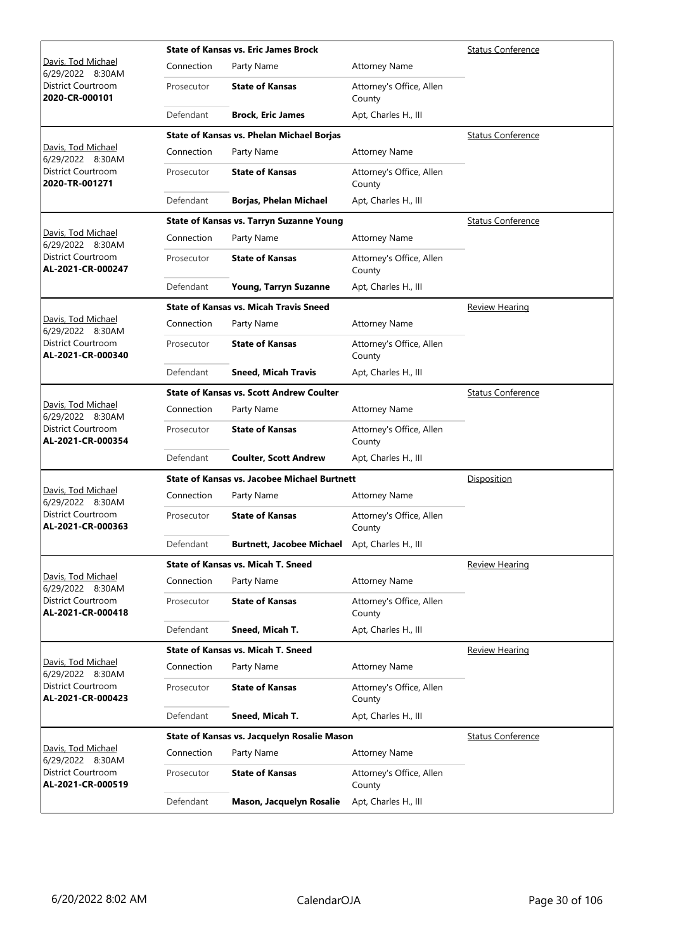|                                         |            | <b>State of Kansas vs. Eric James Brock</b>         | <b>Status Conference</b>           |                          |
|-----------------------------------------|------------|-----------------------------------------------------|------------------------------------|--------------------------|
| Davis, Tod Michael<br>6/29/2022 8:30AM  | Connection | Party Name                                          | <b>Attorney Name</b>               |                          |
| District Courtroom<br>2020-CR-000101    | Prosecutor | <b>State of Kansas</b>                              | Attorney's Office, Allen<br>County |                          |
|                                         | Defendant  | <b>Brock, Eric James</b>                            | Apt, Charles H., III               |                          |
|                                         |            | State of Kansas vs. Phelan Michael Borjas           |                                    | <b>Status Conference</b> |
| Davis, Tod Michael<br>6/29/2022 8:30AM  | Connection | Party Name                                          | <b>Attorney Name</b>               |                          |
| District Courtroom<br>2020-TR-001271    | Prosecutor | <b>State of Kansas</b>                              | Attorney's Office, Allen<br>County |                          |
|                                         | Defendant  | <b>Borjas, Phelan Michael</b>                       | Apt, Charles H., III               |                          |
|                                         |            | <b>State of Kansas vs. Tarryn Suzanne Young</b>     |                                    | <b>Status Conference</b> |
| Davis, Tod Michael<br>6/29/2022 8:30AM  | Connection | Party Name                                          | <b>Attorney Name</b>               |                          |
| District Courtroom<br>AL-2021-CR-000247 | Prosecutor | <b>State of Kansas</b>                              | Attorney's Office, Allen<br>County |                          |
|                                         | Defendant  | Young, Tarryn Suzanne                               | Apt, Charles H., III               |                          |
|                                         |            | <b>State of Kansas vs. Micah Travis Sneed</b>       |                                    | Review Hearing           |
| Davis, Tod Michael<br>6/29/2022 8:30AM  | Connection | Party Name                                          | <b>Attorney Name</b>               |                          |
| District Courtroom<br>AL-2021-CR-000340 | Prosecutor | <b>State of Kansas</b>                              | Attorney's Office, Allen<br>County |                          |
|                                         | Defendant  | <b>Sneed, Micah Travis</b>                          | Apt, Charles H., III               |                          |
|                                         |            | <b>State of Kansas vs. Scott Andrew Coulter</b>     |                                    | <b>Status Conference</b> |
| Davis, Tod Michael<br>6/29/2022 8:30AM  | Connection | Party Name                                          | <b>Attorney Name</b>               |                          |
| District Courtroom<br>AL-2021-CR-000354 | Prosecutor | <b>State of Kansas</b>                              | Attorney's Office, Allen<br>County |                          |
|                                         | Defendant  | <b>Coulter, Scott Andrew</b>                        | Apt, Charles H., III               |                          |
|                                         |            | <b>State of Kansas vs. Jacobee Michael Burtnett</b> |                                    | Disposition              |
| Davis, Tod Michael<br>6/29/2022 8:30AM  | Connection | Party Name                                          | <b>Attorney Name</b>               |                          |
| District Courtroom<br>AL-2021-CR-000363 | Prosecutor | <b>State of Kansas</b>                              | Attorney's Office, Allen<br>County |                          |
|                                         | Defendant  | <b>Burtnett, Jacobee Michael</b>                    | Apt, Charles H., III               |                          |
|                                         |            | <b>State of Kansas vs. Micah T. Sneed</b>           |                                    | Review Hearing           |
| Davis, Tod Michael<br>6/29/2022 8:30AM  | Connection | Party Name                                          | <b>Attorney Name</b>               |                          |
| District Courtroom<br>AL-2021-CR-000418 | Prosecutor | <b>State of Kansas</b>                              | Attorney's Office, Allen<br>County |                          |
|                                         | Defendant  | Sneed, Micah T.                                     | Apt, Charles H., III               |                          |
|                                         |            | <b>State of Kansas vs. Micah T. Sneed</b>           |                                    | <b>Review Hearing</b>    |
| Davis, Tod Michael<br>6/29/2022 8:30AM  | Connection | Party Name                                          | <b>Attorney Name</b>               |                          |
| District Courtroom<br>AL-2021-CR-000423 | Prosecutor | <b>State of Kansas</b>                              | Attorney's Office, Allen<br>County |                          |
|                                         | Defendant  | Sneed, Micah T.                                     | Apt, Charles H., III               |                          |
|                                         |            | State of Kansas vs. Jacquelyn Rosalie Mason         |                                    | <b>Status Conference</b> |
| Davis, Tod Michael<br>6/29/2022 8:30AM  | Connection | Party Name                                          | <b>Attorney Name</b>               |                          |
| District Courtroom<br>AL-2021-CR-000519 | Prosecutor | <b>State of Kansas</b>                              | Attorney's Office, Allen<br>County |                          |
|                                         | Defendant  | Mason, Jacquelyn Rosalie                            | Apt, Charles H., III               |                          |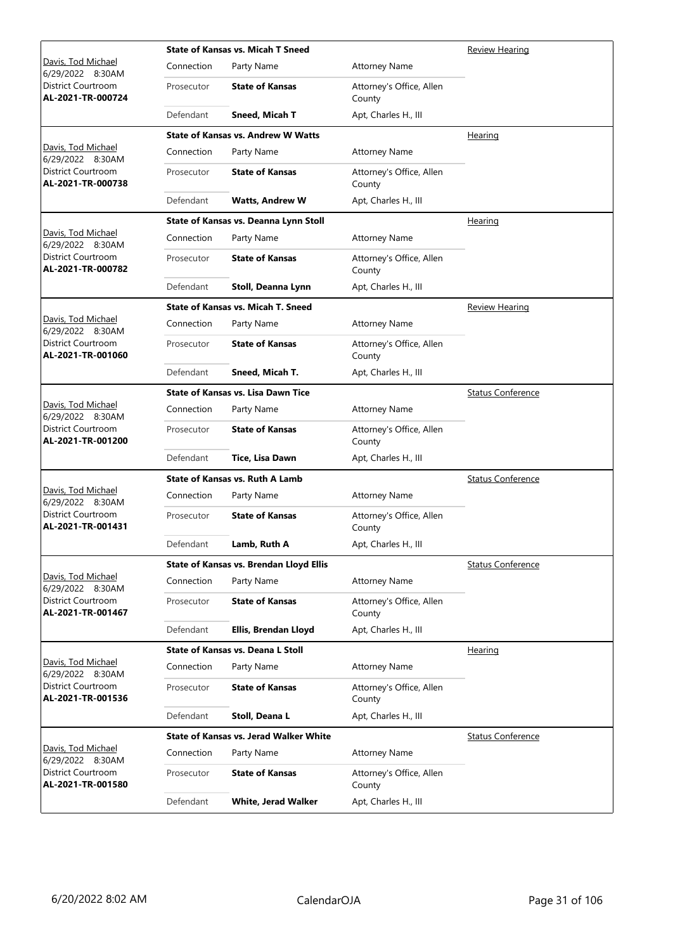|                                                |            | <b>State of Kansas vs. Micah T Sneed</b>      | Review Hearing                     |                          |
|------------------------------------------------|------------|-----------------------------------------------|------------------------------------|--------------------------|
| Davis, Tod Michael<br>6/29/2022 8:30AM         | Connection | Party Name                                    | <b>Attorney Name</b>               |                          |
| District Courtroom<br>AL-2021-TR-000724        | Prosecutor | <b>State of Kansas</b>                        | Attorney's Office, Allen<br>County |                          |
|                                                | Defendant  | Sneed, Micah T                                | Apt, Charles H., III               |                          |
|                                                |            | <b>State of Kansas vs. Andrew W Watts</b>     |                                    | Hearing                  |
| Davis, Tod Michael<br>6/29/2022 8:30AM         | Connection | Party Name                                    | <b>Attorney Name</b>               |                          |
| District Courtroom<br>AL-2021-TR-000738        | Prosecutor | <b>State of Kansas</b>                        | Attorney's Office, Allen<br>County |                          |
|                                                | Defendant  | <b>Watts, Andrew W</b>                        | Apt, Charles H., III               |                          |
|                                                |            | State of Kansas vs. Deanna Lynn Stoll         |                                    | Hearing                  |
| Davis, Tod Michael<br>6/29/2022 8:30AM         | Connection | Party Name                                    | <b>Attorney Name</b>               |                          |
| District Courtroom<br>AL-2021-TR-000782        | Prosecutor | <b>State of Kansas</b>                        | Attorney's Office, Allen<br>County |                          |
|                                                | Defendant  | Stoll, Deanna Lynn                            | Apt, Charles H., III               |                          |
|                                                |            | <b>State of Kansas vs. Micah T. Sneed</b>     |                                    | Review Hearing           |
| Davis, Tod Michael<br>6/29/2022 8:30AM         | Connection | Party Name                                    | <b>Attorney Name</b>               |                          |
| District Courtroom<br>AL-2021-TR-001060        | Prosecutor | <b>State of Kansas</b>                        | Attorney's Office, Allen<br>County |                          |
|                                                | Defendant  | Sneed, Micah T.                               | Apt, Charles H., III               |                          |
|                                                |            | <b>State of Kansas vs. Lisa Dawn Tice</b>     |                                    | <b>Status Conference</b> |
| Davis, Tod Michael<br>6/29/2022 8:30AM         | Connection | Party Name                                    | <b>Attorney Name</b>               |                          |
| District Courtroom<br>AL-2021-TR-001200        | Prosecutor | <b>State of Kansas</b>                        | Attorney's Office, Allen<br>County |                          |
|                                                | Defendant  | Tice, Lisa Dawn                               | Apt, Charles H., III               |                          |
|                                                |            | <b>State of Kansas vs. Ruth A Lamb</b>        |                                    | <b>Status Conference</b> |
| Davis, Tod Michael<br>6/29/2022 8:30AM         | Connection | Party Name                                    | <b>Attorney Name</b>               |                          |
| <b>District Courtroom</b><br>AL-2021-TR-001431 | Prosecutor | <b>State of Kansas</b>                        | Attorney's Office, Allen<br>County |                          |
|                                                | Defendant  | Lamb, Ruth A                                  | Apt, Charles H., III               |                          |
|                                                |            | State of Kansas vs. Brendan Lloyd Ellis       |                                    | <b>Status Conference</b> |
| Davis, Tod Michael<br>6/29/2022 8:30AM         | Connection | Party Name                                    | <b>Attorney Name</b>               |                          |
| District Courtroom<br>AL-2021-TR-001467        | Prosecutor | <b>State of Kansas</b>                        | Attorney's Office, Allen<br>County |                          |
|                                                | Defendant  | Ellis, Brendan Lloyd                          | Apt, Charles H., III               |                          |
|                                                |            | <b>State of Kansas vs. Deana L Stoll</b>      |                                    | Hearing                  |
| Davis, Tod Michael<br>6/29/2022 8:30AM         | Connection | Party Name                                    | <b>Attorney Name</b>               |                          |
| District Courtroom<br>AL-2021-TR-001536        | Prosecutor | <b>State of Kansas</b>                        | Attorney's Office, Allen<br>County |                          |
|                                                | Defendant  | Stoll, Deana L                                | Apt, Charles H., III               |                          |
|                                                |            | <b>State of Kansas vs. Jerad Walker White</b> |                                    | <b>Status Conference</b> |
| Davis, Tod Michael<br>6/29/2022 8:30AM         | Connection | Party Name                                    | <b>Attorney Name</b>               |                          |
| District Courtroom<br>AL-2021-TR-001580        | Prosecutor | <b>State of Kansas</b>                        | Attorney's Office, Allen<br>County |                          |
|                                                | Defendant  | <b>White, Jerad Walker</b>                    | Apt, Charles H., III               |                          |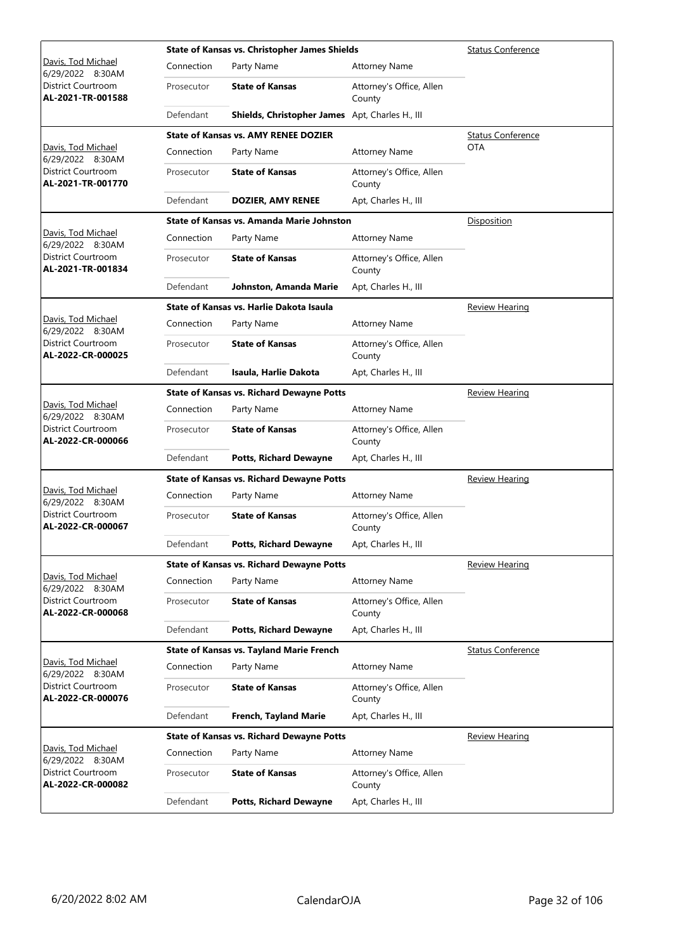|                                         |            | <b>State of Kansas vs. Christopher James Shields</b> | <b>Status Conference</b>           |                          |
|-----------------------------------------|------------|------------------------------------------------------|------------------------------------|--------------------------|
| Davis, Tod Michael<br>6/29/2022 8:30AM  | Connection | Party Name                                           | <b>Attorney Name</b>               |                          |
| District Courtroom<br>AL-2021-TR-001588 | Prosecutor | <b>State of Kansas</b>                               | Attorney's Office, Allen<br>County |                          |
|                                         | Defendant  | Shields, Christopher James Apt, Charles H., III      |                                    |                          |
|                                         |            | <b>State of Kansas vs. AMY RENEE DOZIER</b>          |                                    | <b>Status Conference</b> |
| Davis, Tod Michael<br>6/29/2022 8:30AM  | Connection | Party Name                                           | <b>Attorney Name</b>               | <b>OTA</b>               |
| District Courtroom<br>AL-2021-TR-001770 | Prosecutor | <b>State of Kansas</b>                               | Attorney's Office, Allen<br>County |                          |
|                                         | Defendant  | <b>DOZIER, AMY RENEE</b>                             | Apt, Charles H., III               |                          |
|                                         |            | State of Kansas vs. Amanda Marie Johnston            |                                    | Disposition              |
| Davis, Tod Michael<br>6/29/2022 8:30AM  | Connection | Party Name                                           | <b>Attorney Name</b>               |                          |
| District Courtroom<br>AL-2021-TR-001834 | Prosecutor | <b>State of Kansas</b>                               | Attorney's Office, Allen<br>County |                          |
|                                         | Defendant  | Johnston, Amanda Marie                               | Apt, Charles H., III               |                          |
|                                         |            | State of Kansas vs. Harlie Dakota Isaula             |                                    | Review Hearing           |
| Davis, Tod Michael<br>6/29/2022 8:30AM  | Connection | Party Name                                           | <b>Attorney Name</b>               |                          |
| District Courtroom<br>AL-2022-CR-000025 | Prosecutor | <b>State of Kansas</b>                               | Attorney's Office, Allen<br>County |                          |
|                                         | Defendant  | Isaula, Harlie Dakota                                | Apt, Charles H., III               |                          |
|                                         |            | <b>State of Kansas vs. Richard Dewayne Potts</b>     |                                    | <b>Review Hearing</b>    |
| Davis, Tod Michael<br>6/29/2022 8:30AM  | Connection | Party Name                                           | <b>Attorney Name</b>               |                          |
| District Courtroom<br>AL-2022-CR-000066 | Prosecutor | <b>State of Kansas</b>                               | Attorney's Office, Allen<br>County |                          |
|                                         | Defendant  | <b>Potts, Richard Dewayne</b>                        | Apt, Charles H., III               |                          |
|                                         |            | <b>State of Kansas vs. Richard Dewayne Potts</b>     |                                    | <b>Review Hearing</b>    |
| Davis, Tod Michael<br>6/29/2022 8:30AM  | Connection | Party Name                                           | <b>Attorney Name</b>               |                          |
| District Courtroom<br>AL-2022-CR-000067 | Prosecutor | <b>State of Kansas</b>                               | Attorney's Office, Allen<br>County |                          |
|                                         | Defendant  | <b>Potts, Richard Dewayne</b>                        | Apt, Charles H., III               |                          |
|                                         |            | <b>State of Kansas vs. Richard Dewayne Potts</b>     |                                    | Review Hearing           |
| Davis, Tod Michael<br>6/29/2022 8:30AM  | Connection | Party Name                                           | <b>Attorney Name</b>               |                          |
| District Courtroom<br>AL-2022-CR-000068 | Prosecutor | <b>State of Kansas</b>                               | Attorney's Office, Allen<br>County |                          |
|                                         | Defendant  | <b>Potts, Richard Dewayne</b>                        | Apt, Charles H., III               |                          |
|                                         |            | <b>State of Kansas vs. Tayland Marie French</b>      |                                    | <b>Status Conference</b> |
| Davis, Tod Michael<br>6/29/2022 8:30AM  | Connection | Party Name                                           | <b>Attorney Name</b>               |                          |
| District Courtroom<br>AL-2022-CR-000076 | Prosecutor | <b>State of Kansas</b>                               | Attorney's Office, Allen<br>County |                          |
|                                         | Defendant  | French, Tayland Marie                                | Apt, Charles H., III               |                          |
|                                         |            | <b>State of Kansas vs. Richard Dewayne Potts</b>     |                                    | <u>Review Hearing</u>    |
| Davis, Tod Michael<br>6/29/2022 8:30AM  | Connection | Party Name                                           | <b>Attorney Name</b>               |                          |
| District Courtroom<br>AL-2022-CR-000082 | Prosecutor | <b>State of Kansas</b>                               | Attorney's Office, Allen<br>County |                          |
|                                         | Defendant  | <b>Potts, Richard Dewayne</b>                        | Apt, Charles H., III               |                          |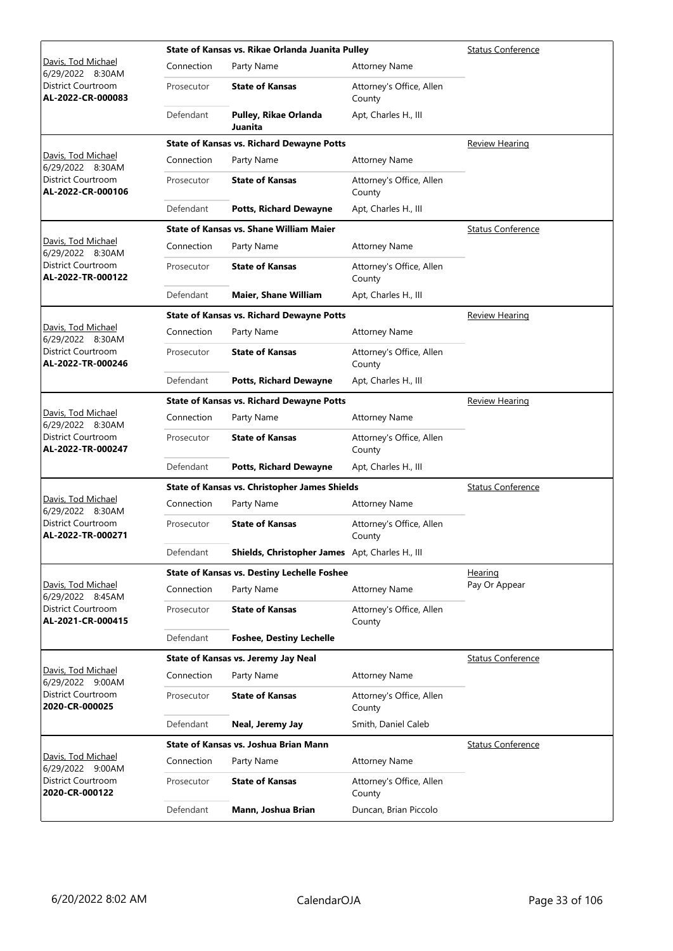|                                                          |            | State of Kansas vs. Rikae Orlanda Juanita Pulley     | <b>Status Conference</b>           |                          |
|----------------------------------------------------------|------------|------------------------------------------------------|------------------------------------|--------------------------|
| Davis, Tod Michael<br>6/29/2022 8:30AM                   | Connection | Party Name                                           | <b>Attorney Name</b>               |                          |
| District Courtroom<br>AL-2022-CR-000083                  | Prosecutor | <b>State of Kansas</b>                               | Attorney's Office, Allen<br>County |                          |
|                                                          | Defendant  | Pulley, Rikae Orlanda<br>Juanita                     | Apt, Charles H., III               |                          |
|                                                          |            | <b>State of Kansas vs. Richard Dewayne Potts</b>     |                                    | <b>Review Hearing</b>    |
| Davis, Tod Michael<br>6/29/2022 8:30AM                   | Connection | Party Name                                           | <b>Attorney Name</b>               |                          |
| District Courtroom<br>AL-2022-CR-000106                  | Prosecutor | <b>State of Kansas</b>                               | Attorney's Office, Allen<br>County |                          |
|                                                          | Defendant  | <b>Potts, Richard Dewayne</b>                        | Apt, Charles H., III               |                          |
|                                                          |            | <b>State of Kansas vs. Shane William Maier</b>       |                                    | <b>Status Conference</b> |
| Davis, Tod Michael<br>6/29/2022 8:30AM                   | Connection | Party Name                                           | <b>Attorney Name</b>               |                          |
| <b>District Courtroom</b><br>AL-2022-TR-000122           | Prosecutor | <b>State of Kansas</b>                               | Attorney's Office, Allen<br>County |                          |
|                                                          | Defendant  | <b>Maier, Shane William</b>                          | Apt, Charles H., III               |                          |
|                                                          |            | <b>State of Kansas vs. Richard Dewayne Potts</b>     |                                    | <b>Review Hearing</b>    |
| Davis, Tod Michael<br>6/29/2022 8:30AM                   | Connection | Party Name                                           | <b>Attorney Name</b>               |                          |
| District Courtroom<br>AL-2022-TR-000246                  | Prosecutor | <b>State of Kansas</b>                               | Attorney's Office, Allen<br>County |                          |
|                                                          | Defendant  | <b>Potts, Richard Dewayne</b>                        | Apt, Charles H., III               |                          |
|                                                          |            | <b>State of Kansas vs. Richard Dewayne Potts</b>     |                                    | <b>Review Hearing</b>    |
| Davis, Tod Michael<br>6/29/2022 8:30AM                   | Connection | Party Name                                           | <b>Attorney Name</b>               |                          |
| District Courtroom<br>AL-2022-TR-000247                  | Prosecutor | <b>State of Kansas</b>                               | Attorney's Office, Allen<br>County |                          |
|                                                          | Defendant  | <b>Potts, Richard Dewayne</b>                        | Apt, Charles H., III               |                          |
|                                                          |            | <b>State of Kansas vs. Christopher James Shields</b> |                                    | <b>Status Conference</b> |
| Davis, Tod Michael<br>6/29/2022 8:30AM                   | Connection | Party Name                                           | <b>Attorney Name</b>               |                          |
| <b>District Courtroom</b><br>AL-2022-TR-000271           | Prosecutor | <b>State of Kansas</b>                               | Attorney's Office, Allen<br>County |                          |
|                                                          | Defendant  | Shields, Christopher James Apt, Charles H., III      |                                    |                          |
|                                                          |            | <b>State of Kansas vs. Destiny Lechelle Foshee</b>   |                                    | <u>Hearing</u>           |
| Davis, Tod Michael<br>6/29/2022 8:45AM                   | Connection | Party Name                                           | <b>Attorney Name</b>               | Pay Or Appear            |
| District Courtroom<br>AL-2021-CR-000415                  | Prosecutor | <b>State of Kansas</b>                               | Attorney's Office, Allen<br>County |                          |
|                                                          | Defendant  | <b>Foshee, Destiny Lechelle</b>                      |                                    |                          |
|                                                          |            | State of Kansas vs. Jeremy Jay Neal                  |                                    | <b>Status Conference</b> |
| Davis, Tod Michael                                       | Connection | Party Name                                           | <b>Attorney Name</b>               |                          |
| 6/29/2022 9:00AM<br>District Courtroom<br>2020-CR-000025 | Prosecutor | <b>State of Kansas</b>                               | Attorney's Office, Allen<br>County |                          |
|                                                          | Defendant  | Neal, Jeremy Jay                                     | Smith, Daniel Caleb                |                          |
|                                                          |            | State of Kansas vs. Joshua Brian Mann                |                                    | <b>Status Conference</b> |
| Davis, Tod Michael                                       | Connection | Party Name                                           | <b>Attorney Name</b>               |                          |
| 6/29/2022 9:00AM<br>District Courtroom<br>2020-CR-000122 | Prosecutor | <b>State of Kansas</b>                               | Attorney's Office, Allen<br>County |                          |
|                                                          | Defendant  | Mann, Joshua Brian                                   | Duncan, Brian Piccolo              |                          |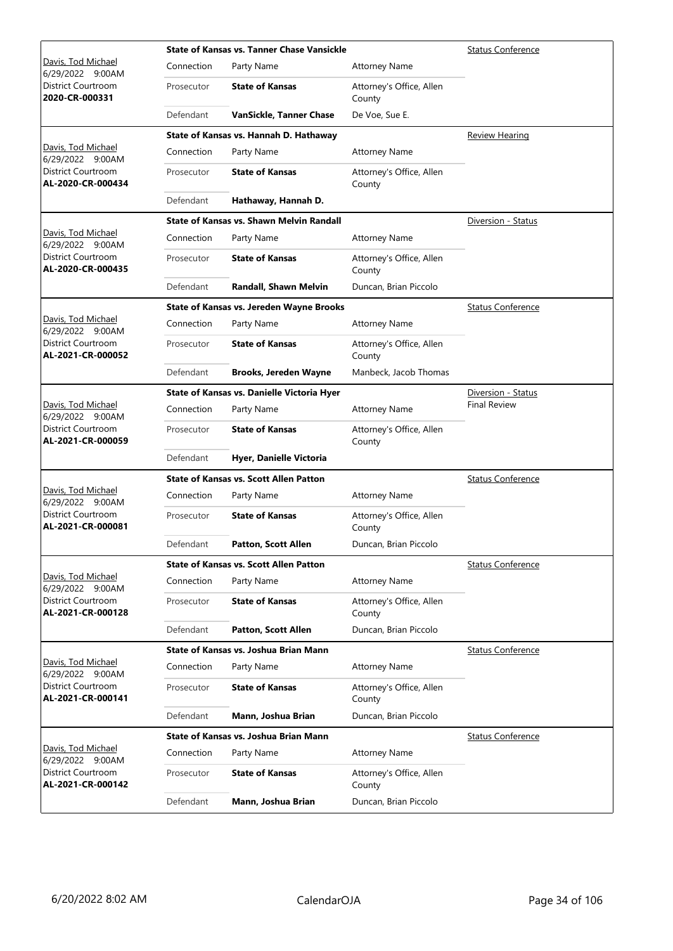|                                                |            | <b>State of Kansas vs. Tanner Chase Vansickle</b> | <b>Status Conference</b>           |                          |
|------------------------------------------------|------------|---------------------------------------------------|------------------------------------|--------------------------|
| Davis, Tod Michael<br>6/29/2022 9:00AM         | Connection | Party Name                                        | <b>Attorney Name</b>               |                          |
| District Courtroom<br>2020-CR-000331           | Prosecutor | <b>State of Kansas</b>                            | Attorney's Office, Allen<br>County |                          |
|                                                | Defendant  | <b>VanSickle, Tanner Chase</b>                    | De Voe, Sue E.                     |                          |
|                                                |            | State of Kansas vs. Hannah D. Hathaway            |                                    | <b>Review Hearing</b>    |
| Davis, Tod Michael<br>6/29/2022 9:00AM         | Connection | Party Name                                        | <b>Attorney Name</b>               |                          |
| District Courtroom<br>AL-2020-CR-000434        | Prosecutor | <b>State of Kansas</b>                            | Attorney's Office, Allen<br>County |                          |
|                                                | Defendant  | Hathaway, Hannah D.                               |                                    |                          |
|                                                |            | <b>State of Kansas vs. Shawn Melvin Randall</b>   |                                    | Diversion - Status       |
| Davis, Tod Michael<br>6/29/2022 9:00AM         | Connection | Party Name                                        | <b>Attorney Name</b>               |                          |
| District Courtroom<br>AL-2020-CR-000435        | Prosecutor | <b>State of Kansas</b>                            | Attorney's Office, Allen<br>County |                          |
|                                                | Defendant  | Randall, Shawn Melvin                             | Duncan, Brian Piccolo              |                          |
|                                                |            | <b>State of Kansas vs. Jereden Wayne Brooks</b>   |                                    | <b>Status Conference</b> |
| Davis, Tod Michael<br>6/29/2022 9:00AM         | Connection | Party Name                                        | <b>Attorney Name</b>               |                          |
| District Courtroom<br>AL-2021-CR-000052        | Prosecutor | <b>State of Kansas</b>                            | Attorney's Office, Allen<br>County |                          |
|                                                | Defendant  | <b>Brooks, Jereden Wayne</b>                      | Manbeck, Jacob Thomas              |                          |
|                                                |            | State of Kansas vs. Danielle Victoria Hyer        |                                    | Diversion - Status       |
| Davis, Tod Michael<br>6/29/2022 9:00AM         | Connection | Party Name                                        | <b>Attorney Name</b>               | <b>Final Review</b>      |
| District Courtroom<br>AL-2021-CR-000059        | Prosecutor | <b>State of Kansas</b>                            | Attorney's Office, Allen<br>County |                          |
|                                                | Defendant  | Hyer, Danielle Victoria                           |                                    |                          |
|                                                |            | <b>State of Kansas vs. Scott Allen Patton</b>     |                                    | <b>Status Conference</b> |
| Davis, Tod Michael<br>6/29/2022 9:00AM         | Connection | Party Name                                        | <b>Attorney Name</b>               |                          |
| <b>District Courtroom</b><br>AL-2021-CR-000081 | Prosecutor | <b>State of Kansas</b>                            | Attorney's Office, Allen<br>County |                          |
|                                                | Defendant  | <b>Patton, Scott Allen</b>                        | Duncan, Brian Piccolo              |                          |
|                                                |            | <b>State of Kansas vs. Scott Allen Patton</b>     |                                    | <b>Status Conference</b> |
| Davis, Tod Michael<br>6/29/2022 9:00AM         | Connection | Party Name                                        | <b>Attorney Name</b>               |                          |
| District Courtroom<br>AL-2021-CR-000128        | Prosecutor | <b>State of Kansas</b>                            | Attorney's Office, Allen<br>County |                          |
|                                                | Defendant  | <b>Patton, Scott Allen</b>                        | Duncan, Brian Piccolo              |                          |
|                                                |            | State of Kansas vs. Joshua Brian Mann             |                                    | <b>Status Conference</b> |
| Davis, Tod Michael<br>6/29/2022 9:00AM         | Connection | Party Name                                        | <b>Attorney Name</b>               |                          |
| District Courtroom<br>AL-2021-CR-000141        | Prosecutor | <b>State of Kansas</b>                            | Attorney's Office, Allen<br>County |                          |
|                                                | Defendant  | Mann, Joshua Brian                                | Duncan, Brian Piccolo              |                          |
|                                                |            | State of Kansas vs. Joshua Brian Mann             |                                    | <b>Status Conference</b> |
| Davis, Tod Michael<br>6/29/2022 9:00AM         | Connection | Party Name                                        | <b>Attorney Name</b>               |                          |
| District Courtroom<br>AL-2021-CR-000142        | Prosecutor | <b>State of Kansas</b>                            | Attorney's Office, Allen<br>County |                          |
|                                                | Defendant  | Mann, Joshua Brian                                | Duncan, Brian Piccolo              |                          |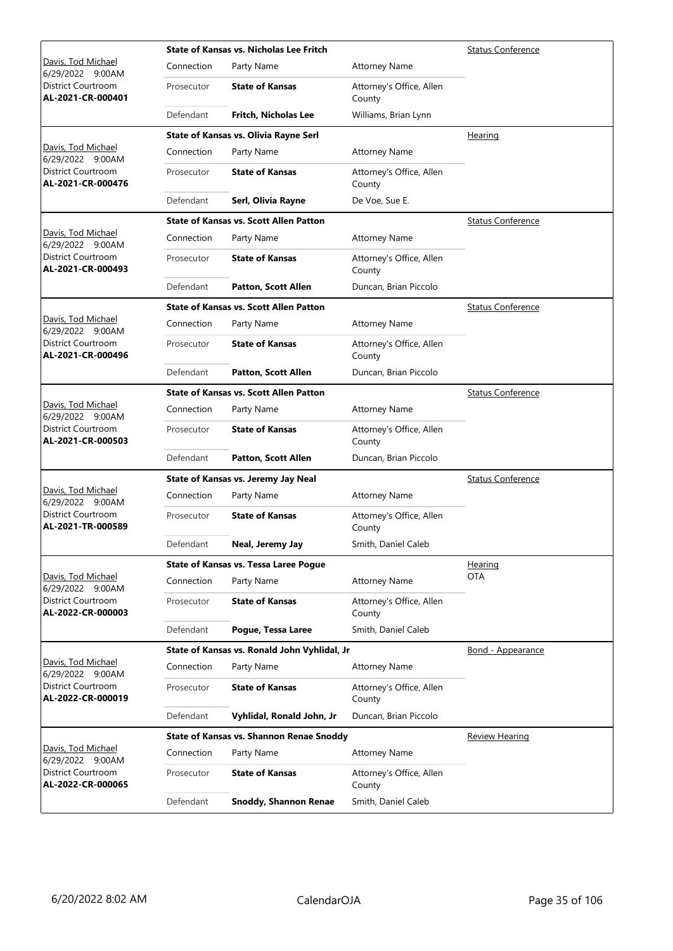|                                                |            | <b>State of Kansas vs. Nicholas Lee Fritch</b> | <b>Status Conference</b>           |                          |
|------------------------------------------------|------------|------------------------------------------------|------------------------------------|--------------------------|
| Davis, Tod Michael<br>6/29/2022 9:00AM         | Connection | Party Name                                     | <b>Attorney Name</b>               |                          |
| District Courtroom<br>AL-2021-CR-000401        | Prosecutor | <b>State of Kansas</b>                         | Attorney's Office, Allen<br>County |                          |
|                                                | Defendant  | Fritch, Nicholas Lee                           | Williams, Brian Lynn               |                          |
|                                                |            | <b>State of Kansas vs. Olivia Rayne Serl</b>   |                                    | Hearing                  |
| Davis, Tod Michael<br>6/29/2022 9:00AM         | Connection | Party Name                                     | <b>Attorney Name</b>               |                          |
| District Courtroom<br>AL-2021-CR-000476        | Prosecutor | <b>State of Kansas</b>                         | Attorney's Office, Allen<br>County |                          |
|                                                | Defendant  | Serl, Olivia Rayne                             | De Voe, Sue E.                     |                          |
|                                                |            | <b>State of Kansas vs. Scott Allen Patton</b>  |                                    | <b>Status Conference</b> |
| Davis, Tod Michael<br>6/29/2022 9:00AM         | Connection | Party Name                                     | <b>Attorney Name</b>               |                          |
| District Courtroom<br>AL-2021-CR-000493        | Prosecutor | <b>State of Kansas</b>                         | Attorney's Office, Allen<br>County |                          |
|                                                | Defendant  | <b>Patton, Scott Allen</b>                     | Duncan, Brian Piccolo              |                          |
|                                                |            | <b>State of Kansas vs. Scott Allen Patton</b>  |                                    | <b>Status Conference</b> |
| Davis, Tod Michael<br>6/29/2022 9:00AM         | Connection | Party Name                                     | <b>Attorney Name</b>               |                          |
| District Courtroom<br>AL-2021-CR-000496        | Prosecutor | <b>State of Kansas</b>                         | Attorney's Office, Allen<br>County |                          |
|                                                | Defendant  | <b>Patton, Scott Allen</b>                     | Duncan, Brian Piccolo              |                          |
|                                                |            | <b>State of Kansas vs. Scott Allen Patton</b>  |                                    | <b>Status Conference</b> |
| Davis, Tod Michael<br>6/29/2022 9:00AM         | Connection | Party Name                                     | <b>Attorney Name</b>               |                          |
| <b>District Courtroom</b><br>AL-2021-CR-000503 | Prosecutor | <b>State of Kansas</b>                         | Attorney's Office, Allen<br>County |                          |
|                                                | Defendant  | <b>Patton, Scott Allen</b>                     | Duncan, Brian Piccolo              |                          |
|                                                |            | State of Kansas vs. Jeremy Jay Neal            |                                    | <b>Status Conference</b> |
| Davis, Tod Michael<br>6/29/2022 9:00AM         | Connection | Party Name                                     | <b>Attorney Name</b>               |                          |
| <b>District Courtroom</b><br>AL-2021-TR-000589 | Prosecutor | <b>State of Kansas</b>                         | Attorney's Office, Allen<br>County |                          |
|                                                | Defendant  | Neal, Jeremy Jay                               | Smith, Daniel Caleb                |                          |
|                                                |            | <b>State of Kansas vs. Tessa Laree Pogue</b>   |                                    | Hearing                  |
| Davis, Tod Michael<br>6/29/2022 9:00AM         | Connection | Party Name                                     | <b>Attorney Name</b>               | <b>OTA</b>               |
| District Courtroom<br>AL-2022-CR-000003        | Prosecutor | <b>State of Kansas</b>                         | Attorney's Office, Allen<br>County |                          |
|                                                | Defendant  | Pogue, Tessa Laree                             | Smith, Daniel Caleb                |                          |
|                                                |            | State of Kansas vs. Ronald John Vyhlidal, Jr   |                                    | Bond - Appearance        |
| Davis, Tod Michael<br>6/29/2022 9:00AM         | Connection | Party Name                                     | <b>Attorney Name</b>               |                          |
| District Courtroom<br>AL-2022-CR-000019        | Prosecutor | <b>State of Kansas</b>                         | Attorney's Office, Allen<br>County |                          |
|                                                | Defendant  | Vyhlidal, Ronald John, Jr                      | Duncan, Brian Piccolo              |                          |
|                                                |            | State of Kansas vs. Shannon Renae Snoddy       |                                    | <u>Review Hearing</u>    |
| Davis, Tod Michael<br>6/29/2022 9:00AM         | Connection | Party Name                                     | <b>Attorney Name</b>               |                          |
| District Courtroom<br>AL-2022-CR-000065        | Prosecutor | <b>State of Kansas</b>                         | Attorney's Office, Allen<br>County |                          |
|                                                | Defendant  | <b>Snoddy, Shannon Renae</b>                   | Smith, Daniel Caleb                |                          |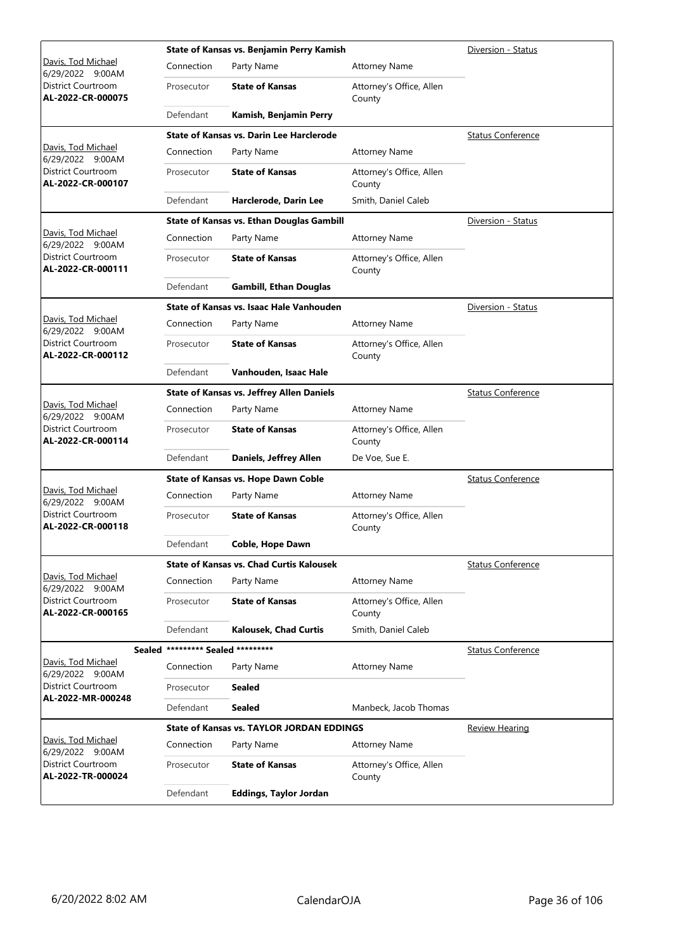|                                                |                                   | State of Kansas vs. Benjamin Perry Kamish        | Diversion - Status                 |                          |
|------------------------------------------------|-----------------------------------|--------------------------------------------------|------------------------------------|--------------------------|
| Davis, Tod Michael<br>6/29/2022 9:00AM         | Connection                        | Party Name                                       | <b>Attorney Name</b>               |                          |
| District Courtroom<br>AL-2022-CR-000075        | Prosecutor                        | <b>State of Kansas</b>                           | Attorney's Office, Allen<br>County |                          |
|                                                | Defendant                         | Kamish, Benjamin Perry                           |                                    |                          |
|                                                |                                   | <b>State of Kansas vs. Darin Lee Harclerode</b>  |                                    | <b>Status Conference</b> |
| Davis, Tod Michael<br>6/29/2022 9:00AM         | Connection                        | Party Name                                       | <b>Attorney Name</b>               |                          |
| District Courtroom<br>AL-2022-CR-000107        | Prosecutor                        | <b>State of Kansas</b>                           | Attorney's Office, Allen<br>County |                          |
|                                                | Defendant                         | Harclerode, Darin Lee                            | Smith, Daniel Caleb                |                          |
|                                                |                                   | <b>State of Kansas vs. Ethan Douglas Gambill</b> |                                    | Diversion - Status       |
| Davis, Tod Michael<br>6/29/2022 9:00AM         | Connection                        | Party Name                                       | <b>Attorney Name</b>               |                          |
| District Courtroom<br>AL-2022-CR-000111        | Prosecutor                        | <b>State of Kansas</b>                           | Attorney's Office, Allen<br>County |                          |
|                                                | Defendant                         | <b>Gambill, Ethan Douglas</b>                    |                                    |                          |
|                                                |                                   | State of Kansas vs. Isaac Hale Vanhouden         |                                    | Diversion - Status       |
| Davis, Tod Michael<br>6/29/2022 9:00AM         | Connection                        | Party Name                                       | <b>Attorney Name</b>               |                          |
| <b>District Courtroom</b><br>AL-2022-CR-000112 | Prosecutor                        | <b>State of Kansas</b>                           | Attorney's Office, Allen<br>County |                          |
|                                                | Defendant                         | Vanhouden, Isaac Hale                            |                                    |                          |
|                                                |                                   | <b>State of Kansas vs. Jeffrey Allen Daniels</b> |                                    | <b>Status Conference</b> |
| Davis, Tod Michael<br>6/29/2022 9:00AM         | Connection                        | Party Name                                       | <b>Attorney Name</b>               |                          |
| District Courtroom<br>AL-2022-CR-000114        | Prosecutor                        | <b>State of Kansas</b>                           | Attorney's Office, Allen<br>County |                          |
|                                                | Defendant                         | Daniels, Jeffrey Allen                           | De Voe, Sue E.                     |                          |
|                                                |                                   | State of Kansas vs. Hope Dawn Coble              |                                    | <b>Status Conference</b> |
| Davis, Tod Michael<br>6/29/2022 9:00AM         | Connection                        | Party Name                                       | <b>Attorney Name</b>               |                          |
| District Courtroom<br>AL-2022-CR-000118        | Prosecutor                        | <b>State of Kansas</b>                           | Attorney's Office, Allen<br>County |                          |
|                                                | Defendant                         | Coble, Hope Dawn                                 |                                    |                          |
|                                                |                                   | <b>State of Kansas vs. Chad Curtis Kalousek</b>  |                                    | <b>Status Conference</b> |
| Davis, Tod Michael<br>6/29/2022 9:00AM         | Connection                        | Party Name                                       | <b>Attorney Name</b>               |                          |
| District Courtroom<br>AL-2022-CR-000165        | Prosecutor                        | <b>State of Kansas</b>                           | Attorney's Office, Allen<br>County |                          |
|                                                | Defendant                         | <b>Kalousek, Chad Curtis</b>                     | Smith, Daniel Caleb                |                          |
|                                                | Sealed ********* Sealed ********* |                                                  |                                    | <b>Status Conference</b> |
| Davis, Tod Michael<br>6/29/2022 9:00AM         | Connection                        | Party Name                                       | <b>Attorney Name</b>               |                          |
| District Courtroom                             | Prosecutor                        | <b>Sealed</b>                                    |                                    |                          |
| AL-2022-MR-000248                              | Defendant                         | <b>Sealed</b>                                    | Manbeck, Jacob Thomas              |                          |
|                                                |                                   | <b>State of Kansas vs. TAYLOR JORDAN EDDINGS</b> |                                    | <b>Review Hearing</b>    |
| Davis, Tod Michael<br>6/29/2022 9:00AM         | Connection                        | Party Name                                       | <b>Attorney Name</b>               |                          |
| District Courtroom<br>AL-2022-TR-000024        | Prosecutor                        | <b>State of Kansas</b>                           | Attorney's Office, Allen<br>County |                          |
|                                                | Defendant                         | <b>Eddings, Taylor Jordan</b>                    |                                    |                          |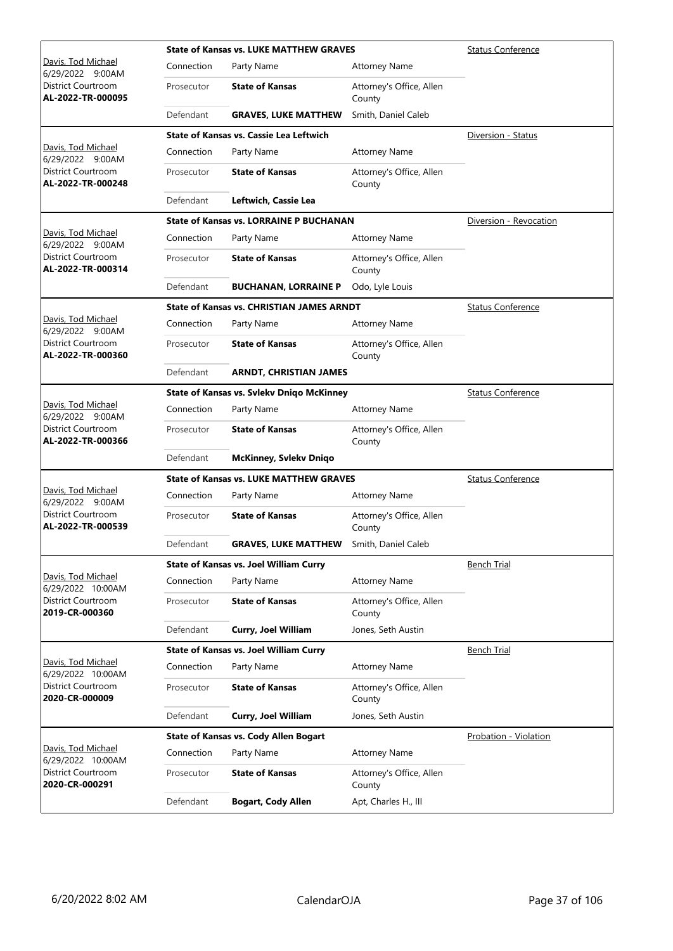|                                                |                                                | <b>State of Kansas vs. LUKE MATTHEW GRAVES</b>   |                                    | <b>Status Conference</b> |
|------------------------------------------------|------------------------------------------------|--------------------------------------------------|------------------------------------|--------------------------|
| Davis, Tod Michael<br>6/29/2022 9:00AM         | Connection                                     | Party Name                                       | <b>Attorney Name</b>               |                          |
| District Courtroom<br>AL-2022-TR-000095        | Prosecutor                                     | <b>State of Kansas</b>                           | Attorney's Office, Allen<br>County |                          |
|                                                | Defendant                                      | <b>GRAVES, LUKE MATTHEW</b>                      | Smith, Daniel Caleb                |                          |
|                                                |                                                | <b>State of Kansas vs. Cassie Lea Leftwich</b>   |                                    | Diversion - Status       |
| Davis, Tod Michael<br>6/29/2022 9:00AM         | Connection                                     | Party Name                                       | <b>Attorney Name</b>               |                          |
| District Courtroom<br>AL-2022-TR-000248        | Prosecutor                                     | <b>State of Kansas</b>                           | Attorney's Office, Allen<br>County |                          |
|                                                | Defendant                                      | Leftwich, Cassie Lea                             |                                    |                          |
|                                                |                                                | <b>State of Kansas vs. LORRAINE P BUCHANAN</b>   |                                    | Diversion - Revocation   |
| Davis, Tod Michael<br>6/29/2022 9:00AM         | Connection                                     | Party Name                                       | <b>Attorney Name</b>               |                          |
| District Courtroom<br>AL-2022-TR-000314        | Prosecutor                                     | <b>State of Kansas</b>                           | Attorney's Office, Allen<br>County |                          |
|                                                | Defendant                                      | <b>BUCHANAN, LORRAINE P</b>                      | Odo, Lyle Louis                    |                          |
|                                                |                                                | <b>State of Kansas vs. CHRISTIAN JAMES ARNDT</b> |                                    | <b>Status Conference</b> |
| Davis, Tod Michael<br>6/29/2022 9:00AM         | Connection                                     | Party Name                                       | <b>Attorney Name</b>               |                          |
| <b>District Courtroom</b><br>AL-2022-TR-000360 | Prosecutor                                     | <b>State of Kansas</b>                           | Attorney's Office, Allen<br>County |                          |
|                                                | Defendant                                      | <b>ARNDT, CHRISTIAN JAMES</b>                    |                                    |                          |
|                                                |                                                | <b>State of Kansas vs. Svlekv Dniqo McKinney</b> |                                    | <b>Status Conference</b> |
| Davis, Tod Michael<br>6/29/2022 9:00AM         | Connection                                     | Party Name                                       | <b>Attorney Name</b>               |                          |
| District Courtroom<br>AL-2022-TR-000366        | Prosecutor                                     | <b>State of Kansas</b>                           | Attorney's Office, Allen<br>County |                          |
|                                                | Defendant                                      | <b>McKinney, Svlekv Dniqo</b>                    |                                    |                          |
|                                                | <b>State of Kansas vs. LUKE MATTHEW GRAVES</b> |                                                  |                                    | <b>Status Conference</b> |
| Davis, Tod Michael<br>6/29/2022 9:00AM         | Connection                                     | Party Name                                       | <b>Attorney Name</b>               |                          |
| <b>District Courtroom</b><br>AL-2022-TR-000539 | Prosecutor                                     | <b>State of Kansas</b>                           | Attorney's Office, Allen<br>County |                          |
|                                                | Defendant                                      | <b>GRAVES, LUKE MATTHEW</b>                      | Smith, Daniel Caleb                |                          |
|                                                |                                                | <b>State of Kansas vs. Joel William Curry</b>    |                                    | <b>Bench Trial</b>       |
| Davis, Tod Michael<br>6/29/2022 10:00AM        | Connection                                     | Party Name                                       | <b>Attorney Name</b>               |                          |
| District Courtroom<br>2019-CR-000360           | Prosecutor                                     | <b>State of Kansas</b>                           | Attorney's Office, Allen<br>County |                          |
|                                                | Defendant                                      | Curry, Joel William                              | Jones, Seth Austin                 |                          |
|                                                |                                                | <b>State of Kansas vs. Joel William Curry</b>    |                                    | <b>Bench Trial</b>       |
| Davis, Tod Michael<br>6/29/2022 10:00AM        | Connection                                     | Party Name                                       | <b>Attorney Name</b>               |                          |
| District Courtroom<br>2020-CR-000009           | Prosecutor                                     | <b>State of Kansas</b>                           | Attorney's Office, Allen<br>County |                          |
|                                                | Defendant                                      | Curry, Joel William                              | Jones, Seth Austin                 |                          |
|                                                |                                                | <b>State of Kansas vs. Cody Allen Bogart</b>     |                                    | Probation - Violation    |
| Davis, Tod Michael<br>6/29/2022 10:00AM        | Connection                                     | Party Name                                       | <b>Attorney Name</b>               |                          |
| District Courtroom<br>2020-CR-000291           | Prosecutor                                     | <b>State of Kansas</b>                           | Attorney's Office, Allen<br>County |                          |
|                                                | Defendant                                      | <b>Bogart, Cody Allen</b>                        | Apt, Charles H., III               |                          |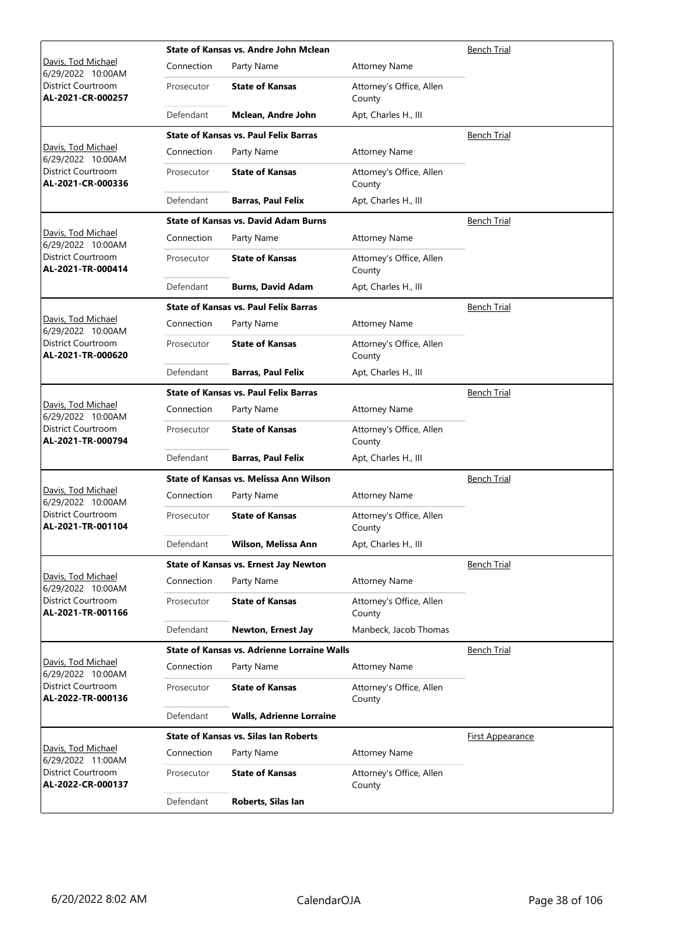|                                                | State of Kansas vs. Andre John Mclean | Bench Trial                                        |                                    |                         |
|------------------------------------------------|---------------------------------------|----------------------------------------------------|------------------------------------|-------------------------|
| Davis, Tod Michael<br>6/29/2022 10:00AM        | Connection                            | Party Name                                         | <b>Attorney Name</b>               |                         |
| District Courtroom<br>AL-2021-CR-000257        | Prosecutor                            | <b>State of Kansas</b>                             | Attorney's Office, Allen<br>County |                         |
|                                                | Defendant                             | Mclean, Andre John                                 | Apt, Charles H., III               |                         |
|                                                |                                       | <b>State of Kansas vs. Paul Felix Barras</b>       |                                    | <b>Bench Trial</b>      |
| Davis, Tod Michael<br>6/29/2022 10:00AM        | Connection                            | Party Name                                         | <b>Attorney Name</b>               |                         |
| <b>District Courtroom</b><br>AL-2021-CR-000336 | Prosecutor                            | <b>State of Kansas</b>                             | Attorney's Office, Allen<br>County |                         |
|                                                | Defendant                             | <b>Barras, Paul Felix</b>                          | Apt, Charles H., III               |                         |
|                                                |                                       | <b>State of Kansas vs. David Adam Burns</b>        |                                    | <b>Bench Trial</b>      |
| Davis, Tod Michael<br>6/29/2022 10:00AM        | Connection                            | Party Name                                         | <b>Attorney Name</b>               |                         |
| District Courtroom<br>AL-2021-TR-000414        | Prosecutor                            | <b>State of Kansas</b>                             | Attorney's Office, Allen<br>County |                         |
|                                                | Defendant                             | <b>Burns, David Adam</b>                           | Apt, Charles H., III               |                         |
|                                                |                                       | <b>State of Kansas vs. Paul Felix Barras</b>       |                                    | <b>Bench Trial</b>      |
| Davis, Tod Michael<br>6/29/2022 10:00AM        | Connection                            | Party Name                                         | <b>Attorney Name</b>               |                         |
| District Courtroom<br>AL-2021-TR-000620        | Prosecutor                            | <b>State of Kansas</b>                             | Attorney's Office, Allen<br>County |                         |
|                                                | Defendant                             | <b>Barras, Paul Felix</b>                          | Apt, Charles H., III               |                         |
|                                                |                                       | <b>State of Kansas vs. Paul Felix Barras</b>       |                                    | <b>Bench Trial</b>      |
| Davis, Tod Michael<br>6/29/2022 10:00AM        | Connection                            | Party Name                                         | <b>Attorney Name</b>               |                         |
| District Courtroom<br>AL-2021-TR-000794        | Prosecutor                            | <b>State of Kansas</b>                             | Attorney's Office, Allen<br>County |                         |
|                                                | Defendant                             | <b>Barras, Paul Felix</b>                          | Apt, Charles H., III               |                         |
|                                                |                                       | State of Kansas vs. Melissa Ann Wilson             |                                    | Bench Trial             |
| Davis, Tod Michael<br>6/29/2022 10:00AM        | Connection                            | Party Name                                         | <b>Attorney Name</b>               |                         |
| District Courtroom<br>AL-2021-TR-001104        | Prosecutor                            | <b>State of Kansas</b>                             | Attorney's Office, Allen<br>County |                         |
|                                                | Defendant                             | Wilson, Melissa Ann                                | Apt, Charles H., III               |                         |
|                                                |                                       | <b>State of Kansas vs. Ernest Jay Newton</b>       |                                    | <b>Bench Trial</b>      |
| Davis, Tod Michael<br>6/29/2022 10:00AM        | Connection                            | Party Name                                         | <b>Attorney Name</b>               |                         |
| District Courtroom<br>AL-2021-TR-001166        | Prosecutor                            | <b>State of Kansas</b>                             | Attorney's Office, Allen<br>County |                         |
|                                                | Defendant                             | Newton, Ernest Jay                                 | Manbeck, Jacob Thomas              |                         |
|                                                |                                       | <b>State of Kansas vs. Adrienne Lorraine Walls</b> |                                    | <b>Bench Trial</b>      |
| Davis, Tod Michael<br>6/29/2022 10:00AM        | Connection                            | Party Name                                         | <b>Attorney Name</b>               |                         |
| District Courtroom<br>AL-2022-TR-000136        | Prosecutor                            | <b>State of Kansas</b>                             | Attorney's Office, Allen<br>County |                         |
|                                                | Defendant                             | <b>Walls, Adrienne Lorraine</b>                    |                                    |                         |
|                                                |                                       | <b>State of Kansas vs. Silas Ian Roberts</b>       |                                    | <b>First Appearance</b> |
| Davis, Tod Michael<br>6/29/2022 11:00AM        | Connection                            | Party Name                                         | <b>Attorney Name</b>               |                         |
| District Courtroom<br>AL-2022-CR-000137        | Prosecutor                            | <b>State of Kansas</b>                             | Attorney's Office, Allen<br>County |                         |
|                                                | Defendant                             | Roberts, Silas Ian                                 |                                    |                         |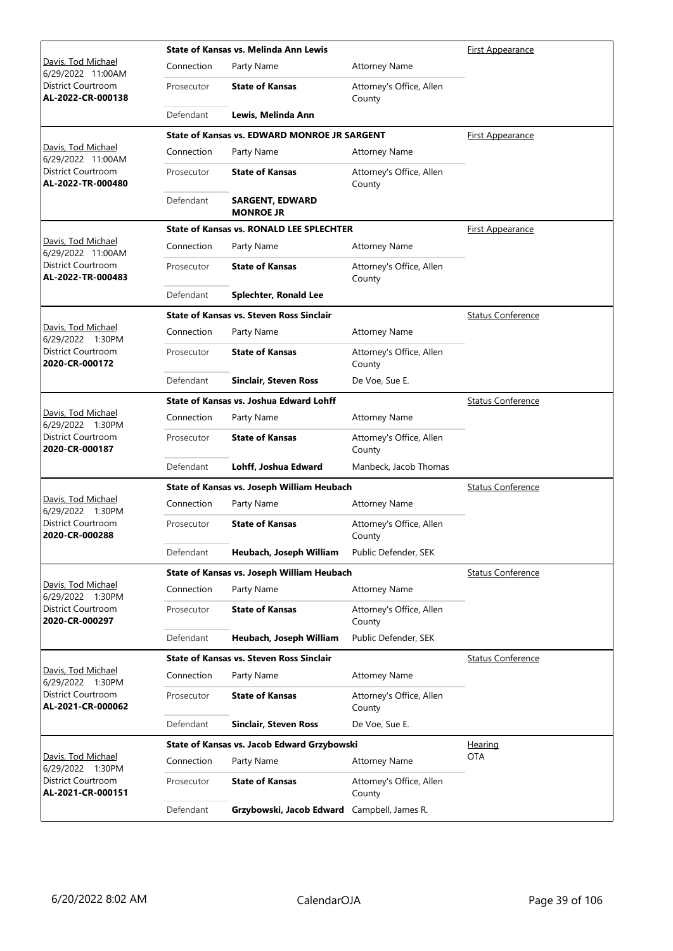|                                                |            | State of Kansas vs. Melinda Ann Lewis<br><b>First Appearance</b> |                                    |                          |
|------------------------------------------------|------------|------------------------------------------------------------------|------------------------------------|--------------------------|
| Davis, Tod Michael<br>6/29/2022 11:00AM        | Connection | Party Name                                                       | <b>Attorney Name</b>               |                          |
| District Courtroom<br>AL-2022-CR-000138        | Prosecutor | <b>State of Kansas</b>                                           | Attorney's Office, Allen<br>County |                          |
|                                                | Defendant  | Lewis, Melinda Ann                                               |                                    |                          |
|                                                |            | <b>State of Kansas vs. EDWARD MONROE JR SARGENT</b>              |                                    | <b>First Appearance</b>  |
| Davis, Tod Michael<br>6/29/2022 11:00AM        | Connection | Party Name                                                       | <b>Attorney Name</b>               |                          |
| <b>District Courtroom</b><br>AL-2022-TR-000480 | Prosecutor | <b>State of Kansas</b>                                           | Attorney's Office, Allen<br>County |                          |
|                                                | Defendant  | <b>SARGENT, EDWARD</b><br><b>MONROE JR</b>                       |                                    |                          |
|                                                |            | <b>State of Kansas vs. RONALD LEE SPLECHTER</b>                  |                                    | First Appearance         |
| Davis, Tod Michael<br>6/29/2022 11:00AM        | Connection | Party Name                                                       | <b>Attorney Name</b>               |                          |
| District Courtroom<br>AL-2022-TR-000483        | Prosecutor | <b>State of Kansas</b>                                           | Attorney's Office, Allen<br>County |                          |
|                                                | Defendant  | <b>Splechter, Ronald Lee</b>                                     |                                    |                          |
|                                                |            | <b>State of Kansas vs. Steven Ross Sinclair</b>                  |                                    | <b>Status Conference</b> |
| Davis, Tod Michael<br>6/29/2022 1:30PM         | Connection | Party Name                                                       | <b>Attorney Name</b>               |                          |
| District Courtroom<br>2020-CR-000172           | Prosecutor | <b>State of Kansas</b>                                           | Attorney's Office, Allen<br>County |                          |
|                                                | Defendant  | <b>Sinclair, Steven Ross</b>                                     | De Voe, Sue E.                     |                          |
|                                                |            | State of Kansas vs. Joshua Edward Lohff                          |                                    | <b>Status Conference</b> |
| Davis, Tod Michael<br>6/29/2022 1:30PM         | Connection | Party Name                                                       | <b>Attorney Name</b>               |                          |
| District Courtroom<br>2020-CR-000187           | Prosecutor | <b>State of Kansas</b>                                           | Attorney's Office, Allen<br>County |                          |
|                                                | Defendant  | Lohff, Joshua Edward                                             | Manbeck, Jacob Thomas              |                          |
|                                                |            | State of Kansas vs. Joseph William Heubach                       |                                    | <b>Status Conference</b> |
| Davis, Tod Michael<br>6/29/2022 1:30PM         | Connection | Party Name                                                       | <b>Attorney Name</b>               |                          |
| District Courtroom<br>2020-CR-000288           | Prosecutor | <b>State of Kansas</b>                                           | Attorney's Office, Allen<br>County |                          |
|                                                | Defendant  | Heubach, Joseph William                                          | Public Defender, SEK               |                          |
|                                                |            | State of Kansas vs. Joseph William Heubach                       |                                    | <b>Status Conference</b> |
| Davis, Tod Michael<br>6/29/2022 1:30PM         | Connection | Party Name                                                       | <b>Attorney Name</b>               |                          |
| <b>District Courtroom</b><br>2020-CR-000297    | Prosecutor | <b>State of Kansas</b>                                           | Attorney's Office, Allen<br>County |                          |
|                                                | Defendant  | Heubach, Joseph William                                          | Public Defender, SEK               |                          |
|                                                |            | <b>State of Kansas vs. Steven Ross Sinclair</b>                  |                                    | <b>Status Conference</b> |
| Davis, Tod Michael<br>6/29/2022 1:30PM         | Connection | Party Name                                                       | <b>Attorney Name</b>               |                          |
| District Courtroom<br>AL-2021-CR-000062        | Prosecutor | <b>State of Kansas</b>                                           | Attorney's Office, Allen<br>County |                          |
|                                                | Defendant  | Sinclair, Steven Ross                                            | De Voe, Sue E.                     |                          |
|                                                |            | State of Kansas vs. Jacob Edward Grzybowski                      |                                    | <u>Hearing</u>           |
| Davis, Tod Michael<br>6/29/2022 1:30PM         | Connection | Party Name                                                       | <b>Attorney Name</b>               | <b>OTA</b>               |
| District Courtroom<br>AL-2021-CR-000151        | Prosecutor | <b>State of Kansas</b>                                           | Attorney's Office, Allen<br>County |                          |
|                                                | Defendant  | Grzybowski, Jacob Edward Campbell, James R.                      |                                    |                          |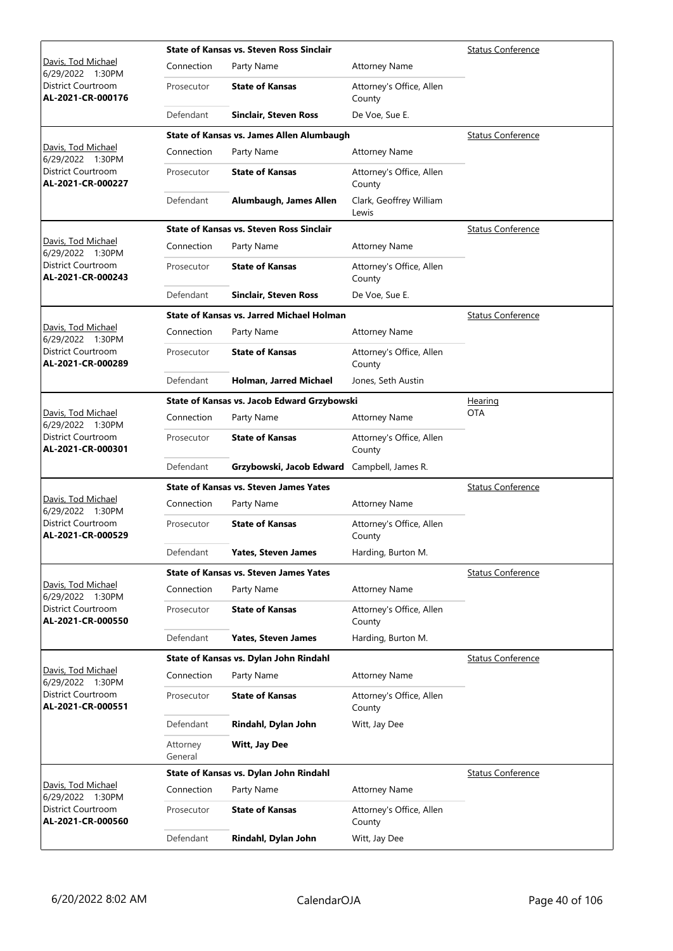|                                                |                     | <b>State of Kansas vs. Steven Ross Sinclair</b>  |                                    | <b>Status Conference</b> |
|------------------------------------------------|---------------------|--------------------------------------------------|------------------------------------|--------------------------|
| Davis, Tod Michael<br>6/29/2022 1:30PM         | Connection          | Party Name                                       | <b>Attorney Name</b>               |                          |
| District Courtroom<br>AL-2021-CR-000176        | Prosecutor          | <b>State of Kansas</b>                           | Attorney's Office, Allen<br>County |                          |
|                                                | Defendant           | Sinclair, Steven Ross                            | De Voe, Sue E.                     |                          |
|                                                |                     | State of Kansas vs. James Allen Alumbaugh        |                                    | <b>Status Conference</b> |
| Davis, Tod Michael<br>6/29/2022 1:30PM         | Connection          | Party Name                                       | <b>Attorney Name</b>               |                          |
| District Courtroom<br>AL-2021-CR-000227        | Prosecutor          | <b>State of Kansas</b>                           | Attorney's Office, Allen<br>County |                          |
|                                                | Defendant           | Alumbaugh, James Allen                           | Clark, Geoffrey William<br>Lewis   |                          |
|                                                |                     | <b>State of Kansas vs. Steven Ross Sinclair</b>  |                                    | <b>Status Conference</b> |
| Davis, Tod Michael<br>6/29/2022 1:30PM         | Connection          | Party Name                                       | <b>Attorney Name</b>               |                          |
| District Courtroom<br>AL-2021-CR-000243        | Prosecutor          | <b>State of Kansas</b>                           | Attorney's Office, Allen<br>County |                          |
|                                                | Defendant           | <b>Sinclair, Steven Ross</b>                     | De Voe, Sue E.                     |                          |
|                                                |                     | <b>State of Kansas vs. Jarred Michael Holman</b> |                                    | <b>Status Conference</b> |
| Davis, Tod Michael<br>6/29/2022 1:30PM         | Connection          | Party Name                                       | <b>Attorney Name</b>               |                          |
| <b>District Courtroom</b><br>AL-2021-CR-000289 | Prosecutor          | <b>State of Kansas</b>                           | Attorney's Office, Allen<br>County |                          |
|                                                | Defendant           | Holman, Jarred Michael                           | Jones, Seth Austin                 |                          |
|                                                |                     | State of Kansas vs. Jacob Edward Grzybowski      |                                    | <u>Hearing</u>           |
| Davis, Tod Michael<br>6/29/2022 1:30PM         | Connection          | Party Name                                       | <b>Attorney Name</b>               | <b>OTA</b>               |
| District Courtroom<br>AL-2021-CR-000301        | Prosecutor          | <b>State of Kansas</b>                           | Attorney's Office, Allen<br>County |                          |
|                                                | Defendant           | Grzybowski, Jacob Edward                         | Campbell, James R.                 |                          |
|                                                |                     | <b>State of Kansas vs. Steven James Yates</b>    |                                    | <b>Status Conference</b> |
| Davis, Tod Michael<br>6/29/2022 1:30PM         | Connection          | Party Name                                       | <b>Attorney Name</b>               |                          |
| District Courtroom<br>AL-2021-CR-000529        | Prosecutor          | <b>State of Kansas</b>                           | Attorney's Office, Allen<br>County |                          |
|                                                | Defendant           | <b>Yates, Steven James</b>                       | Harding, Burton M.                 |                          |
|                                                |                     | <b>State of Kansas vs. Steven James Yates</b>    |                                    | <b>Status Conference</b> |
| Davis, Tod Michael<br>6/29/2022 1:30PM         | Connection          | Party Name                                       | <b>Attorney Name</b>               |                          |
| District Courtroom<br>AL-2021-CR-000550        | Prosecutor          | <b>State of Kansas</b>                           | Attorney's Office, Allen<br>County |                          |
|                                                | Defendant           | <b>Yates, Steven James</b>                       | Harding, Burton M.                 |                          |
|                                                |                     | State of Kansas vs. Dylan John Rindahl           |                                    | <b>Status Conference</b> |
| Davis, Tod Michael<br>6/29/2022 1:30PM         | Connection          | Party Name                                       | <b>Attorney Name</b>               |                          |
| District Courtroom<br>AL-2021-CR-000551        | Prosecutor          | <b>State of Kansas</b>                           | Attorney's Office, Allen<br>County |                          |
|                                                | Defendant           | Rindahl, Dylan John                              | Witt, Jay Dee                      |                          |
|                                                | Attorney<br>General | Witt, Jay Dee                                    |                                    |                          |
|                                                |                     | State of Kansas vs. Dylan John Rindahl           |                                    | <b>Status Conference</b> |
| Davis, Tod Michael<br>6/29/2022 1:30PM         | Connection          | Party Name                                       | <b>Attorney Name</b>               |                          |
| District Courtroom<br>AL-2021-CR-000560        | Prosecutor          | <b>State of Kansas</b>                           | Attorney's Office, Allen<br>County |                          |
|                                                | Defendant           | Rindahl, Dylan John                              | Witt, Jay Dee                      |                          |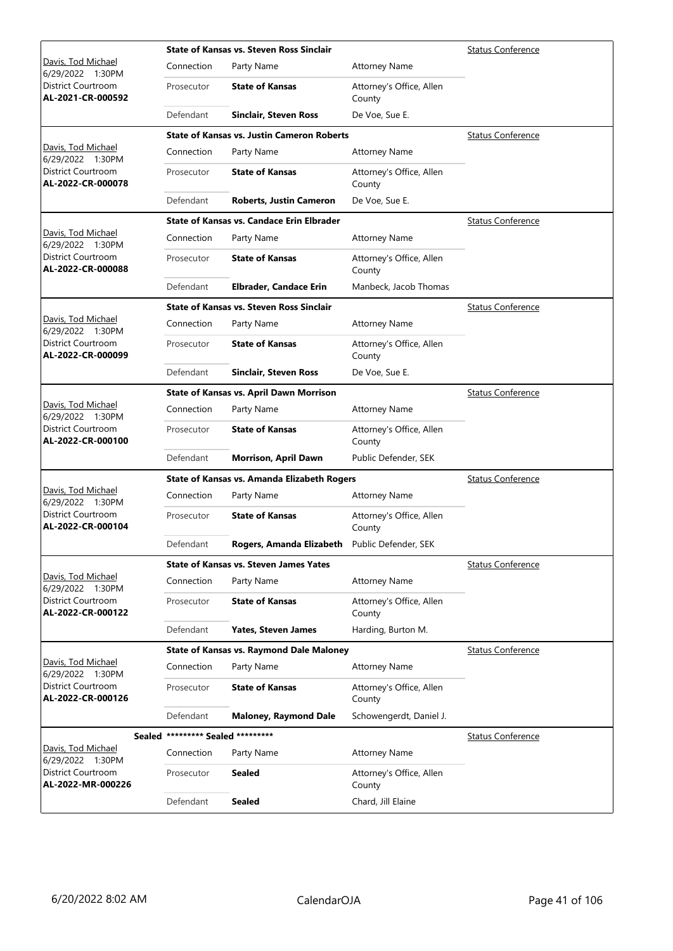|                                                |                            | <b>State of Kansas vs. Steven Ross Sinclair</b>    |                                    | <b>Status Conference</b> |
|------------------------------------------------|----------------------------|----------------------------------------------------|------------------------------------|--------------------------|
| Davis, Tod Michael<br>6/29/2022 1:30PM         | Connection                 | Party Name                                         | <b>Attorney Name</b>               |                          |
| District Courtroom<br>AL-2021-CR-000592        | Prosecutor                 | <b>State of Kansas</b>                             | Attorney's Office, Allen<br>County |                          |
|                                                | Defendant                  | Sinclair, Steven Ross                              | De Voe, Sue E.                     |                          |
|                                                |                            | <b>State of Kansas vs. Justin Cameron Roberts</b>  |                                    | <b>Status Conference</b> |
| Davis, Tod Michael<br>6/29/2022 1:30PM         | Connection                 | Party Name                                         | <b>Attorney Name</b>               |                          |
| <b>District Courtroom</b><br>AL-2022-CR-000078 | Prosecutor                 | <b>State of Kansas</b>                             | Attorney's Office, Allen<br>County |                          |
|                                                | Defendant                  | <b>Roberts, Justin Cameron</b>                     | De Voe, Sue E.                     |                          |
|                                                |                            | <b>State of Kansas vs. Candace Erin Elbrader</b>   |                                    | <b>Status Conference</b> |
| Davis, Tod Michael<br>6/29/2022 1:30PM         | Connection                 | Party Name                                         | <b>Attorney Name</b>               |                          |
| District Courtroom<br>AL-2022-CR-000088        | Prosecutor                 | <b>State of Kansas</b>                             | Attorney's Office, Allen<br>County |                          |
|                                                | Defendant                  | <b>Elbrader, Candace Erin</b>                      | Manbeck, Jacob Thomas              |                          |
|                                                |                            | <b>State of Kansas vs. Steven Ross Sinclair</b>    |                                    | <b>Status Conference</b> |
| Davis, Tod Michael<br>6/29/2022 1:30PM         | Connection                 | Party Name                                         | <b>Attorney Name</b>               |                          |
| District Courtroom<br>AL-2022-CR-000099        | Prosecutor                 | <b>State of Kansas</b>                             | Attorney's Office, Allen<br>County |                          |
|                                                | Defendant                  | Sinclair, Steven Ross                              | De Voe, Sue E.                     |                          |
|                                                |                            | <b>State of Kansas vs. April Dawn Morrison</b>     |                                    | <b>Status Conference</b> |
| Davis, Tod Michael<br>6/29/2022 1:30PM         | Connection                 | Party Name                                         | <b>Attorney Name</b>               |                          |
| District Courtroom<br>AL-2022-CR-000100        | Prosecutor                 | <b>State of Kansas</b>                             | Attorney's Office, Allen<br>County |                          |
|                                                | Defendant                  | <b>Morrison, April Dawn</b>                        | Public Defender, SEK               |                          |
|                                                |                            | <b>State of Kansas vs. Amanda Elizabeth Rogers</b> |                                    | <b>Status Conference</b> |
| Davis, Tod Michael<br>6/29/2022 1:30PM         | Connection                 | Party Name                                         | <b>Attorney Name</b>               |                          |
| <b>District Courtroom</b><br>AL-2022-CR-000104 | Prosecutor                 | <b>State of Kansas</b>                             | Attorney's Office, Allen<br>County |                          |
|                                                | Defendant                  | Rogers, Amanda Elizabeth                           | Public Defender, SEK               |                          |
|                                                |                            | <b>State of Kansas vs. Steven James Yates</b>      |                                    | <b>Status Conference</b> |
| Davis, Tod Michael<br>6/29/2022 1:30PM         | Connection                 | Party Name                                         | <b>Attorney Name</b>               |                          |
| District Courtroom<br>AL-2022-CR-000122        | Prosecutor                 | <b>State of Kansas</b>                             | Attorney's Office, Allen<br>County |                          |
|                                                | Defendant                  | <b>Yates, Steven James</b>                         | Harding, Burton M.                 |                          |
|                                                |                            | <b>State of Kansas vs. Raymond Dale Maloney</b>    |                                    | <b>Status Conference</b> |
| Davis, Tod Michael<br>6/29/2022 1:30PM         | Connection                 | Party Name                                         | <b>Attorney Name</b>               |                          |
| District Courtroom<br>AL-2022-CR-000126        | Prosecutor                 | <b>State of Kansas</b>                             | Attorney's Office, Allen<br>County |                          |
|                                                | Defendant                  | <b>Maloney, Raymond Dale</b>                       | Schowengerdt, Daniel J.            |                          |
| Sealed                                         | ********* Sealed ********* |                                                    |                                    | <b>Status Conference</b> |
| Davis, Tod Michael<br>6/29/2022 1:30PM         | Connection                 | Party Name                                         | <b>Attorney Name</b>               |                          |
| District Courtroom<br>AL-2022-MR-000226        | Prosecutor                 | <b>Sealed</b>                                      | Attorney's Office, Allen<br>County |                          |
|                                                | Defendant                  | <b>Sealed</b>                                      | Chard, Jill Elaine                 |                          |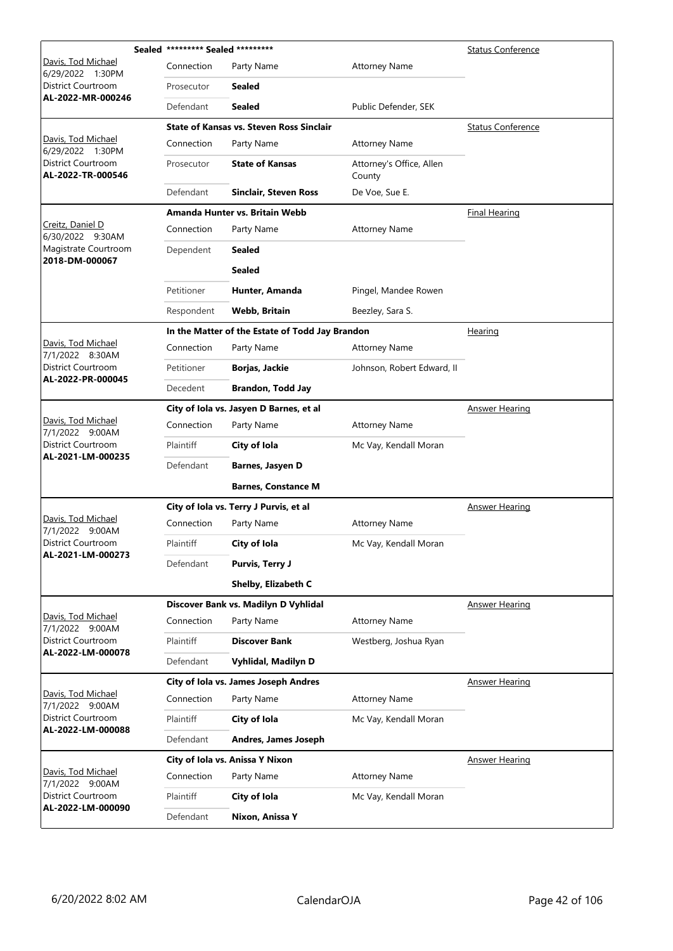|                                                | Sealed ********* Sealed ********* |                                                 |                                    | <b>Status Conference</b> |
|------------------------------------------------|-----------------------------------|-------------------------------------------------|------------------------------------|--------------------------|
| Davis, Tod Michael<br>6/29/2022 1:30PM         | Connection                        | Party Name                                      | <b>Attorney Name</b>               |                          |
| District Courtroom<br>AL-2022-MR-000246        | Prosecutor                        | Sealed                                          |                                    |                          |
|                                                | Defendant                         | <b>Sealed</b>                                   | Public Defender, SEK               |                          |
|                                                |                                   | <b>State of Kansas vs. Steven Ross Sinclair</b> |                                    | <b>Status Conference</b> |
| Davis, Tod Michael<br>6/29/2022 1:30PM         | Connection                        | Party Name                                      | <b>Attorney Name</b>               |                          |
| District Courtroom<br>AL-2022-TR-000546        | Prosecutor                        | <b>State of Kansas</b>                          | Attorney's Office, Allen<br>County |                          |
|                                                | Defendant                         | <b>Sinclair, Steven Ross</b>                    | De Voe, Sue E.                     |                          |
|                                                |                                   | Amanda Hunter vs. Britain Webb                  |                                    | <b>Final Hearing</b>     |
| Creitz, Daniel D<br>6/30/2022 9:30AM           | Connection                        | Party Name                                      | <b>Attorney Name</b>               |                          |
| Magistrate Courtroom<br>2018-DM-000067         | Dependent                         | <b>Sealed</b>                                   |                                    |                          |
|                                                |                                   | <b>Sealed</b>                                   |                                    |                          |
|                                                | Petitioner                        | Hunter, Amanda                                  | Pingel, Mandee Rowen               |                          |
|                                                | Respondent                        | Webb, Britain                                   | Beezley, Sara S.                   |                          |
|                                                |                                   | In the Matter of the Estate of Todd Jay Brandon |                                    | Hearing                  |
| Davis, Tod Michael<br>7/1/2022 8:30AM          | Connection                        | Party Name                                      | <b>Attorney Name</b>               |                          |
| District Courtroom                             | Petitioner                        | Borjas, Jackie                                  | Johnson, Robert Edward, II         |                          |
| AL-2022-PR-000045                              | Decedent                          | <b>Brandon, Todd Jay</b>                        |                                    |                          |
|                                                |                                   | City of Iola vs. Jasyen D Barnes, et al         |                                    | <b>Answer Hearing</b>    |
| Davis, Tod Michael<br>7/1/2022 9:00AM          | Connection                        | Party Name                                      | <b>Attorney Name</b>               |                          |
| <b>District Courtroom</b><br>AL-2021-LM-000235 | Plaintiff                         | City of Iola                                    | Mc Vay, Kendall Moran              |                          |
|                                                | Defendant                         | Barnes, Jasyen D                                |                                    |                          |
|                                                |                                   | <b>Barnes, Constance M</b>                      |                                    |                          |
|                                                |                                   | City of Iola vs. Terry J Purvis, et al          |                                    | <b>Answer Hearing</b>    |
| Davis, Tod Michael<br>7/1/2022 9:00AM          | Connection                        | Party Name                                      | <b>Attorney Name</b>               |                          |
| District Courtroom<br>AL-2021-LM-000273        | Plaintiff                         | City of Iola                                    | Mc Vay, Kendall Moran              |                          |
|                                                | Defendant                         | <b>Purvis, Terry J</b>                          |                                    |                          |
|                                                |                                   | Shelby, Elizabeth C                             |                                    |                          |
|                                                |                                   | Discover Bank vs. Madilyn D Vyhlidal            |                                    | <b>Answer Hearing</b>    |
| Davis, Tod Michael<br>7/1/2022 9:00AM          | Connection                        | Party Name                                      | <b>Attorney Name</b>               |                          |
| <b>District Courtroom</b><br>AL-2022-LM-000078 | Plaintiff                         | <b>Discover Bank</b>                            | Westberg, Joshua Ryan              |                          |
|                                                | Defendant                         | Vyhlidal, Madilyn D                             |                                    |                          |
|                                                |                                   | City of Iola vs. James Joseph Andres            |                                    | <b>Answer Hearing</b>    |
| Davis, Tod Michael<br>7/1/2022 9:00AM          | Connection                        | Party Name                                      | <b>Attorney Name</b>               |                          |
| District Courtroom<br>AL-2022-LM-000088        | Plaintiff                         | City of Iola                                    | Mc Vay, Kendall Moran              |                          |
|                                                | Defendant                         | Andres, James Joseph                            |                                    |                          |
|                                                |                                   | City of Iola vs. Anissa Y Nixon                 |                                    | <b>Answer Hearing</b>    |
| Davis, Tod Michael<br>7/1/2022 9:00AM          | Connection                        | Party Name                                      | <b>Attorney Name</b>               |                          |
| District Courtroom<br>AL-2022-LM-000090        | Plaintiff                         | City of Iola                                    | Mc Vay, Kendall Moran              |                          |
|                                                | Defendant                         | Nixon, Anissa Y                                 |                                    |                          |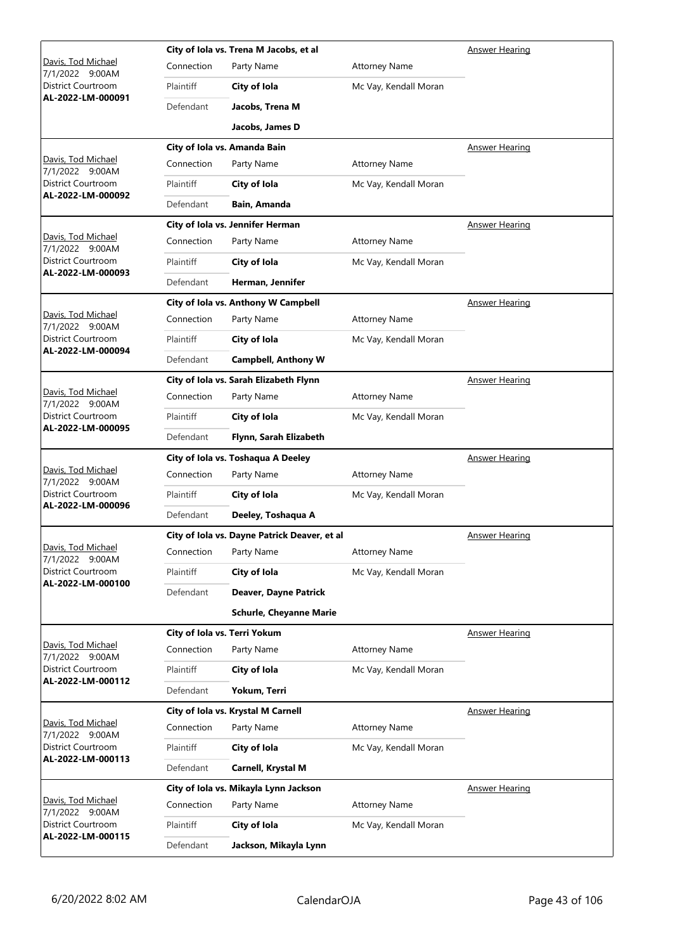|                                                |            | City of Iola vs. Trena M Jacobs, et al       | Answer Hearing        |                       |
|------------------------------------------------|------------|----------------------------------------------|-----------------------|-----------------------|
| Davis, Tod Michael<br>7/1/2022 9:00AM          | Connection | Party Name                                   | <b>Attorney Name</b>  |                       |
| District Courtroom                             | Plaintiff  | City of Iola                                 | Mc Vay, Kendall Moran |                       |
| AL-2022-LM-000091                              | Defendant  | Jacobs, Trena M                              |                       |                       |
|                                                |            | Jacobs, James D                              |                       |                       |
|                                                |            | City of Iola vs. Amanda Bain                 |                       | Answer Hearing        |
| Davis, Tod Michael<br>7/1/2022 9:00AM          | Connection | Party Name                                   | <b>Attorney Name</b>  |                       |
| <b>District Courtroom</b><br>AL-2022-LM-000092 | Plaintiff  | City of Iola                                 | Mc Vay, Kendall Moran |                       |
|                                                | Defendant  | Bain, Amanda                                 |                       |                       |
|                                                |            | City of Iola vs. Jennifer Herman             |                       | <b>Answer Hearing</b> |
| Davis, Tod Michael<br>7/1/2022 9:00AM          | Connection | Party Name                                   | <b>Attorney Name</b>  |                       |
| <b>District Courtroom</b><br>AL-2022-LM-000093 | Plaintiff  | City of Iola                                 | Mc Vay, Kendall Moran |                       |
|                                                | Defendant  | Herman, Jennifer                             |                       |                       |
|                                                |            | City of Iola vs. Anthony W Campbell          |                       | <u>Answer Hearing</u> |
| Davis, Tod Michael<br>7/1/2022 9:00AM          | Connection | Party Name                                   | <b>Attorney Name</b>  |                       |
| District Courtroom<br>AL-2022-LM-000094        | Plaintiff  | City of Iola                                 | Mc Vay, Kendall Moran |                       |
|                                                | Defendant  | <b>Campbell, Anthony W</b>                   |                       |                       |
|                                                |            | City of Iola vs. Sarah Elizabeth Flynn       |                       | <b>Answer Hearing</b> |
| Davis, Tod Michael<br>7/1/2022 9:00AM          | Connection | Party Name                                   | <b>Attorney Name</b>  |                       |
| District Courtroom                             | Plaintiff  | City of Iola                                 | Mc Vay, Kendall Moran |                       |
| AL-2022-LM-000095                              | Defendant  | Flynn, Sarah Elizabeth                       |                       |                       |
|                                                |            | City of Iola vs. Toshaqua A Deeley           |                       | <b>Answer Hearing</b> |
|                                                |            |                                              |                       |                       |
| Davis, Tod Michael<br>7/1/2022 9:00AM          | Connection | Party Name                                   | <b>Attorney Name</b>  |                       |
| District Courtroom                             | Plaintiff  | City of Iola                                 | Mc Vay, Kendall Moran |                       |
| AL-2022-LM-000096                              | Defendant  | Deeley, Toshaqua A                           |                       |                       |
|                                                |            | City of Iola vs. Dayne Patrick Deaver, et al |                       | <b>Answer Hearing</b> |
| Davis, Tod Michael<br>7/1/2022 9:00AM          | Connection | Party Name                                   | <b>Attorney Name</b>  |                       |
| District Courtroom                             | Plaintiff  | City of Iola                                 | Mc Vay, Kendall Moran |                       |
| AL-2022-LM-000100                              | Defendant  | <b>Deaver, Dayne Patrick</b>                 |                       |                       |
|                                                |            | <b>Schurle, Cheyanne Marie</b>               |                       |                       |
|                                                |            | City of Iola vs. Terri Yokum                 |                       | <b>Answer Hearing</b> |
| Davis, Tod Michael<br>7/1/2022 9:00AM          | Connection | Party Name                                   | <b>Attorney Name</b>  |                       |
| District Courtroom                             | Plaintiff  | City of Iola                                 | Mc Vay, Kendall Moran |                       |
| AL-2022-LM-000112                              | Defendant  | Yokum, Terri                                 |                       |                       |
|                                                |            | City of Iola vs. Krystal M Carnell           |                       | <b>Answer Hearing</b> |
| Davis, Tod Michael<br>7/1/2022 9:00AM          | Connection | Party Name                                   | <b>Attorney Name</b>  |                       |
| District Courtroom                             | Plaintiff  | City of Iola                                 | Mc Vay, Kendall Moran |                       |
| AL-2022-LM-000113                              | Defendant  | Carnell, Krystal M                           |                       |                       |
|                                                |            | City of Iola vs. Mikayla Lynn Jackson        |                       | <b>Answer Hearing</b> |
| Davis, Tod Michael<br>7/1/2022 9:00AM          | Connection | Party Name                                   | <b>Attorney Name</b>  |                       |
| District Courtroom<br>AL-2022-LM-000115        | Plaintiff  | City of Iola                                 | Mc Vay, Kendall Moran |                       |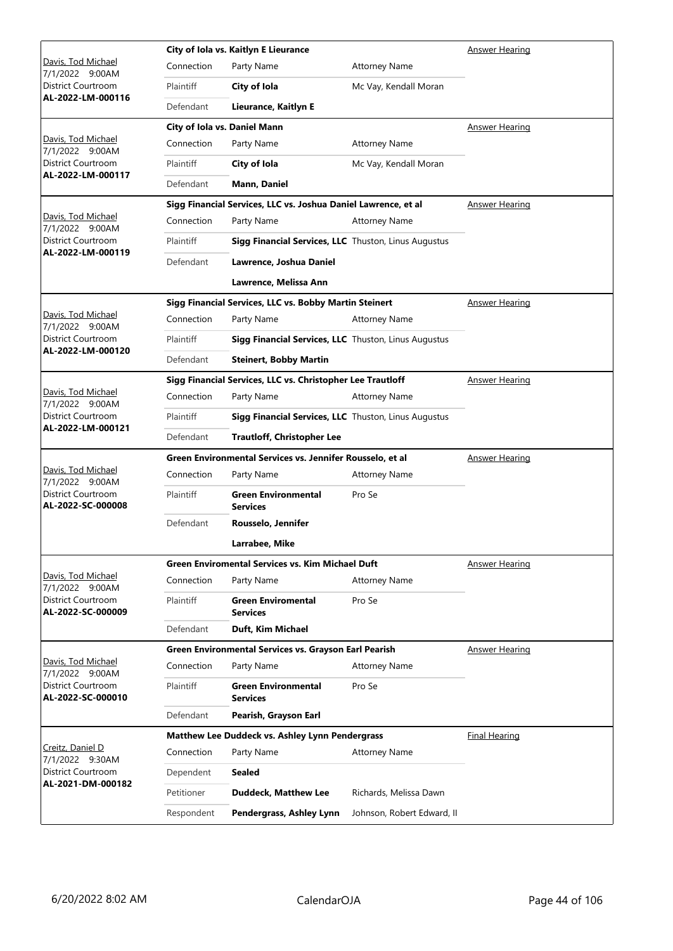|                                                |            | City of Iola vs. Kaitlyn E Lieurance                           | Answer Hearing             |                       |
|------------------------------------------------|------------|----------------------------------------------------------------|----------------------------|-----------------------|
| Davis, Tod Michael<br>7/1/2022 9:00AM          | Connection | Party Name                                                     | <b>Attorney Name</b>       |                       |
| District Courtroom                             | Plaintiff  | City of Iola                                                   | Mc Vay, Kendall Moran      |                       |
| AL-2022-LM-000116                              | Defendant  | Lieurance, Kaitlyn E                                           |                            |                       |
|                                                |            | City of Iola vs. Daniel Mann                                   |                            | Answer Hearing        |
| Davis, Tod Michael<br>7/1/2022 9:00AM          | Connection | Party Name                                                     | <b>Attorney Name</b>       |                       |
| District Courtroom                             | Plaintiff  | City of Iola                                                   | Mc Vay, Kendall Moran      |                       |
| AL-2022-LM-000117                              | Defendant  | Mann, Daniel                                                   |                            |                       |
|                                                |            | Sigg Financial Services, LLC vs. Joshua Daniel Lawrence, et al |                            | <b>Answer Hearing</b> |
| Davis, Tod Michael<br>7/1/2022 9:00AM          | Connection | Party Name                                                     | <b>Attorney Name</b>       |                       |
| District Courtroom                             | Plaintiff  | Sigg Financial Services, LLC Thuston, Linus Augustus           |                            |                       |
| AL-2022-LM-000119                              | Defendant  | Lawrence, Joshua Daniel                                        |                            |                       |
|                                                |            | Lawrence, Melissa Ann                                          |                            |                       |
|                                                |            | Sigg Financial Services, LLC vs. Bobby Martin Steinert         |                            | <u>Answer Hearing</u> |
| Davis, Tod Michael<br>7/1/2022 9:00AM          | Connection | Party Name                                                     | <b>Attorney Name</b>       |                       |
| District Courtroom<br>AL-2022-LM-000120        | Plaintiff  | Sigg Financial Services, LLC Thuston, Linus Augustus           |                            |                       |
|                                                | Defendant  | <b>Steinert, Bobby Martin</b>                                  |                            |                       |
|                                                |            | Sigg Financial Services, LLC vs. Christopher Lee Trautloff     |                            | <b>Answer Hearing</b> |
| Davis, Tod Michael<br>7/1/2022 9:00AM          | Connection | Party Name                                                     | <b>Attorney Name</b>       |                       |
| District Courtroom<br>AL-2022-LM-000121        | Plaintiff  | Sigg Financial Services, LLC Thuston, Linus Augustus           |                            |                       |
|                                                | Defendant  | <b>Trautloff, Christopher Lee</b>                              |                            |                       |
|                                                |            | Green Environmental Services vs. Jennifer Rousselo, et al      |                            | <b>Answer Hearing</b> |
| Davis, Tod Michael<br>7/1/2022 9:00AM          | Connection | Party Name                                                     | <b>Attorney Name</b>       |                       |
| <b>District Courtroom</b><br>AL-2022-SC-000008 | Plaintiff  | <b>Green Environmental</b><br><b>Services</b>                  | Pro Se                     |                       |
|                                                | Defendant  | Rousselo, Jennifer                                             |                            |                       |
|                                                |            | Larrabee, Mike                                                 |                            |                       |
|                                                |            | <b>Green Enviromental Services vs. Kim Michael Duft</b>        |                            | <b>Answer Hearing</b> |
| Davis, Tod Michael<br>7/1/2022 9:00AM          | Connection | Party Name                                                     | <b>Attorney Name</b>       |                       |
| District Courtroom<br>AL-2022-SC-000009        | Plaintiff  | <b>Green Enviromental</b><br><b>Services</b>                   | Pro Se                     |                       |
|                                                | Defendant  | Duft, Kim Michael                                              |                            |                       |
|                                                |            | Green Environmental Services vs. Grayson Earl Pearish          |                            | <b>Answer Hearing</b> |
| Davis, Tod Michael<br>7/1/2022 9:00AM          | Connection | Party Name                                                     | <b>Attorney Name</b>       |                       |
| District Courtroom<br>AL-2022-SC-000010        | Plaintiff  | <b>Green Environmental</b><br><b>Services</b>                  | Pro Se                     |                       |
|                                                | Defendant  | Pearish, Grayson Earl                                          |                            |                       |
|                                                |            | Matthew Lee Duddeck vs. Ashley Lynn Pendergrass                |                            | <b>Final Hearing</b>  |
| Creitz, Daniel D<br>7/1/2022 9:30AM            | Connection | Party Name                                                     | <b>Attorney Name</b>       |                       |
| District Courtroom<br>AL-2021-DM-000182        | Dependent  | <b>Sealed</b>                                                  |                            |                       |
|                                                | Petitioner | <b>Duddeck, Matthew Lee</b>                                    | Richards, Melissa Dawn     |                       |
|                                                | Respondent | Pendergrass, Ashley Lynn                                       | Johnson, Robert Edward, II |                       |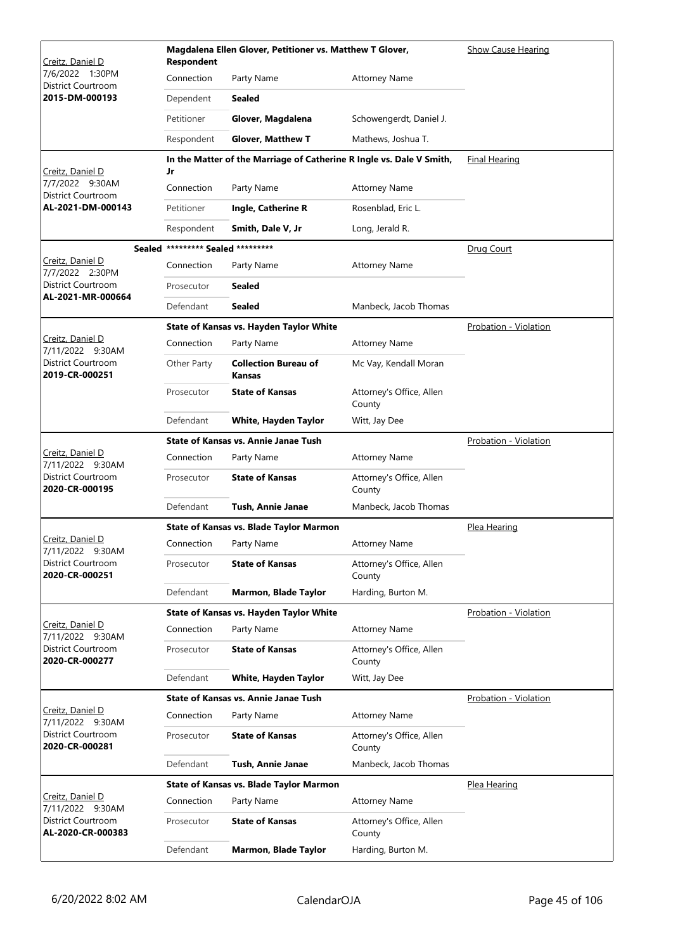| Creitz, Daniel D                        | Magdalena Ellen Glover, Petitioner vs. Matthew T Glover,<br><b>Respondent</b> |                                                                      |                                    | <b>Show Cause Hearing</b>    |
|-----------------------------------------|-------------------------------------------------------------------------------|----------------------------------------------------------------------|------------------------------------|------------------------------|
| 7/6/2022 1:30PM<br>District Courtroom   | Connection                                                                    | Party Name                                                           | <b>Attorney Name</b>               |                              |
| 2015-DM-000193                          | Dependent                                                                     | <b>Sealed</b>                                                        |                                    |                              |
|                                         | Petitioner                                                                    | Glover, Magdalena                                                    | Schowengerdt, Daniel J.            |                              |
|                                         | Respondent                                                                    | <b>Glover, Matthew T</b>                                             | Mathews, Joshua T.                 |                              |
|                                         |                                                                               | In the Matter of the Marriage of Catherine R Ingle vs. Dale V Smith, |                                    | <b>Final Hearing</b>         |
| Creitz, Daniel D<br>7/7/2022 9:30AM     | Jr                                                                            |                                                                      |                                    |                              |
| District Courtroom<br>AL-2021-DM-000143 | Connection                                                                    | Party Name                                                           | <b>Attorney Name</b>               |                              |
|                                         | Petitioner                                                                    | Ingle, Catherine R                                                   | Rosenblad, Eric L.                 |                              |
|                                         | Respondent                                                                    | Smith, Dale V, Jr                                                    | Long, Jerald R.                    |                              |
| Creitz, Daniel D                        | Sealed ********* Sealed *********<br>Connection                               | Party Name                                                           | <b>Attorney Name</b>               | Drug Court                   |
| 7/7/2022 2:30PM<br>District Courtroom   |                                                                               |                                                                      |                                    |                              |
| AL-2021-MR-000664                       | Prosecutor                                                                    | <b>Sealed</b>                                                        |                                    |                              |
|                                         | Defendant                                                                     | <b>Sealed</b>                                                        | Manbeck, Jacob Thomas              |                              |
| Creitz, Daniel D                        |                                                                               | State of Kansas vs. Hayden Taylor White                              |                                    | Probation - Violation        |
| 7/11/2022 9:30AM                        | Connection                                                                    | Party Name                                                           | <b>Attorney Name</b>               |                              |
| District Courtroom<br>2019-CR-000251    | Other Party                                                                   | <b>Collection Bureau of</b><br>Kansas                                | Mc Vay, Kendall Moran              |                              |
|                                         | Prosecutor                                                                    | <b>State of Kansas</b>                                               | Attorney's Office, Allen<br>County |                              |
|                                         | Defendant                                                                     | White, Hayden Taylor                                                 | Witt, Jay Dee                      |                              |
|                                         |                                                                               | <b>State of Kansas vs. Annie Janae Tush</b>                          |                                    | Probation - Violation        |
| Creitz, Daniel D<br>7/11/2022 9:30AM    | Connection                                                                    | Party Name                                                           | <b>Attorney Name</b>               |                              |
| District Courtroom<br>2020-CR-000195    | Prosecutor                                                                    | <b>State of Kansas</b>                                               | Attorney's Office, Allen<br>County |                              |
|                                         | Defendant                                                                     | Tush, Annie Janae                                                    | Manbeck, Jacob Thomas              |                              |
|                                         |                                                                               | State of Kansas vs. Blade Taylor Marmon                              |                                    | Plea Hearing                 |
| Creitz, Daniel D<br>7/11/2022 9:30AM    | Connection                                                                    | Party Name                                                           | <b>Attorney Name</b>               |                              |
| District Courtroom<br>2020-CR-000251    | Prosecutor                                                                    | <b>State of Kansas</b>                                               | Attorney's Office, Allen<br>County |                              |
|                                         | Defendant                                                                     | Marmon, Blade Taylor                                                 | Harding, Burton M.                 |                              |
|                                         |                                                                               | State of Kansas vs. Hayden Taylor White                              |                                    | <b>Probation - Violation</b> |
| Creitz, Daniel D<br>7/11/2022 9:30AM    | Connection                                                                    | Party Name                                                           | <b>Attorney Name</b>               |                              |
| District Courtroom<br>2020-CR-000277    | Prosecutor                                                                    | <b>State of Kansas</b>                                               | Attorney's Office, Allen<br>County |                              |
|                                         | Defendant                                                                     | White, Hayden Taylor                                                 | Witt, Jay Dee                      |                              |
|                                         |                                                                               | <b>State of Kansas vs. Annie Janae Tush</b>                          |                                    | Probation - Violation        |
| Creitz, Daniel D<br>7/11/2022 9:30AM    | Connection                                                                    | Party Name                                                           | <b>Attorney Name</b>               |                              |
| District Courtroom<br>2020-CR-000281    | Prosecutor                                                                    | <b>State of Kansas</b>                                               | Attorney's Office, Allen<br>County |                              |
|                                         | Defendant                                                                     | Tush, Annie Janae                                                    | Manbeck, Jacob Thomas              |                              |
|                                         |                                                                               | <b>State of Kansas vs. Blade Taylor Marmon</b>                       |                                    | Plea Hearing                 |
| Creitz, Daniel D<br>7/11/2022 9:30AM    | Connection                                                                    | Party Name                                                           | <b>Attorney Name</b>               |                              |
| District Courtroom<br>AL-2020-CR-000383 | Prosecutor                                                                    | <b>State of Kansas</b>                                               | Attorney's Office, Allen<br>County |                              |
|                                         | Defendant                                                                     | Marmon, Blade Taylor                                                 | Harding, Burton M.                 |                              |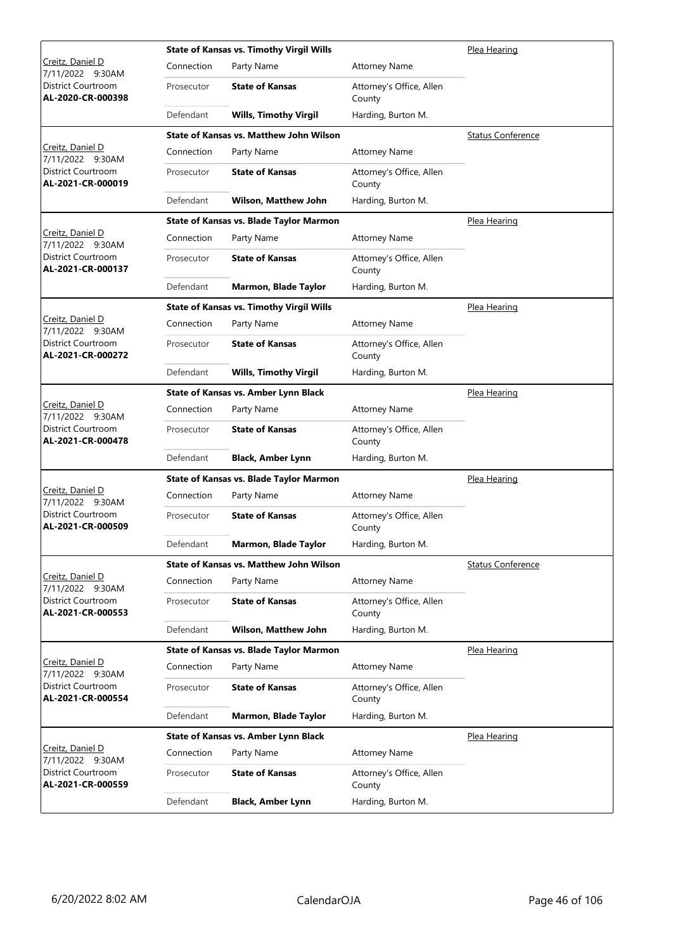|                                                |            | <b>State of Kansas vs. Timothy Virgil Wills</b> |                                    | Plea Hearing             |
|------------------------------------------------|------------|-------------------------------------------------|------------------------------------|--------------------------|
| Creitz, Daniel D<br>7/11/2022 9:30AM           | Connection | Party Name                                      | <b>Attorney Name</b>               |                          |
| District Courtroom<br>AL-2020-CR-000398        | Prosecutor | <b>State of Kansas</b>                          | Attorney's Office, Allen<br>County |                          |
|                                                | Defendant  | <b>Wills, Timothy Virgil</b>                    | Harding, Burton M.                 |                          |
|                                                |            | <b>State of Kansas vs. Matthew John Wilson</b>  |                                    | <b>Status Conference</b> |
| Creitz, Daniel D<br>7/11/2022 9:30AM           | Connection | Party Name                                      | <b>Attorney Name</b>               |                          |
| <b>District Courtroom</b><br>AL-2021-CR-000019 | Prosecutor | <b>State of Kansas</b>                          | Attorney's Office, Allen<br>County |                          |
|                                                | Defendant  | <b>Wilson, Matthew John</b>                     | Harding, Burton M.                 |                          |
|                                                |            | State of Kansas vs. Blade Taylor Marmon         |                                    | Plea Hearing             |
| Creitz, Daniel D<br>7/11/2022 9:30AM           | Connection | Party Name                                      | <b>Attorney Name</b>               |                          |
| District Courtroom<br>AL-2021-CR-000137        | Prosecutor | <b>State of Kansas</b>                          | Attorney's Office, Allen<br>County |                          |
|                                                | Defendant  | Marmon, Blade Taylor                            | Harding, Burton M.                 |                          |
|                                                |            | <b>State of Kansas vs. Timothy Virgil Wills</b> |                                    | Plea Hearing             |
| Creitz, Daniel D<br>7/11/2022 9:30AM           | Connection | Party Name                                      | <b>Attorney Name</b>               |                          |
| District Courtroom<br>AL-2021-CR-000272        | Prosecutor | <b>State of Kansas</b>                          | Attorney's Office, Allen<br>County |                          |
|                                                | Defendant  | <b>Wills, Timothy Virgil</b>                    | Harding, Burton M.                 |                          |
|                                                |            | State of Kansas vs. Amber Lynn Black            |                                    | Plea Hearing             |
| Creitz, Daniel D<br>7/11/2022 9:30AM           | Connection | Party Name                                      | <b>Attorney Name</b>               |                          |
| District Courtroom<br>AL-2021-CR-000478        | Prosecutor | <b>State of Kansas</b>                          | Attorney's Office, Allen<br>County |                          |
|                                                | Defendant  | <b>Black, Amber Lynn</b>                        | Harding, Burton M.                 |                          |
|                                                |            | State of Kansas vs. Blade Taylor Marmon         |                                    | Plea Hearing             |
| Creitz, Daniel D<br>7/11/2022 9:30AM           | Connection | Party Name                                      | <b>Attorney Name</b>               |                          |
| District Courtroom<br>AL-2021-CR-000509        | Prosecutor | <b>State of Kansas</b>                          | Attorney's Office, Allen<br>County |                          |
|                                                | Defendant  | Marmon, Blade Taylor                            | Harding, Burton M.                 |                          |
|                                                |            | <b>State of Kansas vs. Matthew John Wilson</b>  |                                    | <b>Status Conference</b> |
| Creitz, Daniel D<br>7/11/2022 9:30AM           | Connection | Party Name                                      | <b>Attorney Name</b>               |                          |
| District Courtroom<br>AL-2021-CR-000553        | Prosecutor | <b>State of Kansas</b>                          | Attorney's Office, Allen<br>County |                          |
|                                                | Defendant  | Wilson, Matthew John                            | Harding, Burton M.                 |                          |
|                                                |            | State of Kansas vs. Blade Taylor Marmon         |                                    | Plea Hearing             |
| Creitz, Daniel D<br>7/11/2022 9:30AM           | Connection | Party Name                                      | <b>Attorney Name</b>               |                          |
| District Courtroom<br>AL-2021-CR-000554        | Prosecutor | <b>State of Kansas</b>                          | Attorney's Office, Allen<br>County |                          |
|                                                | Defendant  | Marmon, Blade Taylor                            | Harding, Burton M.                 |                          |
|                                                |            | State of Kansas vs. Amber Lynn Black            |                                    | Plea Hearing             |
| Creitz, Daniel D<br>7/11/2022 9:30AM           | Connection | Party Name                                      | <b>Attorney Name</b>               |                          |
| District Courtroom<br>AL-2021-CR-000559        | Prosecutor | <b>State of Kansas</b>                          | Attorney's Office, Allen<br>County |                          |
|                                                | Defendant  | <b>Black, Amber Lynn</b>                        | Harding, Burton M.                 |                          |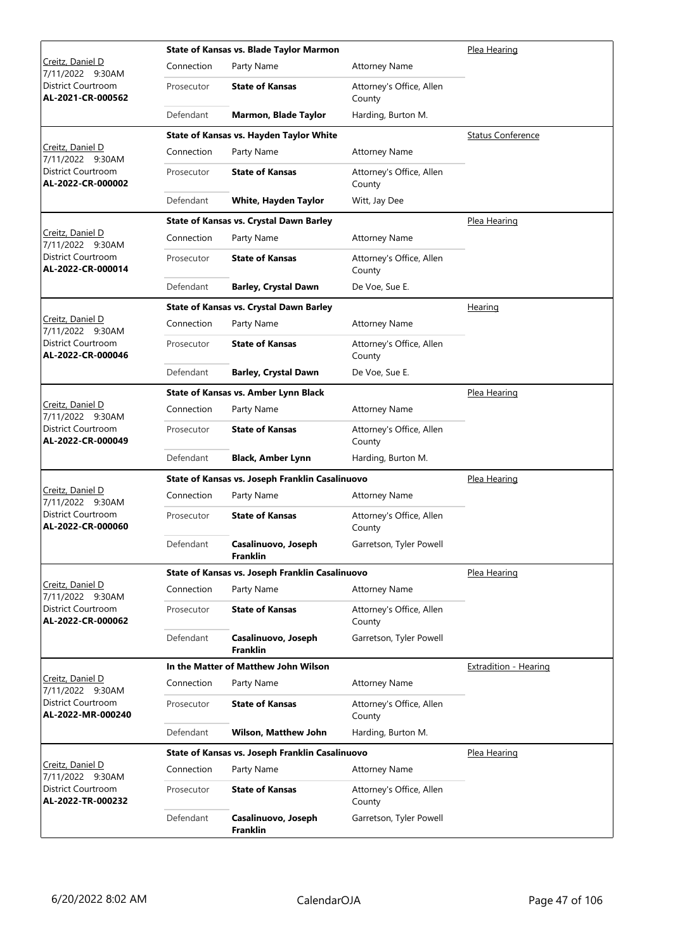|                                         |            | State of Kansas vs. Blade Taylor Marmon         |                                    | Plea Hearing                 |
|-----------------------------------------|------------|-------------------------------------------------|------------------------------------|------------------------------|
| Creitz, Daniel D<br>7/11/2022 9:30AM    | Connection | Party Name                                      | <b>Attorney Name</b>               |                              |
| District Courtroom<br>AL-2021-CR-000562 | Prosecutor | <b>State of Kansas</b>                          | Attorney's Office, Allen<br>County |                              |
|                                         | Defendant  | <b>Marmon, Blade Taylor</b>                     | Harding, Burton M.                 |                              |
|                                         |            | State of Kansas vs. Hayden Taylor White         |                                    | <b>Status Conference</b>     |
| Creitz, Daniel D<br>7/11/2022 9:30AM    | Connection | Party Name                                      | <b>Attorney Name</b>               |                              |
| District Courtroom<br>AL-2022-CR-000002 | Prosecutor | <b>State of Kansas</b>                          | Attorney's Office, Allen<br>County |                              |
|                                         | Defendant  | White, Hayden Taylor                            | Witt, Jay Dee                      |                              |
|                                         |            | State of Kansas vs. Crystal Dawn Barley         |                                    | <u>Plea Hearing</u>          |
| Creitz, Daniel D<br>7/11/2022 9:30AM    | Connection | Party Name                                      | <b>Attorney Name</b>               |                              |
| District Courtroom<br>AL-2022-CR-000014 | Prosecutor | <b>State of Kansas</b>                          | Attorney's Office, Allen<br>County |                              |
|                                         | Defendant  | <b>Barley, Crystal Dawn</b>                     | De Voe, Sue E.                     |                              |
|                                         |            | State of Kansas vs. Crystal Dawn Barley         |                                    | <u>Hearing</u>               |
| Creitz, Daniel D<br>7/11/2022 9:30AM    | Connection | Party Name                                      | <b>Attorney Name</b>               |                              |
| District Courtroom<br>AL-2022-CR-000046 | Prosecutor | <b>State of Kansas</b>                          | Attorney's Office, Allen<br>County |                              |
|                                         | Defendant  | <b>Barley, Crystal Dawn</b>                     | De Voe, Sue E.                     |                              |
|                                         |            | State of Kansas vs. Amber Lynn Black            |                                    | Plea Hearing                 |
| Creitz, Daniel D<br>7/11/2022 9:30AM    | Connection | Party Name                                      | <b>Attorney Name</b>               |                              |
| District Courtroom<br>AL-2022-CR-000049 | Prosecutor | <b>State of Kansas</b>                          | Attorney's Office, Allen<br>County |                              |
|                                         | Defendant  | <b>Black, Amber Lynn</b>                        | Harding, Burton M.                 |                              |
|                                         |            | State of Kansas vs. Joseph Franklin Casalinuovo |                                    | Plea Hearing                 |
| Creitz, Daniel D<br>7/11/2022 9:30AM    | Connection | Party Name                                      | <b>Attorney Name</b>               |                              |
| District Courtroom<br>AL-2022-CR-000060 | Prosecutor | <b>State of Kansas</b>                          | Attorney's Office, Allen<br>County |                              |
|                                         | Defendant  | Casalinuovo, Joseph<br><b>Franklin</b>          | Garretson, Tyler Powell            |                              |
| Creitz, Daniel D                        |            | State of Kansas vs. Joseph Franklin Casalinuovo |                                    | Plea Hearing                 |
| 7/11/2022 9:30AM                        | Connection | Party Name                                      | <b>Attorney Name</b>               |                              |
| District Courtroom<br>AL-2022-CR-000062 | Prosecutor | <b>State of Kansas</b>                          | Attorney's Office, Allen<br>County |                              |
|                                         | Defendant  | Casalinuovo, Joseph<br>Franklin                 | Garretson, Tyler Powell            |                              |
| Creitz, Daniel D                        |            | In the Matter of Matthew John Wilson            |                                    | <b>Extradition - Hearing</b> |
| 7/11/2022 9:30AM                        | Connection | Party Name                                      | <b>Attorney Name</b>               |                              |
| District Courtroom<br>AL-2022-MR-000240 | Prosecutor | <b>State of Kansas</b>                          | Attorney's Office, Allen<br>County |                              |
|                                         | Defendant  | <b>Wilson, Matthew John</b>                     | Harding, Burton M.                 |                              |
|                                         |            | State of Kansas vs. Joseph Franklin Casalinuovo |                                    | Plea Hearing                 |
| Creitz, Daniel D<br>7/11/2022 9:30AM    | Connection | Party Name                                      | <b>Attorney Name</b>               |                              |
| District Courtroom<br>AL-2022-TR-000232 | Prosecutor | <b>State of Kansas</b>                          | Attorney's Office, Allen<br>County |                              |
|                                         | Defendant  | Casalinuovo, Joseph<br>Franklin                 | Garretson, Tyler Powell            |                              |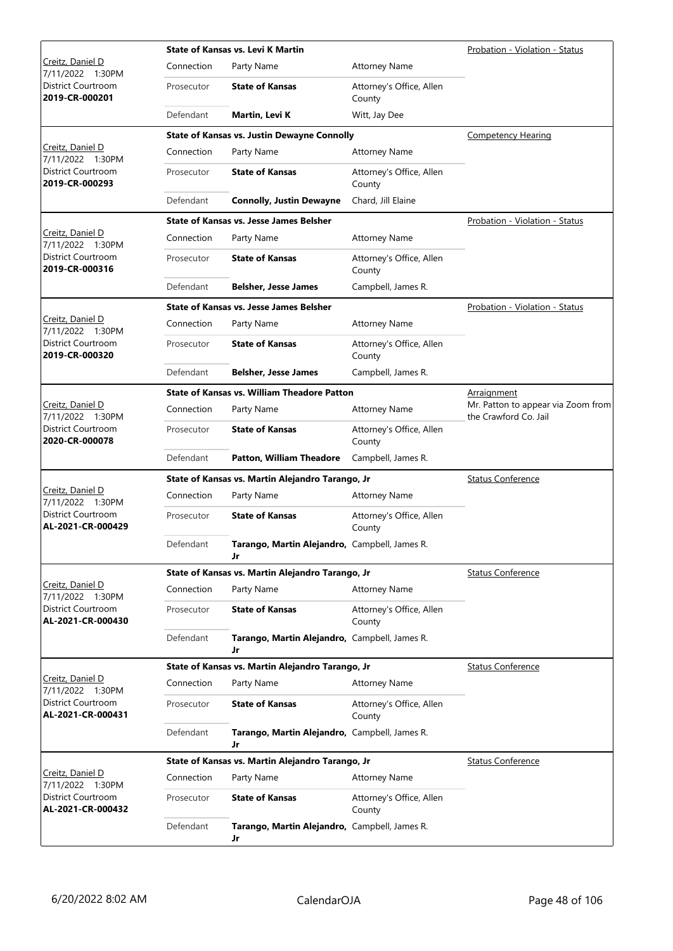|                                                |            | <b>State of Kansas vs. Levi K Martin</b>            |                                    | Probation - Violation - Status                              |
|------------------------------------------------|------------|-----------------------------------------------------|------------------------------------|-------------------------------------------------------------|
| Creitz, Daniel D<br>7/11/2022 1:30PM           | Connection | Party Name                                          | <b>Attorney Name</b>               |                                                             |
| District Courtroom<br>2019-CR-000201           | Prosecutor | <b>State of Kansas</b>                              | Attorney's Office, Allen<br>County |                                                             |
|                                                | Defendant  | Martin, Levi K                                      | Witt, Jay Dee                      |                                                             |
|                                                |            | <b>State of Kansas vs. Justin Dewayne Connolly</b>  |                                    | Competency Hearing                                          |
| Creitz, Daniel D<br>7/11/2022 1:30PM           | Connection | Party Name                                          | <b>Attorney Name</b>               |                                                             |
| <b>District Courtroom</b><br>2019-CR-000293    | Prosecutor | <b>State of Kansas</b>                              | Attorney's Office, Allen<br>County |                                                             |
|                                                | Defendant  | <b>Connolly, Justin Dewayne</b>                     | Chard, Jill Elaine                 |                                                             |
|                                                |            | State of Kansas vs. Jesse James Belsher             |                                    | Probation - Violation - Status                              |
| Creitz, Daniel D<br>7/11/2022 1:30PM           | Connection | Party Name                                          | <b>Attorney Name</b>               |                                                             |
| District Courtroom<br>2019-CR-000316           | Prosecutor | <b>State of Kansas</b>                              | Attorney's Office, Allen<br>County |                                                             |
|                                                | Defendant  | <b>Belsher, Jesse James</b>                         | Campbell, James R.                 |                                                             |
|                                                |            | <b>State of Kansas vs. Jesse James Belsher</b>      |                                    | Probation - Violation - Status                              |
| Creitz, Daniel D<br>7/11/2022 1:30PM           | Connection | Party Name                                          | <b>Attorney Name</b>               |                                                             |
| District Courtroom<br>2019-CR-000320           | Prosecutor | <b>State of Kansas</b>                              | Attorney's Office, Allen<br>County |                                                             |
|                                                | Defendant  | <b>Belsher, Jesse James</b>                         | Campbell, James R.                 |                                                             |
|                                                |            | <b>State of Kansas vs. William Theadore Patton</b>  |                                    | Arraignment                                                 |
| Creitz, Daniel D<br>7/11/2022 1:30PM           | Connection | Party Name                                          | <b>Attorney Name</b>               | Mr. Patton to appear via Zoom from<br>the Crawford Co. Jail |
| District Courtroom<br>2020-CR-000078           | Prosecutor | <b>State of Kansas</b>                              | Attorney's Office, Allen<br>County |                                                             |
|                                                | Defendant  | <b>Patton, William Theadore</b>                     | Campbell, James R.                 |                                                             |
|                                                |            | State of Kansas vs. Martin Alejandro Tarango, Jr    |                                    | <b>Status Conference</b>                                    |
| <u>Creitz, Daniel D</u><br>7/11/2022 1:30PM    | Connection | Party Name                                          | <b>Attorney Name</b>               |                                                             |
| <b>District Courtroom</b><br>AL-2021-CR-000429 | Prosecutor | <b>State of Kansas</b>                              | Attorney's Office, Allen<br>County |                                                             |
|                                                | Defendant  | Tarango, Martin Alejandro, Campbell, James R.<br>Jr |                                    |                                                             |
|                                                |            | State of Kansas vs. Martin Alejandro Tarango, Jr    | <b>Status Conference</b>           |                                                             |
| Creitz, Daniel D<br>7/11/2022 1:30PM           | Connection | Party Name                                          | <b>Attorney Name</b>               |                                                             |
| District Courtroom<br>AL-2021-CR-000430        | Prosecutor | <b>State of Kansas</b>                              | Attorney's Office, Allen<br>County |                                                             |
|                                                | Defendant  | Tarango, Martin Alejandro, Campbell, James R.<br>Jr |                                    |                                                             |
|                                                |            | State of Kansas vs. Martin Alejandro Tarango, Jr    |                                    | <b>Status Conference</b>                                    |
| Creitz, Daniel D<br>7/11/2022 1:30PM           | Connection | Party Name                                          | <b>Attorney Name</b>               |                                                             |
| District Courtroom<br>AL-2021-CR-000431        | Prosecutor | <b>State of Kansas</b>                              | Attorney's Office, Allen<br>County |                                                             |
|                                                | Defendant  | Tarango, Martin Alejandro, Campbell, James R.<br>Jr |                                    |                                                             |
|                                                |            | State of Kansas vs. Martin Alejandro Tarango, Jr    |                                    | <b>Status Conference</b>                                    |
| Creitz, Daniel D<br>7/11/2022 1:30PM           | Connection | Party Name                                          | <b>Attorney Name</b>               |                                                             |
| District Courtroom<br>AL-2021-CR-000432        | Prosecutor | <b>State of Kansas</b>                              | Attorney's Office, Allen<br>County |                                                             |
|                                                | Defendant  | Tarango, Martin Alejandro, Campbell, James R.<br>Jr |                                    |                                                             |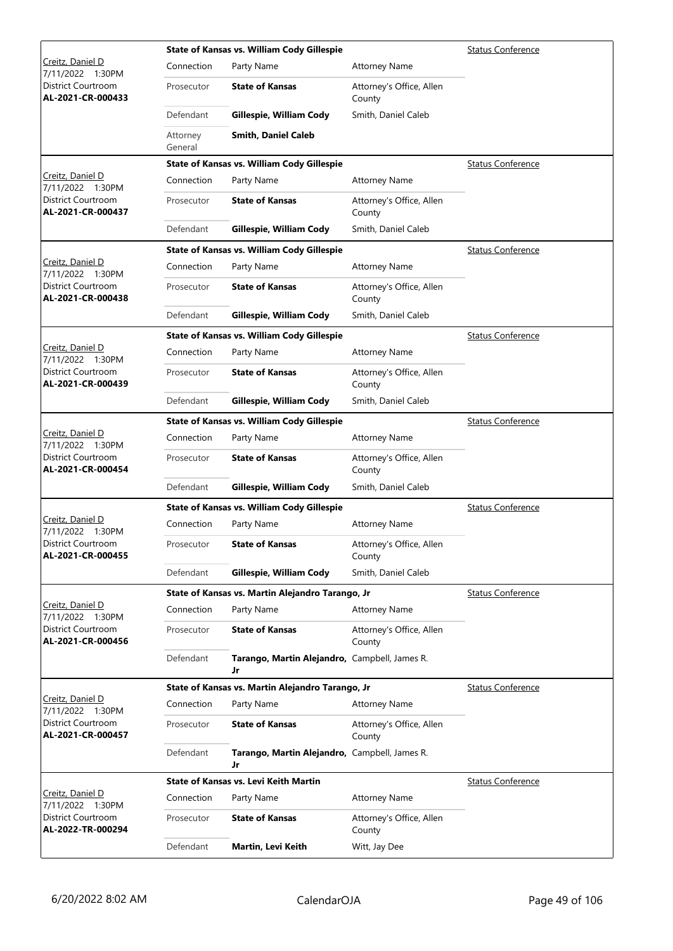|                                                |                     | State of Kansas vs. William Cody Gillespie          |                                    | <b>Status Conference</b> |
|------------------------------------------------|---------------------|-----------------------------------------------------|------------------------------------|--------------------------|
| Creitz, Daniel D<br>7/11/2022 1:30PM           | Connection          | Party Name                                          | <b>Attorney Name</b>               |                          |
| District Courtroom<br>AL-2021-CR-000433        | Prosecutor          | <b>State of Kansas</b>                              | Attorney's Office, Allen<br>County |                          |
|                                                | Defendant           | Gillespie, William Cody                             | Smith, Daniel Caleb                |                          |
|                                                | Attorney<br>General | <b>Smith, Daniel Caleb</b>                          |                                    |                          |
|                                                |                     | State of Kansas vs. William Cody Gillespie          |                                    | <b>Status Conference</b> |
| Creitz, Daniel D<br>7/11/2022 1:30PM           | Connection          | Party Name                                          | <b>Attorney Name</b>               |                          |
| District Courtroom<br>AL-2021-CR-000437        | Prosecutor          | <b>State of Kansas</b>                              | Attorney's Office, Allen<br>County |                          |
|                                                | Defendant           | Gillespie, William Cody                             | Smith, Daniel Caleb                |                          |
|                                                |                     | State of Kansas vs. William Cody Gillespie          |                                    | <b>Status Conference</b> |
| Creitz, Daniel D<br>7/11/2022 1:30PM           | Connection          | Party Name                                          | <b>Attorney Name</b>               |                          |
| District Courtroom<br>AL-2021-CR-000438        | Prosecutor          | <b>State of Kansas</b>                              | Attorney's Office, Allen<br>County |                          |
|                                                | Defendant           | Gillespie, William Cody                             | Smith, Daniel Caleb                |                          |
|                                                |                     | State of Kansas vs. William Cody Gillespie          |                                    | <b>Status Conference</b> |
| Creitz, Daniel D<br>7/11/2022 1:30PM           | Connection          | Party Name                                          | <b>Attorney Name</b>               |                          |
| <b>District Courtroom</b><br>AL-2021-CR-000439 | Prosecutor          | <b>State of Kansas</b>                              | Attorney's Office, Allen<br>County |                          |
|                                                | Defendant           | Gillespie, William Cody                             | Smith, Daniel Caleb                |                          |
|                                                |                     | State of Kansas vs. William Cody Gillespie          |                                    | <b>Status Conference</b> |
| Creitz, Daniel D<br>7/11/2022 1:30PM           | Connection          | Party Name                                          | <b>Attorney Name</b>               |                          |
| District Courtroom<br>AL-2021-CR-000454        | Prosecutor          | <b>State of Kansas</b>                              | Attorney's Office, Allen<br>County |                          |
|                                                | Defendant           | Gillespie, William Cody                             | Smith, Daniel Caleb                |                          |
|                                                |                     | State of Kansas vs. William Cody Gillespie          |                                    | <b>Status Conference</b> |
| Creitz, Daniel D<br>7/11/2022 1:30PM           | Connection          | Party Name                                          | <b>Attorney Name</b>               |                          |
| District Courtroom<br>AL-2021-CR-000455        | Prosecutor          | <b>State of Kansas</b>                              | Attorney's Office, Allen<br>County |                          |
|                                                | Defendant           | Gillespie, William Cody                             | Smith, Daniel Caleb                |                          |
|                                                |                     | State of Kansas vs. Martin Alejandro Tarango, Jr    |                                    | <b>Status Conference</b> |
| Creitz, Daniel D<br>7/11/2022 1:30PM           | Connection          | Party Name                                          | <b>Attorney Name</b>               |                          |
| <b>District Courtroom</b><br>AL-2021-CR-000456 | Prosecutor          | <b>State of Kansas</b>                              | Attorney's Office, Allen<br>County |                          |
|                                                | Defendant           | Tarango, Martin Alejandro, Campbell, James R.<br>Jr |                                    |                          |
|                                                |                     | State of Kansas vs. Martin Alejandro Tarango, Jr    |                                    | <b>Status Conference</b> |
| Creitz, Daniel D<br>7/11/2022 1:30PM           | Connection          | Party Name                                          | <b>Attorney Name</b>               |                          |
| District Courtroom<br>AL-2021-CR-000457        | Prosecutor          | <b>State of Kansas</b>                              | Attorney's Office, Allen<br>County |                          |
|                                                | Defendant           | Tarango, Martin Alejandro, Campbell, James R.<br>Jr |                                    |                          |
|                                                |                     | <b>State of Kansas vs. Levi Keith Martin</b>        |                                    | <b>Status Conference</b> |
| Creitz, Daniel D<br>7/11/2022 1:30PM           | Connection          | Party Name                                          | <b>Attorney Name</b>               |                          |
| District Courtroom<br>AL-2022-TR-000294        | Prosecutor          | <b>State of Kansas</b>                              | Attorney's Office, Allen<br>County |                          |
|                                                | Defendant           | Martin, Levi Keith                                  | Witt, Jay Dee                      |                          |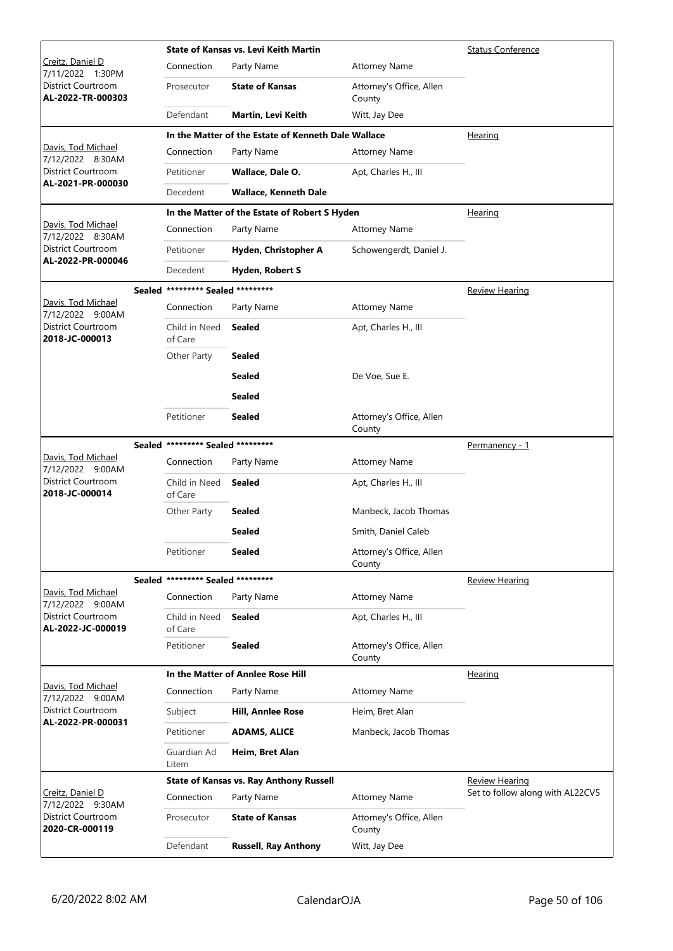|                                         |                                   | <b>State of Kansas vs. Levi Keith Martin</b>        |                                    | <b>Status Conference</b>         |
|-----------------------------------------|-----------------------------------|-----------------------------------------------------|------------------------------------|----------------------------------|
| Creitz, Daniel D<br>7/11/2022 1:30PM    | Connection                        | Party Name                                          | <b>Attorney Name</b>               |                                  |
| District Courtroom<br>AL-2022-TR-000303 | Prosecutor                        | <b>State of Kansas</b>                              | Attorney's Office, Allen<br>County |                                  |
|                                         | Defendant                         | Martin, Levi Keith                                  | Witt, Jay Dee                      |                                  |
|                                         |                                   | In the Matter of the Estate of Kenneth Dale Wallace |                                    | Hearing                          |
| Davis, Tod Michael<br>7/12/2022 8:30AM  | Connection                        | Party Name                                          | <b>Attorney Name</b>               |                                  |
| District Courtroom                      | Petitioner                        | Wallace, Dale O.                                    | Apt, Charles H., III               |                                  |
| AL-2021-PR-000030                       | Decedent                          | <b>Wallace, Kenneth Dale</b>                        |                                    |                                  |
|                                         |                                   | In the Matter of the Estate of Robert S Hyden       |                                    | <u>Hearing</u>                   |
| Davis, Tod Michael<br>7/12/2022 8:30AM  | Connection                        | Party Name                                          | <b>Attorney Name</b>               |                                  |
| District Courtroom                      | Petitioner                        | Hyden, Christopher A                                | Schowengerdt, Daniel J.            |                                  |
| AL-2022-PR-000046                       | Decedent                          | Hyden, Robert S                                     |                                    |                                  |
|                                         | Sealed ********* Sealed ********* |                                                     |                                    | <b>Review Hearing</b>            |
| Davis, Tod Michael<br>7/12/2022 9:00AM  | Connection                        | Party Name                                          | <b>Attorney Name</b>               |                                  |
| District Courtroom<br>2018-JC-000013    | Child in Need<br>of Care          | <b>Sealed</b>                                       | Apt, Charles H., III               |                                  |
|                                         | Other Party                       | <b>Sealed</b>                                       |                                    |                                  |
|                                         |                                   | <b>Sealed</b>                                       | De Voe, Sue E.                     |                                  |
|                                         |                                   | <b>Sealed</b>                                       |                                    |                                  |
|                                         | Petitioner                        | <b>Sealed</b>                                       | Attorney's Office, Allen<br>County |                                  |
|                                         | Sealed ********* Sealed ********* |                                                     |                                    | Permanency - 1                   |
| Davis, Tod Michael<br>7/12/2022 9:00AM  | Connection                        | Party Name                                          | <b>Attorney Name</b>               |                                  |
| District Courtroom<br>2018-JC-000014    | Child in Need<br>of Care          | <b>Sealed</b>                                       | Apt, Charles H., III               |                                  |
|                                         | Other Party                       | Sealed                                              | Manbeck, Jacob Thomas              |                                  |
|                                         |                                   | <b>Sealed</b>                                       | Smith, Daniel Caleb                |                                  |
|                                         | Petitioner                        | <b>Sealed</b>                                       | Attorney's Office, Allen<br>County |                                  |
|                                         | Sealed ********* Sealed ********* |                                                     |                                    | <b>Review Hearing</b>            |
| Davis, Tod Michael<br>7/12/2022 9:00AM  | Connection                        | Party Name                                          | <b>Attorney Name</b>               |                                  |
| District Courtroom<br>AL-2022-JC-000019 | Child in Need<br>of Care          | <b>Sealed</b>                                       | Apt, Charles H., III               |                                  |
|                                         | Petitioner                        | <b>Sealed</b>                                       | Attorney's Office, Allen<br>County |                                  |
| Davis, Tod Michael                      |                                   | In the Matter of Anniee Rose Hill                   |                                    | Hearing                          |
| 7/12/2022 9:00AM                        | Connection                        | Party Name                                          | <b>Attorney Name</b>               |                                  |
| District Courtroom<br>AL-2022-PR-000031 | Subject                           | Hill, Annlee Rose                                   | Heim, Bret Alan                    |                                  |
|                                         | Petitioner                        | <b>ADAMS, ALICE</b>                                 | Manbeck, Jacob Thomas              |                                  |
|                                         | Guardian Ad<br>Litem              | Heim, Bret Alan                                     |                                    |                                  |
|                                         |                                   | <b>State of Kansas vs. Ray Anthony Russell</b>      |                                    | <b>Review Hearing</b>            |
| Creitz, Daniel D<br>7/12/2022 9:30AM    | Connection                        | Party Name                                          | <b>Attorney Name</b>               | Set to follow along with AL22CV5 |
| District Courtroom<br>2020-CR-000119    | Prosecutor                        | <b>State of Kansas</b>                              | Attorney's Office, Allen<br>County |                                  |
|                                         | Defendant                         | <b>Russell, Ray Anthony</b>                         | Witt, Jay Dee                      |                                  |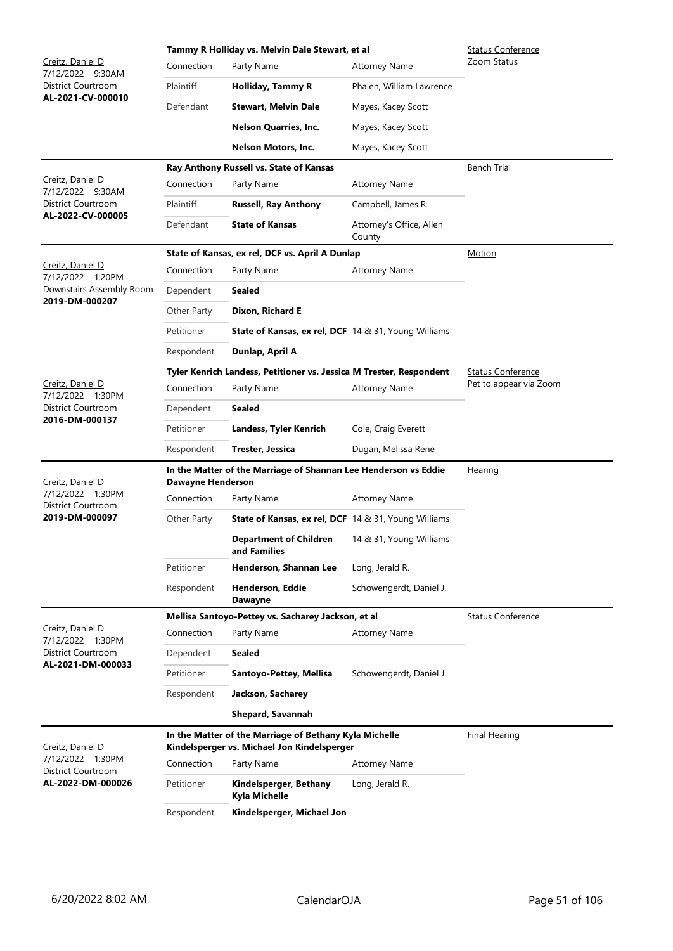|                                             |                   | Tammy R Holliday vs. Melvin Dale Stewart, et al                                                       | <b>Status Conference</b>           |                          |
|---------------------------------------------|-------------------|-------------------------------------------------------------------------------------------------------|------------------------------------|--------------------------|
| Creitz, Daniel D<br>7/12/2022 9:30AM        | Connection        | Party Name                                                                                            | <b>Attorney Name</b>               | Zoom Status              |
| District Courtroom                          | Plaintiff         | <b>Holliday, Tammy R</b>                                                                              | Phalen, William Lawrence           |                          |
| AL-2021-CV-000010                           | Defendant         | <b>Stewart, Melvin Dale</b>                                                                           | Mayes, Kacey Scott                 |                          |
|                                             |                   | <b>Nelson Quarries, Inc.</b>                                                                          | Mayes, Kacey Scott                 |                          |
|                                             |                   | Nelson Motors, Inc.                                                                                   | Mayes, Kacey Scott                 |                          |
|                                             |                   | Ray Anthony Russell vs. State of Kansas                                                               |                                    | <b>Bench Trial</b>       |
| Creitz, Daniel D<br>7/12/2022 9:30AM        | Connection        | Party Name                                                                                            | <b>Attorney Name</b>               |                          |
| District Courtroom                          | Plaintiff         | <b>Russell, Ray Anthony</b>                                                                           | Campbell, James R.                 |                          |
| AL-2022-CV-000005                           | Defendant         | <b>State of Kansas</b>                                                                                | Attorney's Office, Allen<br>County |                          |
|                                             |                   | State of Kansas, ex rel, DCF vs. April A Dunlap                                                       |                                    | Motion                   |
| <u>Creitz, Daniel D</u><br>7/12/2022 1:20PM | Connection        | Party Name                                                                                            | <b>Attorney Name</b>               |                          |
| Downstairs Assembly Room                    | Dependent         | <b>Sealed</b>                                                                                         |                                    |                          |
| 2019-DM-000207                              | Other Party       | Dixon, Richard E                                                                                      |                                    |                          |
|                                             | Petitioner        | <b>State of Kansas, ex rel, DCF</b> 14 & 31, Young Williams                                           |                                    |                          |
|                                             | Respondent        | Dunlap, April A                                                                                       |                                    |                          |
|                                             |                   | Tyler Kenrich Landess, Petitioner vs. Jessica M Trester, Respondent                                   |                                    | <b>Status Conference</b> |
| Creitz, Daniel D<br>7/12/2022 1:30PM        | Connection        | Party Name                                                                                            | <b>Attorney Name</b>               | Pet to appear via Zoom   |
| District Courtroom                          | Dependent         | Sealed                                                                                                |                                    |                          |
| 2016-DM-000137                              | Petitioner        | Landess, Tyler Kenrich                                                                                | Cole, Craig Everett                |                          |
|                                             | Respondent        | Trester, Jessica                                                                                      | Dugan, Melissa Rene                |                          |
| Creitz, Daniel D                            | Dawayne Henderson | In the Matter of the Marriage of Shannan Lee Henderson vs Eddie                                       | <u>Hearing</u>                     |                          |
| 7/12/2022 1:30PM<br>District Courtroom      | Connection        | Party Name                                                                                            | <b>Attorney Name</b>               |                          |
| 2019-DM-000097                              | Other Party       | <b>State of Kansas, ex rel, DCF</b> 14 & 31, Young Williams                                           |                                    |                          |
|                                             |                   | <b>Department of Children</b><br>and Families                                                         | 14 & 31, Young Williams            |                          |
|                                             | Petitioner        | Henderson, Shannan Lee                                                                                | Long, Jerald R.                    |                          |
|                                             | Respondent        | Henderson, Eddie<br><b>Dawayne</b>                                                                    | Schowengerdt, Daniel J.            |                          |
|                                             |                   | Mellisa Santoyo-Pettey vs. Sacharey Jackson, et al                                                    |                                    | <b>Status Conference</b> |
| Creitz, Daniel D<br>7/12/2022 1:30PM        | Connection        | Party Name                                                                                            | <b>Attorney Name</b>               |                          |
| District Courtroom                          | Dependent         | <b>Sealed</b>                                                                                         |                                    |                          |
| AL-2021-DM-000033                           | Petitioner        | Santoyo-Pettey, Mellisa                                                                               | Schowengerdt, Daniel J.            |                          |
|                                             | Respondent        | Jackson, Sacharey                                                                                     |                                    |                          |
|                                             |                   | Shepard, Savannah                                                                                     |                                    |                          |
| <u>Creitz, Daniel D</u>                     |                   | In the Matter of the Marriage of Bethany Kyla Michelle<br>Kindelsperger vs. Michael Jon Kindelsperger |                                    | <b>Final Hearing</b>     |
| 7/12/2022 1:30PM                            | Connection        | Party Name                                                                                            | <b>Attorney Name</b>               |                          |
| District Courtroom<br>AL-2022-DM-000026     |                   |                                                                                                       |                                    |                          |
|                                             | Petitioner        | Kindelsperger, Bethany<br>Kyla Michelle                                                               | Long, Jerald R.                    |                          |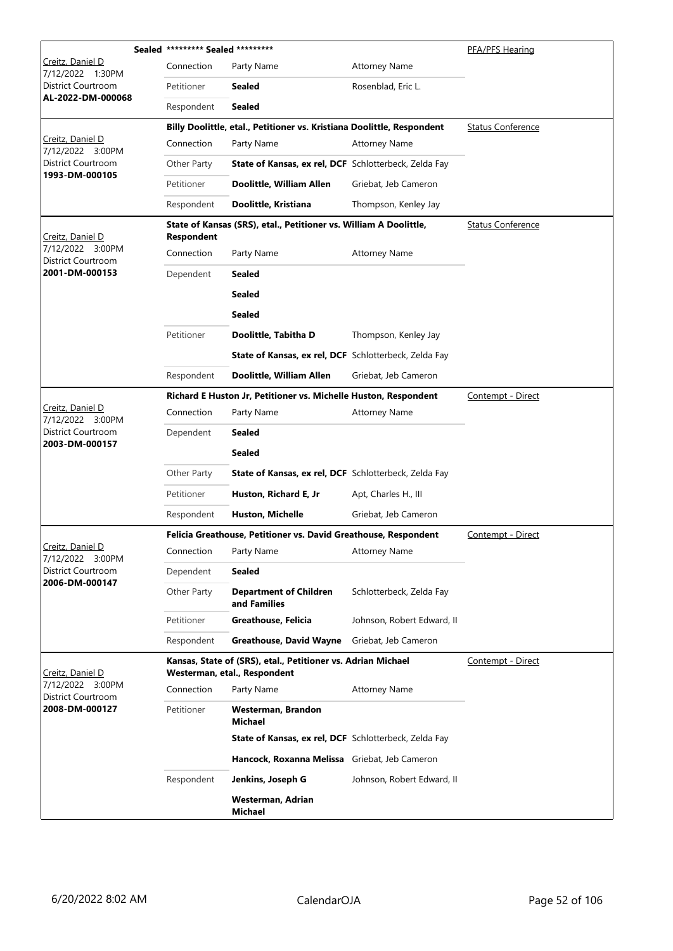|                                         | Sealed ********* Sealed ********* |                                                                                              |                            | PFA/PFS Hearing          |
|-----------------------------------------|-----------------------------------|----------------------------------------------------------------------------------------------|----------------------------|--------------------------|
| Creitz, Daniel D<br>7/12/2022<br>1:30PM | Connection                        | Party Name                                                                                   | <b>Attorney Name</b>       |                          |
| District Courtroom                      | Petitioner                        | <b>Sealed</b>                                                                                | Rosenblad, Eric L.         |                          |
| AL-2022-DM-000068                       | Respondent                        | <b>Sealed</b>                                                                                |                            |                          |
|                                         |                                   | Billy Doolittle, etal., Petitioner vs. Kristiana Doolittle, Respondent                       |                            | <b>Status Conference</b> |
| Creitz, Daniel D<br>7/12/2022 3:00PM    | Connection                        | Party Name                                                                                   | <b>Attorney Name</b>       |                          |
| District Courtroom                      | Other Party                       | State of Kansas, ex rel, DCF Schlotterbeck, Zelda Fay                                        |                            |                          |
| 1993-DM-000105                          | Petitioner                        | Doolittle, William Allen                                                                     | Griebat, Jeb Cameron       |                          |
|                                         | Respondent                        | Doolittle, Kristiana                                                                         | Thompson, Kenley Jay       |                          |
| Creitz, Daniel D                        | <b>Respondent</b>                 | State of Kansas (SRS), etal., Petitioner vs. William A Doolittle,                            |                            | <b>Status Conference</b> |
| 7/12/2022 3:00PM<br>District Courtroom  | Connection                        | Party Name                                                                                   | <b>Attorney Name</b>       |                          |
| 2001-DM-000153                          | Dependent                         | <b>Sealed</b>                                                                                |                            |                          |
|                                         |                                   | <b>Sealed</b>                                                                                |                            |                          |
|                                         |                                   | <b>Sealed</b>                                                                                |                            |                          |
|                                         | Petitioner                        | Doolittle, Tabitha D                                                                         | Thompson, Kenley Jay       |                          |
|                                         |                                   | State of Kansas, ex rel, DCF Schlotterbeck, Zelda Fay                                        |                            |                          |
|                                         | Respondent                        | Doolittle, William Allen                                                                     | Griebat, Jeb Cameron       |                          |
|                                         |                                   | Richard E Huston Jr, Petitioner vs. Michelle Huston, Respondent                              |                            | Contempt - Direct        |
| Creitz, Daniel D<br>7/12/2022 3:00PM    | Connection                        | Party Name                                                                                   | <b>Attorney Name</b>       |                          |
| District Courtroom                      | Dependent                         | <b>Sealed</b>                                                                                |                            |                          |
| 2003-DM-000157                          |                                   | <b>Sealed</b>                                                                                |                            |                          |
|                                         | Other Party                       | State of Kansas, ex rel, DCF Schlotterbeck, Zelda Fay                                        |                            |                          |
|                                         | Petitioner                        | Huston, Richard E, Jr                                                                        | Apt, Charles H., III       |                          |
|                                         | Respondent                        | Huston, Michelle                                                                             | Griebat, Jeb Cameron       |                          |
|                                         |                                   | Felicia Greathouse, Petitioner vs. David Greathouse, Respondent                              |                            | Contempt - Direct        |
| Creitz, Daniel D<br>7/12/2022 3:00PM    | Connection                        | Party Name                                                                                   | <b>Attorney Name</b>       |                          |
| District Courtroom<br>2006-DM-000147    | Dependent                         | <b>Sealed</b>                                                                                |                            |                          |
|                                         | Other Party                       | <b>Department of Children</b><br>and Families                                                | Schlotterbeck, Zelda Fay   |                          |
|                                         | Petitioner                        | Greathouse, Felicia                                                                          | Johnson, Robert Edward, II |                          |
|                                         | Respondent                        | <b>Greathouse, David Wayne</b>                                                               | Griebat, Jeb Cameron       |                          |
| Creitz, Daniel D                        |                                   | Kansas, State of (SRS), etal., Petitioner vs. Adrian Michael<br>Westerman, etal., Respondent |                            | Contempt - Direct        |
| 7/12/2022 3:00PM<br>District Courtroom  | Connection                        | Party Name                                                                                   | <b>Attorney Name</b>       |                          |
| 2008-DM-000127                          | Petitioner                        | Westerman, Brandon<br>Michael                                                                |                            |                          |
|                                         |                                   | State of Kansas, ex rel, DCF Schlotterbeck, Zelda Fay                                        |                            |                          |
|                                         |                                   | Hancock, Roxanna Melissa Griebat, Jeb Cameron                                                |                            |                          |
|                                         | Respondent                        | Jenkins, Joseph G                                                                            | Johnson, Robert Edward, II |                          |
|                                         |                                   | Westerman, Adrian<br>Michael                                                                 |                            |                          |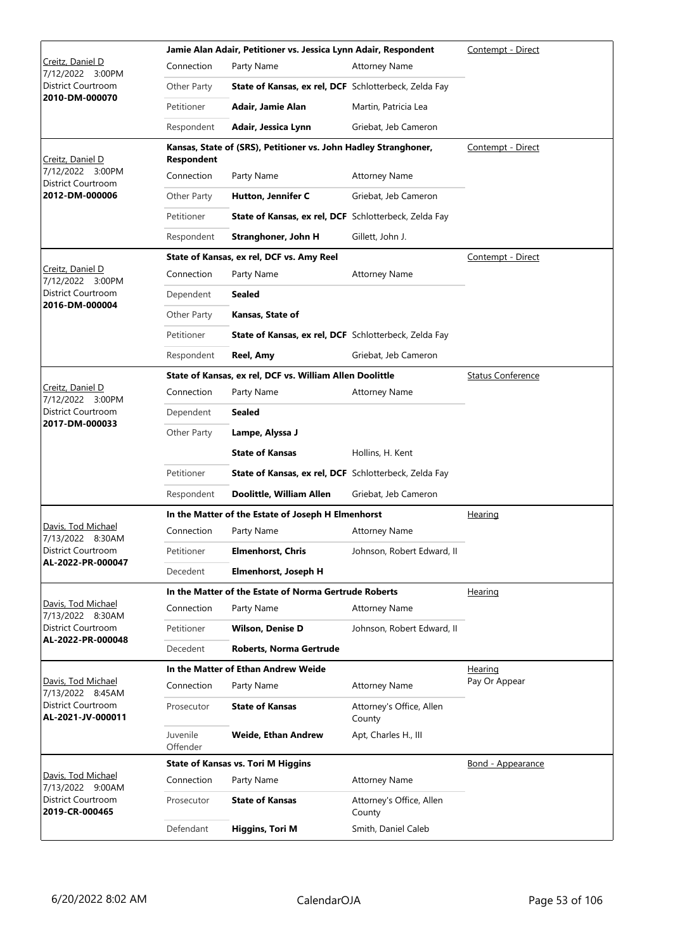|                                             | Contempt - Direct    |                                                                 |                                    |                          |
|---------------------------------------------|----------------------|-----------------------------------------------------------------|------------------------------------|--------------------------|
| Creitz, Daniel D<br>7/12/2022<br>3:00PM     | Connection           | Party Name                                                      | <b>Attorney Name</b>               |                          |
| District Courtroom                          | Other Party          | State of Kansas, ex rel, DCF Schlotterbeck, Zelda Fay           |                                    |                          |
| 2010-DM-000070                              | Petitioner           | Adair, Jamie Alan                                               | Martin, Patricia Lea               |                          |
|                                             | Respondent           | Adair, Jessica Lynn                                             | Griebat, Jeb Cameron               |                          |
| Creitz, Daniel D                            | <b>Respondent</b>    | Kansas, State of (SRS), Petitioner vs. John Hadley Stranghoner, |                                    | Contempt - Direct        |
| 7/12/2022 3:00PM                            | Connection           | Party Name                                                      | <b>Attorney Name</b>               |                          |
| District Courtroom<br>2012-DM-000006        | Other Party          | Hutton, Jennifer C                                              | Griebat, Jeb Cameron               |                          |
|                                             |                      |                                                                 |                                    |                          |
|                                             | Petitioner           | State of Kansas, ex rel, DCF Schlotterbeck, Zelda Fay           |                                    |                          |
|                                             | Respondent           | Stranghoner, John H                                             | Gillett, John J.                   |                          |
| Creitz, Daniel D                            |                      | State of Kansas, ex rel, DCF vs. Amy Reel                       |                                    | Contempt - Direct        |
| 7/12/2022 3:00PM                            | Connection           | Party Name                                                      | <b>Attorney Name</b>               |                          |
| District Courtroom<br>2016-DM-000004        | Dependent            | Sealed                                                          |                                    |                          |
|                                             | Other Party          | Kansas, State of                                                |                                    |                          |
|                                             | Petitioner           | State of Kansas, ex rel, DCF Schlotterbeck, Zelda Fay           |                                    |                          |
|                                             | Respondent           | Reel, Amy                                                       | Griebat, Jeb Cameron               |                          |
|                                             |                      | State of Kansas, ex rel, DCF vs. William Allen Doolittle        |                                    | <b>Status Conference</b> |
| <u>Creitz, Daniel D</u><br>7/12/2022 3:00PM | Connection           | Party Name                                                      | <b>Attorney Name</b>               |                          |
| District Courtroom                          | Dependent            | Sealed                                                          |                                    |                          |
| 2017-DM-000033                              | Other Party          | Lampe, Alyssa J                                                 |                                    |                          |
|                                             |                      | <b>State of Kansas</b>                                          | Hollins, H. Kent                   |                          |
|                                             | Petitioner           | State of Kansas, ex rel, DCF Schlotterbeck, Zelda Fay           |                                    |                          |
|                                             | Respondent           | Doolittle, William Allen                                        | Griebat, Jeb Cameron               |                          |
|                                             |                      | In the Matter of the Estate of Joseph H Elmenhorst              |                                    | Hearing                  |
| Davis, Tod Michael<br>7/13/2022 8:30AM      | Connection           | Party Name                                                      | <b>Attorney Name</b>               |                          |
| District Courtroom                          | Petitioner           | <b>Elmenhorst, Chris</b>                                        | Johnson, Robert Edward, II         |                          |
| AL-2022-PR-000047                           | Decedent             | Elmenhorst, Joseph H                                            |                                    |                          |
|                                             |                      | In the Matter of the Estate of Norma Gertrude Roberts           |                                    | Hearing                  |
| Davis, Tod Michael<br>7/13/2022 8:30AM      | Connection           | Party Name                                                      | <b>Attorney Name</b>               |                          |
| District Courtroom                          | Petitioner           | <b>Wilson, Denise D</b>                                         | Johnson, Robert Edward, II         |                          |
| AL-2022-PR-000048                           | Decedent             | Roberts, Norma Gertrude                                         |                                    |                          |
|                                             |                      | In the Matter of Ethan Andrew Weide                             |                                    | <b>Hearing</b>           |
| Davis, Tod Michael<br>7/13/2022 8:45AM      | Connection           | Party Name                                                      | <b>Attorney Name</b>               | Pay Or Appear            |
| District Courtroom<br>AL-2021-JV-000011     | Prosecutor           | <b>State of Kansas</b>                                          | Attorney's Office, Allen<br>County |                          |
|                                             | Juvenile<br>Offender | Weide, Ethan Andrew                                             | Apt, Charles H., III               |                          |
|                                             |                      | <b>State of Kansas vs. Tori M Higgins</b>                       |                                    | <u>Bond - Appearance</u> |
| Davis, Tod Michael<br>7/13/2022 9:00AM      | Connection           | Party Name                                                      | <b>Attorney Name</b>               |                          |
| District Courtroom<br>2019-CR-000465        | Prosecutor           | <b>State of Kansas</b>                                          | Attorney's Office, Allen<br>County |                          |
|                                             | Defendant            | <b>Higgins, Tori M</b>                                          | Smith, Daniel Caleb                |                          |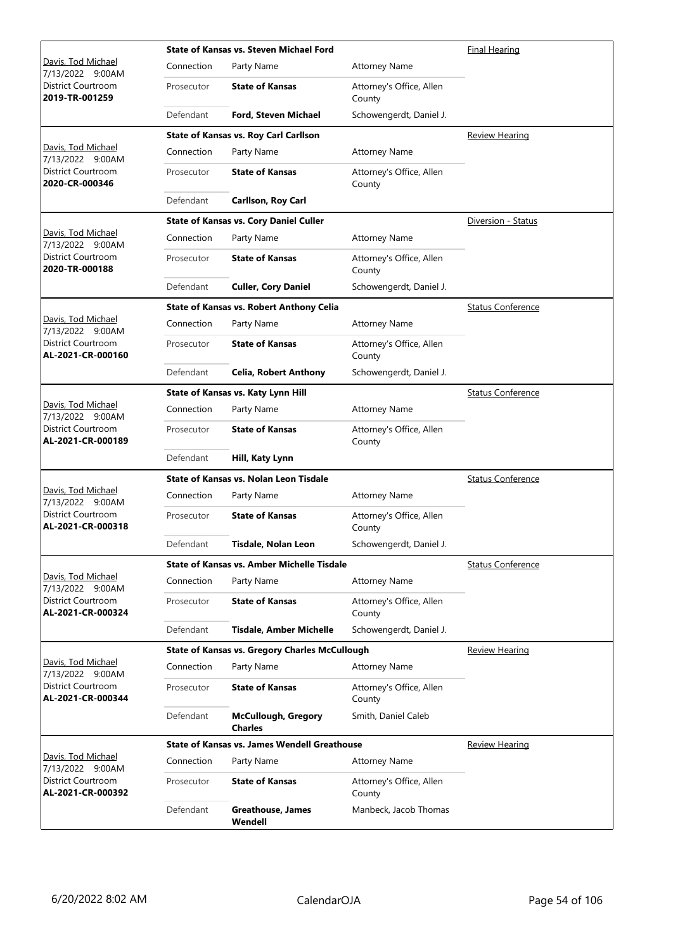|                                                |            | <b>State of Kansas vs. Steven Michael Ford</b>        | <b>Final Hearing</b>               |                          |
|------------------------------------------------|------------|-------------------------------------------------------|------------------------------------|--------------------------|
| Davis, Tod Michael<br>7/13/2022 9:00AM         | Connection | Party Name                                            | <b>Attorney Name</b>               |                          |
| District Courtroom<br>2019-TR-001259           | Prosecutor | <b>State of Kansas</b>                                | Attorney's Office, Allen<br>County |                          |
|                                                | Defendant  | <b>Ford, Steven Michael</b>                           | Schowengerdt, Daniel J.            |                          |
|                                                |            | <b>State of Kansas vs. Roy Carl Carllson</b>          |                                    | <b>Review Hearing</b>    |
| Davis, Tod Michael<br>7/13/2022 9:00AM         | Connection | Party Name                                            | <b>Attorney Name</b>               |                          |
| District Courtroom<br>2020-CR-000346           | Prosecutor | <b>State of Kansas</b>                                | Attorney's Office, Allen<br>County |                          |
|                                                | Defendant  | Carllson, Roy Carl                                    |                                    |                          |
|                                                |            | <b>State of Kansas vs. Cory Daniel Culler</b>         |                                    | Diversion - Status       |
| Davis, Tod Michael<br>7/13/2022 9:00AM         | Connection | Party Name                                            | <b>Attorney Name</b>               |                          |
| District Courtroom<br>2020-TR-000188           | Prosecutor | <b>State of Kansas</b>                                | Attorney's Office, Allen<br>County |                          |
|                                                | Defendant  | <b>Culler, Cory Daniel</b>                            | Schowengerdt, Daniel J.            |                          |
|                                                |            | <b>State of Kansas vs. Robert Anthony Celia</b>       |                                    | <b>Status Conference</b> |
| Davis, Tod Michael<br>7/13/2022 9:00AM         | Connection | Party Name                                            | <b>Attorney Name</b>               |                          |
| District Courtroom<br>AL-2021-CR-000160        | Prosecutor | <b>State of Kansas</b>                                | Attorney's Office, Allen<br>County |                          |
|                                                | Defendant  | <b>Celia, Robert Anthony</b>                          | Schowengerdt, Daniel J.            |                          |
|                                                |            | State of Kansas vs. Katy Lynn Hill                    |                                    | <b>Status Conference</b> |
| Davis, Tod Michael<br>7/13/2022 9:00AM         | Connection | Party Name                                            | <b>Attorney Name</b>               |                          |
| District Courtroom<br>AL-2021-CR-000189        | Prosecutor | <b>State of Kansas</b>                                | Attorney's Office, Allen<br>County |                          |
|                                                | Defendant  | Hill, Katy Lynn                                       |                                    |                          |
|                                                |            | State of Kansas vs. Nolan Leon Tisdale                |                                    | <b>Status Conference</b> |
| Davis, Tod Michael<br>7/13/2022 9:00AM         | Connection | Party Name                                            | <b>Attorney Name</b>               |                          |
| <b>District Courtroom</b><br>AL-2021-CR-000318 | Prosecutor | <b>State of Kansas</b>                                | Attorney's Office, Allen<br>County |                          |
|                                                | Defendant  | Tisdale, Nolan Leon                                   | Schowengerdt, Daniel J.            |                          |
|                                                |            | <b>State of Kansas vs. Amber Michelle Tisdale</b>     |                                    | <b>Status Conference</b> |
| Davis, Tod Michael<br>7/13/2022 9:00AM         | Connection | Party Name                                            | <b>Attorney Name</b>               |                          |
| District Courtroom<br>AL-2021-CR-000324        | Prosecutor | <b>State of Kansas</b>                                | Attorney's Office, Allen<br>County |                          |
|                                                | Defendant  | <b>Tisdale, Amber Michelle</b>                        | Schowengerdt, Daniel J.            |                          |
|                                                |            | <b>State of Kansas vs. Gregory Charles McCullough</b> |                                    | <b>Review Hearing</b>    |
| Davis, Tod Michael<br>7/13/2022 9:00AM         | Connection | Party Name                                            | <b>Attorney Name</b>               |                          |
| District Courtroom<br>AL-2021-CR-000344        | Prosecutor | <b>State of Kansas</b>                                | Attorney's Office, Allen<br>County |                          |
|                                                | Defendant  | <b>McCullough, Gregory</b><br><b>Charles</b>          | Smith, Daniel Caleb                |                          |
|                                                |            | <b>State of Kansas vs. James Wendell Greathouse</b>   |                                    | <b>Review Hearing</b>    |
| Davis, Tod Michael<br>7/13/2022 9:00AM         | Connection | Party Name                                            | <b>Attorney Name</b>               |                          |
| District Courtroom<br>AL-2021-CR-000392        | Prosecutor | <b>State of Kansas</b>                                | Attorney's Office, Allen<br>County |                          |
|                                                | Defendant  | Greathouse, James<br>Wendell                          | Manbeck, Jacob Thomas              |                          |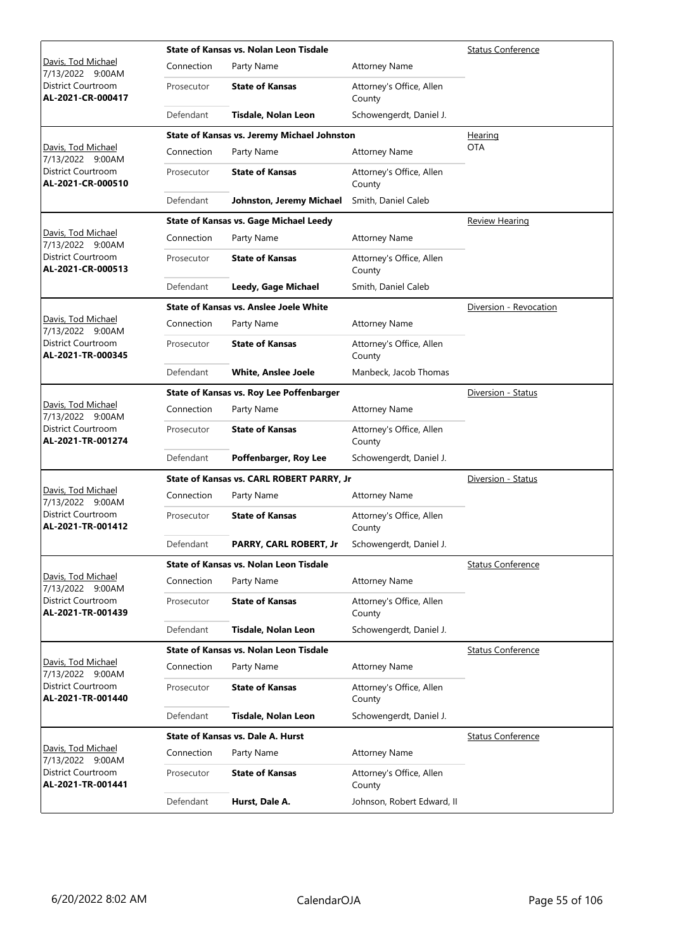|                                         |            | State of Kansas vs. Nolan Leon Tisdale        | <b>Status Conference</b>           |                          |
|-----------------------------------------|------------|-----------------------------------------------|------------------------------------|--------------------------|
| Davis, Tod Michael<br>7/13/2022 9:00AM  | Connection | Party Name                                    | <b>Attorney Name</b>               |                          |
| District Courtroom<br>AL-2021-CR-000417 | Prosecutor | <b>State of Kansas</b>                        | Attorney's Office, Allen<br>County |                          |
|                                         | Defendant  | Tisdale, Nolan Leon                           | Schowengerdt, Daniel J.            |                          |
|                                         |            | State of Kansas vs. Jeremy Michael Johnston   |                                    | Hearing                  |
| Davis, Tod Michael<br>7/13/2022 9:00AM  | Connection | Party Name                                    | <b>Attorney Name</b>               | <b>OTA</b>               |
| District Courtroom<br>AL-2021-CR-000510 | Prosecutor | <b>State of Kansas</b>                        | Attorney's Office, Allen<br>County |                          |
|                                         | Defendant  | Johnston, Jeremy Michael                      | Smith, Daniel Caleb                |                          |
|                                         |            | <b>State of Kansas vs. Gage Michael Leedy</b> |                                    | <b>Review Hearing</b>    |
| Davis, Tod Michael<br>7/13/2022 9:00AM  | Connection | Party Name                                    | <b>Attorney Name</b>               |                          |
| District Courtroom<br>AL-2021-CR-000513 | Prosecutor | <b>State of Kansas</b>                        | Attorney's Office, Allen<br>County |                          |
|                                         | Defendant  | Leedy, Gage Michael                           | Smith, Daniel Caleb                |                          |
|                                         |            | State of Kansas vs. Anslee Joele White        |                                    | Diversion - Revocation   |
| Davis, Tod Michael<br>7/13/2022 9:00AM  | Connection | Party Name                                    | <b>Attorney Name</b>               |                          |
| District Courtroom<br>AL-2021-TR-000345 | Prosecutor | <b>State of Kansas</b>                        | Attorney's Office, Allen<br>County |                          |
|                                         | Defendant  | <b>White, Anslee Joele</b>                    | Manbeck, Jacob Thomas              |                          |
|                                         |            | State of Kansas vs. Roy Lee Poffenbarger      |                                    | Diversion - Status       |
| Davis, Tod Michael<br>7/13/2022 9:00AM  | Connection | Party Name                                    | <b>Attorney Name</b>               |                          |
| District Courtroom<br>AL-2021-TR-001274 | Prosecutor | <b>State of Kansas</b>                        | Attorney's Office, Allen<br>County |                          |
|                                         | Defendant  | Poffenbarger, Roy Lee                         | Schowengerdt, Daniel J.            |                          |
|                                         |            | State of Kansas vs. CARL ROBERT PARRY, Jr     |                                    | Diversion - Status       |
| Davis, Tod Michael<br>7/13/2022 9:00AM  | Connection | Party Name                                    | <b>Attorney Name</b>               |                          |
| District Courtroom<br>AL-2021-TR-001412 | Prosecutor | <b>State of Kansas</b>                        | Attorney's Office, Allen<br>County |                          |
|                                         | Defendant  | PARRY, CARL ROBERT, Jr                        | Schowengerdt, Daniel J.            |                          |
|                                         |            | State of Kansas vs. Nolan Leon Tisdale        |                                    | <b>Status Conference</b> |
| Davis, Tod Michael<br>7/13/2022 9:00AM  | Connection | Party Name                                    | <b>Attorney Name</b>               |                          |
| District Courtroom<br>AL-2021-TR-001439 | Prosecutor | <b>State of Kansas</b>                        | Attorney's Office, Allen<br>County |                          |
|                                         | Defendant  | Tisdale, Nolan Leon                           | Schowengerdt, Daniel J.            |                          |
|                                         |            | State of Kansas vs. Nolan Leon Tisdale        |                                    | <b>Status Conference</b> |
| Davis, Tod Michael<br>7/13/2022 9:00AM  | Connection | Party Name                                    | <b>Attorney Name</b>               |                          |
| District Courtroom<br>AL-2021-TR-001440 | Prosecutor | <b>State of Kansas</b>                        | Attorney's Office, Allen<br>County |                          |
|                                         | Defendant  | Tisdale, Nolan Leon                           | Schowengerdt, Daniel J.            |                          |
|                                         |            | <b>State of Kansas vs. Dale A. Hurst</b>      |                                    | <b>Status Conference</b> |
| Davis, Tod Michael<br>7/13/2022 9:00AM  | Connection | Party Name                                    | <b>Attorney Name</b>               |                          |
| District Courtroom<br>AL-2021-TR-001441 | Prosecutor | <b>State of Kansas</b>                        | Attorney's Office, Allen<br>County |                          |
|                                         | Defendant  | Hurst, Dale A.                                | Johnson, Robert Edward, II         |                          |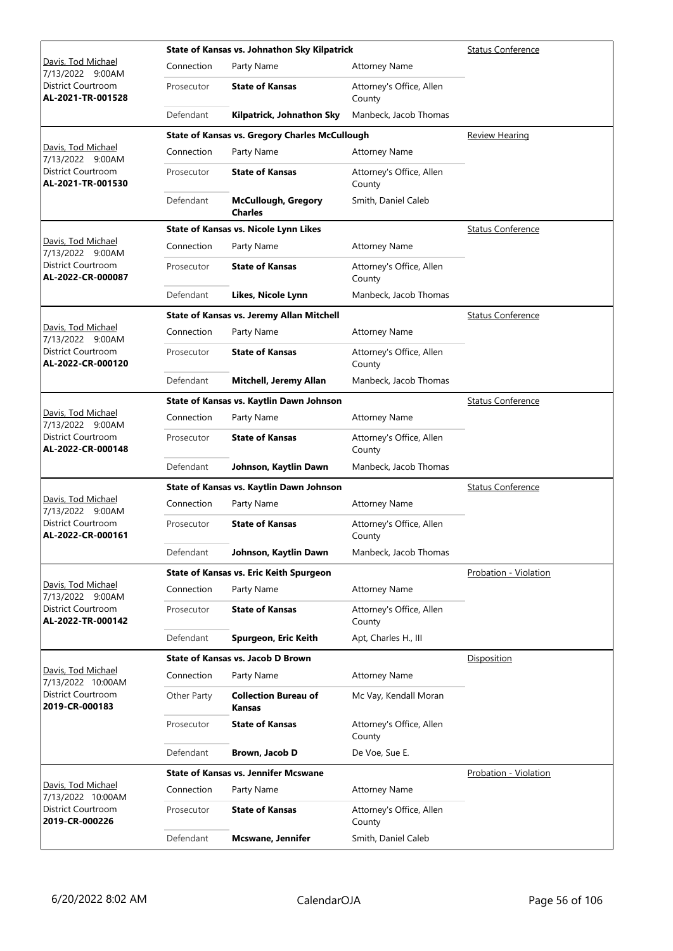|                                                | State of Kansas vs. Johnathon Sky Kilpatrick |                                                       |                                    |                              |  |
|------------------------------------------------|----------------------------------------------|-------------------------------------------------------|------------------------------------|------------------------------|--|
| Davis, Tod Michael<br>7/13/2022 9:00AM         | Connection                                   | Party Name                                            | <b>Attorney Name</b>               |                              |  |
| District Courtroom<br>AL-2021-TR-001528        | Prosecutor                                   | <b>State of Kansas</b>                                | Attorney's Office, Allen<br>County |                              |  |
|                                                | Defendant                                    | Kilpatrick, Johnathon Sky                             | Manbeck, Jacob Thomas              |                              |  |
|                                                |                                              | <b>State of Kansas vs. Gregory Charles McCullough</b> |                                    | <b>Review Hearing</b>        |  |
| Davis, Tod Michael<br>7/13/2022 9:00AM         | Connection                                   | Party Name                                            | <b>Attorney Name</b>               |                              |  |
| District Courtroom<br>AL-2021-TR-001530        | Prosecutor                                   | <b>State of Kansas</b>                                | Attorney's Office, Allen<br>County |                              |  |
|                                                | Defendant                                    | <b>McCullough, Gregory</b><br><b>Charles</b>          | Smith, Daniel Caleb                |                              |  |
|                                                |                                              | State of Kansas vs. Nicole Lynn Likes                 |                                    | <b>Status Conference</b>     |  |
| Davis, Tod Michael<br>7/13/2022 9:00AM         | Connection                                   | Party Name                                            | <b>Attorney Name</b>               |                              |  |
| District Courtroom<br>AL-2022-CR-000087        | Prosecutor                                   | <b>State of Kansas</b>                                | Attorney's Office, Allen<br>County |                              |  |
|                                                | Defendant                                    | Likes, Nicole Lynn                                    | Manbeck, Jacob Thomas              |                              |  |
|                                                |                                              | State of Kansas vs. Jeremy Allan Mitchell             |                                    | <b>Status Conference</b>     |  |
| Davis, Tod Michael<br>7/13/2022 9:00AM         | Connection                                   | Party Name                                            | <b>Attorney Name</b>               |                              |  |
| <b>District Courtroom</b><br>AL-2022-CR-000120 | Prosecutor                                   | <b>State of Kansas</b>                                | Attorney's Office, Allen<br>County |                              |  |
|                                                | Defendant                                    | Mitchell, Jeremy Allan                                | Manbeck, Jacob Thomas              |                              |  |
|                                                |                                              | State of Kansas vs. Kaytlin Dawn Johnson              |                                    | <b>Status Conference</b>     |  |
| Davis, Tod Michael<br>7/13/2022 9:00AM         | Connection                                   | Party Name                                            | <b>Attorney Name</b>               |                              |  |
| District Courtroom<br>AL-2022-CR-000148        | Prosecutor                                   | <b>State of Kansas</b>                                | Attorney's Office, Allen<br>County |                              |  |
|                                                | Defendant                                    | Johnson, Kaytlin Dawn                                 | Manbeck, Jacob Thomas              |                              |  |
|                                                |                                              | State of Kansas vs. Kaytlin Dawn Johnson              |                                    | <b>Status Conference</b>     |  |
| Davis, Tod Michael<br>7/13/2022 9:00AM         | Connection                                   | Party Name                                            | <b>Attorney Name</b>               |                              |  |
| District Courtroom<br>AL-2022-CR-000161        | Prosecutor                                   | <b>State of Kansas</b>                                | Attorney's Office, Allen<br>County |                              |  |
|                                                | Defendant                                    | Johnson, Kaytlin Dawn                                 | Manbeck, Jacob Thomas              |                              |  |
|                                                |                                              | <b>State of Kansas vs. Eric Keith Spurgeon</b>        |                                    | <b>Probation - Violation</b> |  |
| Davis, Tod Michael<br>7/13/2022 9:00AM         | Connection                                   | Party Name                                            | <b>Attorney Name</b>               |                              |  |
| District Courtroom<br>AL-2022-TR-000142        | Prosecutor                                   | <b>State of Kansas</b>                                | Attorney's Office, Allen<br>County |                              |  |
|                                                | Defendant                                    | Spurgeon, Eric Keith                                  | Apt, Charles H., III               |                              |  |
|                                                |                                              | <b>State of Kansas vs. Jacob D Brown</b>              |                                    | Disposition                  |  |
| Davis, Tod Michael<br>7/13/2022 10:00AM        | Connection                                   | Party Name                                            | <b>Attorney Name</b>               |                              |  |
| District Courtroom<br>2019-CR-000183           | Other Party                                  | <b>Collection Bureau of</b><br>Kansas                 | Mc Vay, Kendall Moran              |                              |  |
|                                                | Prosecutor                                   | <b>State of Kansas</b>                                | Attorney's Office, Allen<br>County |                              |  |
|                                                | Defendant                                    | Brown, Jacob D                                        | De Voe, Sue E.                     |                              |  |
|                                                |                                              | <b>State of Kansas vs. Jennifer Mcswane</b>           |                                    | Probation - Violation        |  |
| Davis, Tod Michael<br>7/13/2022 10:00AM        | Connection                                   | Party Name                                            | <b>Attorney Name</b>               |                              |  |
| District Courtroom<br>2019-CR-000226           | Prosecutor                                   | <b>State of Kansas</b>                                | Attorney's Office, Allen<br>County |                              |  |
|                                                | Defendant                                    | Mcswane, Jennifer                                     | Smith, Daniel Caleb                |                              |  |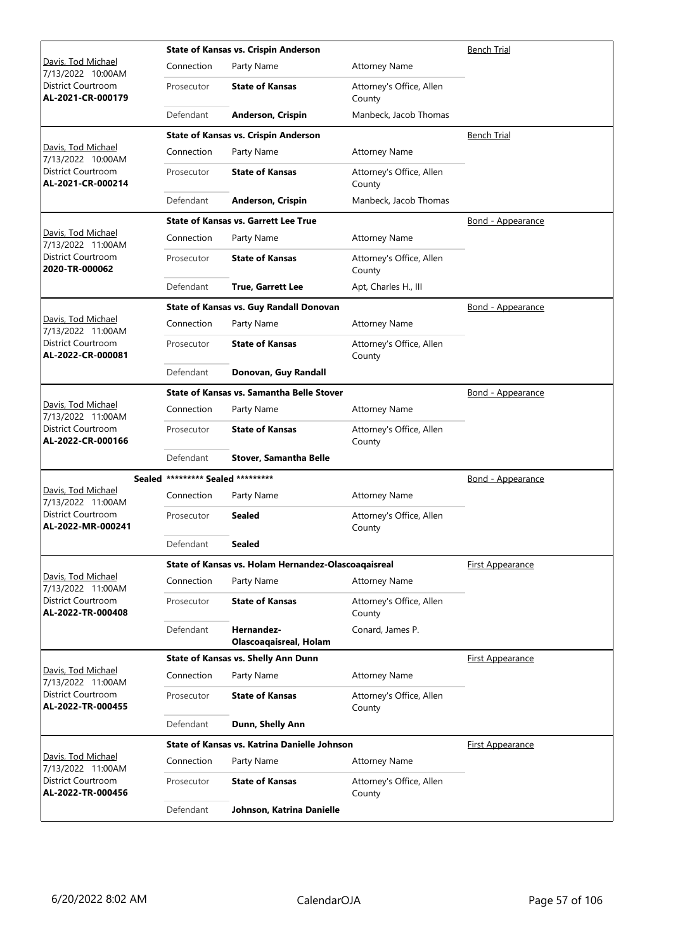|                                                |                                   | <b>State of Kansas vs. Crispin Anderson</b>         | <b>Bench Trial</b>                 |                          |
|------------------------------------------------|-----------------------------------|-----------------------------------------------------|------------------------------------|--------------------------|
| Davis, Tod Michael<br>7/13/2022 10:00AM        | Connection                        | Party Name                                          | <b>Attorney Name</b>               |                          |
| District Courtroom<br>AL-2021-CR-000179        | Prosecutor                        | <b>State of Kansas</b>                              | Attorney's Office, Allen<br>County |                          |
|                                                | Defendant                         | Anderson, Crispin                                   | Manbeck, Jacob Thomas              |                          |
|                                                |                                   | <b>State of Kansas vs. Crispin Anderson</b>         |                                    | <b>Bench Trial</b>       |
| Davis, Tod Michael<br>7/13/2022 10:00AM        | Connection                        | Party Name                                          | <b>Attorney Name</b>               |                          |
| <b>District Courtroom</b><br>AL-2021-CR-000214 | Prosecutor                        | <b>State of Kansas</b>                              | Attorney's Office, Allen<br>County |                          |
|                                                | Defendant                         | Anderson, Crispin                                   | Manbeck, Jacob Thomas              |                          |
|                                                |                                   | <b>State of Kansas vs. Garrett Lee True</b>         |                                    | <u>Bond - Appearance</u> |
| Davis, Tod Michael<br>7/13/2022 11:00AM        | Connection                        | Party Name                                          | <b>Attorney Name</b>               |                          |
| District Courtroom<br>2020-TR-000062           | Prosecutor                        | <b>State of Kansas</b>                              | Attorney's Office, Allen<br>County |                          |
|                                                | Defendant                         | <b>True, Garrett Lee</b>                            | Apt, Charles H., III               |                          |
|                                                |                                   | State of Kansas vs. Guy Randall Donovan             |                                    | Bond - Appearance        |
| Davis, Tod Michael<br>7/13/2022 11:00AM        | Connection                        | Party Name                                          | <b>Attorney Name</b>               |                          |
| District Courtroom<br>AL-2022-CR-000081        | Prosecutor                        | <b>State of Kansas</b>                              | Attorney's Office, Allen<br>County |                          |
|                                                | Defendant                         | Donovan, Guy Randall                                |                                    |                          |
|                                                |                                   | <b>State of Kansas vs. Samantha Belle Stover</b>    |                                    | <u>Bond - Appearance</u> |
| Davis, Tod Michael<br>7/13/2022 11:00AM        | Connection                        | Party Name                                          | <b>Attorney Name</b>               |                          |
| District Courtroom<br>AL-2022-CR-000166        | Prosecutor                        | <b>State of Kansas</b>                              | Attorney's Office, Allen<br>County |                          |
|                                                | Defendant                         | <b>Stover, Samantha Belle</b>                       |                                    |                          |
|                                                | Sealed ********* Sealed ********* |                                                     |                                    | Bond - Appearance        |
| Davis, Tod Michael<br>7/13/2022 11:00AM        | Connection                        | Party Name                                          | <b>Attorney Name</b>               |                          |
| District Courtroom<br>AL-2022-MR-000241        | Prosecutor                        | Sealed                                              | Attorney's Office, Allen<br>County |                          |
|                                                | Defendant                         | Sealed                                              |                                    |                          |
|                                                |                                   | State of Kansas vs. Holam Hernandez-Olascoaqaisreal |                                    | First Appearance         |
| Davis, Tod Michael<br>7/13/2022 11:00AM        | Connection                        | Party Name                                          | <b>Attorney Name</b>               |                          |
| District Courtroom<br>AL-2022-TR-000408        | Prosecutor                        | <b>State of Kansas</b>                              | Attorney's Office, Allen<br>County |                          |
|                                                | Defendant                         | Hernandez-<br><b>Olascoaqaisreal, Holam</b>         | Conard, James P.                   |                          |
|                                                |                                   | State of Kansas vs. Shelly Ann Dunn                 |                                    | First Appearance         |
| Davis, Tod Michael<br>7/13/2022 11:00AM        | Connection                        | Party Name                                          | <b>Attorney Name</b>               |                          |
| District Courtroom<br>AL-2022-TR-000455        | Prosecutor                        | <b>State of Kansas</b>                              | Attorney's Office, Allen<br>County |                          |
|                                                | Defendant                         | Dunn, Shelly Ann                                    |                                    |                          |
|                                                |                                   | State of Kansas vs. Katrina Danielle Johnson        |                                    | <b>First Appearance</b>  |
| Davis, Tod Michael<br>7/13/2022 11:00AM        | Connection                        | Party Name                                          | <b>Attorney Name</b>               |                          |
| District Courtroom<br>AL-2022-TR-000456        | Prosecutor                        | <b>State of Kansas</b>                              | Attorney's Office, Allen<br>County |                          |
|                                                | Defendant                         | Johnson, Katrina Danielle                           |                                    |                          |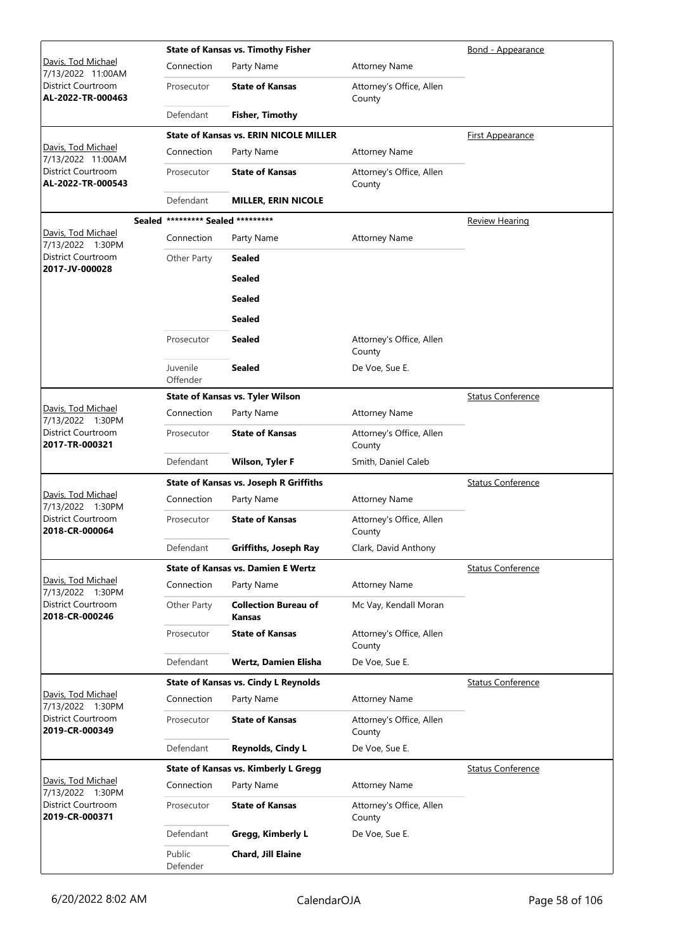|                                                |                                   | <b>State of Kansas vs. Timothy Fisher</b>     |                                    | Bond - Appearance        |
|------------------------------------------------|-----------------------------------|-----------------------------------------------|------------------------------------|--------------------------|
| Davis, Tod Michael<br>7/13/2022 11:00AM        | Connection                        | Party Name                                    | <b>Attorney Name</b>               |                          |
| District Courtroom<br>AL-2022-TR-000463        | Prosecutor                        | <b>State of Kansas</b>                        | Attorney's Office, Allen<br>County |                          |
|                                                | Defendant                         | <b>Fisher, Timothy</b>                        |                                    |                          |
|                                                |                                   | <b>State of Kansas vs. ERIN NICOLE MILLER</b> |                                    | First Appearance         |
| Davis, Tod Michael<br>7/13/2022 11:00AM        | Connection                        | Party Name                                    | <b>Attorney Name</b>               |                          |
| <b>District Courtroom</b><br>AL-2022-TR-000543 | Prosecutor                        | <b>State of Kansas</b>                        | Attorney's Office, Allen<br>County |                          |
|                                                | Defendant                         | <b>MILLER, ERIN NICOLE</b>                    |                                    |                          |
|                                                | Sealed ********* Sealed ********* |                                               |                                    | <b>Review Hearing</b>    |
| Davis, Tod Michael<br>7/13/2022 1:30PM         | Connection                        | Party Name                                    | <b>Attorney Name</b>               |                          |
| District Courtroom                             | Other Party                       | <b>Sealed</b>                                 |                                    |                          |
| 2017-JV-000028                                 |                                   | <b>Sealed</b>                                 |                                    |                          |
|                                                |                                   | <b>Sealed</b>                                 |                                    |                          |
|                                                |                                   | <b>Sealed</b>                                 |                                    |                          |
|                                                | Prosecutor                        | <b>Sealed</b>                                 | Attorney's Office, Allen<br>County |                          |
|                                                | Juvenile<br>Offender              | <b>Sealed</b>                                 | De Voe, Sue E.                     |                          |
|                                                |                                   | <b>State of Kansas vs. Tyler Wilson</b>       |                                    | <b>Status Conference</b> |
| Davis, Tod Michael<br>7/13/2022 1:30PM         | Connection                        | Party Name                                    | <b>Attorney Name</b>               |                          |
| District Courtroom<br>2017-TR-000321           | Prosecutor                        | <b>State of Kansas</b>                        | Attorney's Office, Allen<br>County |                          |
|                                                | Defendant                         | <b>Wilson, Tyler F</b>                        | Smith, Daniel Caleb                |                          |
|                                                |                                   | <b>State of Kansas vs. Joseph R Griffiths</b> |                                    | <b>Status Conference</b> |
| Davis, Tod Michael<br>7/13/2022 1:30PM         | Connection                        | Party Name                                    | <b>Attorney Name</b>               |                          |
| <b>District Courtroom</b><br>2018-CR-000064    | Prosecutor                        | <b>State of Kansas</b>                        | Attorney's Office, Allen<br>County |                          |
|                                                | Defendant                         | Griffiths, Joseph Ray                         | Clark, David Anthony               |                          |
|                                                |                                   | <b>State of Kansas vs. Damien E Wertz</b>     |                                    | <b>Status Conference</b> |
| Davis, Tod Michael<br>7/13/2022 1:30PM         | Connection                        | Party Name                                    | <b>Attorney Name</b>               |                          |
| District Courtroom<br>2018-CR-000246           | Other Party                       | <b>Collection Bureau of</b><br><b>Kansas</b>  | Mc Vay, Kendall Moran              |                          |
|                                                | Prosecutor                        | <b>State of Kansas</b>                        | Attorney's Office, Allen<br>County |                          |
|                                                | Defendant                         | <b>Wertz, Damien Elisha</b>                   | De Voe, Sue E.                     |                          |
|                                                |                                   | <b>State of Kansas vs. Cindy L Reynolds</b>   |                                    | <b>Status Conference</b> |
| Davis, Tod Michael<br>7/13/2022 1:30PM         | Connection                        | Party Name                                    | <b>Attorney Name</b>               |                          |
| District Courtroom<br>2019-CR-000349           | Prosecutor                        | <b>State of Kansas</b>                        | Attorney's Office, Allen<br>County |                          |
|                                                | Defendant                         | Reynolds, Cindy L                             | De Voe, Sue E.                     |                          |
|                                                |                                   | <b>State of Kansas vs. Kimberly L Gregg</b>   |                                    | <b>Status Conference</b> |
| Davis, Tod Michael<br>7/13/2022 1:30PM         | Connection                        | Party Name                                    | <b>Attorney Name</b>               |                          |
| District Courtroom<br>2019-CR-000371           | Prosecutor                        | <b>State of Kansas</b>                        | Attorney's Office, Allen<br>County |                          |
|                                                | Defendant                         | Gregg, Kimberly L                             | De Voe, Sue E.                     |                          |
|                                                | Public<br>Defender                | Chard, Jill Elaine                            |                                    |                          |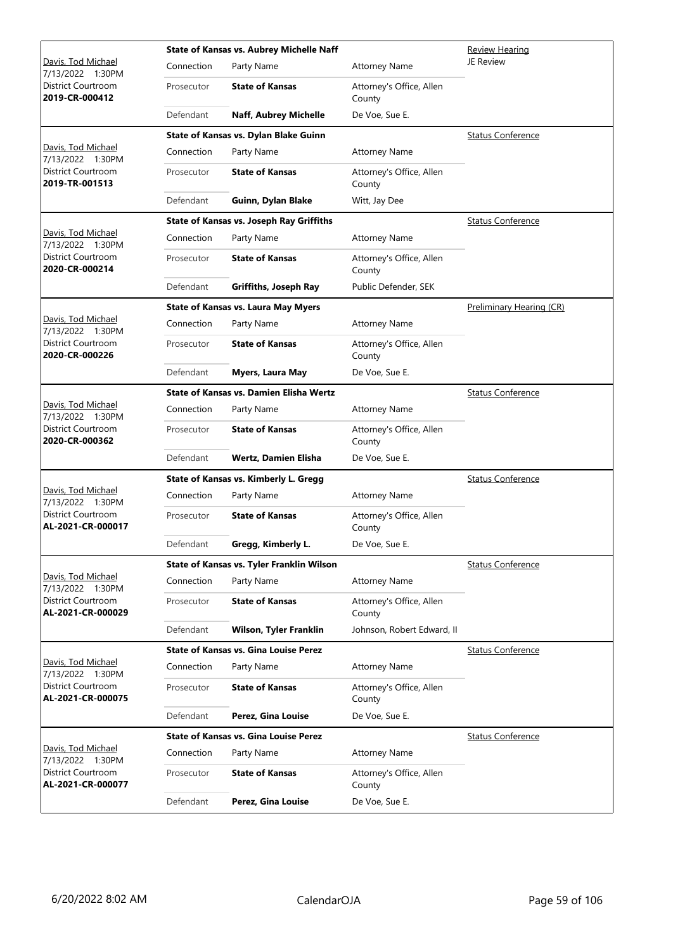|                                                |            | State of Kansas vs. Aubrey Michelle Naff        | Review Hearing                     |                          |
|------------------------------------------------|------------|-------------------------------------------------|------------------------------------|--------------------------|
| Davis, Tod Michael<br>7/13/2022 1:30PM         | Connection | Party Name                                      | <b>Attorney Name</b>               | JE Review                |
| District Courtroom<br>2019-CR-000412           | Prosecutor | <b>State of Kansas</b>                          | Attorney's Office, Allen<br>County |                          |
|                                                | Defendant  | Naff, Aubrey Michelle                           | De Voe, Sue E.                     |                          |
|                                                |            | State of Kansas vs. Dylan Blake Guinn           |                                    | <b>Status Conference</b> |
| Davis, Tod Michael<br>7/13/2022 1:30PM         | Connection | Party Name                                      | <b>Attorney Name</b>               |                          |
| District Courtroom<br>2019-TR-001513           | Prosecutor | <b>State of Kansas</b>                          | Attorney's Office, Allen<br>County |                          |
|                                                | Defendant  | Guinn, Dylan Blake                              | Witt, Jay Dee                      |                          |
|                                                |            | <b>State of Kansas vs. Joseph Ray Griffiths</b> |                                    | <b>Status Conference</b> |
| Davis, Tod Michael<br>7/13/2022 1:30PM         | Connection | Party Name                                      | <b>Attorney Name</b>               |                          |
| District Courtroom<br>2020-CR-000214           | Prosecutor | <b>State of Kansas</b>                          | Attorney's Office, Allen<br>County |                          |
|                                                | Defendant  | Griffiths, Joseph Ray                           | Public Defender, SEK               |                          |
|                                                |            | <b>State of Kansas vs. Laura May Myers</b>      |                                    | Preliminary Hearing (CR) |
| Davis, Tod Michael<br>7/13/2022 1:30PM         | Connection | Party Name                                      | <b>Attorney Name</b>               |                          |
| District Courtroom<br>2020-CR-000226           | Prosecutor | <b>State of Kansas</b>                          | Attorney's Office, Allen<br>County |                          |
|                                                | Defendant  | Myers, Laura May                                | De Voe, Sue E.                     |                          |
|                                                |            | State of Kansas vs. Damien Elisha Wertz         |                                    | <b>Status Conference</b> |
| Davis, Tod Michael<br>7/13/2022 1:30PM         | Connection | Party Name                                      | <b>Attorney Name</b>               |                          |
| District Courtroom<br>2020-CR-000362           | Prosecutor | <b>State of Kansas</b>                          | Attorney's Office, Allen<br>County |                          |
|                                                | Defendant  | <b>Wertz, Damien Elisha</b>                     | De Voe, Sue E.                     |                          |
|                                                |            | State of Kansas vs. Kimberly L. Gregg           |                                    | <b>Status Conference</b> |
| Davis, Tod Michael<br>7/13/2022 1:30PM         | Connection | Party Name                                      | <b>Attorney Name</b>               |                          |
| <b>District Courtroom</b><br>AL-2021-CR-000017 | Prosecutor | <b>State of Kansas</b>                          | Attorney's Office, Allen<br>County |                          |
|                                                | Defendant  | Gregg, Kimberly L.                              | De Voe, Sue E.                     |                          |
|                                                |            | State of Kansas vs. Tyler Franklin Wilson       |                                    | <b>Status Conference</b> |
| Davis, Tod Michael<br>7/13/2022 1:30PM         | Connection | Party Name                                      | <b>Attorney Name</b>               |                          |
| District Courtroom<br>AL-2021-CR-000029        | Prosecutor | <b>State of Kansas</b>                          | Attorney's Office, Allen<br>County |                          |
|                                                | Defendant  | Wilson, Tyler Franklin                          | Johnson, Robert Edward, II         |                          |
|                                                |            | <b>State of Kansas vs. Gina Louise Perez</b>    |                                    | <b>Status Conference</b> |
| Davis, Tod Michael<br>7/13/2022 1:30PM         | Connection | Party Name                                      | <b>Attorney Name</b>               |                          |
| District Courtroom<br>AL-2021-CR-000075        | Prosecutor | <b>State of Kansas</b>                          | Attorney's Office, Allen<br>County |                          |
|                                                | Defendant  | Perez, Gina Louise                              | De Voe, Sue E.                     |                          |
|                                                |            | <b>State of Kansas vs. Gina Louise Perez</b>    |                                    | <b>Status Conference</b> |
| Davis, Tod Michael<br>7/13/2022 1:30PM         | Connection | Party Name                                      | <b>Attorney Name</b>               |                          |
| District Courtroom<br>AL-2021-CR-000077        | Prosecutor | <b>State of Kansas</b>                          | Attorney's Office, Allen<br>County |                          |
|                                                | Defendant  | Perez, Gina Louise                              | De Voe, Sue E.                     |                          |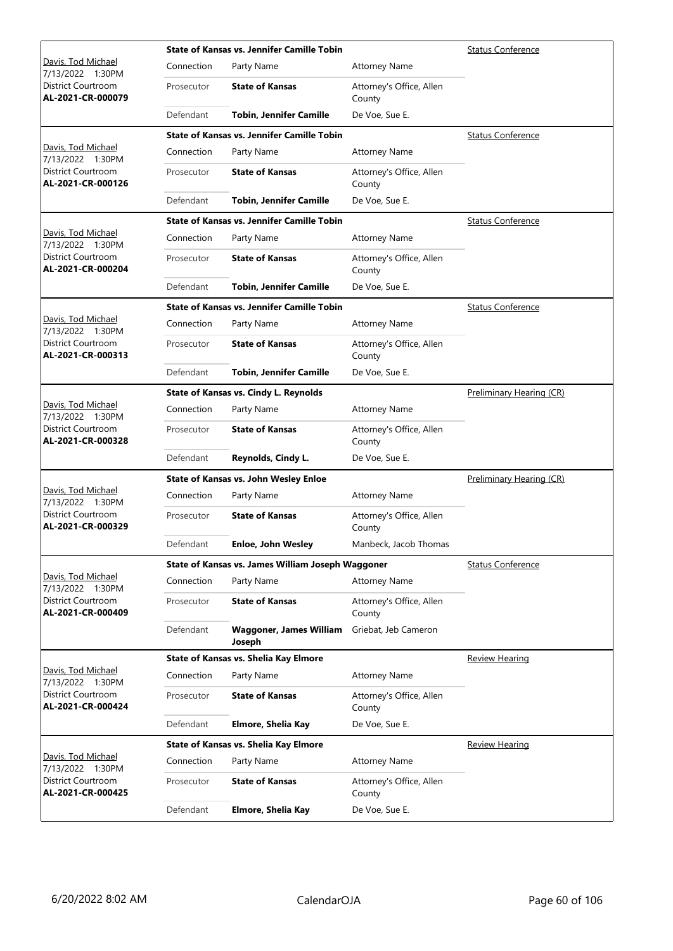|                                         |            | <b>State of Kansas vs. Jennifer Camille Tobin</b> | <b>Status Conference</b>           |                          |
|-----------------------------------------|------------|---------------------------------------------------|------------------------------------|--------------------------|
| Davis, Tod Michael<br>7/13/2022 1:30PM  | Connection | Party Name                                        | <b>Attorney Name</b>               |                          |
| District Courtroom<br>AL-2021-CR-000079 | Prosecutor | <b>State of Kansas</b>                            | Attorney's Office, Allen<br>County |                          |
|                                         | Defendant  | <b>Tobin, Jennifer Camille</b>                    | De Voe, Sue E.                     |                          |
|                                         |            | <b>State of Kansas vs. Jennifer Camille Tobin</b> |                                    | <b>Status Conference</b> |
| Davis, Tod Michael<br>7/13/2022 1:30PM  | Connection | Party Name                                        | <b>Attorney Name</b>               |                          |
| District Courtroom<br>AL-2021-CR-000126 | Prosecutor | <b>State of Kansas</b>                            | Attorney's Office, Allen<br>County |                          |
|                                         | Defendant  | <b>Tobin, Jennifer Camille</b>                    | De Voe, Sue E.                     |                          |
|                                         |            | <b>State of Kansas vs. Jennifer Camille Tobin</b> |                                    | <b>Status Conference</b> |
| Davis, Tod Michael<br>7/13/2022 1:30PM  | Connection | Party Name                                        | <b>Attorney Name</b>               |                          |
| District Courtroom<br>AL-2021-CR-000204 | Prosecutor | <b>State of Kansas</b>                            | Attorney's Office, Allen<br>County |                          |
|                                         | Defendant  | <b>Tobin, Jennifer Camille</b>                    | De Voe, Sue E.                     |                          |
|                                         |            | <b>State of Kansas vs. Jennifer Camille Tobin</b> |                                    | <b>Status Conference</b> |
| Davis, Tod Michael<br>7/13/2022 1:30PM  | Connection | Party Name                                        | <b>Attorney Name</b>               |                          |
| District Courtroom<br>AL-2021-CR-000313 | Prosecutor | <b>State of Kansas</b>                            | Attorney's Office, Allen<br>County |                          |
|                                         | Defendant  | <b>Tobin, Jennifer Camille</b>                    | De Voe, Sue E.                     |                          |
|                                         |            | <b>State of Kansas vs. Cindy L. Reynolds</b>      |                                    | Preliminary Hearing (CR) |
| Davis, Tod Michael<br>7/13/2022 1:30PM  | Connection | Party Name                                        | <b>Attorney Name</b>               |                          |
| District Courtroom<br>AL-2021-CR-000328 | Prosecutor | <b>State of Kansas</b>                            | Attorney's Office, Allen<br>County |                          |
|                                         | Defendant  | Reynolds, Cindy L.                                | De Voe, Sue E.                     |                          |
|                                         |            | State of Kansas vs. John Wesley Enloe             |                                    | Preliminary Hearing (CR) |
| Davis, Tod Michael<br>7/13/2022 1:30PM  | Connection | Party Name                                        | <b>Attorney Name</b>               |                          |
| District Courtroom<br>AL-2021-CR-000329 | Prosecutor | <b>State of Kansas</b>                            | Attorney's Office, Allen<br>County |                          |
|                                         | Defendant  | <b>Enloe, John Wesley</b>                         | Manbeck, Jacob Thomas              |                          |
|                                         |            | State of Kansas vs. James William Joseph Waggoner |                                    | <b>Status Conference</b> |
| Davis, Tod Michael<br>7/13/2022 1:30PM  | Connection | Party Name                                        | <b>Attorney Name</b>               |                          |
| District Courtroom<br>AL-2021-CR-000409 | Prosecutor | <b>State of Kansas</b>                            | Attorney's Office, Allen<br>County |                          |
|                                         | Defendant  | <b>Waggoner, James William</b><br>Joseph          | Griebat, Jeb Cameron               |                          |
|                                         |            | State of Kansas vs. Shelia Kay Elmore             |                                    | Review Hearing           |
| Davis, Tod Michael<br>7/13/2022 1:30PM  | Connection | Party Name                                        | <b>Attorney Name</b>               |                          |
| District Courtroom<br>AL-2021-CR-000424 | Prosecutor | <b>State of Kansas</b>                            | Attorney's Office, Allen<br>County |                          |
|                                         | Defendant  | Elmore, Shelia Kay                                | De Voe, Sue E.                     |                          |
|                                         |            | State of Kansas vs. Shelia Kay Elmore             |                                    | <b>Review Hearing</b>    |
| Davis, Tod Michael<br>7/13/2022 1:30PM  | Connection | Party Name                                        | <b>Attorney Name</b>               |                          |
| District Courtroom<br>AL-2021-CR-000425 | Prosecutor | <b>State of Kansas</b>                            | Attorney's Office, Allen<br>County |                          |
|                                         | Defendant  | Elmore, Shelia Kay                                | De Voe, Sue E.                     |                          |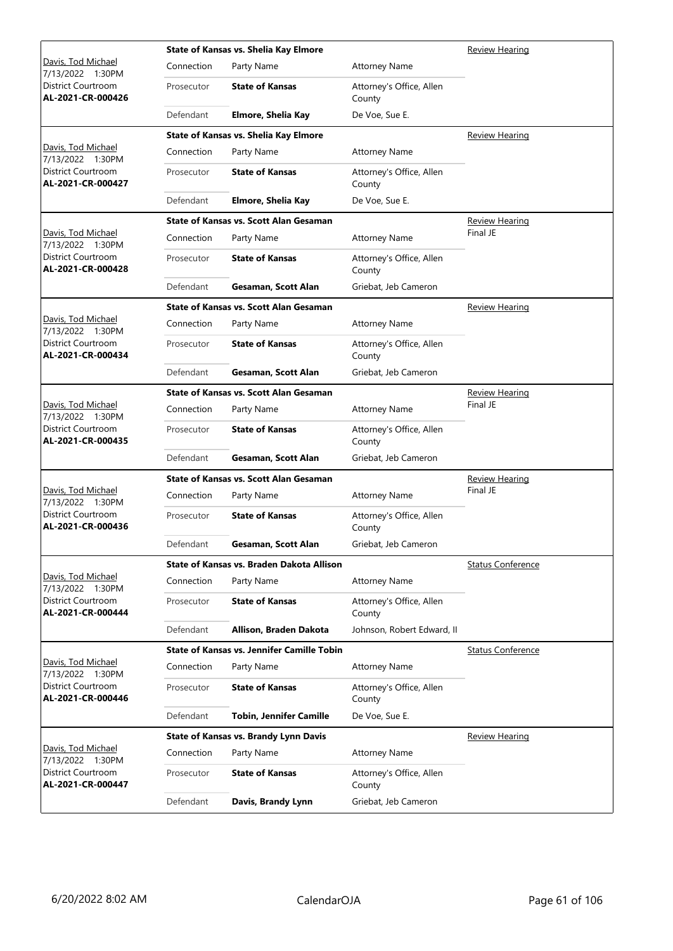|                                         |            | <b>State of Kansas vs. Shelia Kay Elmore</b>      |                                    | <b>Review Hearing</b>    |
|-----------------------------------------|------------|---------------------------------------------------|------------------------------------|--------------------------|
| Davis, Tod Michael<br>7/13/2022 1:30PM  | Connection | Party Name                                        | <b>Attorney Name</b>               |                          |
| District Courtroom<br>AL-2021-CR-000426 | Prosecutor | <b>State of Kansas</b>                            | Attorney's Office, Allen<br>County |                          |
|                                         | Defendant  | Elmore, Shelia Kay                                | De Voe, Sue E.                     |                          |
|                                         |            | State of Kansas vs. Shelia Kay Elmore             |                                    | <b>Review Hearing</b>    |
| Davis, Tod Michael<br>7/13/2022 1:30PM  | Connection | Party Name                                        | <b>Attorney Name</b>               |                          |
| District Courtroom<br>AL-2021-CR-000427 | Prosecutor | <b>State of Kansas</b>                            | Attorney's Office, Allen<br>County |                          |
|                                         | Defendant  | Elmore, Shelia Kay                                | De Voe, Sue E.                     |                          |
|                                         |            | <b>State of Kansas vs. Scott Alan Gesaman</b>     |                                    | <b>Review Hearing</b>    |
| Davis, Tod Michael<br>7/13/2022 1:30PM  | Connection | Party Name                                        | <b>Attorney Name</b>               | Final JE                 |
| District Courtroom<br>AL-2021-CR-000428 | Prosecutor | <b>State of Kansas</b>                            | Attorney's Office, Allen<br>County |                          |
|                                         | Defendant  | Gesaman, Scott Alan                               | Griebat, Jeb Cameron               |                          |
|                                         |            | State of Kansas vs. Scott Alan Gesaman            |                                    | <b>Review Hearing</b>    |
| Davis, Tod Michael<br>7/13/2022 1:30PM  | Connection | Party Name                                        | <b>Attorney Name</b>               |                          |
| District Courtroom<br>AL-2021-CR-000434 | Prosecutor | <b>State of Kansas</b>                            | Attorney's Office, Allen<br>County |                          |
|                                         | Defendant  | Gesaman, Scott Alan                               | Griebat, Jeb Cameron               |                          |
|                                         |            | <b>State of Kansas vs. Scott Alan Gesaman</b>     |                                    | <b>Review Hearing</b>    |
| Davis, Tod Michael<br>7/13/2022 1:30PM  | Connection | Party Name                                        | <b>Attorney Name</b>               | Final JE                 |
| District Courtroom<br>AL-2021-CR-000435 | Prosecutor | <b>State of Kansas</b>                            | Attorney's Office, Allen<br>County |                          |
|                                         | Defendant  | Gesaman, Scott Alan                               | Griebat, Jeb Cameron               |                          |
|                                         |            | <b>State of Kansas vs. Scott Alan Gesaman</b>     | <b>Review Hearing</b>              |                          |
| Davis, Tod Michael<br>7/13/2022 1:30PM  | Connection | Party Name                                        | <b>Attorney Name</b>               | Final JE                 |
| District Courtroom<br>AL-2021-CR-000436 | Prosecutor | <b>State of Kansas</b>                            | Attorney's Office, Allen<br>County |                          |
|                                         | Defendant  | Gesaman, Scott Alan                               | Griebat, Jeb Cameron               |                          |
|                                         |            | State of Kansas vs. Braden Dakota Allison         |                                    | <b>Status Conference</b> |
| Davis, Tod Michael<br>7/13/2022 1:30PM  | Connection | Party Name                                        | <b>Attorney Name</b>               |                          |
| District Courtroom<br>AL-2021-CR-000444 | Prosecutor | <b>State of Kansas</b>                            | Attorney's Office, Allen<br>County |                          |
|                                         | Defendant  | Allison, Braden Dakota                            | Johnson, Robert Edward, II         |                          |
|                                         |            | <b>State of Kansas vs. Jennifer Camille Tobin</b> |                                    | <b>Status Conference</b> |
| Davis, Tod Michael<br>7/13/2022 1:30PM  | Connection | Party Name                                        | <b>Attorney Name</b>               |                          |
| District Courtroom<br>AL-2021-CR-000446 | Prosecutor | <b>State of Kansas</b>                            | Attorney's Office, Allen<br>County |                          |
|                                         | Defendant  | <b>Tobin, Jennifer Camille</b>                    | De Voe, Sue E.                     |                          |
|                                         |            | State of Kansas vs. Brandy Lynn Davis             |                                    | <b>Review Hearing</b>    |
| Davis, Tod Michael<br>7/13/2022 1:30PM  | Connection | Party Name                                        | <b>Attorney Name</b>               |                          |
| District Courtroom<br>AL-2021-CR-000447 | Prosecutor | <b>State of Kansas</b>                            | Attorney's Office, Allen<br>County |                          |
|                                         | Defendant  | Davis, Brandy Lynn                                | Griebat, Jeb Cameron               |                          |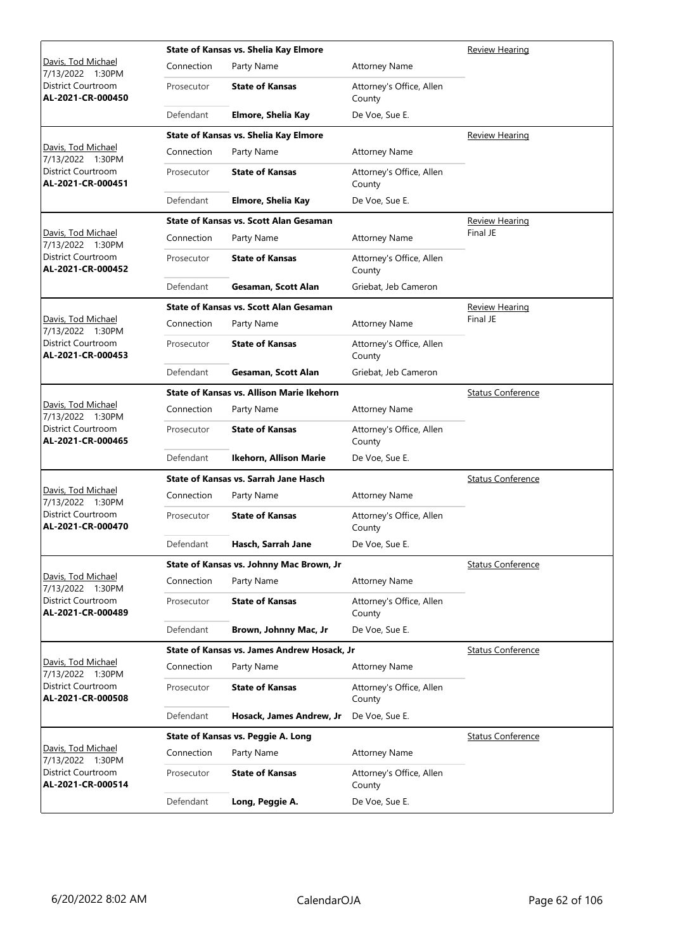|                                         |            | <b>State of Kansas vs. Shelia Kay Elmore</b>  |                                    | <b>Review Hearing</b>    |
|-----------------------------------------|------------|-----------------------------------------------|------------------------------------|--------------------------|
| Davis, Tod Michael<br>7/13/2022 1:30PM  | Connection | Party Name                                    | <b>Attorney Name</b>               |                          |
| District Courtroom<br>AL-2021-CR-000450 | Prosecutor | <b>State of Kansas</b>                        | Attorney's Office, Allen<br>County |                          |
|                                         | Defendant  | Elmore, Shelia Kay                            | De Voe, Sue E.                     |                          |
|                                         |            | State of Kansas vs. Shelia Kay Elmore         |                                    | <b>Review Hearing</b>    |
| Davis, Tod Michael<br>7/13/2022 1:30PM  | Connection | Party Name                                    | <b>Attorney Name</b>               |                          |
| District Courtroom<br>AL-2021-CR-000451 | Prosecutor | <b>State of Kansas</b>                        | Attorney's Office, Allen<br>County |                          |
|                                         | Defendant  | Elmore, Shelia Kay                            | De Voe, Sue E.                     |                          |
|                                         |            | <b>State of Kansas vs. Scott Alan Gesaman</b> |                                    | <b>Review Hearing</b>    |
| Davis, Tod Michael<br>7/13/2022 1:30PM  | Connection | Party Name                                    | <b>Attorney Name</b>               | Final JE                 |
| District Courtroom<br>AL-2021-CR-000452 | Prosecutor | <b>State of Kansas</b>                        | Attorney's Office, Allen<br>County |                          |
|                                         | Defendant  | Gesaman, Scott Alan                           | Griebat, Jeb Cameron               |                          |
|                                         |            | <b>State of Kansas vs. Scott Alan Gesaman</b> |                                    | Review Hearing           |
| Davis, Tod Michael<br>7/13/2022 1:30PM  | Connection | Party Name                                    | <b>Attorney Name</b>               | Final JE                 |
| District Courtroom<br>AL-2021-CR-000453 | Prosecutor | <b>State of Kansas</b>                        | Attorney's Office, Allen<br>County |                          |
|                                         | Defendant  | Gesaman, Scott Alan                           | Griebat, Jeb Cameron               |                          |
|                                         |            | State of Kansas vs. Allison Marie Ikehorn     |                                    | <b>Status Conference</b> |
| Davis, Tod Michael<br>7/13/2022 1:30PM  | Connection | Party Name                                    | <b>Attorney Name</b>               |                          |
| District Courtroom<br>AL-2021-CR-000465 | Prosecutor | <b>State of Kansas</b>                        | Attorney's Office, Allen<br>County |                          |
|                                         | Defendant  | Ikehorn, Allison Marie                        | De Voe, Sue E.                     |                          |
|                                         |            | <b>State of Kansas vs. Sarrah Jane Hasch</b>  |                                    | <b>Status Conference</b> |
| Davis, Tod Michael<br>7/13/2022 1:30PM  | Connection | Party Name                                    | <b>Attorney Name</b>               |                          |
| District Courtroom<br>AL-2021-CR-000470 | Prosecutor | <b>State of Kansas</b>                        | Attorney's Office, Allen<br>County |                          |
|                                         | Defendant  | Hasch, Sarrah Jane                            | De Voe, Sue E.                     |                          |
|                                         |            | State of Kansas vs. Johnny Mac Brown, Jr      |                                    | <b>Status Conference</b> |
| Davis, Tod Michael<br>7/13/2022 1:30PM  | Connection | Party Name                                    | <b>Attorney Name</b>               |                          |
| District Courtroom<br>AL-2021-CR-000489 | Prosecutor | <b>State of Kansas</b>                        | Attorney's Office, Allen<br>County |                          |
|                                         | Defendant  | Brown, Johnny Mac, Jr                         | De Voe, Sue E.                     |                          |
|                                         |            | State of Kansas vs. James Andrew Hosack, Jr   |                                    | <b>Status Conference</b> |
| Davis, Tod Michael<br>7/13/2022 1:30PM  | Connection | Party Name                                    | <b>Attorney Name</b>               |                          |
| District Courtroom<br>AL-2021-CR-000508 | Prosecutor | <b>State of Kansas</b>                        | Attorney's Office, Allen<br>County |                          |
|                                         | Defendant  | Hosack, James Andrew, Jr                      | De Voe, Sue E.                     |                          |
|                                         |            | State of Kansas vs. Peggie A. Long            |                                    | <b>Status Conference</b> |
| Davis, Tod Michael<br>7/13/2022 1:30PM  | Connection | Party Name                                    | <b>Attorney Name</b>               |                          |
| District Courtroom<br>AL-2021-CR-000514 | Prosecutor | <b>State of Kansas</b>                        | Attorney's Office, Allen<br>County |                          |
|                                         | Defendant  | Long, Peggie A.                               | De Voe, Sue E.                     |                          |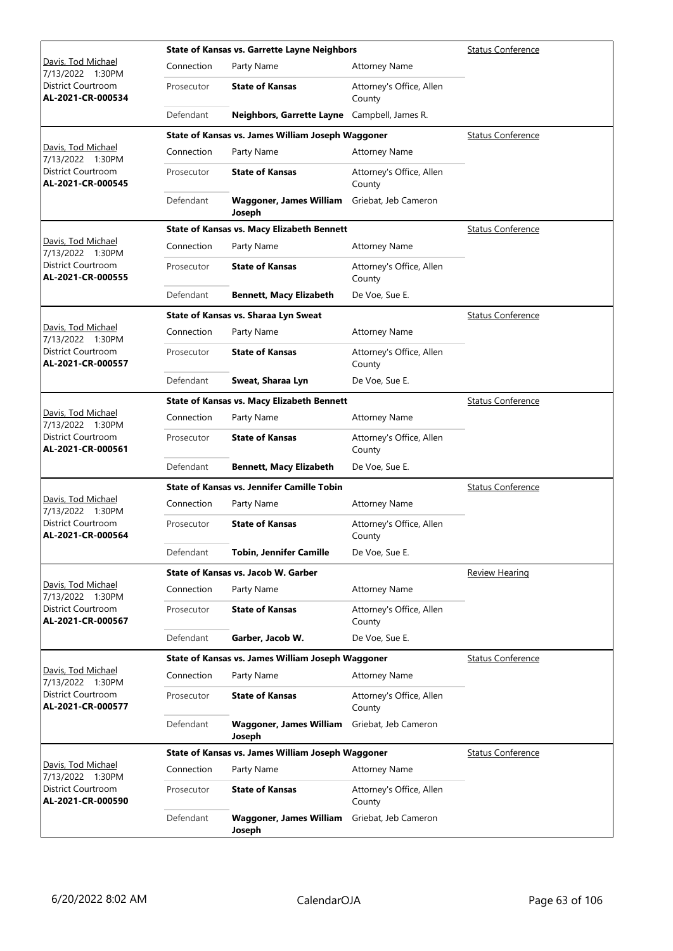|                                                |            | <b>State of Kansas vs. Garrette Layne Neighbors</b> |                                    | <b>Status Conference</b> |
|------------------------------------------------|------------|-----------------------------------------------------|------------------------------------|--------------------------|
| Davis, Tod Michael<br>7/13/2022 1:30PM         | Connection | Party Name                                          | <b>Attorney Name</b>               |                          |
| District Courtroom<br>AL-2021-CR-000534        | Prosecutor | <b>State of Kansas</b>                              | Attorney's Office, Allen<br>County |                          |
|                                                | Defendant  | Neighbors, Garrette Layne Campbell, James R.        |                                    |                          |
|                                                |            | State of Kansas vs. James William Joseph Waggoner   |                                    | <b>Status Conference</b> |
| Davis, Tod Michael<br>7/13/2022 1:30PM         | Connection | Party Name                                          | <b>Attorney Name</b>               |                          |
| <b>District Courtroom</b><br>AL-2021-CR-000545 | Prosecutor | <b>State of Kansas</b>                              | Attorney's Office, Allen<br>County |                          |
|                                                | Defendant  | <b>Waggoner, James William</b><br>Joseph            | Griebat, Jeb Cameron               |                          |
|                                                |            | <b>State of Kansas vs. Macy Elizabeth Bennett</b>   |                                    | <b>Status Conference</b> |
| Davis, Tod Michael<br>7/13/2022 1:30PM         | Connection | Party Name                                          | <b>Attorney Name</b>               |                          |
| District Courtroom<br>AL-2021-CR-000555        | Prosecutor | <b>State of Kansas</b>                              | Attorney's Office, Allen<br>County |                          |
|                                                | Defendant  | <b>Bennett, Macy Elizabeth</b>                      | De Voe, Sue E.                     |                          |
|                                                |            | State of Kansas vs. Sharaa Lyn Sweat                |                                    | <b>Status Conference</b> |
| Davis, Tod Michael<br>7/13/2022 1:30PM         | Connection | Party Name                                          | <b>Attorney Name</b>               |                          |
| <b>District Courtroom</b><br>AL-2021-CR-000557 | Prosecutor | <b>State of Kansas</b>                              | Attorney's Office, Allen<br>County |                          |
|                                                | Defendant  | Sweat, Sharaa Lyn                                   | De Voe, Sue E.                     |                          |
|                                                |            | <b>State of Kansas vs. Macy Elizabeth Bennett</b>   |                                    | <b>Status Conference</b> |
| Davis, Tod Michael<br>7/13/2022 1:30PM         | Connection | Party Name                                          | <b>Attorney Name</b>               |                          |
| District Courtroom<br>AL-2021-CR-000561        | Prosecutor | <b>State of Kansas</b>                              | Attorney's Office, Allen<br>County |                          |
|                                                | Defendant  | <b>Bennett, Macy Elizabeth</b>                      | De Voe, Sue E.                     |                          |
|                                                |            | State of Kansas vs. Jennifer Camille Tobin          |                                    | <b>Status Conference</b> |
| Davis, Tod Michael<br>7/13/2022 1:30PM         | Connection | Party Name                                          | <b>Attorney Name</b>               |                          |
| District Courtroom<br>AL-2021-CR-000564        | Prosecutor | <b>State of Kansas</b>                              | Attorney's Office, Allen<br>County |                          |
|                                                | Defendant  | <b>Tobin, Jennifer Camille</b>                      | De Voe, Sue E.                     |                          |
|                                                |            | State of Kansas vs. Jacob W. Garber                 |                                    | Review Hearing           |
| Davis, Tod Michael<br>7/13/2022 1:30PM         | Connection | Party Name                                          | <b>Attorney Name</b>               |                          |
| District Courtroom<br>AL-2021-CR-000567        | Prosecutor | <b>State of Kansas</b>                              | Attorney's Office, Allen<br>County |                          |
|                                                | Defendant  | Garber, Jacob W.                                    | De Voe, Sue E.                     |                          |
|                                                |            | State of Kansas vs. James William Joseph Waggoner   |                                    | <b>Status Conference</b> |
| Davis, Tod Michael<br>7/13/2022 1:30PM         | Connection | Party Name                                          | <b>Attorney Name</b>               |                          |
| District Courtroom<br>AL-2021-CR-000577        | Prosecutor | <b>State of Kansas</b>                              | Attorney's Office, Allen<br>County |                          |
|                                                | Defendant  | <b>Waggoner, James William</b><br>Joseph            | Griebat, Jeb Cameron               |                          |
|                                                |            | State of Kansas vs. James William Joseph Waggoner   |                                    | <b>Status Conference</b> |
| Davis, Tod Michael<br>7/13/2022 1:30PM         | Connection | Party Name                                          | <b>Attorney Name</b>               |                          |
| District Courtroom<br>AL-2021-CR-000590        | Prosecutor | <b>State of Kansas</b>                              | Attorney's Office, Allen<br>County |                          |
|                                                | Defendant  | Waggoner, James William<br>Joseph                   | Griebat, Jeb Cameron               |                          |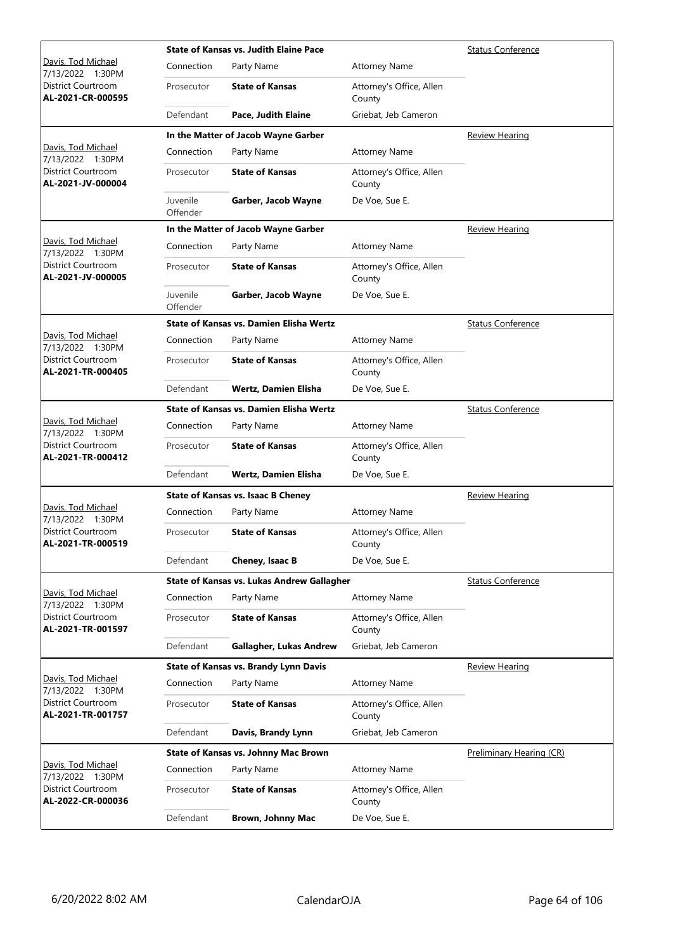|                                                |                      | <b>State of Kansas vs. Judith Elaine Pace</b>  |                                    | <b>Status Conference</b> |
|------------------------------------------------|----------------------|------------------------------------------------|------------------------------------|--------------------------|
| Davis, Tod Michael<br>7/13/2022 1:30PM         | Connection           | Party Name                                     | <b>Attorney Name</b>               |                          |
| District Courtroom<br>AL-2021-CR-000595        | Prosecutor           | <b>State of Kansas</b>                         | Attorney's Office, Allen<br>County |                          |
|                                                | Defendant            | Pace, Judith Elaine                            | Griebat, Jeb Cameron               |                          |
|                                                |                      | In the Matter of Jacob Wayne Garber            |                                    | <b>Review Hearing</b>    |
| Davis, Tod Michael<br>7/13/2022 1:30PM         | Connection           | Party Name                                     | <b>Attorney Name</b>               |                          |
| <b>District Courtroom</b><br>AL-2021-JV-000004 | Prosecutor           | <b>State of Kansas</b>                         | Attorney's Office, Allen<br>County |                          |
|                                                | Juvenile<br>Offender | Garber, Jacob Wayne                            | De Voe, Sue E.                     |                          |
|                                                |                      | In the Matter of Jacob Wayne Garber            |                                    | <b>Review Hearing</b>    |
| Davis, Tod Michael<br>7/13/2022 1:30PM         | Connection           | Party Name                                     | <b>Attorney Name</b>               |                          |
| <b>District Courtroom</b><br>AL-2021-JV-000005 | Prosecutor           | <b>State of Kansas</b>                         | Attorney's Office, Allen<br>County |                          |
|                                                | Juvenile<br>Offender | Garber, Jacob Wayne                            | De Voe, Sue E.                     |                          |
|                                                |                      | <b>State of Kansas vs. Damien Elisha Wertz</b> |                                    | <b>Status Conference</b> |
| Davis, Tod Michael<br>7/13/2022 1:30PM         | Connection           | Party Name                                     | <b>Attorney Name</b>               |                          |
| <b>District Courtroom</b><br>AL-2021-TR-000405 | Prosecutor           | <b>State of Kansas</b>                         | Attorney's Office, Allen<br>County |                          |
|                                                | Defendant            | <b>Wertz, Damien Elisha</b>                    | De Voe, Sue E.                     |                          |
|                                                |                      | <b>State of Kansas vs. Damien Elisha Wertz</b> |                                    | <b>Status Conference</b> |
| Davis, Tod Michael<br>7/13/2022 1:30PM         | Connection           | Party Name                                     | <b>Attorney Name</b>               |                          |
| District Courtroom<br>AL-2021-TR-000412        | Prosecutor           | <b>State of Kansas</b>                         | Attorney's Office, Allen<br>County |                          |
|                                                | Defendant            | <b>Wertz, Damien Elisha</b>                    | De Voe, Sue E.                     |                          |
|                                                |                      | <b>State of Kansas vs. Isaac B Cheney</b>      |                                    | Review Hearing           |
| Davis, Tod Michael<br>7/13/2022 1:30PM         | Connection           | Party Name                                     | <b>Attorney Name</b>               |                          |
| District Courtroom<br>AL-2021-TR-000519        | Prosecutor           | <b>State of Kansas</b>                         | Attorney's Office, Allen<br>County |                          |
|                                                | Defendant            | Cheney, Isaac B                                | De Voe, Sue E.                     |                          |
|                                                |                      | State of Kansas vs. Lukas Andrew Gallagher     |                                    | <b>Status Conference</b> |
| Davis, Tod Michael<br>7/13/2022 1:30PM         | Connection           | Party Name                                     | <b>Attorney Name</b>               |                          |
| <b>District Courtroom</b><br>AL-2021-TR-001597 | Prosecutor           | <b>State of Kansas</b>                         | Attorney's Office, Allen<br>County |                          |
|                                                | Defendant            | Gallagher, Lukas Andrew                        | Griebat, Jeb Cameron               |                          |
|                                                |                      | State of Kansas vs. Brandy Lynn Davis          |                                    | <b>Review Hearing</b>    |
| Davis, Tod Michael<br>7/13/2022 1:30PM         | Connection           | Party Name                                     | <b>Attorney Name</b>               |                          |
| District Courtroom<br>AL-2021-TR-001757        | Prosecutor           | <b>State of Kansas</b>                         | Attorney's Office, Allen<br>County |                          |
|                                                | Defendant            | Davis, Brandy Lynn                             | Griebat, Jeb Cameron               |                          |
|                                                |                      | State of Kansas vs. Johnny Mac Brown           |                                    | Preliminary Hearing (CR) |
| Davis, Tod Michael<br>7/13/2022 1:30PM         | Connection           | Party Name                                     | <b>Attorney Name</b>               |                          |
| District Courtroom<br>AL-2022-CR-000036        | Prosecutor           | <b>State of Kansas</b>                         | Attorney's Office, Allen<br>County |                          |
|                                                | Defendant            | <b>Brown, Johnny Mac</b>                       | De Voe, Sue E.                     |                          |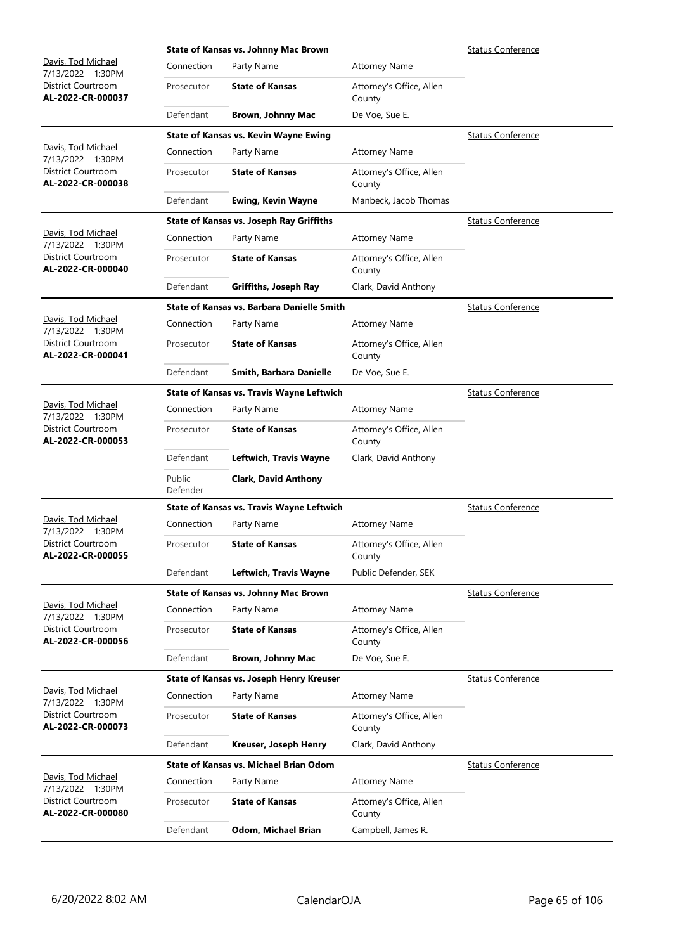|                                         |                    | <b>State of Kansas vs. Johnny Mac Brown</b>      |                                    | <b>Status Conference</b> |
|-----------------------------------------|--------------------|--------------------------------------------------|------------------------------------|--------------------------|
| Davis, Tod Michael<br>7/13/2022 1:30PM  | Connection         | Party Name                                       | <b>Attorney Name</b>               |                          |
| District Courtroom<br>AL-2022-CR-000037 | Prosecutor         | <b>State of Kansas</b>                           | Attorney's Office, Allen<br>County |                          |
|                                         | Defendant          | <b>Brown, Johnny Mac</b>                         | De Voe, Sue E.                     |                          |
|                                         |                    | <b>State of Kansas vs. Kevin Wayne Ewing</b>     |                                    | <b>Status Conference</b> |
| Davis, Tod Michael<br>7/13/2022 1:30PM  | Connection         | Party Name                                       | <b>Attorney Name</b>               |                          |
| District Courtroom<br>AL-2022-CR-000038 | Prosecutor         | <b>State of Kansas</b>                           | Attorney's Office, Allen<br>County |                          |
|                                         | Defendant          | <b>Ewing, Kevin Wayne</b>                        | Manbeck, Jacob Thomas              |                          |
|                                         |                    | <b>State of Kansas vs. Joseph Ray Griffiths</b>  |                                    | <b>Status Conference</b> |
| Davis, Tod Michael<br>7/13/2022 1:30PM  | Connection         | Party Name                                       | <b>Attorney Name</b>               |                          |
| District Courtroom<br>AL-2022-CR-000040 | Prosecutor         | <b>State of Kansas</b>                           | Attorney's Office, Allen<br>County |                          |
|                                         | Defendant          | Griffiths, Joseph Ray                            | Clark, David Anthony               |                          |
|                                         |                    | State of Kansas vs. Barbara Danielle Smith       |                                    | <b>Status Conference</b> |
| Davis, Tod Michael<br>7/13/2022 1:30PM  | Connection         | Party Name                                       | <b>Attorney Name</b>               |                          |
| District Courtroom<br>AL-2022-CR-000041 | Prosecutor         | <b>State of Kansas</b>                           | Attorney's Office, Allen<br>County |                          |
|                                         | Defendant          | Smith, Barbara Danielle                          | De Voe, Sue E.                     |                          |
|                                         |                    | <b>State of Kansas vs. Travis Wayne Leftwich</b> |                                    | <b>Status Conference</b> |
| Davis, Tod Michael<br>7/13/2022 1:30PM  | Connection         | Party Name                                       | <b>Attorney Name</b>               |                          |
| District Courtroom<br>AL-2022-CR-000053 | Prosecutor         | <b>State of Kansas</b>                           | Attorney's Office, Allen<br>County |                          |
|                                         | Defendant          | Leftwich, Travis Wayne                           | Clark, David Anthony               |                          |
|                                         | Public<br>Defender | <b>Clark, David Anthony</b>                      |                                    |                          |
|                                         |                    | <b>State of Kansas vs. Travis Wayne Leftwich</b> |                                    | <b>Status Conference</b> |
| Davis, Tod Michael<br>7/13/2022 1:30PM  | Connection         | Party Name                                       | <b>Attorney Name</b>               |                          |
| District Courtroom<br>AL-2022-CR-000055 | Prosecutor         | <b>State of Kansas</b>                           | Attorney's Office, Allen<br>County |                          |
|                                         | Defendant          | Leftwich, Travis Wayne                           | Public Defender, SEK               |                          |
|                                         |                    | State of Kansas vs. Johnny Mac Brown             |                                    | <b>Status Conference</b> |
| Davis, Tod Michael<br>7/13/2022 1:30PM  | Connection         | Party Name                                       | <b>Attorney Name</b>               |                          |
| District Courtroom<br>AL-2022-CR-000056 | Prosecutor         | <b>State of Kansas</b>                           | Attorney's Office, Allen<br>County |                          |
|                                         | Defendant          | <b>Brown, Johnny Mac</b>                         | De Voe, Sue E.                     |                          |
|                                         |                    | State of Kansas vs. Joseph Henry Kreuser         |                                    | <b>Status Conference</b> |
| Davis, Tod Michael<br>7/13/2022 1:30PM  | Connection         | Party Name                                       | <b>Attorney Name</b>               |                          |
| District Courtroom<br>AL-2022-CR-000073 | Prosecutor         | <b>State of Kansas</b>                           | Attorney's Office, Allen<br>County |                          |
|                                         | Defendant          | Kreuser, Joseph Henry                            | Clark, David Anthony               |                          |
|                                         |                    | <b>State of Kansas vs. Michael Brian Odom</b>    |                                    | <b>Status Conference</b> |
| Davis, Tod Michael<br>7/13/2022 1:30PM  | Connection         | Party Name                                       | <b>Attorney Name</b>               |                          |
| District Courtroom<br>AL-2022-CR-000080 | Prosecutor         | <b>State of Kansas</b>                           | Attorney's Office, Allen<br>County |                          |
|                                         | Defendant          | Odom, Michael Brian                              | Campbell, James R.                 |                          |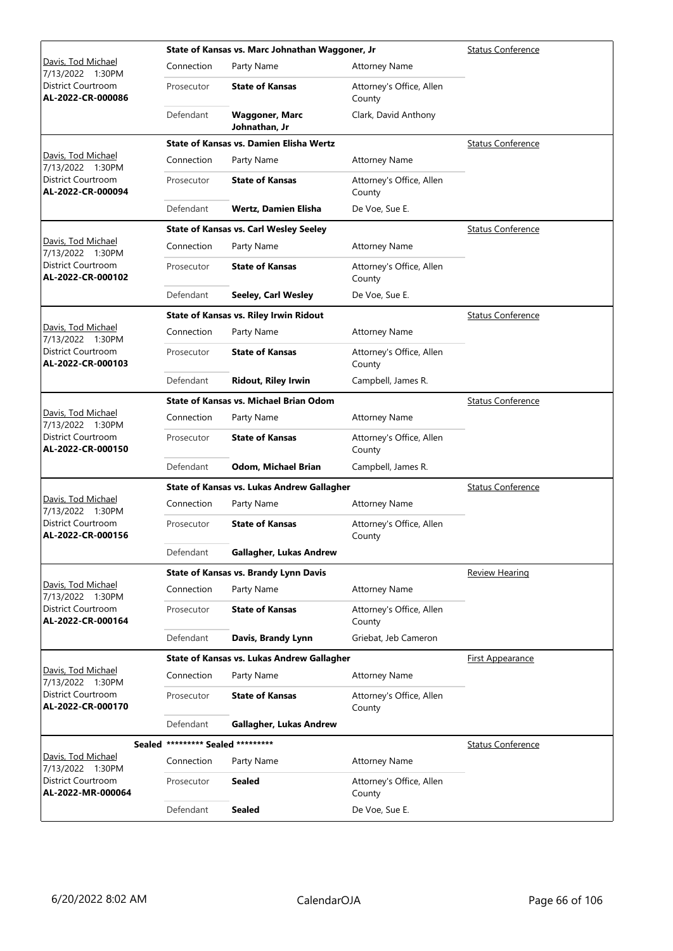|                                                                    |                                   | State of Kansas vs. Marc Johnathan Waggoner, Jr |                                    | <b>Status Conference</b> |
|--------------------------------------------------------------------|-----------------------------------|-------------------------------------------------|------------------------------------|--------------------------|
| Davis, Tod Michael<br>7/13/2022 1:30PM                             | Connection                        | Party Name                                      | <b>Attorney Name</b>               |                          |
| District Courtroom<br>AL-2022-CR-000086                            | Prosecutor                        | <b>State of Kansas</b>                          | Attorney's Office, Allen<br>County |                          |
|                                                                    | Defendant                         | <b>Waggoner, Marc</b><br>Johnathan, Jr          | Clark, David Anthony               |                          |
|                                                                    |                                   | State of Kansas vs. Damien Elisha Wertz         |                                    | <b>Status Conference</b> |
| Davis, Tod Michael<br>7/13/2022 1:30PM                             | Connection                        | Party Name                                      | <b>Attorney Name</b>               |                          |
| <b>District Courtroom</b><br>AL-2022-CR-000094                     | Prosecutor                        | <b>State of Kansas</b>                          | Attorney's Office, Allen<br>County |                          |
|                                                                    | Defendant                         | Wertz, Damien Elisha                            | De Voe, Sue E.                     |                          |
|                                                                    |                                   | <b>State of Kansas vs. Carl Wesley Seeley</b>   |                                    | <b>Status Conference</b> |
| Davis, Tod Michael<br>7/13/2022 1:30PM                             | Connection                        | Party Name                                      | <b>Attorney Name</b>               |                          |
| District Courtroom<br>AL-2022-CR-000102                            | Prosecutor                        | <b>State of Kansas</b>                          | Attorney's Office, Allen<br>County |                          |
|                                                                    | Defendant                         | <b>Seeley, Carl Wesley</b>                      | De Voe, Sue E.                     |                          |
|                                                                    |                                   | State of Kansas vs. Riley Irwin Ridout          |                                    | <b>Status Conference</b> |
| Davis, Tod Michael                                                 | Connection                        | Party Name                                      | <b>Attorney Name</b>               |                          |
| 7/13/2022 1:30PM<br><b>District Courtroom</b><br>AL-2022-CR-000103 | Prosecutor                        | <b>State of Kansas</b>                          | Attorney's Office, Allen<br>County |                          |
|                                                                    | Defendant                         | <b>Ridout, Riley Irwin</b>                      | Campbell, James R.                 |                          |
|                                                                    |                                   | <b>State of Kansas vs. Michael Brian Odom</b>   |                                    | <b>Status Conference</b> |
| Davis, Tod Michael                                                 | Connection                        | Party Name                                      | <b>Attorney Name</b>               |                          |
| 7/13/2022 1:30PM<br>District Courtroom<br>AL-2022-CR-000150        | Prosecutor                        | <b>State of Kansas</b>                          | Attorney's Office, Allen<br>County |                          |
|                                                                    | Defendant                         | Odom, Michael Brian                             | Campbell, James R.                 |                          |
|                                                                    |                                   | State of Kansas vs. Lukas Andrew Gallagher      |                                    | <b>Status Conference</b> |
| Davis, Tod Michael                                                 | Connection                        | Party Name                                      | <b>Attorney Name</b>               |                          |
| 7/13/2022 1:30PM<br>District Courtroom<br>AL-2022-CR-000156        | Prosecutor                        | <b>State of Kansas</b>                          | Attorney's Office, Allen<br>County |                          |
|                                                                    | Defendant                         | Gallagher, Lukas Andrew                         |                                    |                          |
|                                                                    |                                   | State of Kansas vs. Brandy Lynn Davis           |                                    | <b>Review Hearing</b>    |
| Davis, Tod Michael                                                 | Connection                        | Party Name                                      | <b>Attorney Name</b>               |                          |
| 7/13/2022 1:30PM<br>District Courtroom<br>AL-2022-CR-000164        | Prosecutor                        | <b>State of Kansas</b>                          | Attorney's Office, Allen<br>County |                          |
|                                                                    | Defendant                         | Davis, Brandy Lynn                              | Griebat, Jeb Cameron               |                          |
|                                                                    |                                   | State of Kansas vs. Lukas Andrew Gallagher      |                                    | <b>First Appearance</b>  |
| Davis, Tod Michael                                                 | Connection                        | Party Name                                      | <b>Attorney Name</b>               |                          |
| 7/13/2022 1:30PM<br>District Courtroom<br>AL-2022-CR-000170        | Prosecutor                        | <b>State of Kansas</b>                          | Attorney's Office, Allen<br>County |                          |
|                                                                    | Defendant                         | Gallagher, Lukas Andrew                         |                                    |                          |
|                                                                    | Sealed ********* Sealed ********* |                                                 |                                    | <b>Status Conference</b> |
| Davis, Tod Michael<br>7/13/2022 1:30PM                             | Connection                        | Party Name                                      | <b>Attorney Name</b>               |                          |
| District Courtroom<br>AL-2022-MR-000064                            | Prosecutor                        | Sealed                                          | Attorney's Office, Allen<br>County |                          |
|                                                                    | Defendant                         | <b>Sealed</b>                                   | De Voe, Sue E.                     |                          |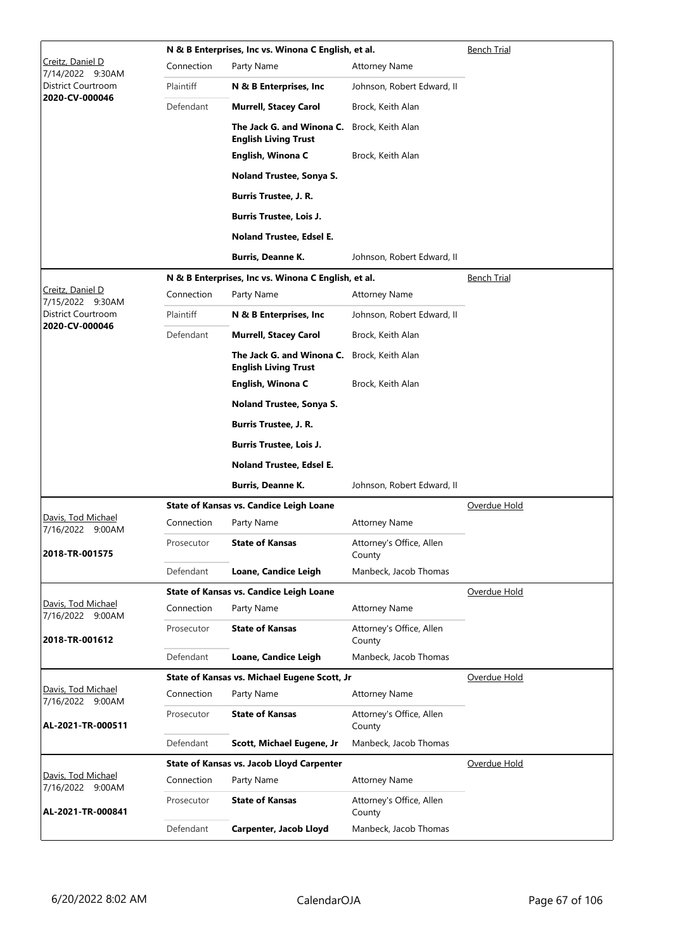|                                              |            | N & B Enterprises, Inc vs. Winona C English, et al.      |                                    | <b>Bench Trial</b> |
|----------------------------------------------|------------|----------------------------------------------------------|------------------------------------|--------------------|
| <u> Creitz, Daniel D</u><br>7/14/2022 9:30AM | Connection | Party Name                                               | <b>Attorney Name</b>               |                    |
| District Courtroom                           | Plaintiff  | N & B Enterprises, Inc.                                  | Johnson, Robert Edward, II         |                    |
| 2020-CV-000046                               | Defendant  | <b>Murrell, Stacey Carol</b>                             | Brock, Keith Alan                  |                    |
|                                              |            | The Jack G. and Winona C.<br><b>English Living Trust</b> | Brock, Keith Alan                  |                    |
|                                              |            | English, Winona C                                        | Brock, Keith Alan                  |                    |
|                                              |            | Noland Trustee, Sonya S.                                 |                                    |                    |
|                                              |            | <b>Burris Trustee, J. R.</b>                             |                                    |                    |
|                                              |            | <b>Burris Trustee, Lois J.</b>                           |                                    |                    |
|                                              |            | Noland Trustee, Edsel E.                                 |                                    |                    |
|                                              |            | <b>Burris, Deanne K.</b>                                 | Johnson, Robert Edward, II         |                    |
|                                              |            | N & B Enterprises, Inc vs. Winona C English, et al.      |                                    | <b>Bench Trial</b> |
| Creitz, Daniel D<br>7/15/2022 9:30AM         | Connection | Party Name                                               | <b>Attorney Name</b>               |                    |
| District Courtroom                           | Plaintiff  | N & B Enterprises, Inc.                                  | Johnson, Robert Edward, II         |                    |
| 2020-CV-000046                               | Defendant  | <b>Murrell, Stacey Carol</b>                             | Brock, Keith Alan                  |                    |
|                                              |            | The Jack G. and Winona C.<br><b>English Living Trust</b> | Brock, Keith Alan                  |                    |
|                                              |            | English, Winona C                                        | Brock, Keith Alan                  |                    |
|                                              |            | Noland Trustee, Sonya S.                                 |                                    |                    |
|                                              |            | <b>Burris Trustee, J. R.</b>                             |                                    |                    |
|                                              |            | <b>Burris Trustee, Lois J.</b>                           |                                    |                    |
|                                              |            | <b>Noland Trustee, Edsel E.</b>                          |                                    |                    |
|                                              |            | <b>Burris, Deanne K.</b>                                 | Johnson, Robert Edward, II         |                    |
|                                              |            | <b>State of Kansas vs. Candice Leigh Loane</b>           |                                    | Overdue Hold       |
| Davis, Tod Michael<br>7/16/2022 9:00AM       | Connection | Party Name                                               | <b>Attorney Name</b>               |                    |
| 2018-TR-001575                               | Prosecutor | <b>State of Kansas</b>                                   | Attorney's Office, Allen<br>County |                    |
|                                              | Defendant  | Loane, Candice Leigh                                     | Manbeck, Jacob Thomas              |                    |
|                                              |            | <b>State of Kansas vs. Candice Leigh Loane</b>           |                                    | Overdue Hold       |
| Davis, Tod Michael<br>7/16/2022 9:00AM       | Connection | Party Name                                               | <b>Attorney Name</b>               |                    |
| 2018-TR-001612                               | Prosecutor | <b>State of Kansas</b>                                   | Attorney's Office, Allen<br>County |                    |
|                                              | Defendant  | Loane, Candice Leigh                                     | Manbeck, Jacob Thomas              |                    |
|                                              |            | State of Kansas vs. Michael Eugene Scott, Jr             |                                    | Overdue Hold       |
| Davis, Tod Michael<br>7/16/2022 9:00AM       | Connection | Party Name                                               | <b>Attorney Name</b>               |                    |
| AL-2021-TR-000511                            | Prosecutor | <b>State of Kansas</b>                                   | Attorney's Office, Allen<br>County |                    |
|                                              | Defendant  | Scott, Michael Eugene, Jr                                | Manbeck, Jacob Thomas              |                    |
|                                              |            | <b>State of Kansas vs. Jacob Lloyd Carpenter</b>         |                                    | Overdue Hold       |
| Davis, Tod Michael<br>7/16/2022 9:00AM       | Connection | Party Name                                               | <b>Attorney Name</b>               |                    |
| AL-2021-TR-000841                            | Prosecutor | <b>State of Kansas</b>                                   | Attorney's Office, Allen<br>County |                    |
|                                              | Defendant  | Carpenter, Jacob Lloyd                                   | Manbeck, Jacob Thomas              |                    |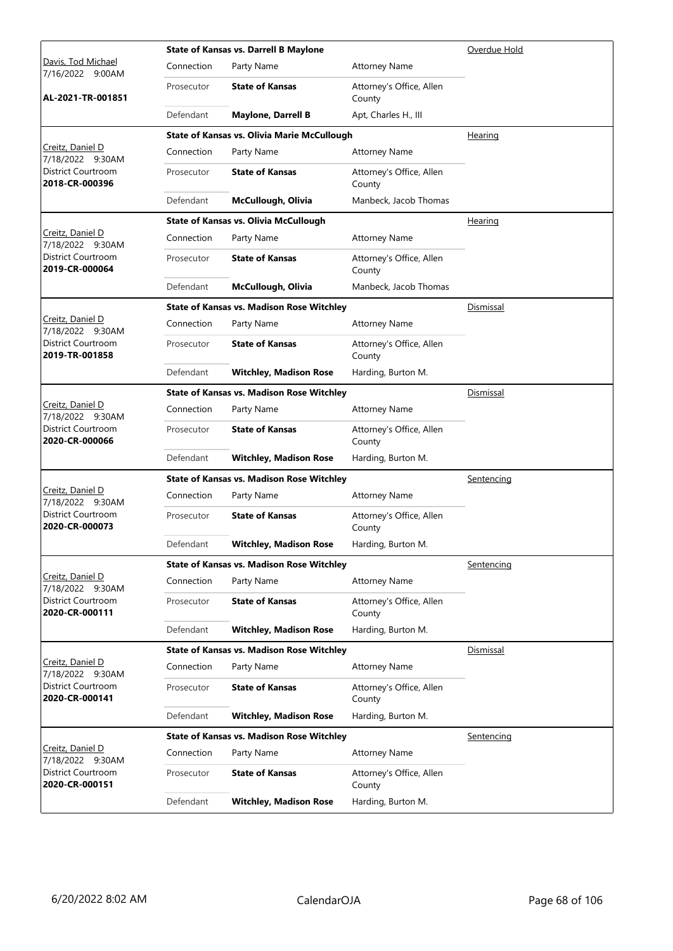|                                             |            | <b>State of Kansas vs. Darrell B Maylone</b>       |                                    | Overdue Hold      |
|---------------------------------------------|------------|----------------------------------------------------|------------------------------------|-------------------|
| Davis, Tod Michael<br>7/16/2022 9:00AM      | Connection | Party Name                                         | <b>Attorney Name</b>               |                   |
| AL-2021-TR-001851                           | Prosecutor | <b>State of Kansas</b>                             | Attorney's Office, Allen<br>County |                   |
|                                             | Defendant  | <b>Maylone, Darrell B</b>                          | Apt, Charles H., III               |                   |
|                                             |            | <b>State of Kansas vs. Olivia Marie McCullough</b> |                                    | Hearing           |
| Creitz, Daniel D<br>7/18/2022 9:30AM        | Connection | Party Name                                         | <b>Attorney Name</b>               |                   |
| <b>District Courtroom</b><br>2018-CR-000396 | Prosecutor | <b>State of Kansas</b>                             | Attorney's Office, Allen<br>County |                   |
|                                             | Defendant  | McCullough, Olivia                                 | Manbeck, Jacob Thomas              |                   |
|                                             |            | <b>State of Kansas vs. Olivia McCullough</b>       |                                    | <u>Hearing</u>    |
| Creitz, Daniel D<br>7/18/2022 9:30AM        | Connection | Party Name                                         | <b>Attorney Name</b>               |                   |
| District Courtroom<br>2019-CR-000064        | Prosecutor | <b>State of Kansas</b>                             | Attorney's Office, Allen<br>County |                   |
|                                             | Defendant  | McCullough, Olivia                                 | Manbeck, Jacob Thomas              |                   |
|                                             |            | <b>State of Kansas vs. Madison Rose Witchley</b>   |                                    | Dismissal         |
| Creitz, Daniel D<br>7/18/2022 9:30AM        | Connection | Party Name                                         | <b>Attorney Name</b>               |                   |
| District Courtroom<br>2019-TR-001858        | Prosecutor | <b>State of Kansas</b>                             | Attorney's Office, Allen<br>County |                   |
|                                             | Defendant  | <b>Witchley, Madison Rose</b>                      | Harding, Burton M.                 |                   |
|                                             |            | <b>State of Kansas vs. Madison Rose Witchley</b>   |                                    | Dismissal         |
| Creitz, Daniel D<br>7/18/2022 9:30AM        | Connection | Party Name                                         | <b>Attorney Name</b>               |                   |
| District Courtroom<br>2020-CR-000066        | Prosecutor | <b>State of Kansas</b>                             | Attorney's Office, Allen<br>County |                   |
|                                             | Defendant  | <b>Witchley, Madison Rose</b>                      | Harding, Burton M.                 |                   |
|                                             |            | <b>State of Kansas vs. Madison Rose Witchley</b>   |                                    | Sentencing        |
| Creitz, Daniel D<br>7/18/2022 9:30AM        | Connection | Party Name                                         | <b>Attorney Name</b>               |                   |
| District Courtroom<br>2020-CR-000073        | Prosecutor | <b>State of Kansas</b>                             | Attorney's Office, Allen<br>County |                   |
|                                             | Defendant  | <b>Witchley, Madison Rose</b>                      | Harding, Burton M.                 |                   |
|                                             |            | <b>State of Kansas vs. Madison Rose Witchley</b>   |                                    | Sentencing        |
| Creitz, Daniel D<br>7/18/2022 9:30AM        | Connection | Party Name                                         | <b>Attorney Name</b>               |                   |
| District Courtroom<br>2020-CR-000111        | Prosecutor | <b>State of Kansas</b>                             | Attorney's Office, Allen<br>County |                   |
|                                             | Defendant  | <b>Witchley, Madison Rose</b>                      | Harding, Burton M.                 |                   |
|                                             |            | <b>State of Kansas vs. Madison Rose Witchley</b>   |                                    | <u>Dismissal</u>  |
| Creitz, Daniel D<br>7/18/2022 9:30AM        | Connection | Party Name                                         | <b>Attorney Name</b>               |                   |
| District Courtroom<br>2020-CR-000141        | Prosecutor | <b>State of Kansas</b>                             | Attorney's Office, Allen<br>County |                   |
|                                             | Defendant  | <b>Witchley, Madison Rose</b>                      | Harding, Burton M.                 |                   |
|                                             |            | <b>State of Kansas vs. Madison Rose Witchley</b>   |                                    | <u>Sentencing</u> |
| <u>Creitz, Daniel D</u><br>7/18/2022 9:30AM | Connection | Party Name                                         | <b>Attorney Name</b>               |                   |
| District Courtroom<br>2020-CR-000151        | Prosecutor | <b>State of Kansas</b>                             | Attorney's Office, Allen<br>County |                   |
|                                             | Defendant  | <b>Witchley, Madison Rose</b>                      | Harding, Burton M.                 |                   |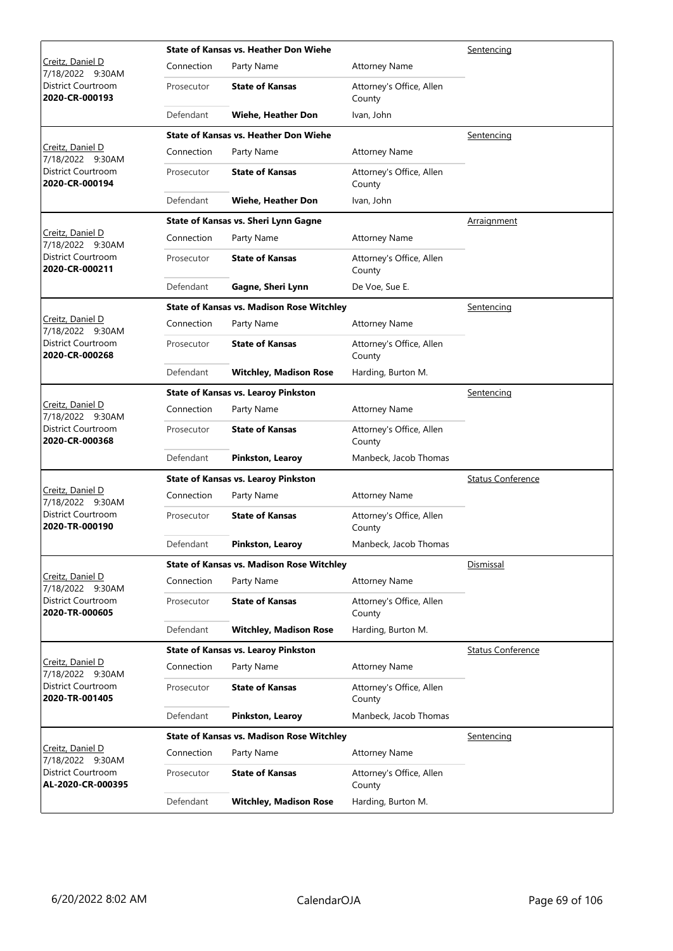|                                             |            | State of Kansas vs. Heather Don Wiehe            | Sentencing                         |                          |  |
|---------------------------------------------|------------|--------------------------------------------------|------------------------------------|--------------------------|--|
| Creitz, Daniel D<br>7/18/2022 9:30AM        | Connection | Party Name                                       | <b>Attorney Name</b>               |                          |  |
| District Courtroom<br>2020-CR-000193        | Prosecutor | <b>State of Kansas</b>                           | Attorney's Office, Allen<br>County |                          |  |
|                                             | Defendant  | Wiehe, Heather Don                               | Ivan, John                         |                          |  |
|                                             |            | <b>State of Kansas vs. Heather Don Wiehe</b>     |                                    | Sentencing               |  |
| Creitz, Daniel D<br>7/18/2022 9:30AM        | Connection | Party Name                                       | <b>Attorney Name</b>               |                          |  |
| District Courtroom<br>2020-CR-000194        | Prosecutor | <b>State of Kansas</b>                           | Attorney's Office, Allen<br>County |                          |  |
|                                             | Defendant  | Wiehe, Heather Don                               | Ivan, John                         |                          |  |
|                                             |            | <b>State of Kansas vs. Sheri Lynn Gagne</b>      |                                    | <b>Arraignment</b>       |  |
| Creitz, Daniel D<br>7/18/2022 9:30AM        | Connection | Party Name                                       | <b>Attorney Name</b>               |                          |  |
| <b>District Courtroom</b><br>2020-CR-000211 | Prosecutor | <b>State of Kansas</b>                           | Attorney's Office, Allen<br>County |                          |  |
|                                             | Defendant  | Gagne, Sheri Lynn                                | De Voe, Sue E.                     |                          |  |
|                                             |            | <b>State of Kansas vs. Madison Rose Witchley</b> |                                    | Sentencing               |  |
| Creitz, Daniel D<br>7/18/2022 9:30AM        | Connection | Party Name                                       | <b>Attorney Name</b>               |                          |  |
| District Courtroom<br>2020-CR-000268        | Prosecutor | <b>State of Kansas</b>                           | Attorney's Office, Allen<br>County |                          |  |
|                                             | Defendant  | <b>Witchley, Madison Rose</b>                    | Harding, Burton M.                 |                          |  |
|                                             |            | <b>State of Kansas vs. Learoy Pinkston</b>       |                                    | Sentencing               |  |
| Creitz, Daniel D<br>7/18/2022 9:30AM        | Connection | Party Name                                       | <b>Attorney Name</b>               |                          |  |
| District Courtroom<br>2020-CR-000368        | Prosecutor | <b>State of Kansas</b>                           | Attorney's Office, Allen<br>County |                          |  |
|                                             | Defendant  | Pinkston, Learoy                                 | Manbeck, Jacob Thomas              |                          |  |
|                                             |            | <b>State of Kansas vs. Learoy Pinkston</b>       |                                    | <b>Status Conference</b> |  |
| Creitz, Daniel D<br>7/18/2022 9:30AM        | Connection | Party Name                                       | <b>Attorney Name</b>               |                          |  |
| District Courtroom<br>2020-TR-000190        | Prosecutor | <b>State of Kansas</b>                           | Attorney's Office, Allen<br>County |                          |  |
|                                             | Defendant  | Pinkston, Learoy                                 | Manbeck, Jacob Thomas              |                          |  |
|                                             |            | <b>State of Kansas vs. Madison Rose Witchley</b> |                                    | Dismissal                |  |
| Creitz, Daniel D<br>7/18/2022 9:30AM        | Connection | Party Name                                       | <b>Attorney Name</b>               |                          |  |
| District Courtroom<br>2020-TR-000605        | Prosecutor | <b>State of Kansas</b>                           | Attorney's Office, Allen<br>County |                          |  |
|                                             | Defendant  | <b>Witchley, Madison Rose</b>                    | Harding, Burton M.                 |                          |  |
|                                             |            | <b>State of Kansas vs. Learoy Pinkston</b>       |                                    | <b>Status Conference</b> |  |
| Creitz, Daniel D<br>7/18/2022 9:30AM        | Connection | Party Name                                       | <b>Attorney Name</b>               |                          |  |
| <b>District Courtroom</b><br>2020-TR-001405 | Prosecutor | <b>State of Kansas</b>                           | Attorney's Office, Allen<br>County |                          |  |
|                                             | Defendant  | Pinkston, Learoy                                 | Manbeck, Jacob Thomas              |                          |  |
|                                             |            | <b>State of Kansas vs. Madison Rose Witchley</b> |                                    | Sentencing               |  |
| Creitz, Daniel D<br>7/18/2022 9:30AM        | Connection | Party Name                                       | <b>Attorney Name</b>               |                          |  |
| District Courtroom<br>AL-2020-CR-000395     | Prosecutor | <b>State of Kansas</b>                           | Attorney's Office, Allen<br>County |                          |  |
|                                             | Defendant  | <b>Witchley, Madison Rose</b>                    | Harding, Burton M.                 |                          |  |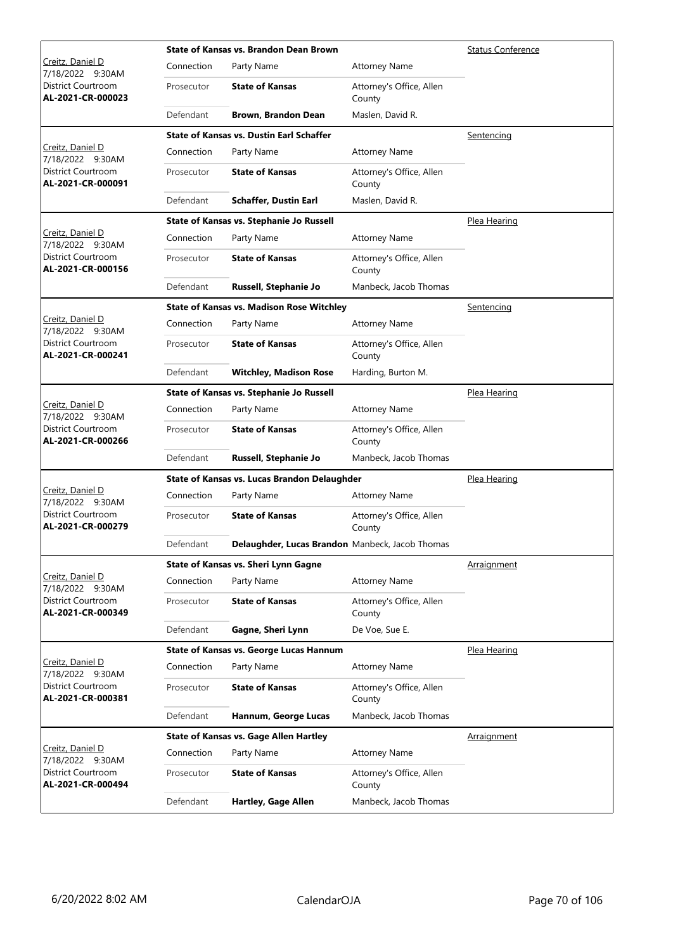|                                         |            | <b>State of Kansas vs. Brandon Dean Brown</b>          |                                    | <b>Status Conference</b> |
|-----------------------------------------|------------|--------------------------------------------------------|------------------------------------|--------------------------|
| Creitz, Daniel D<br>7/18/2022 9:30AM    | Connection | Party Name                                             | <b>Attorney Name</b>               |                          |
| District Courtroom<br>AL-2021-CR-000023 | Prosecutor | <b>State of Kansas</b>                                 | Attorney's Office, Allen<br>County |                          |
|                                         | Defendant  | Brown, Brandon Dean                                    | Maslen, David R.                   |                          |
|                                         |            | <b>State of Kansas vs. Dustin Earl Schaffer</b>        |                                    | Sentencing               |
| Creitz, Daniel D<br>7/18/2022 9:30AM    | Connection | Party Name                                             | <b>Attorney Name</b>               |                          |
| District Courtroom<br>AL-2021-CR-000091 | Prosecutor | <b>State of Kansas</b>                                 | Attorney's Office, Allen<br>County |                          |
|                                         | Defendant  | <b>Schaffer, Dustin Earl</b>                           | Maslen, David R.                   |                          |
|                                         |            | State of Kansas vs. Stephanie Jo Russell               |                                    | Plea Hearing             |
| Creitz, Daniel D<br>7/18/2022 9:30AM    | Connection | Party Name                                             | <b>Attorney Name</b>               |                          |
| District Courtroom<br>AL-2021-CR-000156 | Prosecutor | <b>State of Kansas</b>                                 | Attorney's Office, Allen<br>County |                          |
|                                         | Defendant  | Russell, Stephanie Jo                                  | Manbeck, Jacob Thomas              |                          |
|                                         |            | <b>State of Kansas vs. Madison Rose Witchley</b>       |                                    | <u>Sentencing</u>        |
| Creitz, Daniel D<br>7/18/2022 9:30AM    | Connection | Party Name                                             | <b>Attorney Name</b>               |                          |
| District Courtroom<br>AL-2021-CR-000241 | Prosecutor | <b>State of Kansas</b>                                 | Attorney's Office, Allen<br>County |                          |
|                                         | Defendant  | <b>Witchley, Madison Rose</b>                          | Harding, Burton M.                 |                          |
|                                         |            | State of Kansas vs. Stephanie Jo Russell               |                                    | Plea Hearing             |
| Creitz, Daniel D<br>7/18/2022 9:30AM    | Connection | Party Name                                             | <b>Attorney Name</b>               |                          |
| District Courtroom<br>AL-2021-CR-000266 | Prosecutor | <b>State of Kansas</b>                                 | Attorney's Office, Allen<br>County |                          |
|                                         | Defendant  | Russell, Stephanie Jo                                  | Manbeck, Jacob Thomas              |                          |
|                                         |            | State of Kansas vs. Lucas Brandon Delaughder           | Plea Hearing                       |                          |
| Creitz, Daniel D<br>7/18/2022 9:30AM    | Connection | Party Name                                             | <b>Attorney Name</b>               |                          |
| District Courtroom<br>AL-2021-CR-000279 | Prosecutor | <b>State of Kansas</b>                                 | Attorney's Office, Allen<br>County |                          |
|                                         | Defendant  | <b>Delaughder, Lucas Brandon</b> Manbeck, Jacob Thomas |                                    |                          |
|                                         |            | State of Kansas vs. Sheri Lynn Gagne                   |                                    | Arraignment              |
| Creitz, Daniel D<br>7/18/2022 9:30AM    | Connection | Party Name                                             | <b>Attorney Name</b>               |                          |
| District Courtroom<br>AL-2021-CR-000349 | Prosecutor | <b>State of Kansas</b>                                 | Attorney's Office, Allen<br>County |                          |
|                                         | Defendant  | Gagne, Sheri Lynn                                      | De Voe, Sue E.                     |                          |
|                                         |            | <b>State of Kansas vs. George Lucas Hannum</b>         |                                    | Plea Hearing             |
| Creitz, Daniel D<br>7/18/2022 9:30AM    | Connection | Party Name                                             | <b>Attorney Name</b>               |                          |
| District Courtroom<br>AL-2021-CR-000381 | Prosecutor | <b>State of Kansas</b>                                 | Attorney's Office, Allen<br>County |                          |
|                                         | Defendant  | Hannum, George Lucas                                   | Manbeck, Jacob Thomas              |                          |
|                                         |            | <b>State of Kansas vs. Gage Allen Hartley</b>          |                                    | Arraignment              |
| Creitz, Daniel D<br>7/18/2022 9:30AM    | Connection | Party Name                                             | <b>Attorney Name</b>               |                          |
| District Courtroom<br>AL-2021-CR-000494 | Prosecutor | <b>State of Kansas</b>                                 | Attorney's Office, Allen<br>County |                          |
|                                         | Defendant  | <b>Hartley, Gage Allen</b>                             | Manbeck, Jacob Thomas              |                          |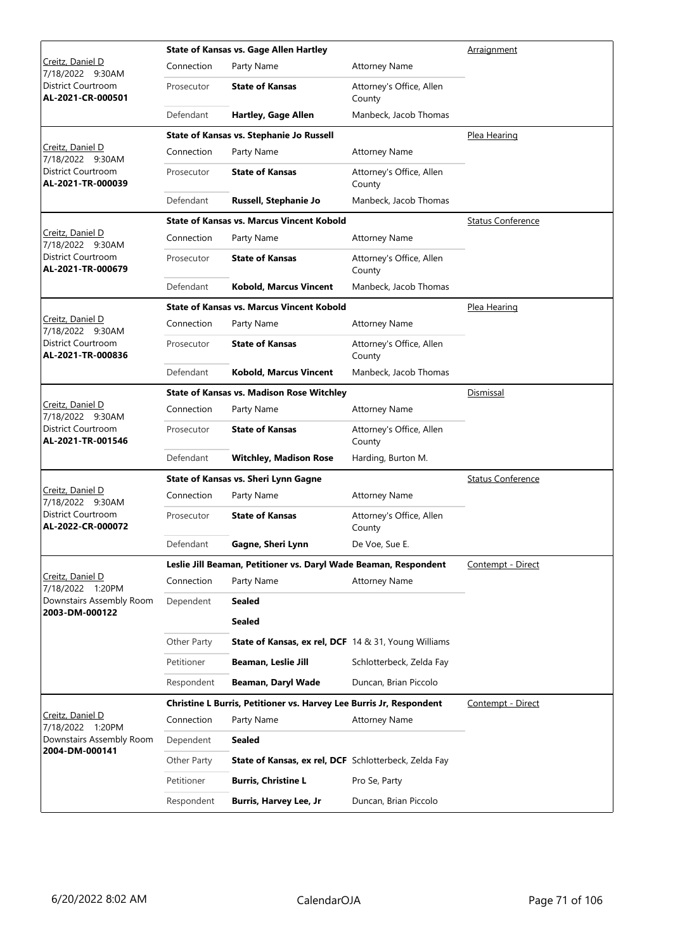|                                                | <b>State of Kansas vs. Gage Allen Hartley</b> |                                                                     |                                    | Arraignment              |
|------------------------------------------------|-----------------------------------------------|---------------------------------------------------------------------|------------------------------------|--------------------------|
| Creitz, Daniel D<br>7/18/2022 9:30AM           | Connection                                    | Party Name                                                          | <b>Attorney Name</b>               |                          |
| District Courtroom<br>AL-2021-CR-000501        | Prosecutor                                    | <b>State of Kansas</b>                                              | Attorney's Office, Allen<br>County |                          |
|                                                | Defendant                                     | <b>Hartley, Gage Allen</b>                                          | Manbeck, Jacob Thomas              |                          |
|                                                |                                               | State of Kansas vs. Stephanie Jo Russell                            |                                    | Plea Hearing             |
| Creitz, Daniel D<br>7/18/2022 9:30AM           | Connection                                    | Party Name                                                          | <b>Attorney Name</b>               |                          |
| District Courtroom<br>AL-2021-TR-000039        | Prosecutor                                    | <b>State of Kansas</b>                                              | Attorney's Office, Allen<br>County |                          |
|                                                | Defendant                                     | Russell, Stephanie Jo                                               | Manbeck, Jacob Thomas              |                          |
|                                                |                                               | <b>State of Kansas vs. Marcus Vincent Kobold</b>                    |                                    | <b>Status Conference</b> |
| Creitz, Daniel D<br>7/18/2022 9:30AM           | Connection                                    | Party Name                                                          | <b>Attorney Name</b>               |                          |
| District Courtroom<br>AL-2021-TR-000679        | Prosecutor                                    | <b>State of Kansas</b>                                              | Attorney's Office, Allen<br>County |                          |
|                                                | Defendant                                     | <b>Kobold, Marcus Vincent</b>                                       | Manbeck, Jacob Thomas              |                          |
|                                                |                                               | <b>State of Kansas vs. Marcus Vincent Kobold</b>                    |                                    | <u>Plea Hearing</u>      |
| Creitz, Daniel D<br>7/18/2022 9:30AM           | Connection                                    | Party Name                                                          | <b>Attorney Name</b>               |                          |
| District Courtroom<br>AL-2021-TR-000836        | Prosecutor                                    | <b>State of Kansas</b>                                              | Attorney's Office, Allen<br>County |                          |
|                                                | Defendant                                     | <b>Kobold, Marcus Vincent</b>                                       | Manbeck, Jacob Thomas              |                          |
|                                                |                                               | <b>State of Kansas vs. Madison Rose Witchley</b>                    |                                    | Dismissal                |
| Creitz, Daniel D<br>7/18/2022 9:30AM           | Connection                                    | Party Name                                                          | <b>Attorney Name</b>               |                          |
| District Courtroom<br>AL-2021-TR-001546        | Prosecutor                                    | <b>State of Kansas</b>                                              | Attorney's Office, Allen<br>County |                          |
|                                                | Defendant                                     | <b>Witchley, Madison Rose</b>                                       | Harding, Burton M.                 |                          |
|                                                |                                               | State of Kansas vs. Sheri Lynn Gagne                                |                                    | <b>Status Conference</b> |
| Creitz, Daniel D<br>7/18/2022 9:30AM           | Connection                                    | Party Name                                                          | <b>Attorney Name</b>               |                          |
| <b>District Courtroom</b><br>AL-2022-CR-000072 | Prosecutor                                    | <b>State of Kansas</b>                                              | Attorney's Office, Allen<br>County |                          |
|                                                | Defendant                                     | Gagne, Sheri Lynn                                                   | De Voe, Sue E.                     |                          |
|                                                |                                               | Leslie Jill Beaman, Petitioner vs. Daryl Wade Beaman, Respondent    |                                    | Contempt - Direct        |
| Creitz, Daniel D<br>7/18/2022 1:20PM           | Connection                                    | Party Name                                                          | <b>Attorney Name</b>               |                          |
| Downstairs Assembly Room                       | Dependent                                     | Sealed                                                              |                                    |                          |
| 2003-DM-000122                                 |                                               | Sealed                                                              |                                    |                          |
|                                                | Other Party                                   | <b>State of Kansas, ex rel, DCF</b> 14 & 31, Young Williams         |                                    |                          |
|                                                | Petitioner                                    | Beaman, Leslie Jill                                                 | Schlotterbeck, Zelda Fay           |                          |
|                                                | Respondent                                    | Beaman, Daryl Wade                                                  | Duncan, Brian Piccolo              |                          |
|                                                |                                               | Christine L Burris, Petitioner vs. Harvey Lee Burris Jr, Respondent |                                    | Contempt - Direct        |
| Creitz, Daniel D<br>7/18/2022 1:20PM           | Connection                                    | Party Name                                                          | Attorney Name                      |                          |
| Downstairs Assembly Room                       | Dependent                                     | <b>Sealed</b>                                                       |                                    |                          |
| 2004-DM-000141                                 | Other Party                                   | State of Kansas, ex rel, DCF Schlotterbeck, Zelda Fay               |                                    |                          |
|                                                | Petitioner                                    | <b>Burris, Christine L</b>                                          | Pro Se, Party                      |                          |
|                                                | Respondent                                    | <b>Burris, Harvey Lee, Jr</b>                                       | Duncan, Brian Piccolo              |                          |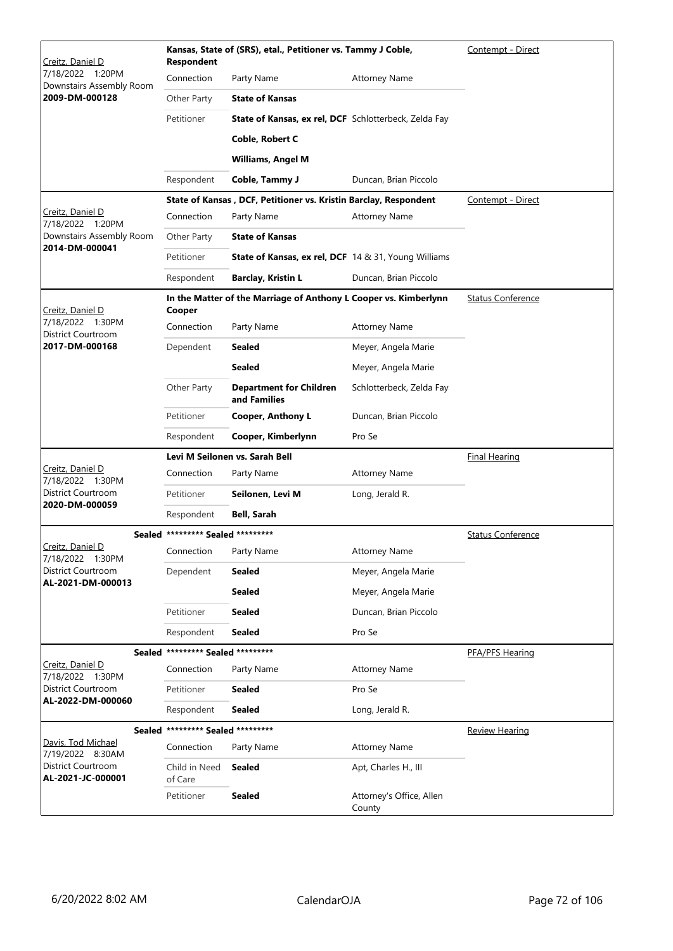| <u>Creitz, Daniel D</u>                         | <b>Respondent</b>                 | Kansas, State of (SRS), etal., Petitioner vs. Tammy J Coble,     | Contempt - Direct                  |                          |
|-------------------------------------------------|-----------------------------------|------------------------------------------------------------------|------------------------------------|--------------------------|
| 1:20PM<br>7/18/2022<br>Downstairs Assembly Room | Connection                        | Party Name                                                       | <b>Attorney Name</b>               |                          |
| 2009-DM-000128                                  | Other Party                       | <b>State of Kansas</b>                                           |                                    |                          |
|                                                 | Petitioner                        | State of Kansas, ex rel, DCF Schlotterbeck, Zelda Fay            |                                    |                          |
|                                                 |                                   | Coble, Robert C                                                  |                                    |                          |
|                                                 |                                   | Williams, Angel M                                                |                                    |                          |
|                                                 | Respondent                        | Coble, Tammy J                                                   | Duncan, Brian Piccolo              |                          |
|                                                 |                                   | State of Kansas, DCF, Petitioner vs. Kristin Barclay, Respondent |                                    | Contempt - Direct        |
| Creitz, Daniel D<br>7/18/2022 1:20PM            | Connection                        | Party Name                                                       | Attorney Name                      |                          |
| Downstairs Assembly Room                        | Other Party                       | <b>State of Kansas</b>                                           |                                    |                          |
| 2014-DM-000041                                  | Petitioner                        | <b>State of Kansas, ex rel, DCF</b> 14 & 31, Young Williams      |                                    |                          |
|                                                 | Respondent                        | <b>Barclay, Kristin L</b>                                        | Duncan, Brian Piccolo              |                          |
| Creitz, Daniel D                                | Cooper                            | In the Matter of the Marriage of Anthony L Cooper vs. Kimberlynn |                                    | <b>Status Conference</b> |
| 7/18/2022 1:30PM<br>District Courtroom          | Connection                        | Party Name                                                       | <b>Attorney Name</b>               |                          |
| 2017-DM-000168                                  | Dependent                         | Sealed                                                           | Meyer, Angela Marie                |                          |
|                                                 |                                   | Sealed                                                           | Meyer, Angela Marie                |                          |
|                                                 | Other Party                       | <b>Department for Children</b><br>and Families                   | Schlotterbeck, Zelda Fay           |                          |
|                                                 | Petitioner                        | Cooper, Anthony L                                                | Duncan, Brian Piccolo              |                          |
|                                                 | Respondent                        | Cooper, Kimberlynn                                               | Pro Se                             |                          |
|                                                 |                                   | Levi M Seilonen vs. Sarah Bell                                   |                                    | <b>Final Hearing</b>     |
| <u>Creitz, Daniel D</u><br>7/18/2022 1:30PM     | Connection                        | Party Name                                                       | <b>Attorney Name</b>               |                          |
| District Courtroom<br>2020-DM-000059            | Petitioner                        | Seilonen, Levi M                                                 | Long, Jerald R.                    |                          |
|                                                 | Respondent                        | Bell, Sarah                                                      |                                    |                          |
|                                                 | Sealed ********* Sealed ********* |                                                                  |                                    | <b>Status Conference</b> |
| Creitz, Daniel D<br>7/18/2022 1:30PM            | Connection                        | Party Name                                                       | <b>Attorney Name</b>               |                          |
| District Courtroom<br>AL-2021-DM-000013         | Dependent                         | <b>Sealed</b>                                                    | Meyer, Angela Marie                |                          |
|                                                 |                                   | <b>Sealed</b>                                                    | Meyer, Angela Marie                |                          |
|                                                 | Petitioner                        | <b>Sealed</b>                                                    | Duncan, Brian Piccolo              |                          |
|                                                 | Respondent                        | <b>Sealed</b>                                                    | Pro Se                             |                          |
|                                                 | Sealed ********* Sealed ********* |                                                                  |                                    | PFA/PFS Hearing          |
| Creitz, Daniel D<br>7/18/2022 1:30PM            | Connection                        | Party Name                                                       | <b>Attorney Name</b>               |                          |
| District Courtroom                              | Petitioner                        | <b>Sealed</b>                                                    | Pro Se                             |                          |
| AL-2022-DM-000060                               | Respondent                        | <b>Sealed</b>                                                    | Long, Jerald R.                    |                          |
|                                                 | Sealed ********* Sealed ********* |                                                                  |                                    | <b>Review Hearing</b>    |
| Davis, Tod Michael<br>7/19/2022 8:30AM          | Connection                        | Party Name                                                       | <b>Attorney Name</b>               |                          |
| District Courtroom<br>AL-2021-JC-000001         | Child in Need<br>of Care          | <b>Sealed</b>                                                    | Apt, Charles H., III               |                          |
|                                                 | Petitioner                        | <b>Sealed</b>                                                    | Attorney's Office, Allen<br>County |                          |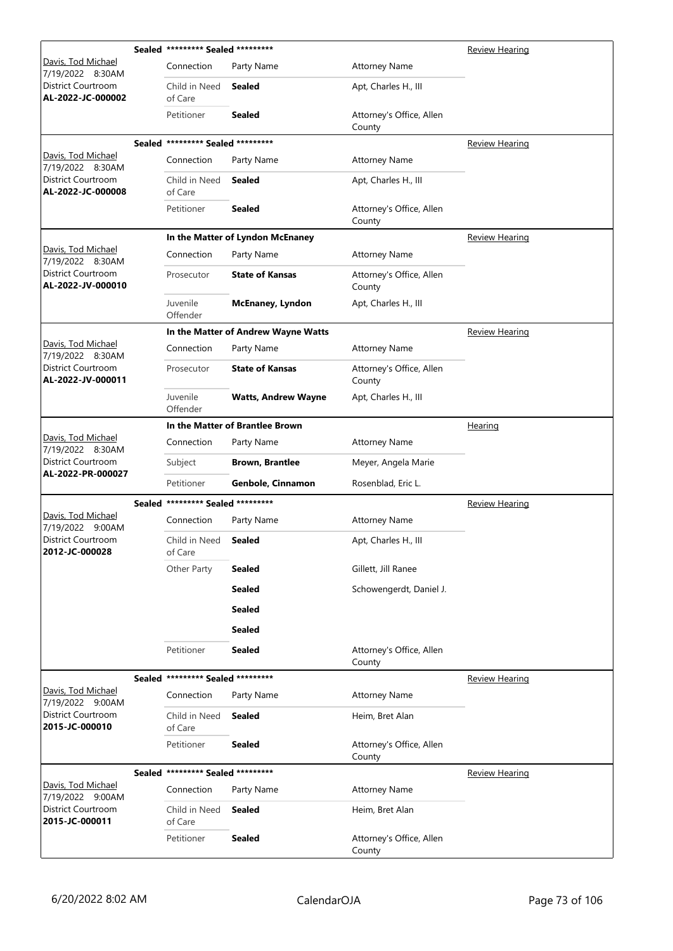|                                                | Sealed ********* Sealed ********* |                                     |                                    | <b>Review Hearing</b> |
|------------------------------------------------|-----------------------------------|-------------------------------------|------------------------------------|-----------------------|
| Davis, Tod Michael<br>7/19/2022 8:30AM         | Connection                        | Party Name                          | <b>Attorney Name</b>               |                       |
| District Courtroom<br>AL-2022-JC-000002        | Child in Need<br>of Care          | Sealed                              | Apt, Charles H., III               |                       |
|                                                | Petitioner                        | <b>Sealed</b>                       | Attorney's Office, Allen<br>County |                       |
|                                                | Sealed ********* Sealed ********* |                                     |                                    | Review Hearing        |
| Davis, Tod Michael<br>7/19/2022 8:30AM         | Connection                        | Party Name                          | <b>Attorney Name</b>               |                       |
| <b>District Courtroom</b><br>AL-2022-JC-000008 | Child in Need<br>of Care          | <b>Sealed</b>                       | Apt, Charles H., III               |                       |
|                                                | Petitioner                        | <b>Sealed</b>                       | Attorney's Office, Allen<br>County |                       |
|                                                |                                   | In the Matter of Lyndon McEnaney    |                                    | <b>Review Hearing</b> |
| Davis, Tod Michael<br>7/19/2022 8:30AM         | Connection                        | Party Name                          | <b>Attorney Name</b>               |                       |
| District Courtroom<br>AL-2022-JV-000010        | Prosecutor                        | <b>State of Kansas</b>              | Attorney's Office, Allen<br>County |                       |
|                                                | Juvenile<br>Offender              | <b>McEnaney, Lyndon</b>             | Apt, Charles H., III               |                       |
|                                                |                                   | In the Matter of Andrew Wayne Watts |                                    | <b>Review Hearing</b> |
| Davis, Tod Michael<br>7/19/2022 8:30AM         | Connection                        | Party Name                          | <b>Attorney Name</b>               |                       |
| District Courtroom<br>AL-2022-JV-000011        | Prosecutor                        | <b>State of Kansas</b>              | Attorney's Office, Allen<br>County |                       |
|                                                | Juvenile<br>Offender              | <b>Watts, Andrew Wayne</b>          | Apt, Charles H., III               |                       |
|                                                |                                   | In the Matter of Brantlee Brown     |                                    | Hearing               |
| Davis, Tod Michael<br>7/19/2022 8:30AM         | Connection                        | Party Name                          | <b>Attorney Name</b>               |                       |
| District Courtroom<br>AL-2022-PR-000027        | Subject                           | <b>Brown, Brantlee</b>              | Meyer, Angela Marie                |                       |
|                                                | Petitioner                        | Genbole, Cinnamon                   | Rosenblad, Eric L.                 |                       |
|                                                | Sealed ********* Sealed ********* |                                     |                                    | <b>Review Hearing</b> |
| Davis, Tod Michael<br>7/19/2022 9:00AM         | Connection                        | Party Name                          | <b>Attorney Name</b>               |                       |
| <b>District Courtroom</b><br>2012-JC-000028    | Child in Need<br>of Care          | Sealed                              | Apt, Charles H., III               |                       |
|                                                | Other Party                       | <b>Sealed</b>                       | Gillett, Jill Ranee                |                       |
|                                                |                                   | <b>Sealed</b>                       | Schowengerdt, Daniel J.            |                       |
|                                                |                                   | <b>Sealed</b>                       |                                    |                       |
|                                                |                                   | <b>Sealed</b>                       |                                    |                       |
|                                                | Petitioner                        | <b>Sealed</b>                       | Attorney's Office, Allen<br>County |                       |
|                                                | Sealed ********* Sealed ********* |                                     |                                    | Review Hearing        |
| Davis, Tod Michael<br>7/19/2022 9:00AM         | Connection                        | Party Name                          | <b>Attorney Name</b>               |                       |
| District Courtroom<br>2015-JC-000010           | Child in Need<br>of Care          | Sealed                              | Heim, Bret Alan                    |                       |
|                                                | Petitioner                        | <b>Sealed</b>                       | Attorney's Office, Allen<br>County |                       |
|                                                | Sealed ********* Sealed ********* |                                     |                                    | <b>Review Hearing</b> |
| Davis, Tod Michael<br>7/19/2022 9:00AM         | Connection                        | Party Name                          | <b>Attorney Name</b>               |                       |
| District Courtroom<br>2015-JC-000011           | Child in Need<br>of Care          | <b>Sealed</b>                       | Heim, Bret Alan                    |                       |
|                                                | Petitioner                        | <b>Sealed</b>                       | Attorney's Office, Allen<br>County |                       |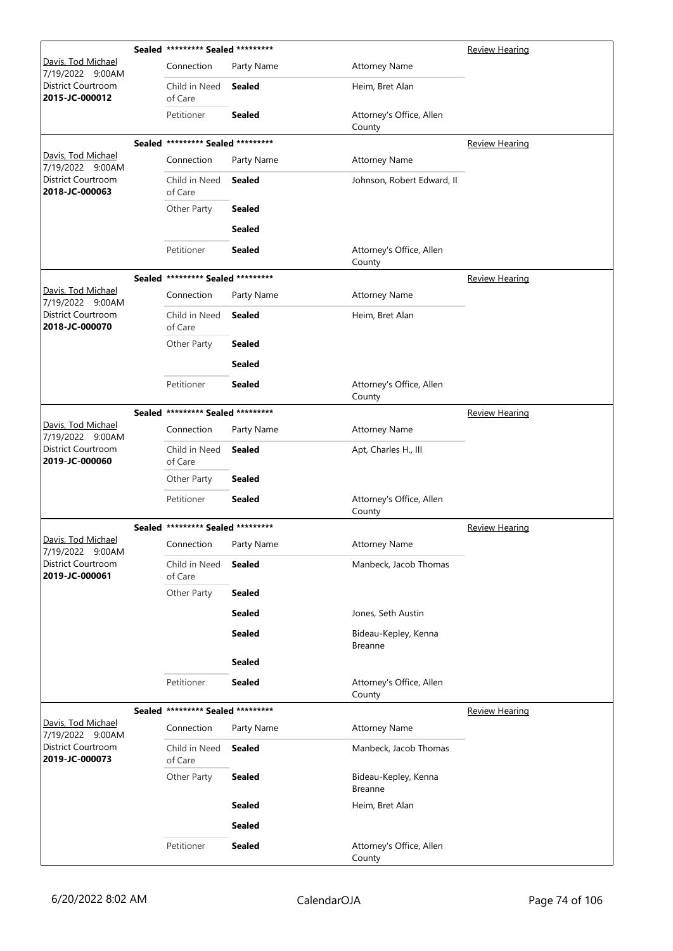|                                        | Sealed ********* Sealed ********* |               |                                        | <b>Review Hearing</b> |
|----------------------------------------|-----------------------------------|---------------|----------------------------------------|-----------------------|
| Davis, Tod Michael<br>7/19/2022 9:00AM | Connection                        | Party Name    | <b>Attorney Name</b>                   |                       |
| District Courtroom<br>2015-JC-000012   | Child in Need<br>of Care          | <b>Sealed</b> | Heim, Bret Alan                        |                       |
|                                        | Petitioner                        | <b>Sealed</b> | Attorney's Office, Allen<br>County     |                       |
|                                        | Sealed ********* Sealed ********* |               |                                        | <b>Review Hearing</b> |
| Davis, Tod Michael<br>7/19/2022 9:00AM | Connection                        | Party Name    | <b>Attorney Name</b>                   |                       |
| District Courtroom<br>2018-JC-000063   | Child in Need<br>of Care          | <b>Sealed</b> | Johnson, Robert Edward, II             |                       |
|                                        | Other Party                       | <b>Sealed</b> |                                        |                       |
|                                        |                                   | <b>Sealed</b> |                                        |                       |
|                                        | Petitioner                        | <b>Sealed</b> | Attorney's Office, Allen<br>County     |                       |
|                                        | Sealed ********* Sealed ********* |               |                                        | <b>Review Hearing</b> |
| Davis, Tod Michael<br>7/19/2022 9:00AM | Connection                        | Party Name    | <b>Attorney Name</b>                   |                       |
| District Courtroom<br>2018-JC-000070   | Child in Need<br>of Care          | <b>Sealed</b> | Heim, Bret Alan                        |                       |
|                                        | Other Party                       | <b>Sealed</b> |                                        |                       |
|                                        |                                   | <b>Sealed</b> |                                        |                       |
|                                        | Petitioner                        | <b>Sealed</b> | Attorney's Office, Allen<br>County     |                       |
|                                        | Sealed ********* Sealed ********* |               |                                        | <b>Review Hearing</b> |
| Davis, Tod Michael<br>7/19/2022 9:00AM | Connection                        | Party Name    | <b>Attorney Name</b>                   |                       |
| District Courtroom<br>2019-JC-000060   | Child in Need<br>of Care          | <b>Sealed</b> | Apt, Charles H., III                   |                       |
|                                        | Other Party                       | Sealed        |                                        |                       |
|                                        | Petitioner                        | <b>Sealed</b> | Attorney's Office, Allen<br>County     |                       |
|                                        | Sealed ********* Sealed ********* |               |                                        | <b>Review Hearing</b> |
| Davis, Tod Michael<br>7/19/2022 9:00AM | Connection                        | Party Name    | <b>Attorney Name</b>                   |                       |
| District Courtroom<br>2019-JC-000061   | Child in Need<br>of Care          | Sealed        | Manbeck, Jacob Thomas                  |                       |
|                                        | Other Party                       | <b>Sealed</b> |                                        |                       |
|                                        |                                   | <b>Sealed</b> | Jones, Seth Austin                     |                       |
|                                        |                                   | <b>Sealed</b> | Bideau-Kepley, Kenna<br><b>Breanne</b> |                       |
|                                        |                                   | <b>Sealed</b> |                                        |                       |
|                                        | Petitioner                        | <b>Sealed</b> | Attorney's Office, Allen<br>County     |                       |
|                                        | Sealed ********* Sealed ********* |               |                                        | <b>Review Hearing</b> |
| Davis, Tod Michael<br>7/19/2022 9:00AM | Connection                        | Party Name    | <b>Attorney Name</b>                   |                       |
| District Courtroom<br>2019-JC-000073   | Child in Need<br>of Care          | Sealed        | Manbeck, Jacob Thomas                  |                       |
|                                        | Other Party                       | Sealed        | Bideau-Kepley, Kenna<br><b>Breanne</b> |                       |
|                                        |                                   | <b>Sealed</b> | Heim, Bret Alan                        |                       |
|                                        |                                   | <b>Sealed</b> |                                        |                       |
|                                        | Petitioner                        | <b>Sealed</b> | Attorney's Office, Allen<br>County     |                       |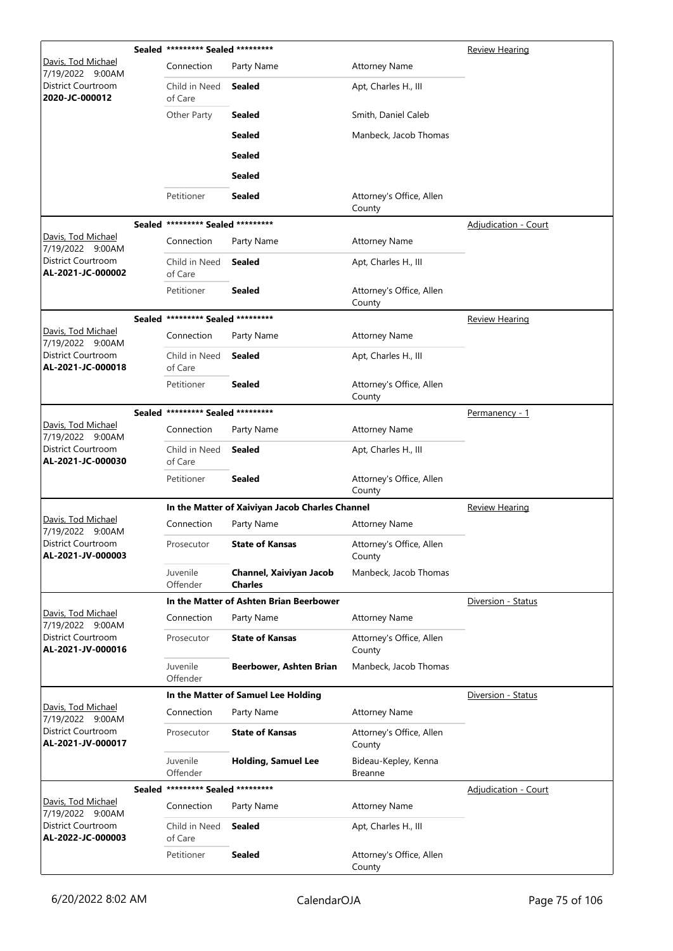|                                                |               | Sealed ********* Sealed ********* |                                                 |                                    | <b>Review Hearing</b>       |
|------------------------------------------------|---------------|-----------------------------------|-------------------------------------------------|------------------------------------|-----------------------------|
| Davis, Tod Michael<br>7/19/2022 9:00AM         |               | Connection                        | Party Name                                      | <b>Attorney Name</b>               |                             |
| District Courtroom<br>2020-JC-000012           |               | Child in Need<br>of Care          | <b>Sealed</b>                                   | Apt, Charles H., III               |                             |
|                                                |               | Other Party                       | <b>Sealed</b>                                   | Smith, Daniel Caleb                |                             |
|                                                |               |                                   | <b>Sealed</b>                                   | Manbeck, Jacob Thomas              |                             |
|                                                |               |                                   | <b>Sealed</b>                                   |                                    |                             |
|                                                |               |                                   | <b>Sealed</b>                                   |                                    |                             |
|                                                |               | Petitioner                        | Sealed                                          | Attorney's Office, Allen<br>County |                             |
|                                                |               | Sealed ********* Sealed ********* |                                                 |                                    | Adjudication - Court        |
| Davis, Tod Michael<br>7/19/2022 9:00AM         |               | Connection                        | Party Name                                      | <b>Attorney Name</b>               |                             |
| <b>District Courtroom</b><br>AL-2021-JC-000002 |               | Child in Need<br>of Care          | <b>Sealed</b>                                   | Apt, Charles H., III               |                             |
|                                                |               | Petitioner                        | <b>Sealed</b>                                   | Attorney's Office, Allen<br>County |                             |
|                                                |               | Sealed ********* Sealed ********* |                                                 |                                    | <b>Review Hearing</b>       |
| Davis, Tod Michael<br>7/19/2022 9:00AM         |               | Connection                        | Party Name                                      | <b>Attorney Name</b>               |                             |
| District Courtroom<br>AL-2021-JC-000018        |               | Child in Need<br>of Care          | <b>Sealed</b>                                   | Apt, Charles H., III               |                             |
|                                                |               | Petitioner                        | <b>Sealed</b>                                   | Attorney's Office, Allen<br>County |                             |
|                                                |               | Sealed ********* Sealed ********* |                                                 |                                    | <u>Permanency - 1</u>       |
| Davis, Tod Michael<br>7/19/2022 9:00AM         |               | Connection                        | Party Name                                      | <b>Attorney Name</b>               |                             |
| District Courtroom<br>AL-2021-JC-000030        |               | Child in Need<br>of Care          | <b>Sealed</b>                                   | Apt, Charles H., III               |                             |
|                                                |               | Petitioner                        | <b>Sealed</b>                                   | Attorney's Office, Allen<br>County |                             |
|                                                |               |                                   | In the Matter of Xaiviyan Jacob Charles Channel |                                    | <b>Review Hearing</b>       |
| Davis, Tod Michael<br>7/19/2022 9:00AM         |               | Connection                        | Party Name                                      | <b>Attorney Name</b>               |                             |
| District Courtroom<br>AL-2021-JV-000003        |               | Prosecutor                        | <b>State of Kansas</b>                          | Attorney's Office, Allen<br>County |                             |
|                                                |               | Juvenile<br>Offender              | Channel, Xaiviyan Jacob<br><b>Charles</b>       | Manbeck, Jacob Thomas              |                             |
|                                                |               |                                   | In the Matter of Ashten Brian Beerbower         |                                    | Diversion - Status          |
| Davis, Tod Michael<br>7/19/2022 9:00AM         |               | Connection                        | Party Name                                      | <b>Attorney Name</b>               |                             |
| District Courtroom<br>AL-2021-JV-000016        |               | Prosecutor                        | <b>State of Kansas</b>                          | Attorney's Office, Allen<br>County |                             |
|                                                |               | Juvenile<br>Offender              | Beerbower, Ashten Brian                         | Manbeck, Jacob Thomas              |                             |
|                                                |               |                                   | In the Matter of Samuel Lee Holding             |                                    | Diversion - Status          |
| Davis, Tod Michael<br>7/19/2022 9:00AM         |               | Connection                        | Party Name                                      | <b>Attorney Name</b>               |                             |
| District Courtroom<br>AL-2021-JV-000017        |               | Prosecutor                        | <b>State of Kansas</b>                          | Attorney's Office, Allen<br>County |                             |
|                                                |               | Juvenile<br>Offender              | <b>Holding, Samuel Lee</b>                      | Bideau-Kepley, Kenna<br>Breanne    |                             |
|                                                | <b>Sealed</b> | ********* Sealed *********        |                                                 |                                    | <b>Adjudication - Court</b> |
| <u> Davis, Tod Michael</u><br>7/19/2022 9:00AM |               | Connection                        | Party Name                                      | <b>Attorney Name</b>               |                             |
| District Courtroom<br>AL-2022-JC-000003        |               | Child in Need<br>of Care          | <b>Sealed</b>                                   | Apt, Charles H., III               |                             |
|                                                |               | Petitioner                        | <b>Sealed</b>                                   | Attorney's Office, Allen<br>County |                             |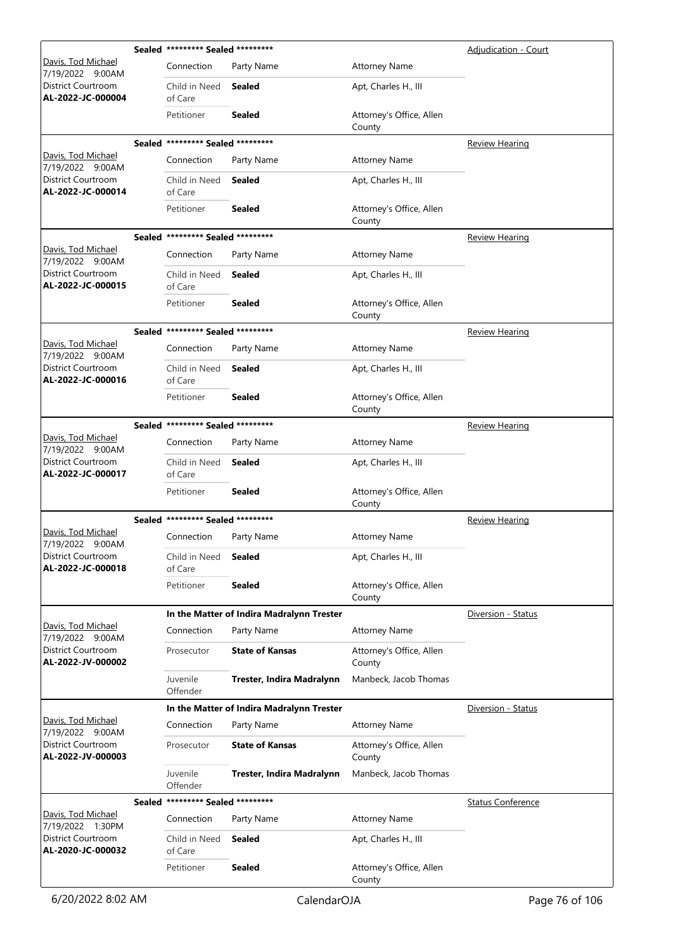|                                                |               | Sealed ********* Sealed ********* |                                           |                                    | Adjudication - Court     |
|------------------------------------------------|---------------|-----------------------------------|-------------------------------------------|------------------------------------|--------------------------|
| <u> Davis, Tod Michael</u><br>7/19/2022 9:00AM |               | Connection                        | Party Name                                | <b>Attorney Name</b>               |                          |
| District Courtroom<br>AL-2022-JC-000004        |               | Child in Need<br>of Care          | <b>Sealed</b>                             | Apt, Charles H., III               |                          |
|                                                |               | Petitioner                        | <b>Sealed</b>                             | Attorney's Office, Allen<br>County |                          |
|                                                |               | Sealed ********* Sealed ********* |                                           |                                    | <b>Review Hearing</b>    |
| <u> Davis, Tod Michael</u><br>7/19/2022 9:00AM |               | Connection                        | Party Name                                | <b>Attorney Name</b>               |                          |
| District Courtroom<br>AL-2022-JC-000014        |               | Child in Need<br>of Care          | Sealed                                    | Apt, Charles H., III               |                          |
|                                                |               | Petitioner                        | <b>Sealed</b>                             | Attorney's Office, Allen<br>County |                          |
|                                                |               | Sealed ********* Sealed ********* |                                           |                                    | <b>Review Hearing</b>    |
| Davis, Tod Michael<br>7/19/2022 9:00AM         |               | Connection                        | Party Name                                | <b>Attorney Name</b>               |                          |
| District Courtroom<br>AL-2022-JC-000015        |               | Child in Need<br>of Care          | <b>Sealed</b>                             | Apt, Charles H., III               |                          |
|                                                |               | Petitioner                        | <b>Sealed</b>                             | Attorney's Office, Allen<br>County |                          |
|                                                |               | Sealed ********* Sealed ********* |                                           |                                    | <b>Review Hearing</b>    |
| Davis, Tod Michael<br>7/19/2022 9:00AM         |               | Connection                        | Party Name                                | <b>Attorney Name</b>               |                          |
| District Courtroom<br>AL-2022-JC-000016        |               | Child in Need<br>of Care          | Sealed                                    | Apt, Charles H., III               |                          |
|                                                |               | Petitioner                        | <b>Sealed</b>                             | Attorney's Office, Allen<br>County |                          |
|                                                |               | Sealed ********* Sealed ********* |                                           |                                    | <b>Review Hearing</b>    |
| Davis, Tod Michael<br>7/19/2022 9:00AM         |               | Connection                        | Party Name                                | <b>Attorney Name</b>               |                          |
| District Courtroom<br>AL-2022-JC-000017        |               | Child in Need<br>of Care          | <b>Sealed</b>                             | Apt, Charles H., III               |                          |
|                                                |               | Petitioner                        | <b>Sealed</b>                             | Attorney's Office, Allen<br>County |                          |
|                                                |               | Sealed ********* Sealed ********* |                                           |                                    | Review Hearing           |
| Davis, Tod Michael<br>7/19/2022 9:00AM         |               | Connection                        | Party Name                                | <b>Attorney Name</b>               |                          |
| District Courtroom<br>AL-2022-JC-000018        |               | Child in Need<br>of Care          | <b>Sealed</b>                             | Apt, Charles H., III               |                          |
|                                                |               | Petitioner                        | <b>Sealed</b>                             | Attorney's Office, Allen<br>County |                          |
|                                                |               |                                   | In the Matter of Indira Madralynn Trester |                                    | Diversion - Status       |
| <u> Davis, Tod Michael</u><br>7/19/2022 9:00AM |               | Connection                        | Party Name                                | <b>Attorney Name</b>               |                          |
| District Courtroom<br>AL-2022-JV-000002        |               | Prosecutor                        | <b>State of Kansas</b>                    | Attorney's Office, Allen<br>County |                          |
|                                                |               | Juvenile<br>Offender              | Trester, Indira Madralynn                 | Manbeck, Jacob Thomas              |                          |
|                                                |               |                                   | In the Matter of Indira Madralynn Trester |                                    | Diversion - Status       |
| Davis, Tod Michael<br>7/19/2022 9:00AM         |               | Connection                        | Party Name                                | <b>Attorney Name</b>               |                          |
| District Courtroom<br>AL-2022-JV-000003        |               | Prosecutor                        | <b>State of Kansas</b>                    | Attorney's Office, Allen<br>County |                          |
|                                                |               | Juvenile<br>Offender              | Trester, Indira Madralynn                 | Manbeck, Jacob Thomas              |                          |
|                                                | <b>Sealed</b> | ********* Sealed *********        |                                           |                                    | <b>Status Conference</b> |
| Davis, Tod Michael<br>7/19/2022 1:30PM         |               | Connection                        | Party Name                                | <b>Attorney Name</b>               |                          |
| District Courtroom<br>AL-2020-JC-000032        |               | Child in Need<br>of Care          | <b>Sealed</b>                             | Apt, Charles H., III               |                          |
|                                                |               | Petitioner                        | Sealed                                    | Attorney's Office, Allen<br>County |                          |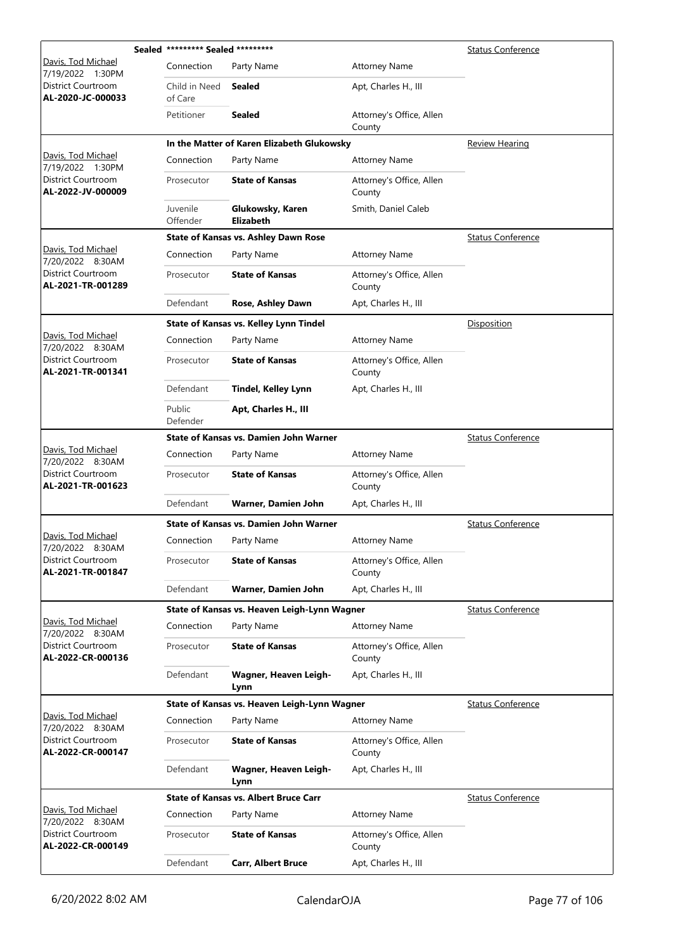|                                                | Sealed ********* Sealed ********* |                                               | <b>Status Conference</b>           |                          |
|------------------------------------------------|-----------------------------------|-----------------------------------------------|------------------------------------|--------------------------|
| <u> Davis, Tod Michael</u><br>7/19/2022 1:30PM | Connection                        | Party Name                                    | <b>Attorney Name</b>               |                          |
| District Courtroom<br>AL-2020-JC-000033        | Child in Need<br>of Care          | Sealed                                        | Apt, Charles H., III               |                          |
|                                                | Petitioner                        | <b>Sealed</b>                                 | Attorney's Office, Allen<br>County |                          |
|                                                |                                   | In the Matter of Karen Elizabeth Glukowsky    |                                    | Review Hearing           |
| Davis, Tod Michael<br>7/19/2022 1:30PM         | Connection                        | Party Name                                    | <b>Attorney Name</b>               |                          |
| District Courtroom<br>AL-2022-JV-000009        | Prosecutor                        | <b>State of Kansas</b>                        | Attorney's Office, Allen<br>County |                          |
|                                                | Juvenile<br>Offender              | Glukowsky, Karen<br><b>Elizabeth</b>          | Smith, Daniel Caleb                |                          |
|                                                |                                   | State of Kansas vs. Ashley Dawn Rose          |                                    | <b>Status Conference</b> |
| Davis, Tod Michael<br>7/20/2022 8:30AM         | Connection                        | Party Name                                    | <b>Attorney Name</b>               |                          |
| District Courtroom<br>AL-2021-TR-001289        | Prosecutor                        | <b>State of Kansas</b>                        | Attorney's Office, Allen<br>County |                          |
|                                                | Defendant                         | Rose, Ashley Dawn                             | Apt, Charles H., III               |                          |
|                                                |                                   | <b>State of Kansas vs. Kelley Lynn Tindel</b> |                                    | Disposition              |
| Davis, Tod Michael<br>7/20/2022 8:30AM         | Connection                        | Party Name                                    | <b>Attorney Name</b>               |                          |
| District Courtroom<br>AL-2021-TR-001341        | Prosecutor                        | <b>State of Kansas</b>                        | Attorney's Office, Allen<br>County |                          |
|                                                | Defendant                         | <b>Tindel, Kelley Lynn</b>                    | Apt, Charles H., III               |                          |
|                                                | Public<br>Defender                | Apt, Charles H., III                          |                                    |                          |
|                                                |                                   | <b>State of Kansas vs. Damien John Warner</b> |                                    | <b>Status Conference</b> |
| Davis, Tod Michael<br>7/20/2022 8:30AM         | Connection                        | Party Name                                    | <b>Attorney Name</b>               |                          |
| District Courtroom<br>AL-2021-TR-001623        | Prosecutor                        | <b>State of Kansas</b>                        | Attorney's Office, Allen<br>County |                          |
|                                                | Defendant                         | Warner, Damien John                           | Apt, Charles H., III               |                          |
|                                                |                                   | State of Kansas vs. Damien John Warner        |                                    | <b>Status Conference</b> |
| Davis, Tod Michael<br>7/20/2022 8:30AM         | Connection                        | Party Name                                    | <b>Attorney Name</b>               |                          |
| <b>District Courtroom</b><br>AL-2021-TR-001847 | Prosecutor                        | <b>State of Kansas</b>                        | Attorney's Office, Allen<br>County |                          |
|                                                | Defendant                         | Warner, Damien John                           | Apt, Charles H., III               |                          |
|                                                |                                   | State of Kansas vs. Heaven Leigh-Lynn Wagner  |                                    | <b>Status Conference</b> |
| Davis, Tod Michael<br>7/20/2022 8:30AM         | Connection                        | Party Name                                    | <b>Attorney Name</b>               |                          |
| District Courtroom<br>AL-2022-CR-000136        | Prosecutor                        | <b>State of Kansas</b>                        | Attorney's Office, Allen<br>County |                          |
|                                                | Defendant                         | Wagner, Heaven Leigh-<br>Lynn                 | Apt, Charles H., III               |                          |
|                                                |                                   | State of Kansas vs. Heaven Leigh-Lynn Wagner  |                                    | <b>Status Conference</b> |
| Davis, Tod Michael<br>7/20/2022 8:30AM         | Connection                        | Party Name                                    | <b>Attorney Name</b>               |                          |
| District Courtroom<br>AL-2022-CR-000147        | Prosecutor                        | <b>State of Kansas</b>                        | Attorney's Office, Allen<br>County |                          |
|                                                | Defendant                         | Wagner, Heaven Leigh-<br>Lynn                 | Apt, Charles H., III               |                          |
|                                                |                                   | <b>State of Kansas vs. Albert Bruce Carr</b>  |                                    | <b>Status Conference</b> |
| Davis, Tod Michael<br>7/20/2022 8:30AM         | Connection                        | Party Name                                    | <b>Attorney Name</b>               |                          |
| District Courtroom<br>AL-2022-CR-000149        | Prosecutor                        | <b>State of Kansas</b>                        | Attorney's Office, Allen<br>County |                          |
|                                                | Defendant                         | <b>Carr, Albert Bruce</b>                     | Apt, Charles H., III               |                          |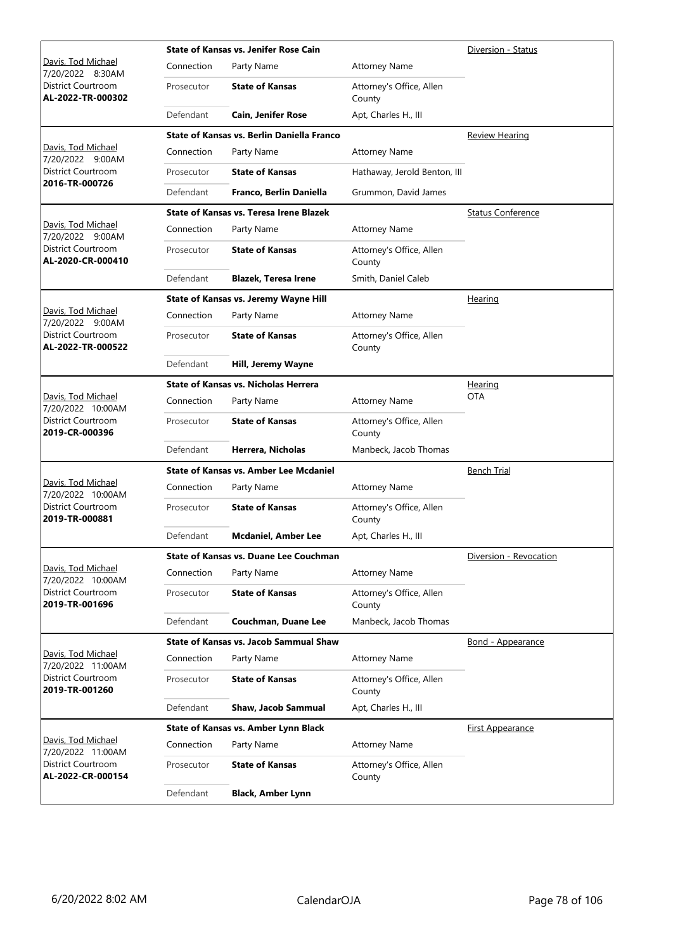|                                               |            | <b>State of Kansas vs. Jenifer Rose Cain</b>   | Diversion - Status                 |                          |
|-----------------------------------------------|------------|------------------------------------------------|------------------------------------|--------------------------|
| Davis, Tod Michael<br>7/20/2022 8:30AM        | Connection | Party Name                                     | <b>Attorney Name</b>               |                          |
| District Courtroom<br>AL-2022-TR-000302       | Prosecutor | <b>State of Kansas</b>                         | Attorney's Office, Allen<br>County |                          |
|                                               | Defendant  | <b>Cain, Jenifer Rose</b>                      | Apt, Charles H., III               |                          |
|                                               |            | State of Kansas vs. Berlin Daniella Franco     |                                    | <b>Review Hearing</b>    |
| Davis, Tod Michael<br>7/20/2022 9:00AM        | Connection | Party Name                                     | <b>Attorney Name</b>               |                          |
| District Courtroom<br>2016-TR-000726          | Prosecutor | <b>State of Kansas</b>                         | Hathaway, Jerold Benton, III       |                          |
|                                               | Defendant  | Franco, Berlin Daniella                        | Grummon, David James               |                          |
|                                               |            | <b>State of Kansas vs. Teresa Irene Blazek</b> |                                    | <b>Status Conference</b> |
| <u>Davis, Tod Michael</u><br>7/20/2022 9:00AM | Connection | Party Name                                     | <b>Attorney Name</b>               |                          |
| District Courtroom<br>AL-2020-CR-000410       | Prosecutor | <b>State of Kansas</b>                         | Attorney's Office, Allen<br>County |                          |
|                                               | Defendant  | <b>Blazek, Teresa Irene</b>                    | Smith, Daniel Caleb                |                          |
|                                               |            | <b>State of Kansas vs. Jeremy Wayne Hill</b>   |                                    | Hearing                  |
| Davis, Tod Michael<br>7/20/2022 9:00AM        | Connection | Party Name                                     | <b>Attorney Name</b>               |                          |
| District Courtroom<br>AL-2022-TR-000522       | Prosecutor | <b>State of Kansas</b>                         | Attorney's Office, Allen<br>County |                          |
|                                               | Defendant  | Hill, Jeremy Wayne                             |                                    |                          |
|                                               |            | <b>State of Kansas vs. Nicholas Herrera</b>    |                                    | Hearing                  |
| Davis, Tod Michael<br>7/20/2022 10:00AM       | Connection | Party Name                                     | <b>Attorney Name</b>               | <b>OTA</b>               |
| District Courtroom<br>2019-CR-000396          | Prosecutor | <b>State of Kansas</b>                         | Attorney's Office, Allen<br>County |                          |
|                                               | Defendant  | Herrera, Nicholas                              | Manbeck, Jacob Thomas              |                          |
|                                               |            | <b>State of Kansas vs. Amber Lee Mcdaniel</b>  |                                    | <b>Bench Trial</b>       |
| Davis, Tod Michael<br>7/20/2022 10:00AM       | Connection | Party Name                                     | <b>Attorney Name</b>               |                          |
| District Courtroom<br>2019-TR-000881          | Prosecutor | <b>State of Kansas</b>                         | Attorney's Office, Allen<br>County |                          |
|                                               | Defendant  | <b>Mcdaniel, Amber Lee</b>                     | Apt, Charles H., III               |                          |
|                                               |            | <b>State of Kansas vs. Duane Lee Couchman</b>  |                                    | Diversion - Revocation   |
| Davis, Tod Michael<br>7/20/2022 10:00AM       | Connection | Party Name                                     | <b>Attorney Name</b>               |                          |
| District Courtroom<br>2019-TR-001696          | Prosecutor | <b>State of Kansas</b>                         | Attorney's Office, Allen<br>County |                          |
|                                               | Defendant  | Couchman, Duane Lee                            | Manbeck, Jacob Thomas              |                          |
|                                               |            | State of Kansas vs. Jacob Sammual Shaw         |                                    | <b>Bond - Appearance</b> |
| Davis, Tod Michael<br>7/20/2022 11:00AM       | Connection | Party Name                                     | <b>Attorney Name</b>               |                          |
| <b>District Courtroom</b><br>2019-TR-001260   | Prosecutor | <b>State of Kansas</b>                         | Attorney's Office, Allen<br>County |                          |
|                                               | Defendant  | Shaw, Jacob Sammual                            | Apt, Charles H., III               |                          |
|                                               |            | <b>State of Kansas vs. Amber Lynn Black</b>    |                                    | <b>First Appearance</b>  |
| Davis, Tod Michael<br>7/20/2022 11:00AM       | Connection | Party Name                                     | <b>Attorney Name</b>               |                          |
| District Courtroom<br>AL-2022-CR-000154       | Prosecutor | <b>State of Kansas</b>                         | Attorney's Office, Allen<br>County |                          |
|                                               | Defendant  | <b>Black, Amber Lynn</b>                       |                                    |                          |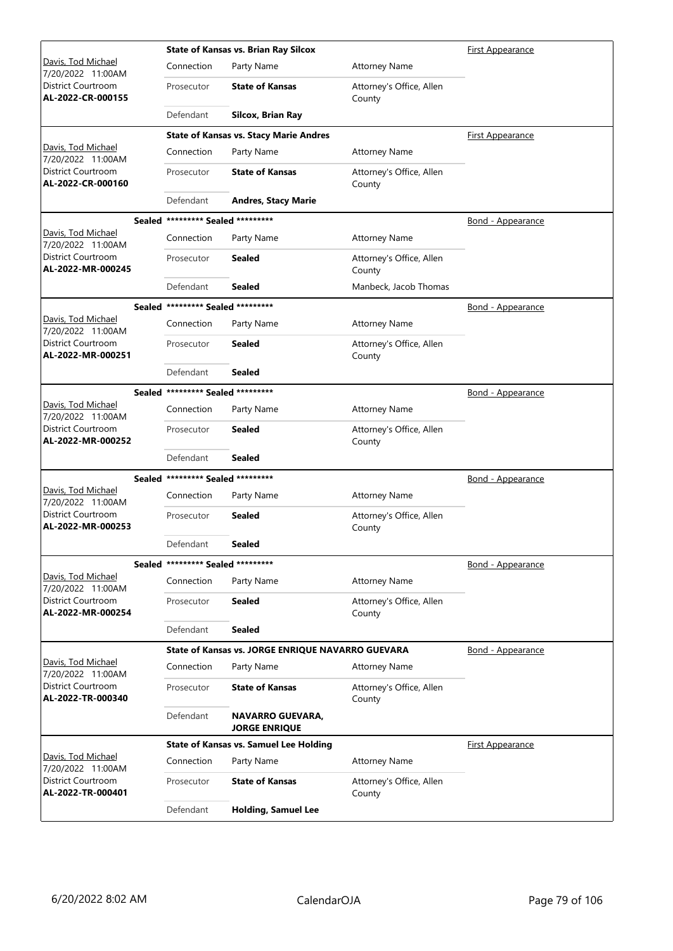|                                                |                                   | <b>State of Kansas vs. Brian Ray Silcox</b>       | First Appearance                   |                          |
|------------------------------------------------|-----------------------------------|---------------------------------------------------|------------------------------------|--------------------------|
| Davis, Tod Michael<br>7/20/2022 11:00AM        | Connection                        | Party Name                                        | <b>Attorney Name</b>               |                          |
| District Courtroom<br>AL-2022-CR-000155        | Prosecutor                        | <b>State of Kansas</b>                            | Attorney's Office, Allen<br>County |                          |
|                                                | Defendant                         | Silcox, Brian Ray                                 |                                    |                          |
|                                                |                                   | <b>State of Kansas vs. Stacy Marie Andres</b>     |                                    | <u>First Appearance</u>  |
| Davis, Tod Michael<br>7/20/2022 11:00AM        | Connection                        | Party Name                                        | <b>Attorney Name</b>               |                          |
| District Courtroom<br>AL-2022-CR-000160        | Prosecutor                        | <b>State of Kansas</b>                            | Attorney's Office, Allen<br>County |                          |
|                                                | Defendant                         | <b>Andres, Stacy Marie</b>                        |                                    |                          |
|                                                | Sealed ********* Sealed ********* |                                                   |                                    | Bond - Appearance        |
| Davis, Tod Michael<br>7/20/2022 11:00AM        | Connection                        | Party Name                                        | <b>Attorney Name</b>               |                          |
| <b>District Courtroom</b><br>AL-2022-MR-000245 | Prosecutor                        | Sealed                                            | Attorney's Office, Allen<br>County |                          |
|                                                | Defendant                         | Sealed                                            | Manbeck, Jacob Thomas              |                          |
|                                                | Sealed ********* Sealed ********* |                                                   |                                    | <b>Bond - Appearance</b> |
| Davis, Tod Michael<br>7/20/2022 11:00AM        | Connection                        | Party Name                                        | <b>Attorney Name</b>               |                          |
| District Courtroom<br>AL-2022-MR-000251        | Prosecutor                        | Sealed                                            | Attorney's Office, Allen<br>County |                          |
|                                                | Defendant                         | Sealed                                            |                                    |                          |
|                                                | Sealed ********* Sealed ********* |                                                   |                                    | <u>Bond - Appearance</u> |
| Davis, Tod Michael<br>7/20/2022 11:00AM        | Connection                        | Party Name                                        | <b>Attorney Name</b>               |                          |
| District Courtroom<br>AL-2022-MR-000252        | Prosecutor                        | Sealed                                            | Attorney's Office, Allen<br>County |                          |
|                                                | Defendant                         | Sealed                                            |                                    |                          |
|                                                | Sealed ********* Sealed ********* |                                                   |                                    | Bond - Appearance        |
| Davis, Tod Michael<br>7/20/2022 11:00AM        | Connection                        | Party Name                                        | <b>Attorney Name</b>               |                          |
| <b>District Courtroom</b><br>AL-2022-MR-000253 | Prosecutor                        | Sealed                                            | Attorney's Office, Allen<br>County |                          |
|                                                | Defendant                         | Sealed                                            |                                    |                          |
|                                                | Sealed ********* Sealed ********* |                                                   |                                    | Bond - Appearance        |
| Davis, Tod Michael<br>7/20/2022 11:00AM        | Connection                        | Party Name                                        | <b>Attorney Name</b>               |                          |
| District Courtroom<br>AL-2022-MR-000254        | Prosecutor                        | Sealed                                            | Attorney's Office, Allen<br>County |                          |
|                                                | Defendant                         | <b>Sealed</b>                                     |                                    |                          |
|                                                |                                   | State of Kansas vs. JORGE ENRIQUE NAVARRO GUEVARA |                                    | <b>Bond - Appearance</b> |
| Davis, Tod Michael<br>7/20/2022 11:00AM        | Connection                        | Party Name                                        | <b>Attorney Name</b>               |                          |
| District Courtroom<br>AL-2022-TR-000340        | Prosecutor                        | <b>State of Kansas</b>                            | Attorney's Office, Allen<br>County |                          |
|                                                | Defendant                         | NAVARRO GUEVARA,<br><b>JORGE ENRIQUE</b>          |                                    |                          |
|                                                |                                   | <b>State of Kansas vs. Samuel Lee Holding</b>     |                                    | <b>First Appearance</b>  |
| Davis, Tod Michael<br>7/20/2022 11:00AM        | Connection                        | Party Name                                        | <b>Attorney Name</b>               |                          |
| District Courtroom<br>AL-2022-TR-000401        | Prosecutor                        | <b>State of Kansas</b>                            | Attorney's Office, Allen<br>County |                          |
|                                                | Defendant                         | <b>Holding, Samuel Lee</b>                        |                                    |                          |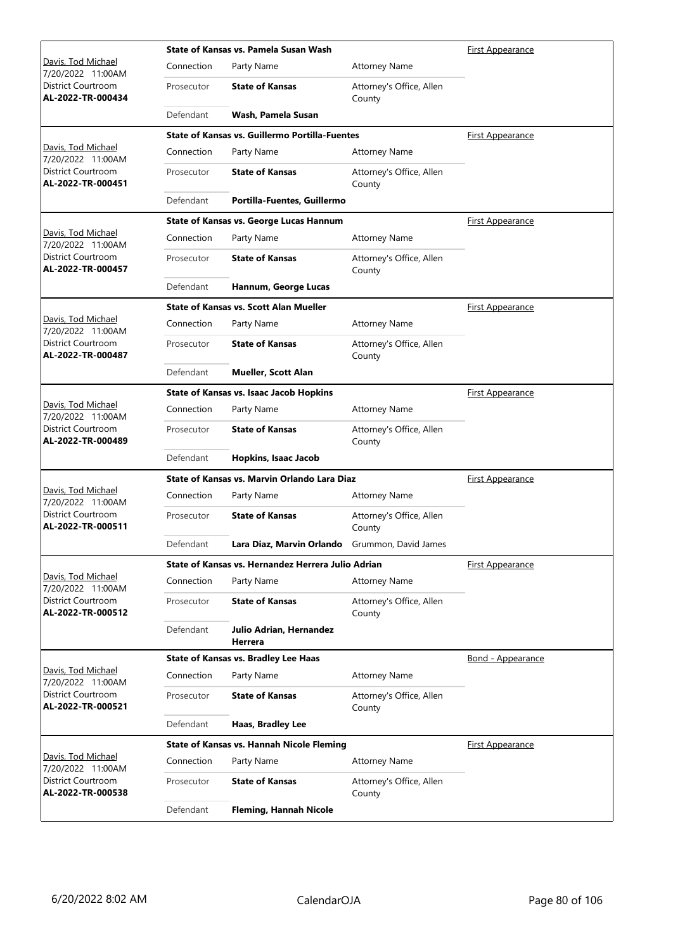|                                         |            | State of Kansas vs. Pamela Susan Wash                 | First Appearance                   |                          |
|-----------------------------------------|------------|-------------------------------------------------------|------------------------------------|--------------------------|
| Davis, Tod Michael<br>7/20/2022 11:00AM | Connection | Party Name                                            | <b>Attorney Name</b>               |                          |
| District Courtroom<br>AL-2022-TR-000434 | Prosecutor | <b>State of Kansas</b>                                | Attorney's Office, Allen<br>County |                          |
|                                         | Defendant  | Wash, Pamela Susan                                    |                                    |                          |
|                                         |            | <b>State of Kansas vs. Guillermo Portilla-Fuentes</b> |                                    | <b>First Appearance</b>  |
| Davis, Tod Michael<br>7/20/2022 11:00AM | Connection | Party Name                                            | <b>Attorney Name</b>               |                          |
| District Courtroom<br>AL-2022-TR-000451 | Prosecutor | <b>State of Kansas</b>                                | Attorney's Office, Allen<br>County |                          |
|                                         | Defendant  | Portilla-Fuentes, Guillermo                           |                                    |                          |
|                                         |            | State of Kansas vs. George Lucas Hannum               |                                    | <b>First Appearance</b>  |
| Davis, Tod Michael<br>7/20/2022 11:00AM | Connection | Party Name                                            | <b>Attorney Name</b>               |                          |
| District Courtroom<br>AL-2022-TR-000457 | Prosecutor | <b>State of Kansas</b>                                | Attorney's Office, Allen<br>County |                          |
|                                         | Defendant  | Hannum, George Lucas                                  |                                    |                          |
|                                         |            | <b>State of Kansas vs. Scott Alan Mueller</b>         |                                    | <u>First Appearance</u>  |
| Davis, Tod Michael<br>7/20/2022 11:00AM | Connection | Party Name                                            | <b>Attorney Name</b>               |                          |
| District Courtroom<br>AL-2022-TR-000487 | Prosecutor | <b>State of Kansas</b>                                | Attorney's Office, Allen<br>County |                          |
|                                         | Defendant  | <b>Mueller, Scott Alan</b>                            |                                    |                          |
|                                         |            | <b>State of Kansas vs. Isaac Jacob Hopkins</b>        |                                    | <b>First Appearance</b>  |
| Davis, Tod Michael<br>7/20/2022 11:00AM | Connection | Party Name                                            | <b>Attorney Name</b>               |                          |
| District Courtroom<br>AL-2022-TR-000489 | Prosecutor | <b>State of Kansas</b>                                | Attorney's Office, Allen<br>County |                          |
|                                         | Defendant  | Hopkins, Isaac Jacob                                  |                                    |                          |
|                                         |            | State of Kansas vs. Marvin Orlando Lara Diaz          | <b>First Appearance</b>            |                          |
| Davis, Tod Michael<br>7/20/2022 11:00AM | Connection | Party Name                                            | <b>Attorney Name</b>               |                          |
| District Courtroom<br>AL-2022-TR-000511 | Prosecutor | <b>State of Kansas</b>                                | Attorney's Office, Allen<br>County |                          |
|                                         | Defendant  | Lara Diaz, Marvin Orlando                             | Grummon, David James               |                          |
|                                         |            | State of Kansas vs. Hernandez Herrera Julio Adrian    |                                    | First Appearance         |
| Davis, Tod Michael<br>7/20/2022 11:00AM | Connection | Party Name                                            | <b>Attorney Name</b>               |                          |
| District Courtroom<br>AL-2022-TR-000512 | Prosecutor | <b>State of Kansas</b>                                | Attorney's Office, Allen<br>County |                          |
|                                         | Defendant  | Julio Adrian, Hernandez<br>Herrera                    |                                    |                          |
|                                         |            | <b>State of Kansas vs. Bradley Lee Haas</b>           |                                    | <b>Bond - Appearance</b> |
| Davis, Tod Michael<br>7/20/2022 11:00AM | Connection | Party Name                                            | <b>Attorney Name</b>               |                          |
| District Courtroom<br>AL-2022-TR-000521 | Prosecutor | <b>State of Kansas</b>                                | Attorney's Office, Allen<br>County |                          |
|                                         | Defendant  | Haas, Bradley Lee                                     |                                    |                          |
|                                         |            | State of Kansas vs. Hannah Nicole Fleming             |                                    | <b>First Appearance</b>  |
| Davis, Tod Michael<br>7/20/2022 11:00AM | Connection | Party Name                                            | <b>Attorney Name</b>               |                          |
| District Courtroom<br>AL-2022-TR-000538 | Prosecutor | <b>State of Kansas</b>                                | Attorney's Office, Allen<br>County |                          |
|                                         | Defendant  | <b>Fleming, Hannah Nicole</b>                         |                                    |                          |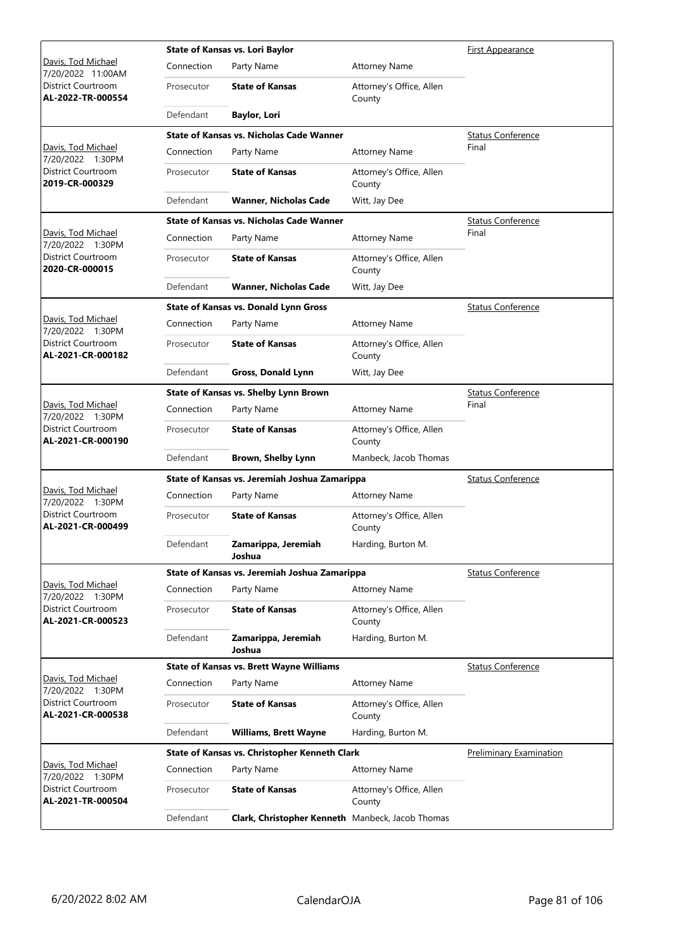|                                                |            | <b>State of Kansas vs. Lori Baylor</b>                  |                                    | <b>First Appearance</b>        |
|------------------------------------------------|------------|---------------------------------------------------------|------------------------------------|--------------------------------|
| Davis, Tod Michael<br>7/20/2022 11:00AM        | Connection | Party Name                                              | <b>Attorney Name</b>               |                                |
| District Courtroom<br>AL-2022-TR-000554        | Prosecutor | <b>State of Kansas</b>                                  | Attorney's Office, Allen<br>County |                                |
|                                                | Defendant  | <b>Baylor, Lori</b>                                     |                                    |                                |
|                                                |            | <b>State of Kansas vs. Nicholas Cade Wanner</b>         |                                    | <b>Status Conference</b>       |
| Davis, Tod Michael<br>7/20/2022 1:30PM         | Connection | Party Name                                              | <b>Attorney Name</b>               | Final                          |
| District Courtroom<br>2019-CR-000329           | Prosecutor | <b>State of Kansas</b>                                  | Attorney's Office, Allen<br>County |                                |
|                                                | Defendant  | <b>Wanner, Nicholas Cade</b>                            | Witt, Jay Dee                      |                                |
|                                                |            | <b>State of Kansas vs. Nicholas Cade Wanner</b>         |                                    | <b>Status Conference</b>       |
| Davis, Tod Michael<br>7/20/2022 1:30PM         | Connection | Party Name                                              | <b>Attorney Name</b>               | Final                          |
| District Courtroom<br>2020-CR-000015           | Prosecutor | <b>State of Kansas</b>                                  | Attorney's Office, Allen<br>County |                                |
|                                                | Defendant  | <b>Wanner, Nicholas Cade</b>                            | Witt, Jay Dee                      |                                |
|                                                |            | <b>State of Kansas vs. Donald Lynn Gross</b>            |                                    | <b>Status Conference</b>       |
| Davis, Tod Michael<br>7/20/2022 1:30PM         | Connection | Party Name                                              | <b>Attorney Name</b>               |                                |
| <b>District Courtroom</b><br>AL-2021-CR-000182 | Prosecutor | <b>State of Kansas</b>                                  | Attorney's Office, Allen<br>County |                                |
|                                                | Defendant  | Gross, Donald Lynn                                      | Witt, Jay Dee                      |                                |
|                                                |            | State of Kansas vs. Shelby Lynn Brown                   |                                    | <b>Status Conference</b>       |
| Davis, Tod Michael<br>7/20/2022 1:30PM         | Connection | Party Name                                              | <b>Attorney Name</b>               | Final                          |
| District Courtroom<br>AL-2021-CR-000190        | Prosecutor | <b>State of Kansas</b>                                  | Attorney's Office, Allen<br>County |                                |
|                                                | Defendant  | <b>Brown, Shelby Lynn</b>                               | Manbeck, Jacob Thomas              |                                |
|                                                |            | State of Kansas vs. Jeremiah Joshua Zamarippa           |                                    | <b>Status Conference</b>       |
| Davis, Tod Michael<br>7/20/2022 1:30PM         | Connection | Party Name                                              | <b>Attorney Name</b>               |                                |
| <b>District Courtroom</b><br>AL-2021-CR-000499 | Prosecutor | <b>State of Kansas</b>                                  | Attorney's Office, Allen<br>County |                                |
|                                                | Defendant  | Zamarippa, Jeremiah<br>Joshua                           | Harding, Burton M.                 |                                |
|                                                |            | State of Kansas vs. Jeremiah Joshua Zamarippa           |                                    | <b>Status Conference</b>       |
| Davis, Tod Michael<br>7/20/2022 1:30PM         | Connection | Party Name                                              | <b>Attorney Name</b>               |                                |
| <b>District Courtroom</b><br>AL-2021-CR-000523 | Prosecutor | <b>State of Kansas</b>                                  | Attorney's Office, Allen<br>County |                                |
|                                                | Defendant  | Zamarippa, Jeremiah<br>Joshua                           | Harding, Burton M.                 |                                |
|                                                |            | <b>State of Kansas vs. Brett Wayne Williams</b>         |                                    | <b>Status Conference</b>       |
| Davis, Tod Michael<br>7/20/2022 1:30PM         | Connection | Party Name                                              | <b>Attorney Name</b>               |                                |
| <b>District Courtroom</b><br>AL-2021-CR-000538 | Prosecutor | <b>State of Kansas</b>                                  | Attorney's Office, Allen<br>County |                                |
|                                                | Defendant  | <b>Williams, Brett Wayne</b>                            | Harding, Burton M.                 |                                |
|                                                |            | State of Kansas vs. Christopher Kenneth Clark           |                                    | <b>Preliminary Examination</b> |
| Davis, Tod Michael<br>7/20/2022 1:30PM         | Connection | Party Name                                              | <b>Attorney Name</b>               |                                |
| District Courtroom<br>AL-2021-TR-000504        | Prosecutor | <b>State of Kansas</b>                                  | Attorney's Office, Allen<br>County |                                |
|                                                | Defendant  | <b>Clark, Christopher Kenneth</b> Manbeck, Jacob Thomas |                                    |                                |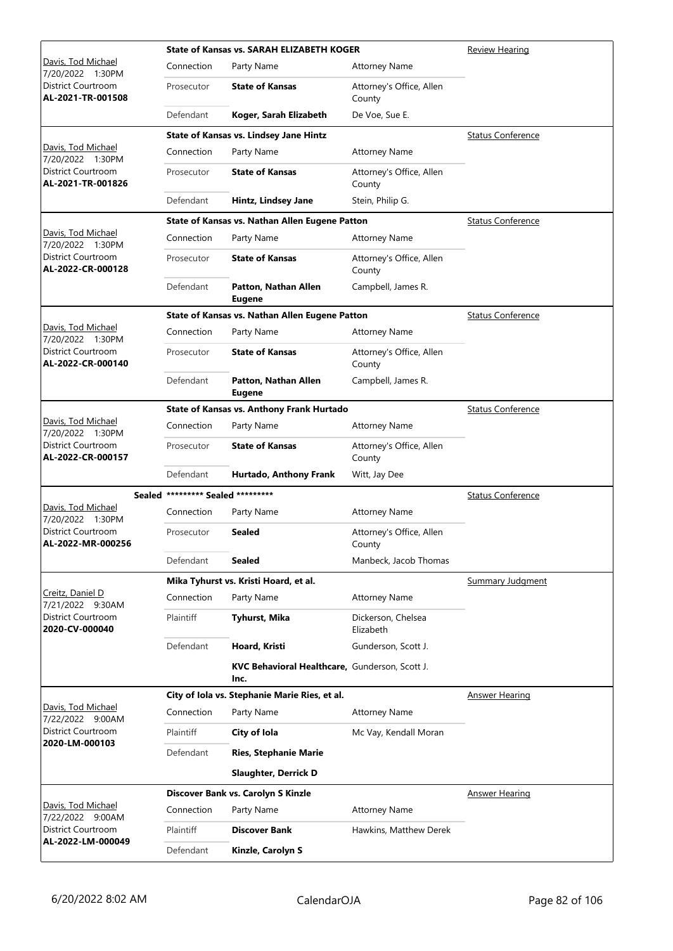|                                                |                                   | <b>State of Kansas vs. SARAH ELIZABETH KOGER</b>       | Review Hearing                     |                          |
|------------------------------------------------|-----------------------------------|--------------------------------------------------------|------------------------------------|--------------------------|
| Davis, Tod Michael<br>7/20/2022 1:30PM         | Connection                        | Party Name                                             | <b>Attorney Name</b>               |                          |
| District Courtroom<br>AL-2021-TR-001508        | Prosecutor                        | <b>State of Kansas</b>                                 | Attorney's Office, Allen<br>County |                          |
|                                                | Defendant                         | Koger, Sarah Elizabeth                                 | De Voe, Sue E.                     |                          |
|                                                |                                   | State of Kansas vs. Lindsey Jane Hintz                 |                                    | <b>Status Conference</b> |
| Davis, Tod Michael<br>7/20/2022 1:30PM         | Connection                        | Party Name                                             | <b>Attorney Name</b>               |                          |
| <b>District Courtroom</b><br>AL-2021-TR-001826 | Prosecutor                        | <b>State of Kansas</b>                                 | Attorney's Office, Allen<br>County |                          |
|                                                | Defendant                         | Hintz, Lindsey Jane                                    | Stein, Philip G.                   |                          |
|                                                |                                   | State of Kansas vs. Nathan Allen Eugene Patton         |                                    | <b>Status Conference</b> |
| Davis, Tod Michael<br>7/20/2022 1:30PM         | Connection                        | Party Name                                             | <b>Attorney Name</b>               |                          |
| District Courtroom<br>AL-2022-CR-000128        | Prosecutor                        | <b>State of Kansas</b>                                 | Attorney's Office, Allen<br>County |                          |
|                                                | Defendant                         | Patton, Nathan Allen<br><b>Eugene</b>                  | Campbell, James R.                 |                          |
|                                                |                                   | State of Kansas vs. Nathan Allen Eugene Patton         |                                    | <b>Status Conference</b> |
| Davis, Tod Michael<br>7/20/2022 1:30PM         | Connection                        | Party Name                                             | <b>Attorney Name</b>               |                          |
| <b>District Courtroom</b><br>AL-2022-CR-000140 | Prosecutor                        | <b>State of Kansas</b>                                 | Attorney's Office, Allen<br>County |                          |
|                                                | Defendant                         | Patton, Nathan Allen<br><b>Eugene</b>                  | Campbell, James R.                 |                          |
|                                                |                                   | State of Kansas vs. Anthony Frank Hurtado              |                                    | <b>Status Conference</b> |
| Davis, Tod Michael<br>7/20/2022 1:30PM         | Connection                        | Party Name                                             | <b>Attorney Name</b>               |                          |
| District Courtroom<br>AL-2022-CR-000157        | Prosecutor                        | <b>State of Kansas</b>                                 | Attorney's Office, Allen<br>County |                          |
|                                                | Defendant                         | Hurtado, Anthony Frank                                 | Witt, Jay Dee                      |                          |
|                                                | Sealed ********* Sealed ********* |                                                        |                                    | <b>Status Conference</b> |
| Davis, Tod Michael<br>7/20/2022 1:30PM         | Connection                        | Party Name                                             | <b>Attorney Name</b>               |                          |
| <b>District Courtroom</b><br>AL-2022-MR-000256 | Prosecutor                        | <b>Sealed</b>                                          | Attorney's Office, Allen<br>County |                          |
|                                                | Defendant                         | <b>Sealed</b>                                          | Manbeck, Jacob Thomas              |                          |
|                                                |                                   | Mika Tyhurst vs. Kristi Hoard, et al.                  |                                    | <b>Summary Judgment</b>  |
| Creitz, Daniel D<br>7/21/2022 9:30AM           | Connection                        | Party Name                                             | <b>Attorney Name</b>               |                          |
| District Courtroom<br>2020-CV-000040           | Plaintiff                         | Tyhurst, Mika                                          | Dickerson, Chelsea<br>Elizabeth    |                          |
|                                                | Defendant                         | Hoard, Kristi                                          | Gunderson, Scott J.                |                          |
|                                                |                                   | KVC Behavioral Healthcare, Gunderson, Scott J.<br>Inc. |                                    |                          |
|                                                |                                   | City of Iola vs. Stephanie Marie Ries, et al.          |                                    | <b>Answer Hearing</b>    |
| Davis, Tod Michael<br>7/22/2022 9:00AM         | Connection                        | Party Name                                             | <b>Attorney Name</b>               |                          |
| District Courtroom<br>2020-LM-000103           | Plaintiff                         | City of Iola                                           | Mc Vay, Kendall Moran              |                          |
|                                                | Defendant                         | <b>Ries, Stephanie Marie</b>                           |                                    |                          |
|                                                |                                   | <b>Slaughter, Derrick D</b>                            |                                    |                          |
|                                                |                                   | Discover Bank vs. Carolyn S Kinzle                     |                                    | <b>Answer Hearing</b>    |
| Davis, Tod Michael<br>7/22/2022 9:00AM         | Connection                        | Party Name                                             | <b>Attorney Name</b>               |                          |
| District Courtroom                             | Plaintiff                         | <b>Discover Bank</b>                                   | Hawkins, Matthew Derek             |                          |
| AL-2022-LM-000049                              | Defendant                         | Kinzle, Carolyn S                                      |                                    |                          |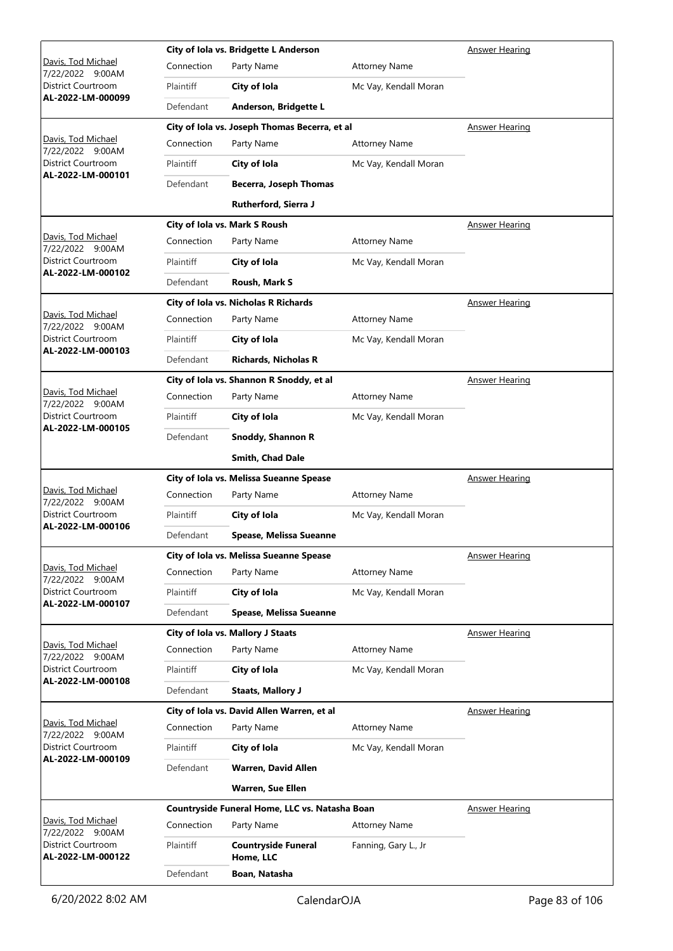|                                         |            | City of Iola vs. Bridgette L Anderson          |                       | <b>Answer Hearing</b> |
|-----------------------------------------|------------|------------------------------------------------|-----------------------|-----------------------|
| Davis, Tod Michael<br>7/22/2022 9:00AM  | Connection | Party Name                                     | <b>Attorney Name</b>  |                       |
| District Courtroom                      | Plaintiff  | City of Iola                                   | Mc Vay, Kendall Moran |                       |
| AL-2022-LM-000099                       | Defendant  | Anderson, Bridgette L                          |                       |                       |
|                                         |            | City of Iola vs. Joseph Thomas Becerra, et al  |                       | <b>Answer Hearing</b> |
| Davis, Tod Michael<br>7/22/2022 9:00AM  | Connection | Party Name                                     | <b>Attorney Name</b>  |                       |
| District Courtroom<br>AL-2022-LM-000101 | Plaintiff  | City of Iola                                   | Mc Vay, Kendall Moran |                       |
|                                         | Defendant  | <b>Becerra, Joseph Thomas</b>                  |                       |                       |
|                                         |            | Rutherford, Sierra J                           |                       |                       |
|                                         |            | City of Iola vs. Mark S Roush                  |                       | <b>Answer Hearing</b> |
| Davis, Tod Michael<br>7/22/2022 9:00AM  | Connection | Party Name                                     | <b>Attorney Name</b>  |                       |
| District Courtroom                      | Plaintiff  | City of Iola                                   | Mc Vay, Kendall Moran |                       |
| AL-2022-LM-000102                       | Defendant  | Roush, Mark S                                  |                       |                       |
|                                         |            | City of Iola vs. Nicholas R Richards           |                       | <b>Answer Hearing</b> |
| Davis, Tod Michael<br>7/22/2022 9:00AM  | Connection | Party Name                                     | <b>Attorney Name</b>  |                       |
| <b>District Courtroom</b>               | Plaintiff  | City of Iola                                   | Mc Vay, Kendall Moran |                       |
| AL-2022-LM-000103                       | Defendant  | <b>Richards, Nicholas R</b>                    |                       |                       |
|                                         |            | City of Iola vs. Shannon R Snoddy, et al       |                       | <b>Answer Hearing</b> |
| Davis, Tod Michael<br>7/22/2022 9:00AM  | Connection | Party Name                                     | <b>Attorney Name</b>  |                       |
| District Courtroom                      | Plaintiff  | City of Iola                                   | Mc Vay, Kendall Moran |                       |
| AL-2022-LM-000105                       | Defendant  | Snoddy, Shannon R                              |                       |                       |
|                                         |            | Smith, Chad Dale                               |                       |                       |
|                                         |            | City of Iola vs. Melissa Sueanne Spease        |                       | <b>Answer Hearing</b> |
| Davis, Tod Michael<br>7/22/2022 9:00AM  | Connection | Party Name                                     | <b>Attorney Name</b>  |                       |
| District Courtroom                      | Plaintiff  | City of Iola                                   | Mc Vay, Kendall Moran |                       |
| AL-2022-LM-000106                       | Defendant  | Spease, Melissa Sueanne                        |                       |                       |
|                                         |            | City of Iola vs. Melissa Sueanne Spease        |                       | <b>Answer Hearing</b> |
| Davis, Tod Michael<br>7/22/2022 9:00AM  | Connection | Party Name                                     | <b>Attorney Name</b>  |                       |
| <b>District Courtroom</b>               | Plaintiff  | City of Iola                                   | Mc Vay, Kendall Moran |                       |
| AL-2022-LM-000107                       | Defendant  | Spease, Melissa Sueanne                        |                       |                       |
|                                         |            | City of Iola vs. Mallory J Staats              |                       | <b>Answer Hearing</b> |
| Davis, Tod Michael<br>7/22/2022 9:00AM  | Connection | Party Name                                     | <b>Attorney Name</b>  |                       |
| District Courtroom                      | Plaintiff  | City of Iola                                   | Mc Vay, Kendall Moran |                       |
| AL-2022-LM-000108                       | Defendant  | <b>Staats, Mallory J</b>                       |                       |                       |
|                                         |            | City of Iola vs. David Allen Warren, et al     |                       | <b>Answer Hearing</b> |
| Davis, Tod Michael<br>7/22/2022 9:00AM  | Connection | Party Name                                     | <b>Attorney Name</b>  |                       |
| District Courtroom<br>AL-2022-LM-000109 | Plaintiff  | City of Iola                                   | Mc Vay, Kendall Moran |                       |
|                                         | Defendant  | <b>Warren, David Allen</b>                     |                       |                       |
|                                         |            | <b>Warren, Sue Ellen</b>                       |                       |                       |
|                                         |            | Countryside Funeral Home, LLC vs. Natasha Boan |                       | <b>Answer Hearing</b> |
| Davis, Tod Michael<br>7/22/2022 9:00AM  | Connection | Party Name                                     | <b>Attorney Name</b>  |                       |
| District Courtroom<br>AL-2022-LM-000122 | Plaintiff  | <b>Countryside Funeral</b><br>Home, LLC        | Fanning, Gary L., Jr  |                       |
|                                         | Defendant  | Boan, Natasha                                  |                       |                       |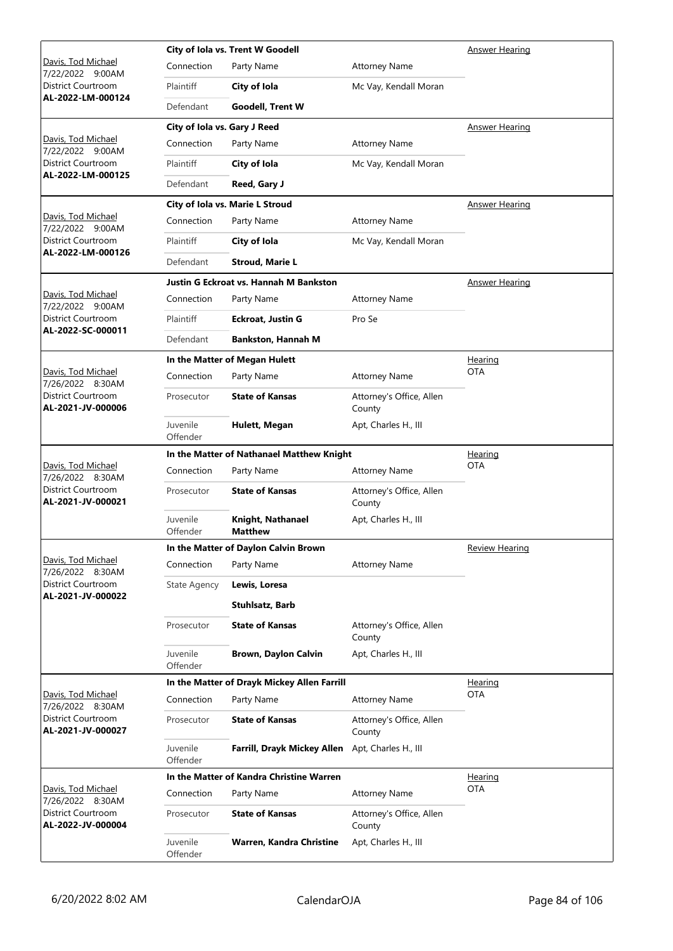|                                                |                              | City of Iola vs. Trent W Goodell            | Answer Hearing                     |                       |
|------------------------------------------------|------------------------------|---------------------------------------------|------------------------------------|-----------------------|
| <u> Davis, Tod Michael</u><br>7/22/2022 9:00AM | Connection                   | Party Name                                  | <b>Attorney Name</b>               |                       |
| District Courtroom                             | Plaintiff                    | City of Iola                                | Mc Vay, Kendall Moran              |                       |
| AL-2022-LM-000124                              | Defendant                    | <b>Goodell, Trent W</b>                     |                                    |                       |
|                                                | City of Iola vs. Gary J Reed |                                             |                                    | Answer Hearing        |
| Davis, Tod Michael<br>7/22/2022 9:00AM         | Connection                   | Party Name                                  | <b>Attorney Name</b>               |                       |
| District Courtroom<br>AL-2022-LM-000125        | Plaintiff                    | City of Iola                                | Mc Vay, Kendall Moran              |                       |
|                                                | Defendant                    | Reed, Gary J                                |                                    |                       |
|                                                |                              | City of Iola vs. Marie L Stroud             |                                    | Answer Hearing        |
| Davis, Tod Michael<br>7/22/2022 9:00AM         | Connection                   | Party Name                                  | <b>Attorney Name</b>               |                       |
| District Courtroom<br>AL-2022-LM-000126        | Plaintiff                    | City of Iola                                | Mc Vay, Kendall Moran              |                       |
|                                                | Defendant                    | <b>Stroud, Marie L</b>                      |                                    |                       |
|                                                |                              | Justin G Eckroat vs. Hannah M Bankston      |                                    | <b>Answer Hearing</b> |
| Davis, Tod Michael<br>7/22/2022 9:00AM         | Connection                   | Party Name                                  | <b>Attorney Name</b>               |                       |
| District Courtroom                             | Plaintiff                    | <b>Eckroat, Justin G</b>                    | Pro Se                             |                       |
| AL-2022-SC-000011                              | Defendant                    | <b>Bankston, Hannah M</b>                   |                                    |                       |
|                                                |                              | In the Matter of Megan Hulett               |                                    | Hearing               |
| Davis, Tod Michael<br>7/26/2022 8:30AM         | Connection                   | Party Name                                  | <b>Attorney Name</b>               | <b>OTA</b>            |
| District Courtroom<br>AL-2021-JV-000006        | Prosecutor                   | <b>State of Kansas</b>                      | Attorney's Office, Allen<br>County |                       |
|                                                | Juvenile<br>Offender         | Hulett, Megan                               | Apt, Charles H., III               |                       |
|                                                |                              | In the Matter of Nathanael Matthew Knight   |                                    | Hearing               |
| Davis, Tod Michael<br>7/26/2022 8:30AM         | Connection                   | Party Name                                  | <b>Attorney Name</b>               | OTA                   |
| District Courtroom<br>AL-2021-JV-000021        | Prosecutor                   | <b>State of Kansas</b>                      | Attorney's Office, Allen<br>County |                       |
|                                                | Juvenile<br>Offender         | Knight, Nathanael<br><b>Matthew</b>         | Apt, Charles H., III               |                       |
|                                                |                              | In the Matter of Daylon Calvin Brown        |                                    | <b>Review Hearing</b> |
| Davis, Tod Michael<br>7/26/2022 8:30AM         | Connection                   | Party Name                                  | <b>Attorney Name</b>               |                       |
| District Courtroom<br>AL-2021-JV-000022        | <b>State Agency</b>          | Lewis, Loresa                               |                                    |                       |
|                                                |                              | Stuhlsatz, Barb                             |                                    |                       |
|                                                | Prosecutor                   | <b>State of Kansas</b>                      | Attorney's Office, Allen<br>County |                       |
|                                                | Juvenile<br>Offender         | <b>Brown, Daylon Calvin</b>                 | Apt, Charles H., III               |                       |
|                                                |                              | In the Matter of Drayk Mickey Allen Farrill |                                    | Hearing               |
| Davis, Tod Michael<br>7/26/2022 8:30AM         | Connection                   | Party Name                                  | <b>Attorney Name</b>               | <b>OTA</b>            |
| District Courtroom<br>AL-2021-JV-000027        | Prosecutor                   | <b>State of Kansas</b>                      | Attorney's Office, Allen<br>County |                       |
|                                                | Juvenile<br>Offender         | Farrill, Drayk Mickey Allen                 | Apt, Charles H., III               |                       |
|                                                |                              | In the Matter of Kandra Christine Warren    |                                    | <u>Hearing</u>        |
| <u> Davis, Tod Michael</u><br>7/26/2022 8:30AM | Connection                   | Party Name                                  | <b>Attorney Name</b>               | <b>OTA</b>            |
| District Courtroom<br>AL-2022-JV-000004        | Prosecutor                   | <b>State of Kansas</b>                      | Attorney's Office, Allen<br>County |                       |
|                                                | Juvenile<br>Offender         | Warren, Kandra Christine                    | Apt, Charles H., III               |                       |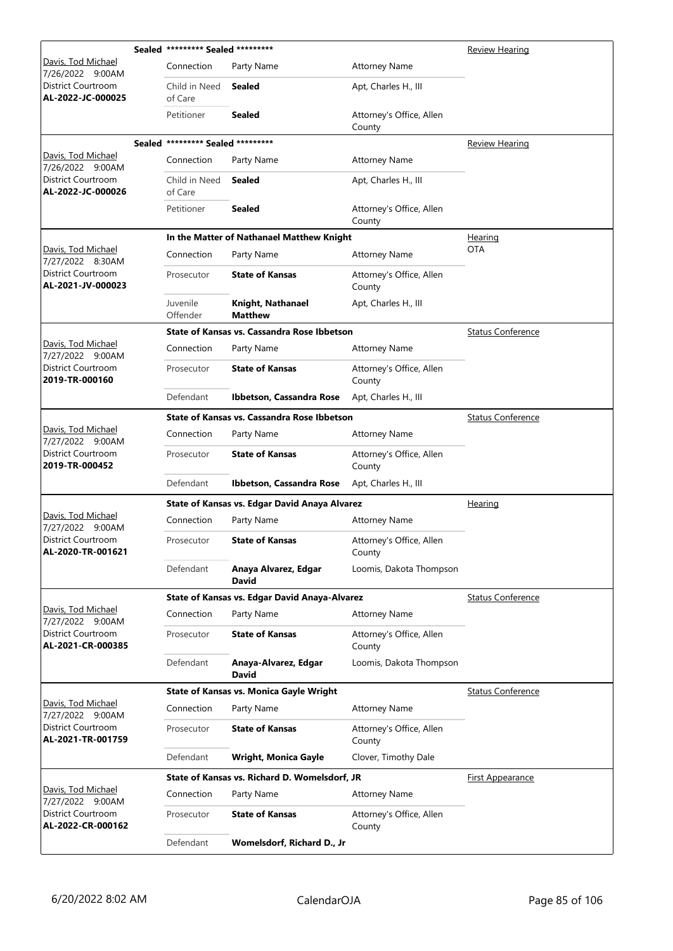|                                                          | Sealed ********* Sealed ********* |                                                |                                    | Review Hearing           |
|----------------------------------------------------------|-----------------------------------|------------------------------------------------|------------------------------------|--------------------------|
| Davis, Tod Michael<br>7/26/2022 9:00AM                   | Connection                        | Party Name                                     | <b>Attorney Name</b>               |                          |
| District Courtroom<br>AL-2022-JC-000025                  | Child in Need<br>of Care          | Sealed                                         | Apt, Charles H., III               |                          |
|                                                          | Petitioner                        | <b>Sealed</b>                                  | Attorney's Office, Allen<br>County |                          |
|                                                          | Sealed ********* Sealed ********* |                                                |                                    | Review Hearing           |
| Davis, Tod Michael<br>7/26/2022 9:00AM                   | Connection                        | Party Name                                     | <b>Attorney Name</b>               |                          |
| District Courtroom<br>AL-2022-JC-000026                  | Child in Need<br>of Care          | Sealed                                         | Apt, Charles H., III               |                          |
|                                                          | Petitioner                        | Sealed                                         | Attorney's Office, Allen<br>County |                          |
|                                                          |                                   | In the Matter of Nathanael Matthew Knight      |                                    | <u>Hearing</u>           |
| Davis, Tod Michael<br>7/27/2022 8:30AM                   | Connection                        | Party Name                                     | <b>Attorney Name</b>               | <b>OTA</b>               |
| District Courtroom<br>AL-2021-JV-000023                  | Prosecutor                        | <b>State of Kansas</b>                         | Attorney's Office, Allen<br>County |                          |
|                                                          | Juvenile<br>Offender              | Knight, Nathanael<br><b>Matthew</b>            | Apt, Charles H., III               |                          |
|                                                          |                                   | State of Kansas vs. Cassandra Rose Ibbetson    |                                    | <b>Status Conference</b> |
| Davis, Tod Michael                                       | Connection                        | Party Name                                     | <b>Attorney Name</b>               |                          |
| 7/27/2022 9:00AM<br>District Courtroom<br>2019-TR-000160 | Prosecutor                        | <b>State of Kansas</b>                         | Attorney's Office, Allen<br>County |                          |
|                                                          | Defendant                         | Ibbetson, Cassandra Rose                       | Apt, Charles H., III               |                          |
|                                                          |                                   | State of Kansas vs. Cassandra Rose Ibbetson    |                                    | <b>Status Conference</b> |
| Davis, Tod Michael                                       | Connection                        | Party Name                                     | <b>Attorney Name</b>               |                          |
| 7/27/2022 9:00AM<br>District Courtroom<br>2019-TR-000452 | Prosecutor                        | <b>State of Kansas</b>                         | Attorney's Office, Allen<br>County |                          |
|                                                          | Defendant                         | Ibbetson, Cassandra Rose                       | Apt, Charles H., III               |                          |
|                                                          |                                   | State of Kansas vs. Edgar David Anaya Alvarez  |                                    | Hearing                  |
| Davis, Tod Michael<br>7/27/2022 9:00AM                   | Connection                        | Party Name                                     | <b>Attorney Name</b>               |                          |
| District Courtroom<br>AL-2020-TR-001621                  | Prosecutor                        | <b>State of Kansas</b>                         | Attorney's Office, Allen<br>County |                          |
|                                                          | Defendant                         | Anaya Alvarez, Edgar<br><b>David</b>           | Loomis, Dakota Thompson            |                          |
|                                                          |                                   | State of Kansas vs. Edgar David Anaya-Alvarez  |                                    | <b>Status Conference</b> |
| Davis, Tod Michael<br>7/27/2022 9:00AM                   | Connection                        | Party Name                                     | <b>Attorney Name</b>               |                          |
| <b>District Courtroom</b><br>AL-2021-CR-000385           | Prosecutor                        | <b>State of Kansas</b>                         | Attorney's Office, Allen<br>County |                          |
|                                                          | Defendant                         | Anaya-Alvarez, Edgar<br><b>David</b>           | Loomis, Dakota Thompson            |                          |
|                                                          |                                   | <b>State of Kansas vs. Monica Gayle Wright</b> |                                    | <b>Status Conference</b> |
| Davis, Tod Michael<br>7/27/2022 9:00AM                   | Connection                        | Party Name                                     | <b>Attorney Name</b>               |                          |
| District Courtroom<br>AL-2021-TR-001759                  | Prosecutor                        | <b>State of Kansas</b>                         | Attorney's Office, Allen<br>County |                          |
|                                                          | Defendant                         | <b>Wright, Monica Gayle</b>                    | Clover, Timothy Dale               |                          |
|                                                          |                                   | State of Kansas vs. Richard D. Womelsdorf, JR  |                                    | <u>First Appearance</u>  |
| Davis, Tod Michael<br>7/27/2022 9:00AM                   | Connection                        | Party Name                                     | <b>Attorney Name</b>               |                          |
| District Courtroom<br>AL-2022-CR-000162                  | Prosecutor                        | <b>State of Kansas</b>                         | Attorney's Office, Allen<br>County |                          |
|                                                          | Defendant                         | Womelsdorf, Richard D., Jr                     |                                    |                          |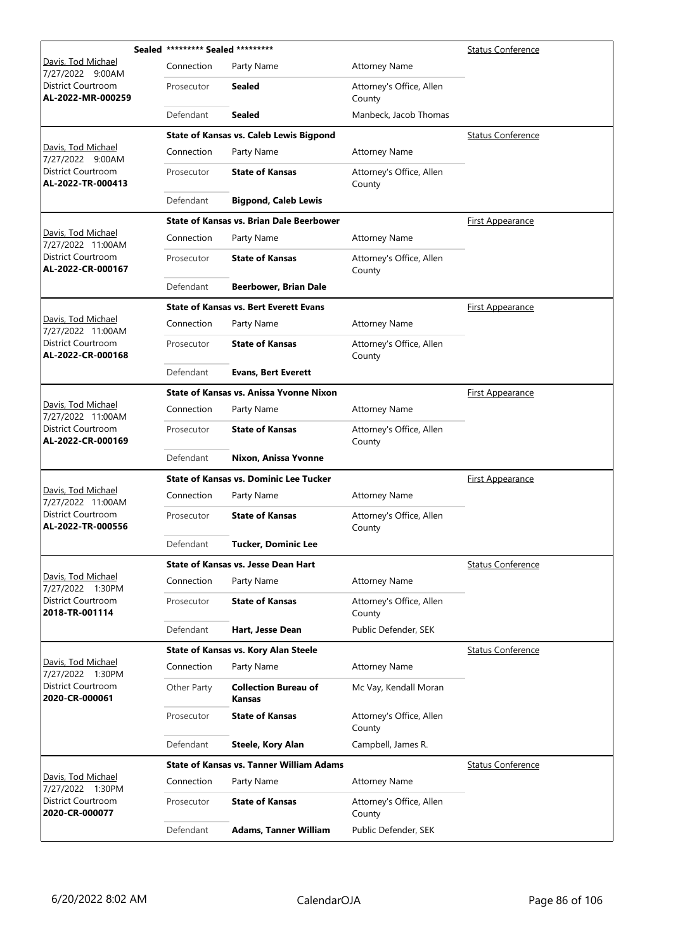|                                             | Sealed ********* Sealed ********* |                                                 |                                    | <b>Status Conference</b> |
|---------------------------------------------|-----------------------------------|-------------------------------------------------|------------------------------------|--------------------------|
| Davis, Tod Michael<br>7/27/2022 9:00AM      | Connection                        | Party Name                                      | <b>Attorney Name</b>               |                          |
| District Courtroom<br>AL-2022-MR-000259     | Prosecutor                        | Sealed                                          | Attorney's Office, Allen<br>County |                          |
|                                             | Defendant                         | <b>Sealed</b>                                   | Manbeck, Jacob Thomas              |                          |
|                                             |                                   | <b>State of Kansas vs. Caleb Lewis Bigpond</b>  |                                    | <b>Status Conference</b> |
| Davis, Tod Michael<br>7/27/2022 9:00AM      | Connection                        | Party Name                                      | <b>Attorney Name</b>               |                          |
| District Courtroom<br>AL-2022-TR-000413     | Prosecutor                        | <b>State of Kansas</b>                          | Attorney's Office, Allen<br>County |                          |
|                                             | Defendant                         | <b>Bigpond, Caleb Lewis</b>                     |                                    |                          |
|                                             |                                   | <b>State of Kansas vs. Brian Dale Beerbower</b> |                                    | <b>First Appearance</b>  |
| Davis, Tod Michael<br>7/27/2022 11:00AM     | Connection                        | Party Name                                      | <b>Attorney Name</b>               |                          |
| District Courtroom<br>AL-2022-CR-000167     | Prosecutor                        | <b>State of Kansas</b>                          | Attorney's Office, Allen<br>County |                          |
|                                             | Defendant                         | <b>Beerbower, Brian Dale</b>                    |                                    |                          |
|                                             |                                   | <b>State of Kansas vs. Bert Everett Evans</b>   |                                    | <u>First Appearance</u>  |
| Davis, Tod Michael<br>7/27/2022 11:00AM     | Connection                        | Party Name                                      | <b>Attorney Name</b>               |                          |
| District Courtroom<br>AL-2022-CR-000168     | Prosecutor                        | <b>State of Kansas</b>                          | Attorney's Office, Allen<br>County |                          |
|                                             | Defendant                         | <b>Evans, Bert Everett</b>                      |                                    |                          |
|                                             |                                   | State of Kansas vs. Anissa Yvonne Nixon         |                                    | <b>First Appearance</b>  |
| Davis, Tod Michael<br>7/27/2022 11:00AM     | Connection                        | Party Name                                      | <b>Attorney Name</b>               |                          |
| District Courtroom<br>AL-2022-CR-000169     | Prosecutor                        | <b>State of Kansas</b>                          | Attorney's Office, Allen<br>County |                          |
|                                             | Defendant                         | Nixon, Anissa Yvonne                            |                                    |                          |
|                                             |                                   | <b>State of Kansas vs. Dominic Lee Tucker</b>   |                                    | <b>First Appearance</b>  |
| Davis, Tod Michael<br>7/27/2022 11:00AM     | Connection                        | Party Name                                      | <b>Attorney Name</b>               |                          |
| District Courtroom<br>AL-2022-TR-000556     | Prosecutor                        | <b>State of Kansas</b>                          | Attorney's Office, Allen<br>County |                          |
|                                             | Defendant                         | Tucker, Dominic Lee                             |                                    |                          |
|                                             |                                   | <b>State of Kansas vs. Jesse Dean Hart</b>      |                                    | <b>Status Conference</b> |
| Davis, Tod Michael<br>7/27/2022 1:30PM      | Connection                        | Party Name                                      | <b>Attorney Name</b>               |                          |
| District Courtroom<br>2018-TR-001114        | Prosecutor                        | <b>State of Kansas</b>                          | Attorney's Office, Allen<br>County |                          |
|                                             | Defendant                         | Hart, Jesse Dean                                | Public Defender, SEK               |                          |
|                                             |                                   | State of Kansas vs. Kory Alan Steele            |                                    | <b>Status Conference</b> |
| Davis, Tod Michael<br>7/27/2022 1:30PM      | Connection                        | Party Name                                      | <b>Attorney Name</b>               |                          |
| <b>District Courtroom</b><br>2020-CR-000061 | Other Party                       | <b>Collection Bureau of</b><br>Kansas           | Mc Vay, Kendall Moran              |                          |
|                                             | Prosecutor                        | <b>State of Kansas</b>                          | Attorney's Office, Allen<br>County |                          |
|                                             | Defendant                         | Steele, Kory Alan                               | Campbell, James R.                 |                          |
|                                             |                                   | <b>State of Kansas vs. Tanner William Adams</b> |                                    | <b>Status Conference</b> |
| Davis, Tod Michael<br>7/27/2022 1:30PM      | Connection                        | Party Name                                      | <b>Attorney Name</b>               |                          |
| District Courtroom<br>2020-CR-000077        | Prosecutor                        | <b>State of Kansas</b>                          | Attorney's Office, Allen<br>County |                          |
|                                             | Defendant                         | <b>Adams, Tanner William</b>                    | Public Defender, SEK               |                          |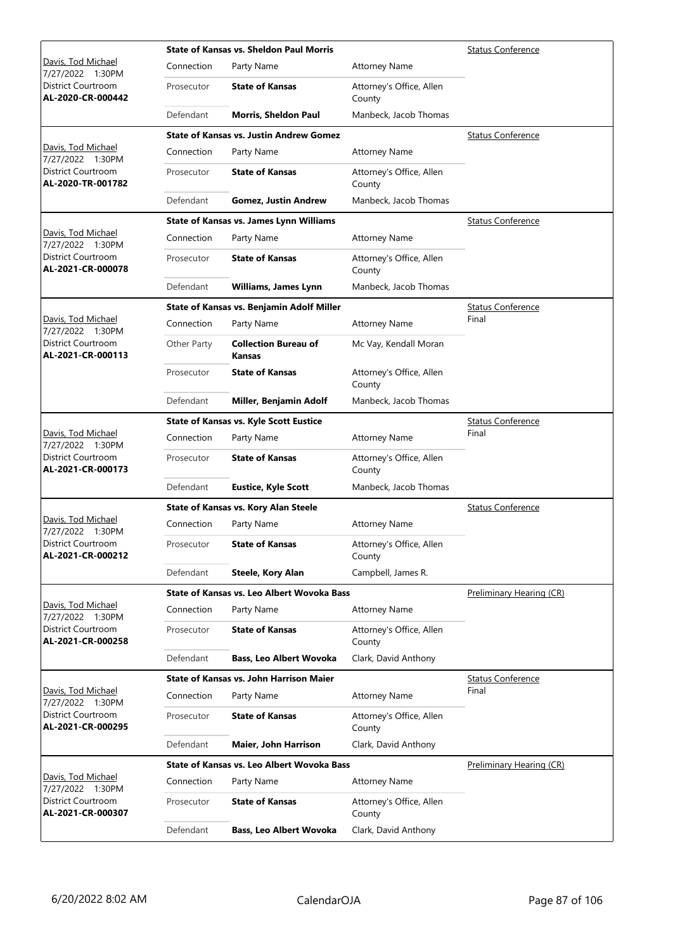|                                                |             | <b>State of Kansas vs. Sheldon Paul Morris</b> |                                    | Status Conference        |
|------------------------------------------------|-------------|------------------------------------------------|------------------------------------|--------------------------|
| Davis, Tod Michael<br>7/27/2022 1:30PM         | Connection  | Party Name                                     | <b>Attorney Name</b>               |                          |
| District Courtroom<br>AL-2020-CR-000442        | Prosecutor  | <b>State of Kansas</b>                         | Attorney's Office, Allen<br>County |                          |
|                                                | Defendant   | <b>Morris, Sheldon Paul</b>                    | Manbeck, Jacob Thomas              |                          |
|                                                |             | <b>State of Kansas vs. Justin Andrew Gomez</b> |                                    | <b>Status Conference</b> |
| Davis, Tod Michael<br>7/27/2022 1:30PM         | Connection  | Party Name                                     | <b>Attorney Name</b>               |                          |
| <b>District Courtroom</b><br>AL-2020-TR-001782 | Prosecutor  | <b>State of Kansas</b>                         | Attorney's Office, Allen<br>County |                          |
|                                                | Defendant   | <b>Gomez, Justin Andrew</b>                    | Manbeck, Jacob Thomas              |                          |
|                                                |             | <b>State of Kansas vs. James Lynn Williams</b> |                                    | <b>Status Conference</b> |
| Davis, Tod Michael<br>7/27/2022 1:30PM         | Connection  | Party Name                                     | <b>Attorney Name</b>               |                          |
| <b>District Courtroom</b><br>AL-2021-CR-000078 | Prosecutor  | <b>State of Kansas</b>                         | Attorney's Office, Allen<br>County |                          |
|                                                | Defendant   | <b>Williams, James Lynn</b>                    | Manbeck, Jacob Thomas              |                          |
|                                                |             | State of Kansas vs. Benjamin Adolf Miller      |                                    | <b>Status Conference</b> |
| Davis, Tod Michael<br>7/27/2022 1:30PM         | Connection  | Party Name                                     | <b>Attorney Name</b>               | Final                    |
| District Courtroom<br>AL-2021-CR-000113        | Other Party | <b>Collection Bureau of</b><br>Kansas          | Mc Vay, Kendall Moran              |                          |
|                                                | Prosecutor  | <b>State of Kansas</b>                         | Attorney's Office, Allen<br>County |                          |
|                                                | Defendant   | Miller, Benjamin Adolf                         | Manbeck, Jacob Thomas              |                          |
|                                                |             | <b>State of Kansas vs. Kyle Scott Eustice</b>  |                                    | <b>Status Conference</b> |
| Davis, Tod Michael<br>7/27/2022 1:30PM         | Connection  | Party Name                                     | <b>Attorney Name</b>               | Final                    |
| District Courtroom<br>AL-2021-CR-000173        | Prosecutor  | <b>State of Kansas</b>                         | Attorney's Office, Allen<br>County |                          |
|                                                | Defendant   | <b>Eustice, Kyle Scott</b>                     | Manbeck, Jacob Thomas              |                          |
|                                                |             | State of Kansas vs. Kory Alan Steele           |                                    | <b>Status Conference</b> |
| Davis, Tod Michael<br>7/27/2022 1:30PM         | Connection  | Party Name                                     | <b>Attorney Name</b>               |                          |
| District Courtroom<br>AL-2021-CR-000212        | Prosecutor  | <b>State of Kansas</b>                         | Attorney's Office, Allen<br>County |                          |
|                                                | Defendant   | Steele, Kory Alan                              | Campbell, James R.                 |                          |
|                                                |             | State of Kansas vs. Leo Albert Wovoka Bass     |                                    | Preliminary Hearing (CR) |
| Davis, Tod Michael<br>7/27/2022 1:30PM         | Connection  | Party Name                                     | <b>Attorney Name</b>               |                          |
| District Courtroom<br>AL-2021-CR-000258        | Prosecutor  | <b>State of Kansas</b>                         | Attorney's Office, Allen<br>County |                          |
|                                                | Defendant   | <b>Bass, Leo Albert Wovoka</b>                 | Clark, David Anthony               |                          |
|                                                |             | <b>State of Kansas vs. John Harrison Maier</b> |                                    | <b>Status Conference</b> |
| Davis, Tod Michael<br>7/27/2022 1:30PM         | Connection  | Party Name                                     | <b>Attorney Name</b>               | Final                    |
| District Courtroom<br>AL-2021-CR-000295        | Prosecutor  | <b>State of Kansas</b>                         | Attorney's Office, Allen<br>County |                          |
|                                                | Defendant   | Maier, John Harrison                           | Clark, David Anthony               |                          |
|                                                |             | State of Kansas vs. Leo Albert Wovoka Bass     |                                    | Preliminary Hearing (CR) |
| Davis, Tod Michael<br>7/27/2022 1:30PM         | Connection  | Party Name                                     | <b>Attorney Name</b>               |                          |
| District Courtroom<br>AL-2021-CR-000307        | Prosecutor  | <b>State of Kansas</b>                         | Attorney's Office, Allen<br>County |                          |
|                                                | Defendant   | <b>Bass, Leo Albert Wovoka</b>                 | Clark, David Anthony               |                          |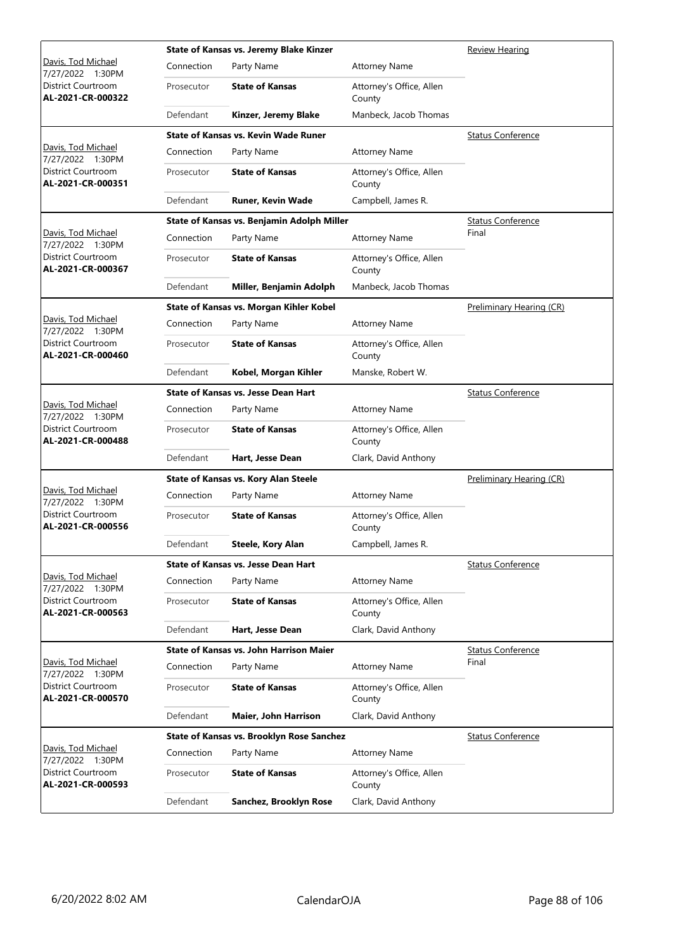|                                                |            | State of Kansas vs. Jeremy Blake Kinzer        |                                    | <b>Review Hearing</b>    |
|------------------------------------------------|------------|------------------------------------------------|------------------------------------|--------------------------|
| Davis, Tod Michael<br>7/27/2022 1:30PM         | Connection | Party Name                                     | <b>Attorney Name</b>               |                          |
| District Courtroom<br>AL-2021-CR-000322        | Prosecutor | <b>State of Kansas</b>                         | Attorney's Office, Allen<br>County |                          |
|                                                | Defendant  | Kinzer, Jeremy Blake                           | Manbeck, Jacob Thomas              |                          |
|                                                |            | <b>State of Kansas vs. Kevin Wade Runer</b>    |                                    | <b>Status Conference</b> |
| Davis, Tod Michael<br>7/27/2022 1:30PM         | Connection | Party Name                                     | <b>Attorney Name</b>               |                          |
| District Courtroom<br>AL-2021-CR-000351        | Prosecutor | <b>State of Kansas</b>                         | Attorney's Office, Allen<br>County |                          |
|                                                | Defendant  | <b>Runer, Kevin Wade</b>                       | Campbell, James R.                 |                          |
|                                                |            | State of Kansas vs. Benjamin Adolph Miller     |                                    | <b>Status Conference</b> |
| Davis, Tod Michael<br>7/27/2022 1:30PM         | Connection | Party Name                                     | <b>Attorney Name</b>               | Final                    |
| District Courtroom<br>AL-2021-CR-000367        | Prosecutor | <b>State of Kansas</b>                         | Attorney's Office, Allen<br>County |                          |
|                                                | Defendant  | Miller, Benjamin Adolph                        | Manbeck, Jacob Thomas              |                          |
|                                                |            | State of Kansas vs. Morgan Kihler Kobel        |                                    | Preliminary Hearing (CR) |
| Davis, Tod Michael<br>7/27/2022 1:30PM         | Connection | Party Name                                     | <b>Attorney Name</b>               |                          |
| District Courtroom<br>AL-2021-CR-000460        | Prosecutor | <b>State of Kansas</b>                         | Attorney's Office, Allen<br>County |                          |
|                                                | Defendant  | Kobel, Morgan Kihler                           | Manske, Robert W.                  |                          |
|                                                |            | <b>State of Kansas vs. Jesse Dean Hart</b>     |                                    | <b>Status Conference</b> |
| Davis, Tod Michael<br>7/27/2022 1:30PM         | Connection | Party Name                                     | <b>Attorney Name</b>               |                          |
| District Courtroom<br>AL-2021-CR-000488        | Prosecutor | <b>State of Kansas</b>                         | Attorney's Office, Allen<br>County |                          |
|                                                | Defendant  | Hart, Jesse Dean                               | Clark, David Anthony               |                          |
|                                                |            | State of Kansas vs. Kory Alan Steele           |                                    | Preliminary Hearing (CR) |
| Davis, Tod Michael<br>7/27/2022 1:30PM         | Connection | Party Name                                     | <b>Attorney Name</b>               |                          |
| <b>District Courtroom</b><br>AL-2021-CR-000556 | Prosecutor | <b>State of Kansas</b>                         | Attorney's Office, Allen<br>County |                          |
|                                                | Defendant  | Steele, Kory Alan                              | Campbell, James R.                 |                          |
|                                                |            | <b>State of Kansas vs. Jesse Dean Hart</b>     |                                    | <b>Status Conference</b> |
| Davis, Tod Michael<br>7/27/2022 1:30PM         | Connection | Party Name                                     | <b>Attorney Name</b>               |                          |
| District Courtroom<br>AL-2021-CR-000563        | Prosecutor | <b>State of Kansas</b>                         | Attorney's Office, Allen<br>County |                          |
|                                                | Defendant  | Hart, Jesse Dean                               | Clark, David Anthony               |                          |
|                                                |            | <b>State of Kansas vs. John Harrison Maier</b> |                                    | <b>Status Conference</b> |
| Davis, Tod Michael<br>7/27/2022 1:30PM         | Connection | Party Name                                     | <b>Attorney Name</b>               | Final                    |
| District Courtroom<br>AL-2021-CR-000570        | Prosecutor | <b>State of Kansas</b>                         | Attorney's Office, Allen<br>County |                          |
|                                                | Defendant  | Maier, John Harrison                           | Clark, David Anthony               |                          |
|                                                |            | State of Kansas vs. Brooklyn Rose Sanchez      |                                    | <b>Status Conference</b> |
| Davis, Tod Michael<br>7/27/2022 1:30PM         | Connection | Party Name                                     | <b>Attorney Name</b>               |                          |
| District Courtroom<br>AL-2021-CR-000593        | Prosecutor | <b>State of Kansas</b>                         | Attorney's Office, Allen<br>County |                          |
|                                                | Defendant  | Sanchez, Brooklyn Rose                         | Clark, David Anthony               |                          |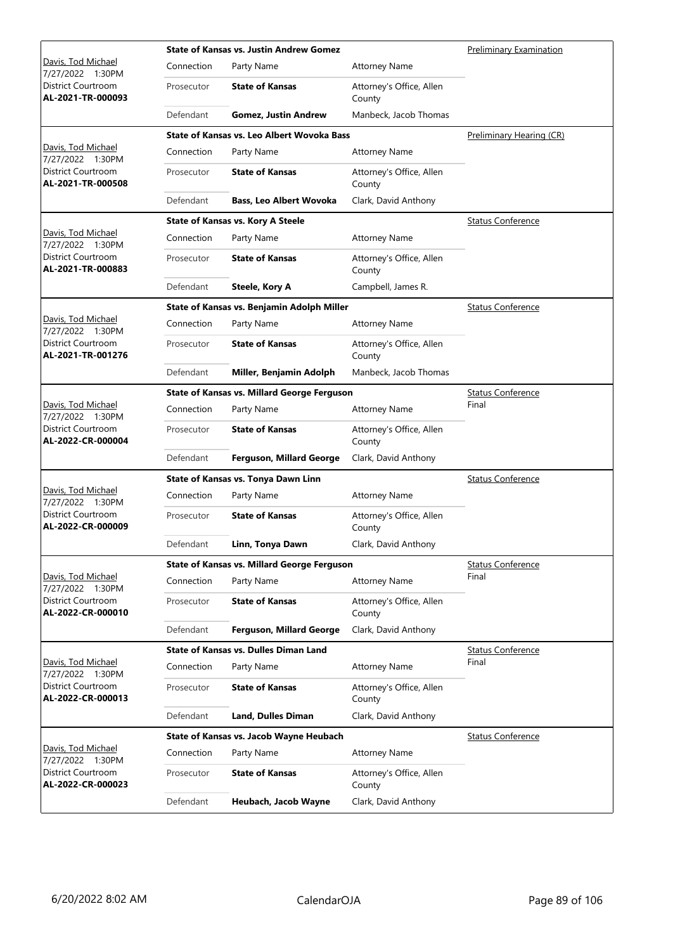|                                                |            | <b>State of Kansas vs. Justin Andrew Gomez</b>     |                                    | Preliminary Examination  |
|------------------------------------------------|------------|----------------------------------------------------|------------------------------------|--------------------------|
| Davis, Tod Michael<br>7/27/2022 1:30PM         | Connection | Party Name                                         | <b>Attorney Name</b>               |                          |
| District Courtroom<br>AL-2021-TR-000093        | Prosecutor | <b>State of Kansas</b>                             | Attorney's Office, Allen<br>County |                          |
|                                                | Defendant  | <b>Gomez, Justin Andrew</b>                        | Manbeck, Jacob Thomas              |                          |
|                                                |            | State of Kansas vs. Leo Albert Wovoka Bass         |                                    | Preliminary Hearing (CR) |
| Davis, Tod Michael<br>7/27/2022 1:30PM         | Connection | Party Name                                         | <b>Attorney Name</b>               |                          |
| District Courtroom<br>AL-2021-TR-000508        | Prosecutor | <b>State of Kansas</b>                             | Attorney's Office, Allen<br>County |                          |
|                                                | Defendant  | <b>Bass, Leo Albert Wovoka</b>                     | Clark, David Anthony               |                          |
|                                                |            | <b>State of Kansas vs. Kory A Steele</b>           |                                    | <b>Status Conference</b> |
| Davis, Tod Michael<br>7/27/2022 1:30PM         | Connection | Party Name                                         | <b>Attorney Name</b>               |                          |
| District Courtroom<br>AL-2021-TR-000883        | Prosecutor | <b>State of Kansas</b>                             | Attorney's Office, Allen<br>County |                          |
|                                                | Defendant  | <b>Steele, Kory A</b>                              | Campbell, James R.                 |                          |
|                                                |            | State of Kansas vs. Benjamin Adolph Miller         |                                    | <b>Status Conference</b> |
| Davis, Tod Michael<br>7/27/2022 1:30PM         | Connection | Party Name                                         | <b>Attorney Name</b>               |                          |
| District Courtroom<br>AL-2021-TR-001276        | Prosecutor | <b>State of Kansas</b>                             | Attorney's Office, Allen<br>County |                          |
|                                                | Defendant  | Miller, Benjamin Adolph                            | Manbeck, Jacob Thomas              |                          |
|                                                |            | <b>State of Kansas vs. Millard George Ferguson</b> |                                    | <b>Status Conference</b> |
| Davis, Tod Michael<br>7/27/2022 1:30PM         | Connection | Party Name                                         | <b>Attorney Name</b>               | Final                    |
| District Courtroom<br>AL-2022-CR-000004        | Prosecutor | <b>State of Kansas</b>                             | Attorney's Office, Allen<br>County |                          |
|                                                | Defendant  | Ferguson, Millard George                           | Clark, David Anthony               |                          |
|                                                |            | State of Kansas vs. Tonya Dawn Linn                | <b>Status Conference</b>           |                          |
| Davis, Tod Michael<br>7/27/2022 1:30PM         | Connection | Party Name                                         | <b>Attorney Name</b>               |                          |
| <b>District Courtroom</b><br>AL-2022-CR-000009 | Prosecutor | <b>State of Kansas</b>                             | Attorney's Office, Allen<br>County |                          |
|                                                | Defendant  | Linn, Tonya Dawn                                   | Clark, David Anthony               |                          |
|                                                |            | <b>State of Kansas vs. Millard George Ferguson</b> |                                    | Status Conference        |
| Davis, Tod Michael<br>7/27/2022 1:30PM         | Connection | Party Name                                         | <b>Attorney Name</b>               | Final                    |
| District Courtroom<br>AL-2022-CR-000010        | Prosecutor | <b>State of Kansas</b>                             | Attorney's Office, Allen<br>County |                          |
|                                                | Defendant  | Ferguson, Millard George                           | Clark, David Anthony               |                          |
|                                                |            | <b>State of Kansas vs. Dulles Diman Land</b>       |                                    | <b>Status Conference</b> |
| Davis, Tod Michael<br>7/27/2022 1:30PM         | Connection | Party Name                                         | <b>Attorney Name</b>               | Final                    |
| District Courtroom<br>AL-2022-CR-000013        | Prosecutor | <b>State of Kansas</b>                             | Attorney's Office, Allen<br>County |                          |
|                                                | Defendant  | <b>Land, Dulles Diman</b>                          | Clark, David Anthony               |                          |
|                                                |            | State of Kansas vs. Jacob Wayne Heubach            |                                    | <b>Status Conference</b> |
| Davis, Tod Michael<br>7/27/2022 1:30PM         | Connection | Party Name                                         | <b>Attorney Name</b>               |                          |
| District Courtroom<br>AL-2022-CR-000023        | Prosecutor | <b>State of Kansas</b>                             | Attorney's Office, Allen<br>County |                          |
|                                                | Defendant  | Heubach, Jacob Wayne                               | Clark, David Anthony               |                          |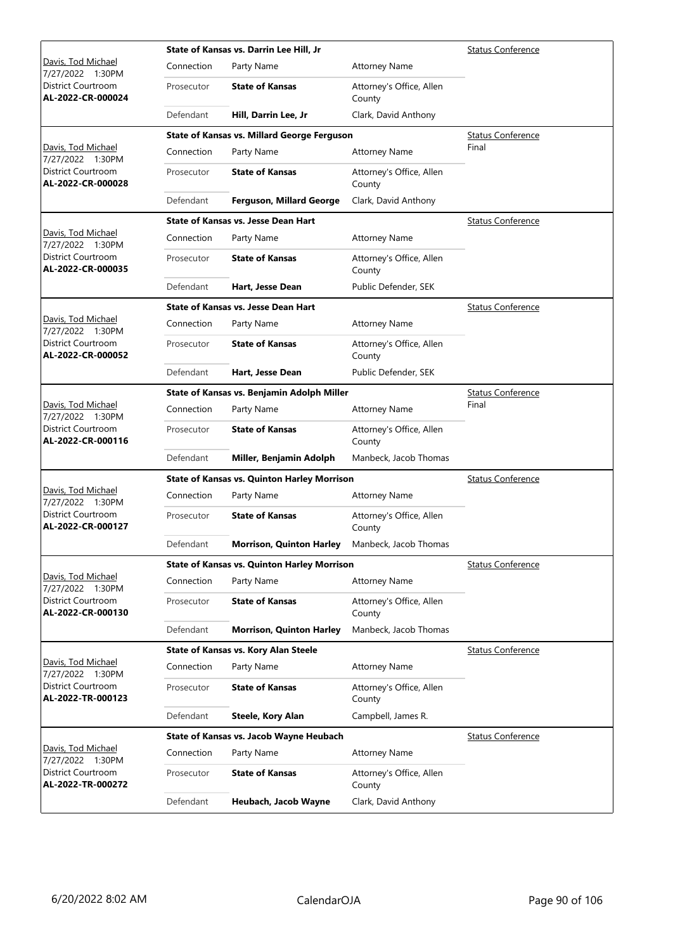|                                         |            | State of Kansas vs. Darrin Lee Hill, Jr            |                                    | <b>Status Conference</b> |
|-----------------------------------------|------------|----------------------------------------------------|------------------------------------|--------------------------|
| Davis, Tod Michael<br>7/27/2022 1:30PM  | Connection | Party Name                                         | <b>Attorney Name</b>               |                          |
| District Courtroom<br>AL-2022-CR-000024 | Prosecutor | <b>State of Kansas</b>                             | Attorney's Office, Allen<br>County |                          |
|                                         | Defendant  | Hill, Darrin Lee, Jr                               | Clark, David Anthony               |                          |
|                                         |            | <b>State of Kansas vs. Millard George Ferguson</b> |                                    | <b>Status Conference</b> |
| Davis, Tod Michael<br>7/27/2022 1:30PM  | Connection | Party Name                                         | <b>Attorney Name</b>               | Final                    |
| District Courtroom<br>AL-2022-CR-000028 | Prosecutor | <b>State of Kansas</b>                             | Attorney's Office, Allen<br>County |                          |
|                                         | Defendant  | Ferguson, Millard George                           | Clark, David Anthony               |                          |
|                                         |            | <b>State of Kansas vs. Jesse Dean Hart</b>         |                                    | <b>Status Conference</b> |
| Davis, Tod Michael<br>7/27/2022 1:30PM  | Connection | Party Name                                         | <b>Attorney Name</b>               |                          |
| District Courtroom<br>AL-2022-CR-000035 | Prosecutor | <b>State of Kansas</b>                             | Attorney's Office, Allen<br>County |                          |
|                                         | Defendant  | Hart, Jesse Dean                                   | Public Defender, SEK               |                          |
|                                         |            | <b>State of Kansas vs. Jesse Dean Hart</b>         |                                    | <b>Status Conference</b> |
| Davis, Tod Michael<br>7/27/2022 1:30PM  | Connection | Party Name                                         | <b>Attorney Name</b>               |                          |
| District Courtroom<br>AL-2022-CR-000052 | Prosecutor | <b>State of Kansas</b>                             | Attorney's Office, Allen<br>County |                          |
|                                         | Defendant  | Hart, Jesse Dean                                   | Public Defender, SEK               |                          |
|                                         |            | State of Kansas vs. Benjamin Adolph Miller         |                                    | <b>Status Conference</b> |
| Davis, Tod Michael<br>7/27/2022 1:30PM  | Connection | Party Name                                         | <b>Attorney Name</b>               | Final                    |
| District Courtroom<br>AL-2022-CR-000116 | Prosecutor | <b>State of Kansas</b>                             | Attorney's Office, Allen<br>County |                          |
|                                         | Defendant  | Miller, Benjamin Adolph                            | Manbeck, Jacob Thomas              |                          |
|                                         |            | <b>State of Kansas vs. Quinton Harley Morrison</b> | <b>Status Conference</b>           |                          |
| Davis, Tod Michael<br>7/27/2022 1:30PM  | Connection | Party Name                                         | <b>Attorney Name</b>               |                          |
| District Courtroom<br>AL-2022-CR-000127 | Prosecutor | <b>State of Kansas</b>                             | Attorney's Office, Allen<br>County |                          |
|                                         | Defendant  | <b>Morrison, Quinton Harley</b>                    | Manbeck, Jacob Thomas              |                          |
|                                         |            | <b>State of Kansas vs. Quinton Harley Morrison</b> |                                    | <b>Status Conference</b> |
| Davis, Tod Michael<br>7/27/2022 1:30PM  | Connection | Party Name                                         | <b>Attorney Name</b>               |                          |
| District Courtroom<br>AL-2022-CR-000130 | Prosecutor | <b>State of Kansas</b>                             | Attorney's Office, Allen<br>County |                          |
|                                         | Defendant  | <b>Morrison, Quinton Harley</b>                    | Manbeck, Jacob Thomas              |                          |
|                                         |            | State of Kansas vs. Kory Alan Steele               |                                    | <b>Status Conference</b> |
| Davis, Tod Michael<br>7/27/2022 1:30PM  | Connection | Party Name                                         | <b>Attorney Name</b>               |                          |
| District Courtroom<br>AL-2022-TR-000123 | Prosecutor | <b>State of Kansas</b>                             | Attorney's Office, Allen<br>County |                          |
|                                         | Defendant  | Steele, Kory Alan                                  | Campbell, James R.                 |                          |
|                                         |            | State of Kansas vs. Jacob Wayne Heubach            |                                    | <b>Status Conference</b> |
| Davis, Tod Michael<br>7/27/2022 1:30PM  | Connection | Party Name                                         | <b>Attorney Name</b>               |                          |
| District Courtroom<br>AL-2022-TR-000272 | Prosecutor | <b>State of Kansas</b>                             | Attorney's Office, Allen<br>County |                          |
|                                         | Defendant  | Heubach, Jacob Wayne                               | Clark, David Anthony               |                          |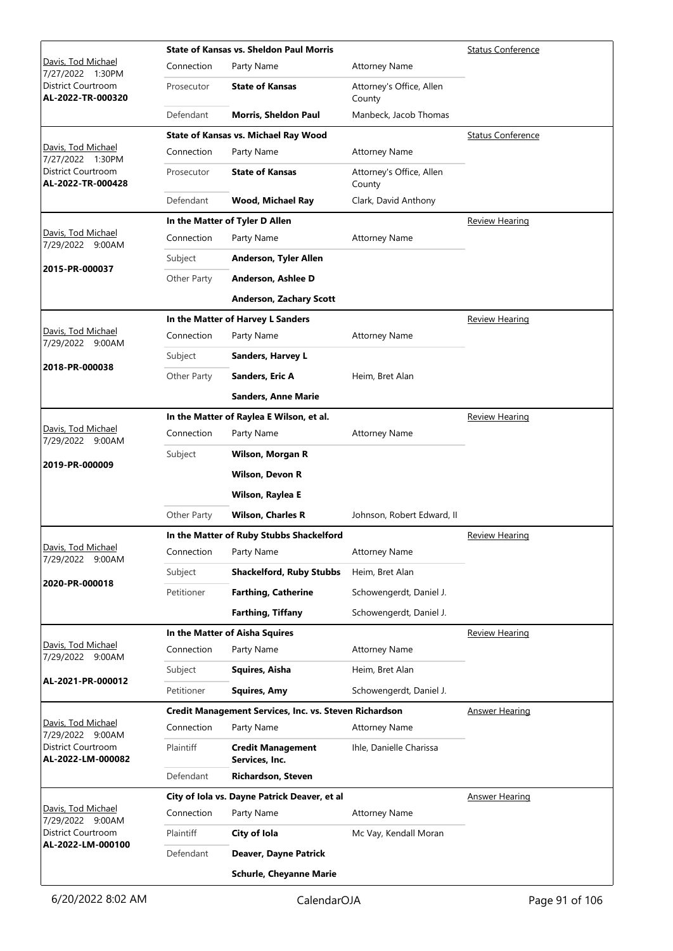|                                         |             | <b>State of Kansas vs. Sheldon Paul Morris</b>         |                                    | <b>Status Conference</b> |
|-----------------------------------------|-------------|--------------------------------------------------------|------------------------------------|--------------------------|
| Davis, Tod Michael<br>7/27/2022 1:30PM  | Connection  | Party Name                                             | <b>Attorney Name</b>               |                          |
| District Courtroom<br>AL-2022-TR-000320 | Prosecutor  | <b>State of Kansas</b>                                 | Attorney's Office, Allen<br>County |                          |
|                                         | Defendant   | <b>Morris, Sheldon Paul</b>                            | Manbeck, Jacob Thomas              |                          |
|                                         |             | <b>State of Kansas vs. Michael Ray Wood</b>            |                                    | <b>Status Conference</b> |
| Davis, Tod Michael<br>7/27/2022 1:30PM  | Connection  | Party Name                                             | <b>Attorney Name</b>               |                          |
| District Courtroom<br>AL-2022-TR-000428 | Prosecutor  | <b>State of Kansas</b>                                 | Attorney's Office, Allen<br>County |                          |
|                                         | Defendant   | <b>Wood, Michael Ray</b>                               | Clark, David Anthony               |                          |
|                                         |             | In the Matter of Tyler D Allen                         |                                    | <b>Review Hearing</b>    |
| Davis, Tod Michael<br>7/29/2022 9:00AM  | Connection  | Party Name                                             | <b>Attorney Name</b>               |                          |
|                                         | Subject     | Anderson, Tyler Allen                                  |                                    |                          |
| 2015-PR-000037                          | Other Party | Anderson, Ashlee D                                     |                                    |                          |
|                                         |             | <b>Anderson, Zachary Scott</b>                         |                                    |                          |
|                                         |             | In the Matter of Harvey L Sanders                      |                                    | <b>Review Hearing</b>    |
| Davis, Tod Michael<br>7/29/2022 9:00AM  | Connection  | Party Name                                             | <b>Attorney Name</b>               |                          |
|                                         | Subject     | Sanders, Harvey L                                      |                                    |                          |
| 2018-PR-000038                          | Other Party | Sanders, Eric A                                        | Heim, Bret Alan                    |                          |
|                                         |             | <b>Sanders, Anne Marie</b>                             |                                    |                          |
|                                         |             | In the Matter of Raylea E Wilson, et al.               |                                    | <b>Review Hearing</b>    |
| Davis, Tod Michael<br>7/29/2022 9:00AM  | Connection  | Party Name                                             | <b>Attorney Name</b>               |                          |
|                                         | Subject     | Wilson, Morgan R                                       |                                    |                          |
| 2019-PR-000009                          |             | <b>Wilson, Devon R</b>                                 |                                    |                          |
|                                         |             | Wilson, Raylea E                                       |                                    |                          |
|                                         | Other Party | <b>Wilson, Charles R</b>                               | Johnson, Robert Edward, II         |                          |
|                                         |             | In the Matter of Ruby Stubbs Shackelford               |                                    | <b>Review Hearing</b>    |
| Davis, Tod Michael<br>7/29/2022 9:00AM  | Connection  | Party Name                                             | <b>Attorney Name</b>               |                          |
|                                         | Subject     | <b>Shackelford, Ruby Stubbs</b>                        | Heim, Bret Alan                    |                          |
| 2020-PR-000018                          | Petitioner  | <b>Farthing, Catherine</b>                             | Schowengerdt, Daniel J.            |                          |
|                                         |             | <b>Farthing, Tiffany</b>                               | Schowengerdt, Daniel J.            |                          |
|                                         |             | In the Matter of Aisha Squires                         |                                    | <b>Review Hearing</b>    |
| Davis, Tod Michael<br>7/29/2022 9:00AM  | Connection  | Party Name                                             | <b>Attorney Name</b>               |                          |
|                                         | Subject     | Squires, Aisha                                         | Heim, Bret Alan                    |                          |
| AL-2021-PR-000012                       | Petitioner  | <b>Squires, Amy</b>                                    | Schowengerdt, Daniel J.            |                          |
|                                         |             | Credit Management Services, Inc. vs. Steven Richardson |                                    | <b>Answer Hearing</b>    |
| Davis, Tod Michael<br>7/29/2022 9:00AM  | Connection  | Party Name                                             | <b>Attorney Name</b>               |                          |
| District Courtroom<br>AL-2022-LM-000082 | Plaintiff   | <b>Credit Management</b><br>Services, Inc.             | Ihle, Danielle Charissa            |                          |
|                                         | Defendant   | <b>Richardson, Steven</b>                              |                                    |                          |
|                                         |             | City of Iola vs. Dayne Patrick Deaver, et al           |                                    | <b>Answer Hearing</b>    |
| Davis, Tod Michael<br>7/29/2022 9:00AM  | Connection  | Party Name                                             | <b>Attorney Name</b>               |                          |
| District Courtroom<br>AL-2022-LM-000100 | Plaintiff   | City of Iola                                           | Mc Vay, Kendall Moran              |                          |
|                                         | Defendant   | Deaver, Dayne Patrick                                  |                                    |                          |
|                                         |             | <b>Schurle, Cheyanne Marie</b>                         |                                    |                          |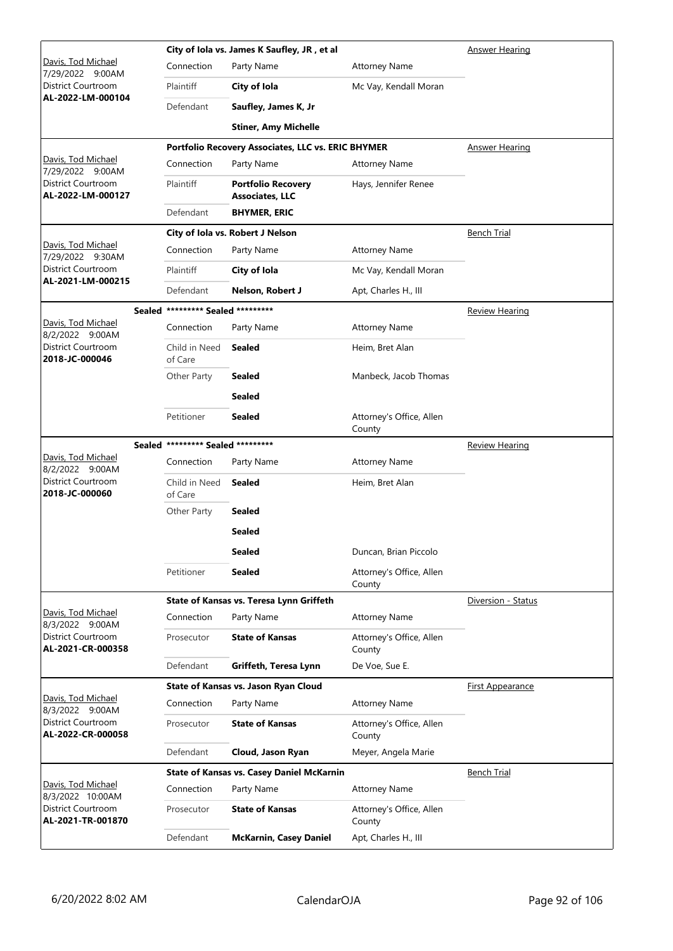|                                                |                                   | City of Iola vs. James K Saufley, JR, et al         | <b>Answer Hearing</b>              |                       |  |
|------------------------------------------------|-----------------------------------|-----------------------------------------------------|------------------------------------|-----------------------|--|
| Davis, Tod Michael<br>7/29/2022 9:00AM         | Connection                        | Party Name                                          | <b>Attorney Name</b>               |                       |  |
| District Courtroom                             | Plaintiff                         | City of Iola                                        | Mc Vay, Kendall Moran              |                       |  |
| AL-2022-LM-000104                              | Defendant                         | Saufley, James K, Jr                                |                                    |                       |  |
|                                                |                                   | <b>Stiner, Amy Michelle</b>                         |                                    |                       |  |
|                                                |                                   | Portfolio Recovery Associates, LLC vs. ERIC BHYMER  |                                    | <b>Answer Hearing</b> |  |
| <u> Davis, Tod Michael</u><br>7/29/2022 9:00AM | Connection                        | Party Name                                          | <b>Attorney Name</b>               |                       |  |
| District Courtroom<br>AL-2022-LM-000127        | Plaintiff                         | <b>Portfolio Recovery</b><br><b>Associates, LLC</b> | Hays, Jennifer Renee               |                       |  |
|                                                | Defendant                         | <b>BHYMER, ERIC</b>                                 |                                    |                       |  |
|                                                |                                   | City of Iola vs. Robert J Nelson                    |                                    | <b>Bench Trial</b>    |  |
| Davis, Tod Michael<br>7/29/2022 9:30AM         | Connection                        | Party Name                                          | <b>Attorney Name</b>               |                       |  |
| <b>District Courtroom</b>                      | Plaintiff                         | City of Iola                                        | Mc Vay, Kendall Moran              |                       |  |
| AL-2021-LM-000215                              | Defendant                         | Nelson, Robert J                                    | Apt, Charles H., III               |                       |  |
|                                                | Sealed ********* Sealed ********* |                                                     |                                    | <b>Review Hearing</b> |  |
| Davis, Tod Michael<br>8/2/2022 9:00AM          | Connection                        | Party Name                                          | <b>Attorney Name</b>               |                       |  |
| District Courtroom<br>2018-JC-000046           | Child in Need<br>of Care          | <b>Sealed</b>                                       | Heim, Bret Alan                    |                       |  |
|                                                | Other Party                       | <b>Sealed</b>                                       | Manbeck, Jacob Thomas              |                       |  |
|                                                |                                   | <b>Sealed</b>                                       |                                    |                       |  |
|                                                | Petitioner                        | <b>Sealed</b>                                       | Attorney's Office, Allen<br>County |                       |  |
|                                                | Sealed ********* Sealed ********* |                                                     |                                    | <b>Review Hearing</b> |  |
| <u> Davis, Tod Michael</u><br>8/2/2022 9:00AM  | Connection                        | Party Name                                          | <b>Attorney Name</b>               |                       |  |
| District Courtroom<br>2018-JC-000060           | Child in Need<br>of Care          | Sealed                                              | Heim, Bret Alan                    |                       |  |
|                                                | Other Party                       | <b>Sealed</b>                                       |                                    |                       |  |
|                                                |                                   | <b>Sealed</b>                                       |                                    |                       |  |
|                                                |                                   | <b>Sealed</b>                                       | Duncan, Brian Piccolo              |                       |  |
|                                                | Petitioner                        | Sealed                                              | Attorney's Office, Allen<br>County |                       |  |
|                                                |                                   | State of Kansas vs. Teresa Lynn Griffeth            |                                    | Diversion - Status    |  |
| Davis, Tod Michael<br>8/3/2022 9:00AM          | Connection                        | Party Name                                          | <b>Attorney Name</b>               |                       |  |
| District Courtroom<br>AL-2021-CR-000358        | Prosecutor                        | <b>State of Kansas</b>                              | Attorney's Office, Allen<br>County |                       |  |
|                                                | Defendant                         | Griffeth, Teresa Lynn                               | De Voe, Sue E.                     |                       |  |
|                                                |                                   | State of Kansas vs. Jason Ryan Cloud                |                                    | First Appearance      |  |
| Davis, Tod Michael<br>8/3/2022 9:00AM          | Connection                        | Party Name                                          | <b>Attorney Name</b>               |                       |  |
| District Courtroom<br>AL-2022-CR-000058        | Prosecutor                        | <b>State of Kansas</b>                              | Attorney's Office, Allen<br>County |                       |  |
|                                                | Defendant                         | Cloud, Jason Ryan                                   | Meyer, Angela Marie                |                       |  |
|                                                |                                   | <b>State of Kansas vs. Casey Daniel McKarnin</b>    |                                    | <b>Bench Trial</b>    |  |
| Davis, Tod Michael<br>8/3/2022 10:00AM         | Connection                        | Party Name                                          | <b>Attorney Name</b>               |                       |  |
| District Courtroom                             | Prosecutor                        | <b>State of Kansas</b>                              | Attorney's Office, Allen           |                       |  |
| AL-2021-TR-001870                              |                                   |                                                     | County                             |                       |  |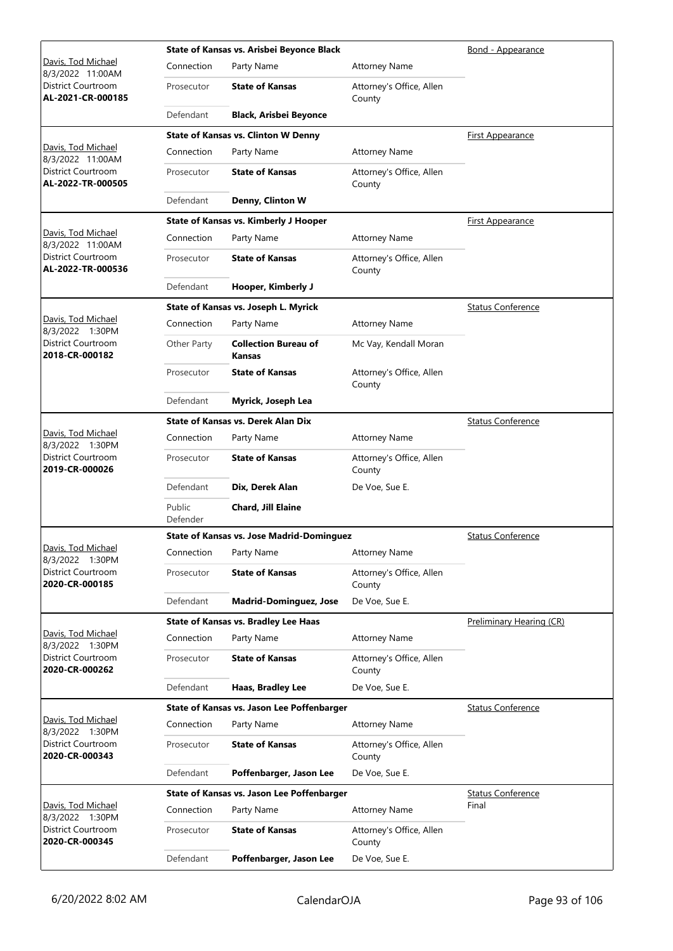|                                                |                    | State of Kansas vs. Arisbei Beyonce Black        |                                    | Bond - Appearance        |
|------------------------------------------------|--------------------|--------------------------------------------------|------------------------------------|--------------------------|
| Davis, Tod Michael<br>8/3/2022 11:00AM         | Connection         | Party Name                                       | <b>Attorney Name</b>               |                          |
| District Courtroom<br>AL-2021-CR-000185        | Prosecutor         | <b>State of Kansas</b>                           | Attorney's Office, Allen<br>County |                          |
|                                                | Defendant          | <b>Black, Arisbei Beyonce</b>                    |                                    |                          |
|                                                |                    | <b>State of Kansas vs. Clinton W Denny</b>       |                                    | First Appearance         |
| Davis, Tod Michael<br>8/3/2022 11:00AM         | Connection         | Party Name                                       | <b>Attorney Name</b>               |                          |
| District Courtroom<br>AL-2022-TR-000505        | Prosecutor         | <b>State of Kansas</b>                           | Attorney's Office, Allen<br>County |                          |
|                                                | Defendant          | Denny, Clinton W                                 |                                    |                          |
|                                                |                    | State of Kansas vs. Kimberly J Hooper            |                                    | <b>First Appearance</b>  |
| Davis, Tod Michael<br>8/3/2022 11:00AM         | Connection         | Party Name                                       | <b>Attorney Name</b>               |                          |
| <b>District Courtroom</b><br>AL-2022-TR-000536 | Prosecutor         | <b>State of Kansas</b>                           | Attorney's Office, Allen<br>County |                          |
|                                                | Defendant          | Hooper, Kimberly J                               |                                    |                          |
|                                                |                    | State of Kansas vs. Joseph L. Myrick             |                                    | <b>Status Conference</b> |
| Davis, Tod Michael<br>8/3/2022 1:30PM          | Connection         | Party Name                                       | <b>Attorney Name</b>               |                          |
| <b>District Courtroom</b><br>2018-CR-000182    | Other Party        | <b>Collection Bureau of</b><br><b>Kansas</b>     | Mc Vay, Kendall Moran              |                          |
|                                                | Prosecutor         | <b>State of Kansas</b>                           | Attorney's Office, Allen<br>County |                          |
|                                                | Defendant          | Myrick, Joseph Lea                               |                                    |                          |
|                                                |                    | <b>State of Kansas vs. Derek Alan Dix</b>        |                                    | <b>Status Conference</b> |
| Davis, Tod Michael<br>8/3/2022 1:30PM          | Connection         | Party Name                                       | <b>Attorney Name</b>               |                          |
| District Courtroom<br>2019-CR-000026           | Prosecutor         | <b>State of Kansas</b>                           | Attorney's Office, Allen<br>County |                          |
|                                                | Defendant          | Dix, Derek Alan                                  | De Voe, Sue E.                     |                          |
|                                                | Public<br>Defender | Chard, Jill Elaine                               |                                    |                          |
|                                                |                    | <b>State of Kansas vs. Jose Madrid-Dominguez</b> |                                    | <b>Status Conference</b> |
| Davis, Tod Michael<br>8/3/2022 1:30PM          | Connection         | Party Name                                       | <b>Attorney Name</b>               |                          |
| District Courtroom<br>2020-CR-000185           | Prosecutor         | <b>State of Kansas</b>                           | Attorney's Office, Allen<br>County |                          |
|                                                | Defendant          | <b>Madrid-Dominguez, Jose</b>                    | De Voe, Sue E.                     |                          |
|                                                |                    | <b>State of Kansas vs. Bradley Lee Haas</b>      |                                    | Preliminary Hearing (CR) |
| Davis, Tod Michael<br>8/3/2022 1:30PM          | Connection         | Party Name                                       | <b>Attorney Name</b>               |                          |
| <b>District Courtroom</b><br>2020-CR-000262    | Prosecutor         | <b>State of Kansas</b>                           | Attorney's Office, Allen<br>County |                          |
|                                                | Defendant          | Haas, Bradley Lee                                | De Voe, Sue E.                     |                          |
|                                                |                    | State of Kansas vs. Jason Lee Poffenbarger       |                                    | <b>Status Conference</b> |
| Davis, Tod Michael<br>8/3/2022 1:30PM          | Connection         | Party Name                                       | <b>Attorney Name</b>               |                          |
| District Courtroom<br>2020-CR-000343           | Prosecutor         | <b>State of Kansas</b>                           | Attorney's Office, Allen<br>County |                          |
|                                                | Defendant          | Poffenbarger, Jason Lee                          | De Voe, Sue E.                     |                          |
|                                                |                    | State of Kansas vs. Jason Lee Poffenbarger       |                                    | <b>Status Conference</b> |
| Davis, Tod Michael<br>8/3/2022 1:30PM          | Connection         | Party Name                                       | <b>Attorney Name</b>               | Final                    |
| District Courtroom<br>2020-CR-000345           | Prosecutor         | <b>State of Kansas</b>                           | Attorney's Office, Allen<br>County |                          |
|                                                | Defendant          | Poffenbarger, Jason Lee                          | De Voe, Sue E.                     |                          |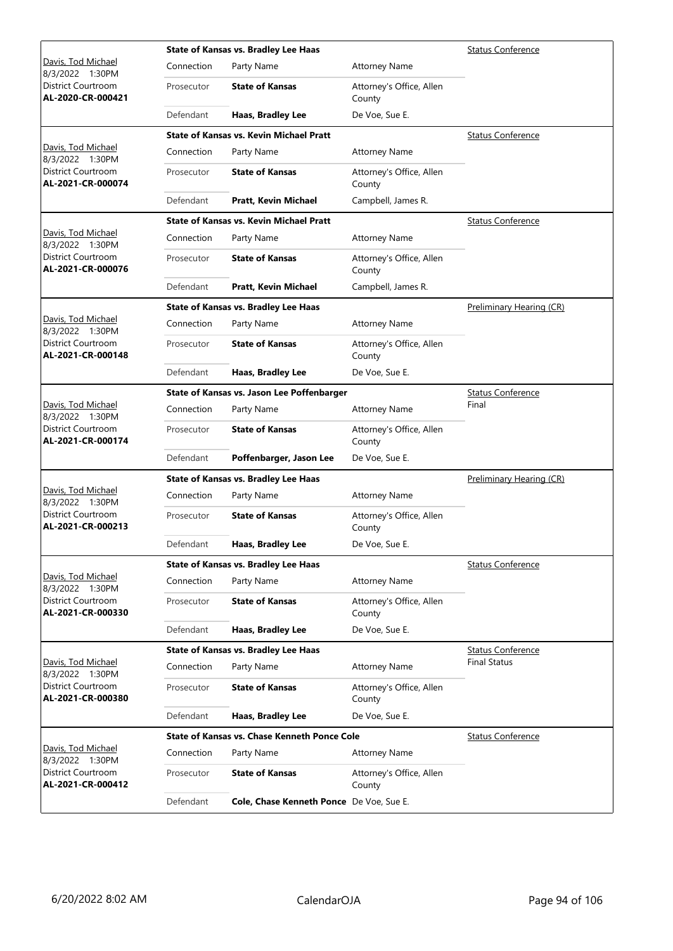|                                         |            | <b>State of Kansas vs. Bradley Lee Haas</b>         |                                    | <b>Status Conference</b> |
|-----------------------------------------|------------|-----------------------------------------------------|------------------------------------|--------------------------|
| Davis, Tod Michael<br>8/3/2022 1:30PM   | Connection | Party Name                                          | <b>Attorney Name</b>               |                          |
| District Courtroom<br>AL-2020-CR-000421 | Prosecutor | <b>State of Kansas</b>                              | Attorney's Office, Allen<br>County |                          |
|                                         | Defendant  | Haas, Bradley Lee                                   | De Voe, Sue E.                     |                          |
|                                         |            | <b>State of Kansas vs. Kevin Michael Pratt</b>      |                                    | <b>Status Conference</b> |
| Davis, Tod Michael<br>8/3/2022 1:30PM   | Connection | Party Name                                          | <b>Attorney Name</b>               |                          |
| District Courtroom<br>AL-2021-CR-000074 | Prosecutor | <b>State of Kansas</b>                              | Attorney's Office, Allen<br>County |                          |
|                                         | Defendant  | Pratt, Kevin Michael                                | Campbell, James R.                 |                          |
|                                         |            | <b>State of Kansas vs. Kevin Michael Pratt</b>      |                                    | <b>Status Conference</b> |
| Davis, Tod Michael<br>8/3/2022 1:30PM   | Connection | Party Name                                          | <b>Attorney Name</b>               |                          |
| District Courtroom<br>AL-2021-CR-000076 | Prosecutor | <b>State of Kansas</b>                              | Attorney's Office, Allen<br>County |                          |
|                                         | Defendant  | Pratt, Kevin Michael                                | Campbell, James R.                 |                          |
|                                         |            | <b>State of Kansas vs. Bradley Lee Haas</b>         |                                    | Preliminary Hearing (CR) |
| Davis, Tod Michael<br>8/3/2022 1:30PM   | Connection | Party Name                                          | <b>Attorney Name</b>               |                          |
| District Courtroom<br>AL-2021-CR-000148 | Prosecutor | <b>State of Kansas</b>                              | Attorney's Office, Allen<br>County |                          |
|                                         | Defendant  | Haas, Bradley Lee                                   | De Voe, Sue E.                     |                          |
|                                         |            | State of Kansas vs. Jason Lee Poffenbarger          |                                    | <b>Status Conference</b> |
| Davis, Tod Michael<br>8/3/2022 1:30PM   | Connection | Party Name                                          | <b>Attorney Name</b>               | Final                    |
| District Courtroom<br>AL-2021-CR-000174 | Prosecutor | <b>State of Kansas</b>                              | Attorney's Office, Allen<br>County |                          |
|                                         | Defendant  | Poffenbarger, Jason Lee                             | De Voe, Sue E.                     |                          |
|                                         |            | <b>State of Kansas vs. Bradley Lee Haas</b>         | Preliminary Hearing (CR)           |                          |
| Davis, Tod Michael<br>8/3/2022 1:30PM   | Connection | Party Name                                          | <b>Attorney Name</b>               |                          |
| District Courtroom<br>AL-2021-CR-000213 | Prosecutor | <b>State of Kansas</b>                              | Attorney's Office, Allen<br>County |                          |
|                                         | Defendant  | Haas, Bradley Lee                                   | De Voe, Sue E.                     |                          |
|                                         |            | <b>State of Kansas vs. Bradley Lee Haas</b>         |                                    | <b>Status Conference</b> |
| Davis, Tod Michael<br>8/3/2022 1:30PM   | Connection | Party Name                                          | <b>Attorney Name</b>               |                          |
| District Courtroom<br>AL-2021-CR-000330 | Prosecutor | <b>State of Kansas</b>                              | Attorney's Office, Allen<br>County |                          |
|                                         | Defendant  | Haas, Bradley Lee                                   | De Voe, Sue E.                     |                          |
|                                         |            | State of Kansas vs. Bradley Lee Haas                |                                    | <b>Status Conference</b> |
| Davis, Tod Michael<br>8/3/2022 1:30PM   | Connection | Party Name                                          | <b>Attorney Name</b>               | <b>Final Status</b>      |
| District Courtroom<br>AL-2021-CR-000380 | Prosecutor | <b>State of Kansas</b>                              | Attorney's Office, Allen<br>County |                          |
|                                         | Defendant  | Haas, Bradley Lee                                   | De Voe, Sue E.                     |                          |
|                                         |            | <b>State of Kansas vs. Chase Kenneth Ponce Cole</b> |                                    | <b>Status Conference</b> |
| Davis, Tod Michael<br>8/3/2022 1:30PM   | Connection | Party Name                                          | <b>Attorney Name</b>               |                          |
| District Courtroom<br>AL-2021-CR-000412 | Prosecutor | <b>State of Kansas</b>                              | Attorney's Office, Allen<br>County |                          |
|                                         | Defendant  | Cole, Chase Kenneth Ponce De Voe, Sue E.            |                                    |                          |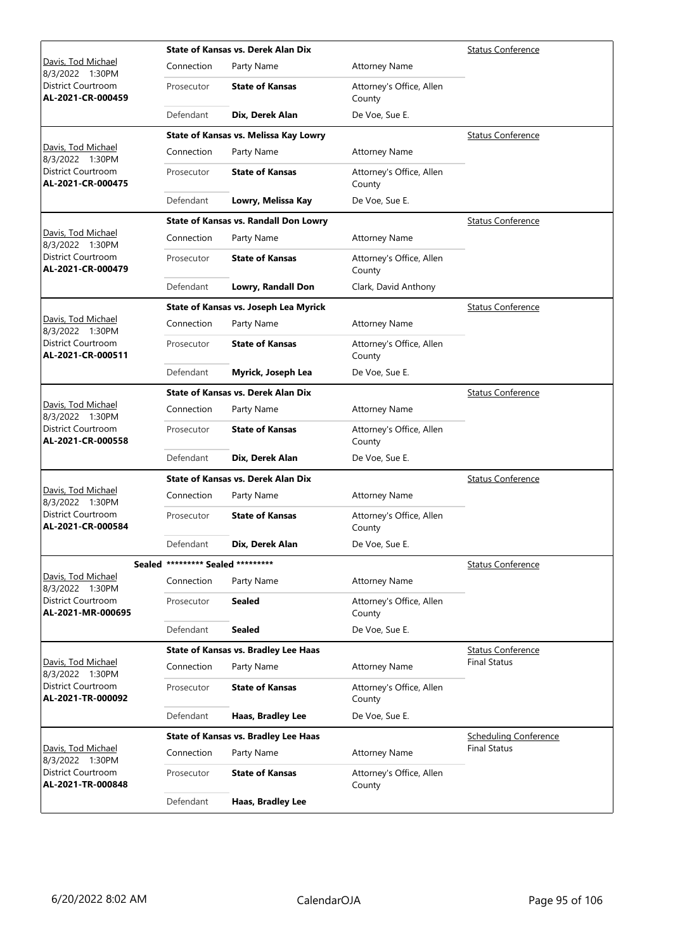|                                                |                                   | <b>State of Kansas vs. Derek Alan Dix</b>    |                                    | <b>Status Conference</b>     |
|------------------------------------------------|-----------------------------------|----------------------------------------------|------------------------------------|------------------------------|
| Davis, Tod Michael<br>8/3/2022 1:30PM          | Connection                        | Party Name                                   | <b>Attorney Name</b>               |                              |
| District Courtroom<br>AL-2021-CR-000459        | Prosecutor                        | <b>State of Kansas</b>                       | Attorney's Office, Allen<br>County |                              |
|                                                | Defendant                         | Dix, Derek Alan                              | De Voe, Sue E.                     |                              |
|                                                |                                   | State of Kansas vs. Melissa Kay Lowry        |                                    | <b>Status Conference</b>     |
| Davis, Tod Michael<br>8/3/2022 1:30PM          | Connection                        | Party Name                                   | <b>Attorney Name</b>               |                              |
| <b>District Courtroom</b><br>AL-2021-CR-000475 | Prosecutor                        | <b>State of Kansas</b>                       | Attorney's Office, Allen<br>County |                              |
|                                                | Defendant                         | Lowry, Melissa Kay                           | De Voe, Sue E.                     |                              |
|                                                |                                   | <b>State of Kansas vs. Randall Don Lowry</b> |                                    | <b>Status Conference</b>     |
| Davis, Tod Michael<br>8/3/2022 1:30PM          | Connection                        | Party Name                                   | <b>Attorney Name</b>               |                              |
| District Courtroom<br>AL-2021-CR-000479        | Prosecutor                        | <b>State of Kansas</b>                       | Attorney's Office, Allen<br>County |                              |
|                                                | Defendant                         | Lowry, Randall Don                           | Clark, David Anthony               |                              |
|                                                |                                   | State of Kansas vs. Joseph Lea Myrick        |                                    | <b>Status Conference</b>     |
| Davis, Tod Michael<br>8/3/2022 1:30PM          | Connection                        | Party Name                                   | <b>Attorney Name</b>               |                              |
| District Courtroom<br>AL-2021-CR-000511        | Prosecutor                        | <b>State of Kansas</b>                       | Attorney's Office, Allen<br>County |                              |
|                                                | Defendant                         | Myrick, Joseph Lea                           | De Voe, Sue E.                     |                              |
|                                                |                                   | <b>State of Kansas vs. Derek Alan Dix</b>    |                                    | <b>Status Conference</b>     |
| Davis, Tod Michael<br>8/3/2022 1:30PM          | Connection                        | Party Name                                   | <b>Attorney Name</b>               |                              |
| <b>District Courtroom</b><br>AL-2021-CR-000558 | Prosecutor                        | <b>State of Kansas</b>                       | Attorney's Office, Allen<br>County |                              |
|                                                | Defendant                         | Dix, Derek Alan                              | De Voe, Sue E.                     |                              |
|                                                |                                   | State of Kansas vs. Derek Alan Dix           |                                    | <b>Status Conference</b>     |
| Davis, Tod Michael<br>8/3/2022 1:30PM          | Connection                        | Party Name                                   | <b>Attorney Name</b>               |                              |
| District Courtroom<br>AL-2021-CR-000584        | Prosecutor                        | <b>State of Kansas</b>                       | Attorney's Office, Allen<br>County |                              |
|                                                | Defendant                         | Dix, Derek Alan                              | De Voe, Sue E.                     |                              |
|                                                | Sealed ********* Sealed ********* |                                              |                                    | <b>Status Conference</b>     |
| Davis, Tod Michael<br>8/3/2022 1:30PM          | Connection                        | Party Name                                   | <b>Attorney Name</b>               |                              |
| District Courtroom<br>AL-2021-MR-000695        | Prosecutor                        | <b>Sealed</b>                                | Attorney's Office, Allen<br>County |                              |
|                                                | Defendant                         | <b>Sealed</b>                                | De Voe, Sue E.                     |                              |
|                                                |                                   | <b>State of Kansas vs. Bradley Lee Haas</b>  |                                    | <b>Status Conference</b>     |
| Davis, Tod Michael<br>8/3/2022 1:30PM          | Connection                        | Party Name                                   | <b>Attorney Name</b>               | <b>Final Status</b>          |
| District Courtroom<br>AL-2021-TR-000092        | Prosecutor                        | <b>State of Kansas</b>                       | Attorney's Office, Allen<br>County |                              |
|                                                | Defendant                         | Haas, Bradley Lee                            | De Voe, Sue E.                     |                              |
|                                                |                                   | <b>State of Kansas vs. Bradley Lee Haas</b>  |                                    | <b>Scheduling Conference</b> |
| Davis, Tod Michael<br>8/3/2022 1:30PM          | Connection                        | Party Name                                   | <b>Attorney Name</b>               | <b>Final Status</b>          |
| District Courtroom<br>AL-2021-TR-000848        | Prosecutor                        | <b>State of Kansas</b>                       | Attorney's Office, Allen<br>County |                              |
|                                                | Defendant                         | Haas, Bradley Lee                            |                                    |                              |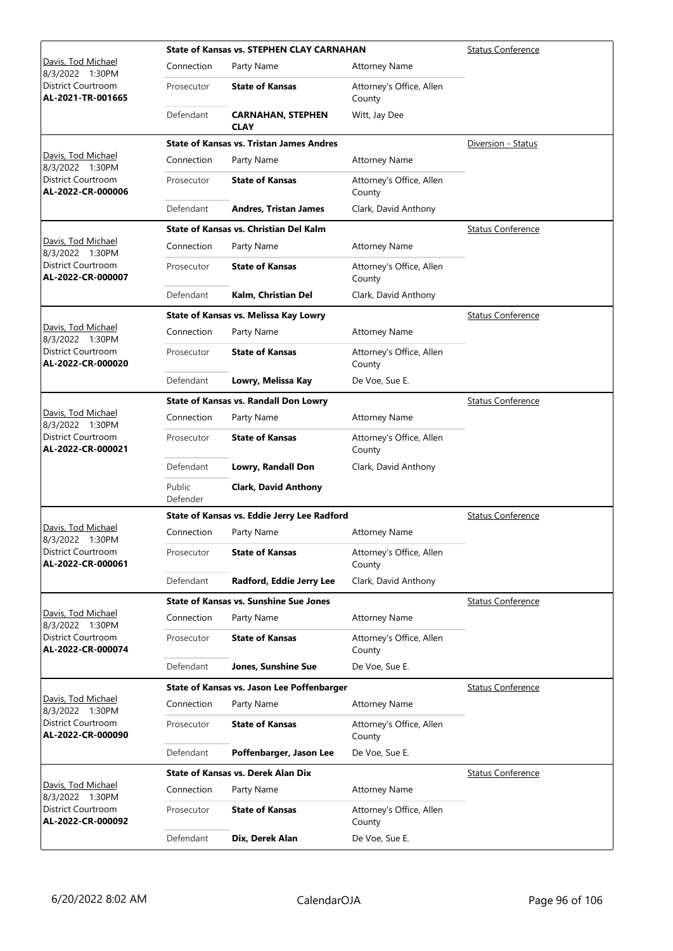|                                                |                    | <b>State of Kansas vs. STEPHEN CLAY CARNAHAN</b> |                                    | <b>Status Conference</b> |
|------------------------------------------------|--------------------|--------------------------------------------------|------------------------------------|--------------------------|
| Davis, Tod Michael<br>8/3/2022 1:30PM          | Connection         | Party Name                                       | <b>Attorney Name</b>               |                          |
| District Courtroom<br>AL-2021-TR-001665        | Prosecutor         | <b>State of Kansas</b>                           | Attorney's Office, Allen<br>County |                          |
|                                                | Defendant          | <b>CARNAHAN, STEPHEN</b><br><b>CLAY</b>          | Witt, Jay Dee                      |                          |
|                                                |                    | <b>State of Kansas vs. Tristan James Andres</b>  |                                    | Diversion - Status       |
| Davis, Tod Michael<br>8/3/2022 1:30PM          | Connection         | Party Name                                       | <b>Attorney Name</b>               |                          |
| <b>District Courtroom</b><br>AL-2022-CR-000006 | Prosecutor         | <b>State of Kansas</b>                           | Attorney's Office, Allen<br>County |                          |
|                                                | Defendant          | <b>Andres, Tristan James</b>                     | Clark, David Anthony               |                          |
|                                                |                    | <b>State of Kansas vs. Christian Del Kalm</b>    |                                    | <b>Status Conference</b> |
| Davis, Tod Michael<br>8/3/2022 1:30PM          | Connection         | Party Name                                       | <b>Attorney Name</b>               |                          |
| District Courtroom<br>AL-2022-CR-000007        | Prosecutor         | <b>State of Kansas</b>                           | Attorney's Office, Allen<br>County |                          |
|                                                | Defendant          | Kalm, Christian Del                              | Clark, David Anthony               |                          |
|                                                |                    | State of Kansas vs. Melissa Kay Lowry            |                                    | <b>Status Conference</b> |
| Davis, Tod Michael<br>8/3/2022 1:30PM          | Connection         | Party Name                                       | <b>Attorney Name</b>               |                          |
| <b>District Courtroom</b><br>AL-2022-CR-000020 | Prosecutor         | <b>State of Kansas</b>                           | Attorney's Office, Allen<br>County |                          |
|                                                | Defendant          | Lowry, Melissa Kay                               | De Voe, Sue E.                     |                          |
|                                                |                    | State of Kansas vs. Randall Don Lowry            |                                    | <b>Status Conference</b> |
| Davis, Tod Michael<br>8/3/2022 1:30PM          | Connection         | Party Name                                       | <b>Attorney Name</b>               |                          |
| District Courtroom<br>AL-2022-CR-000021        | Prosecutor         | <b>State of Kansas</b>                           | Attorney's Office, Allen<br>County |                          |
|                                                | Defendant          | Lowry, Randall Don                               | Clark, David Anthony               |                          |
|                                                | Public<br>Defender | <b>Clark, David Anthony</b>                      |                                    |                          |
|                                                |                    | State of Kansas vs. Eddie Jerry Lee Radford      |                                    | <b>Status Conference</b> |
| Davis, Tod Michael<br>8/3/2022 1:30PM          | Connection         | Party Name                                       | <b>Attorney Name</b>               |                          |
| District Courtroom<br>AL-2022-CR-000061        | Prosecutor         | <b>State of Kansas</b>                           | Attorney's Office, Allen<br>County |                          |
|                                                | Defendant          | Radford, Eddie Jerry Lee                         | Clark, David Anthony               |                          |
|                                                |                    | <b>State of Kansas vs. Sunshine Sue Jones</b>    |                                    | <b>Status Conference</b> |
| Davis, Tod Michael<br>8/3/2022 1:30PM          | Connection         | Party Name                                       | <b>Attorney Name</b>               |                          |
| District Courtroom<br>AL-2022-CR-000074        | Prosecutor         | <b>State of Kansas</b>                           | Attorney's Office, Allen<br>County |                          |
|                                                | Defendant          | Jones, Sunshine Sue                              | De Voe, Sue E.                     |                          |
|                                                |                    | State of Kansas vs. Jason Lee Poffenbarger       |                                    | <b>Status Conference</b> |
| Davis, Tod Michael<br>8/3/2022 1:30PM          | Connection         | Party Name                                       | <b>Attorney Name</b>               |                          |
| District Courtroom<br>AL-2022-CR-000090        | Prosecutor         | <b>State of Kansas</b>                           | Attorney's Office, Allen<br>County |                          |
|                                                | Defendant          | Poffenbarger, Jason Lee                          | De Voe, Sue E.                     |                          |
|                                                |                    | <b>State of Kansas vs. Derek Alan Dix</b>        |                                    | <b>Status Conference</b> |
| Davis, Tod Michael<br>8/3/2022 1:30PM          | Connection         | Party Name                                       | <b>Attorney Name</b>               |                          |
| District Courtroom<br>AL-2022-CR-000092        | Prosecutor         | <b>State of Kansas</b>                           | Attorney's Office, Allen<br>County |                          |
|                                                | Defendant          | Dix, Derek Alan                                  | De Voe, Sue E.                     |                          |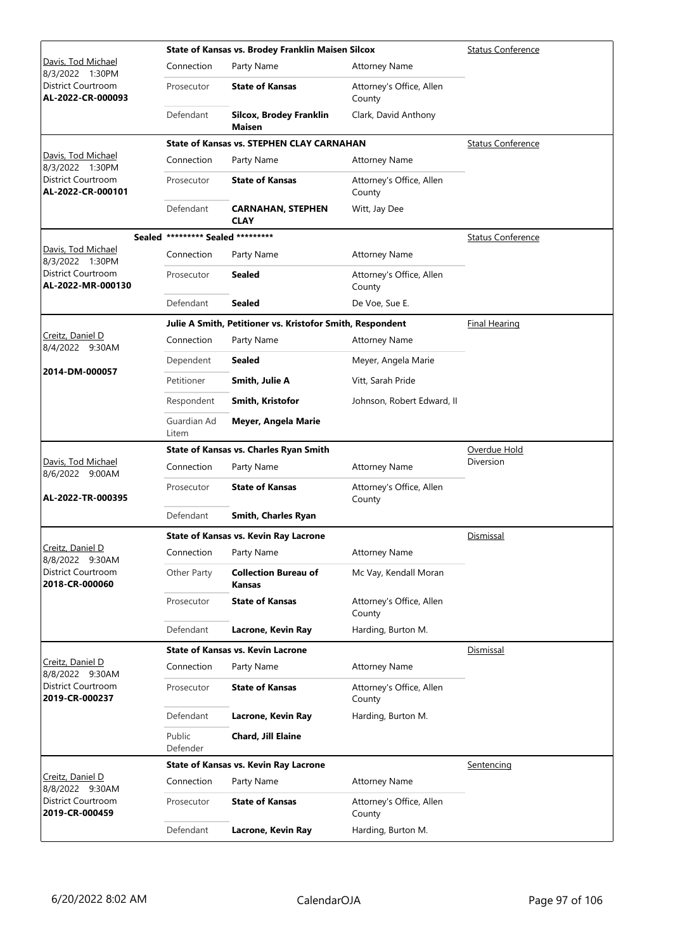|                                                         |                                   | State of Kansas vs. Brodey Franklin Maisen Silcox         | <b>Status Conference</b>           |                          |
|---------------------------------------------------------|-----------------------------------|-----------------------------------------------------------|------------------------------------|--------------------------|
| Davis, Tod Michael<br>8/3/2022 1:30PM                   | Connection                        | Party Name                                                | <b>Attorney Name</b>               |                          |
| District Courtroom<br>AL-2022-CR-000093                 | Prosecutor                        | <b>State of Kansas</b>                                    | Attorney's Office, Allen<br>County |                          |
|                                                         | Defendant                         | Silcox, Brodey Franklin<br>Maisen                         | Clark, David Anthony               |                          |
|                                                         |                                   | <b>State of Kansas vs. STEPHEN CLAY CARNAHAN</b>          |                                    | <b>Status Conference</b> |
| Davis, Tod Michael<br>8/3/2022 1:30PM                   | Connection                        | Party Name                                                | <b>Attorney Name</b>               |                          |
| District Courtroom<br>AL-2022-CR-000101                 | Prosecutor                        | <b>State of Kansas</b>                                    | Attorney's Office, Allen<br>County |                          |
|                                                         | Defendant                         | <b>CARNAHAN, STEPHEN</b><br><b>CLAY</b>                   | Witt, Jay Dee                      |                          |
|                                                         | Sealed ********* Sealed ********* |                                                           |                                    | <b>Status Conference</b> |
| Davis, Tod Michael<br>8/3/2022 1:30PM                   | Connection                        | Party Name                                                | <b>Attorney Name</b>               |                          |
| District Courtroom<br>AL-2022-MR-000130                 | Prosecutor                        | Sealed                                                    | Attorney's Office, Allen<br>County |                          |
|                                                         | Defendant                         | Sealed                                                    | De Voe, Sue E.                     |                          |
|                                                         |                                   | Julie A Smith, Petitioner vs. Kristofor Smith, Respondent |                                    | <b>Final Hearing</b>     |
| Creitz, Daniel D<br>8/4/2022 9:30AM                     | Connection                        | Party Name                                                | <b>Attorney Name</b>               |                          |
|                                                         | Dependent                         | <b>Sealed</b>                                             | Meyer, Angela Marie                |                          |
| 2014-DM-000057                                          | Petitioner                        | Smith, Julie A                                            | Vitt, Sarah Pride                  |                          |
|                                                         | Respondent                        | Smith, Kristofor                                          | Johnson, Robert Edward, II         |                          |
|                                                         | Guardian Ad<br>Litem              | Meyer, Angela Marie                                       |                                    |                          |
|                                                         |                                   | <b>State of Kansas vs. Charles Ryan Smith</b>             |                                    | Overdue Hold             |
|                                                         |                                   |                                                           |                                    | Diversion                |
| Davis, Tod Michael                                      | Connection                        | Party Name                                                | <b>Attorney Name</b>               |                          |
| 8/6/2022 9:00AM<br>AL-2022-TR-000395                    | Prosecutor                        | <b>State of Kansas</b>                                    | Attorney's Office, Allen<br>County |                          |
|                                                         | Defendant                         | Smith, Charles Ryan                                       |                                    |                          |
|                                                         |                                   | State of Kansas vs. Kevin Ray Lacrone                     |                                    | Dismissal                |
| Creitz, Daniel D                                        | Connection                        | Party Name                                                | <b>Attorney Name</b>               |                          |
| 8/8/2022 9:30AM<br>District Courtroom<br>2018-CR-000060 | Other Party                       | <b>Collection Bureau of</b><br>Kansas                     | Mc Vay, Kendall Moran              |                          |
|                                                         | Prosecutor                        | <b>State of Kansas</b>                                    | Attorney's Office, Allen<br>County |                          |
|                                                         | Defendant                         | Lacrone, Kevin Ray                                        | Harding, Burton M.                 |                          |
|                                                         |                                   | <b>State of Kansas vs. Kevin Lacrone</b>                  |                                    | Dismissal                |
| Creitz, Daniel D                                        | Connection                        | Party Name                                                | <b>Attorney Name</b>               |                          |
| 8/8/2022 9:30AM<br>District Courtroom<br>2019-CR-000237 | Prosecutor                        | <b>State of Kansas</b>                                    | Attorney's Office, Allen<br>County |                          |
|                                                         | Defendant                         | Lacrone, Kevin Ray                                        | Harding, Burton M.                 |                          |
|                                                         | Public<br>Defender                | <b>Chard, Jill Elaine</b>                                 |                                    |                          |
|                                                         |                                   | <b>State of Kansas vs. Kevin Ray Lacrone</b>              |                                    | <u>Sentencing</u>        |
| Creitz, Daniel D                                        | Connection                        | Party Name                                                | <b>Attorney Name</b>               |                          |
| 8/8/2022 9:30AM<br>District Courtroom<br>2019-CR-000459 | Prosecutor                        | <b>State of Kansas</b>                                    | Attorney's Office, Allen<br>County |                          |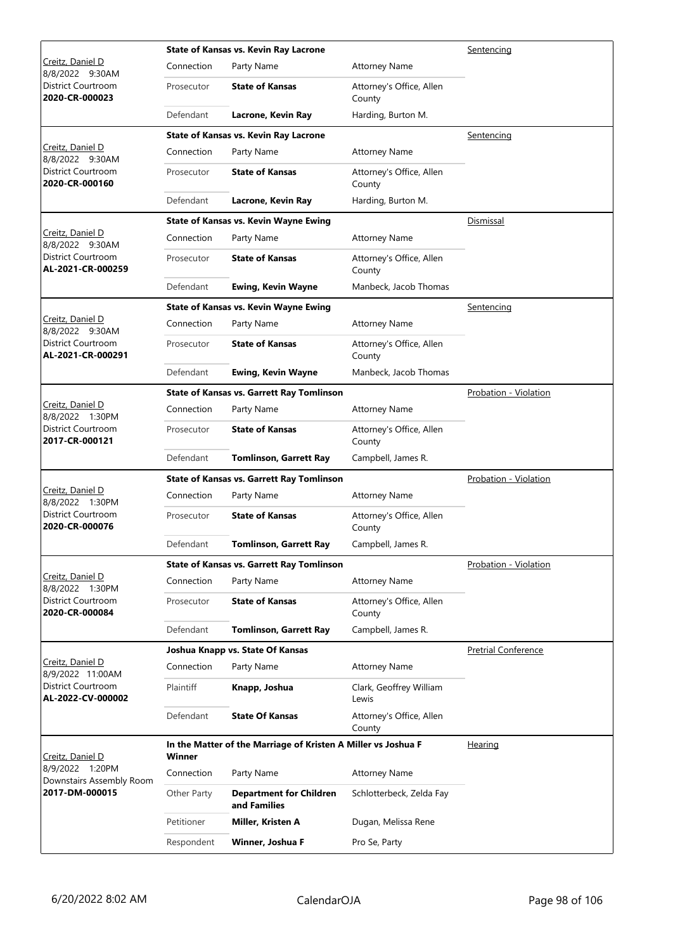|                                             |             | <b>State of Kansas vs. Kevin Ray Lacrone</b>                  | Sentencing                         |                            |
|---------------------------------------------|-------------|---------------------------------------------------------------|------------------------------------|----------------------------|
| Creitz, Daniel D<br>8/8/2022 9:30AM         | Connection  | Party Name                                                    | <b>Attorney Name</b>               |                            |
| District Courtroom<br>2020-CR-000023        | Prosecutor  | <b>State of Kansas</b>                                        | Attorney's Office, Allen<br>County |                            |
|                                             | Defendant   | Lacrone, Kevin Ray                                            | Harding, Burton M.                 |                            |
|                                             |             | State of Kansas vs. Kevin Ray Lacrone                         |                                    | Sentencing                 |
| Creitz, Daniel D<br>8/8/2022 9:30AM         | Connection  | Party Name                                                    | <b>Attorney Name</b>               |                            |
| District Courtroom<br>2020-CR-000160        | Prosecutor  | <b>State of Kansas</b>                                        | Attorney's Office, Allen<br>County |                            |
|                                             | Defendant   | Lacrone, Kevin Ray                                            | Harding, Burton M.                 |                            |
|                                             |             | <b>State of Kansas vs. Kevin Wayne Ewing</b>                  |                                    | Dismissal                  |
| Creitz, Daniel D<br>8/8/2022 9:30AM         | Connection  | Party Name                                                    | <b>Attorney Name</b>               |                            |
| District Courtroom<br>AL-2021-CR-000259     | Prosecutor  | <b>State of Kansas</b>                                        | Attorney's Office, Allen<br>County |                            |
|                                             | Defendant   | <b>Ewing, Kevin Wayne</b>                                     | Manbeck, Jacob Thomas              |                            |
|                                             |             | <b>State of Kansas vs. Kevin Wayne Ewing</b>                  |                                    | Sentencing                 |
| Creitz, Daniel D<br>8/8/2022 9:30AM         | Connection  | Party Name                                                    | <b>Attorney Name</b>               |                            |
| District Courtroom<br>AL-2021-CR-000291     | Prosecutor  | <b>State of Kansas</b>                                        | Attorney's Office, Allen<br>County |                            |
|                                             | Defendant   | <b>Ewing, Kevin Wayne</b>                                     | Manbeck, Jacob Thomas              |                            |
|                                             |             | <b>State of Kansas vs. Garrett Ray Tomlinson</b>              |                                    | Probation - Violation      |
| Creitz, Daniel D<br>8/8/2022 1:30PM         | Connection  | Party Name                                                    | <b>Attorney Name</b>               |                            |
| District Courtroom<br>2017-CR-000121        | Prosecutor  | <b>State of Kansas</b>                                        | Attorney's Office, Allen<br>County |                            |
|                                             | Defendant   | <b>Tomlinson, Garrett Ray</b>                                 | Campbell, James R.                 |                            |
|                                             |             | <b>State of Kansas vs. Garrett Ray Tomlinson</b>              |                                    | Probation - Violation      |
| Creitz, Daniel D<br>8/8/2022 1:30PM         | Connection  | Party Name                                                    | <b>Attorney Name</b>               |                            |
| District Courtroom<br>2020-CR-000076        | Prosecutor  | <b>State of Kansas</b>                                        | Attorney's Office, Allen<br>County |                            |
|                                             | Defendant   | <b>Tomlinson, Garrett Ray</b>                                 | Campbell, James R.                 |                            |
|                                             |             | <b>State of Kansas vs. Garrett Ray Tomlinson</b>              |                                    | Probation - Violation      |
| Creitz, Daniel D<br>8/8/2022 1:30PM         | Connection  | Party Name                                                    | <b>Attorney Name</b>               |                            |
| District Courtroom<br>2020-CR-000084        | Prosecutor  | <b>State of Kansas</b>                                        | Attorney's Office, Allen<br>County |                            |
|                                             | Defendant   | <b>Tomlinson, Garrett Ray</b>                                 | Campbell, James R.                 |                            |
|                                             |             | Joshua Knapp vs. State Of Kansas                              |                                    | <b>Pretrial Conference</b> |
| Creitz, Daniel D<br>8/9/2022 11:00AM        | Connection  | Party Name                                                    | <b>Attorney Name</b>               |                            |
| District Courtroom<br>AL-2022-CV-000002     | Plaintiff   | Knapp, Joshua                                                 | Clark, Geoffrey William<br>Lewis   |                            |
|                                             | Defendant   | <b>State Of Kansas</b>                                        | Attorney's Office, Allen<br>County |                            |
| Creitz, Daniel D                            | Winner      | In the Matter of the Marriage of Kristen A Miller vs Joshua F |                                    | Hearing                    |
| 8/9/2022 1:20PM<br>Downstairs Assembly Room | Connection  | Party Name                                                    | <b>Attorney Name</b>               |                            |
| 2017-DM-000015                              | Other Party | <b>Department for Children</b><br>and Families                | Schlotterbeck, Zelda Fay           |                            |
|                                             | Petitioner  | Miller, Kristen A                                             | Dugan, Melissa Rene                |                            |
|                                             | Respondent  | Winner, Joshua F                                              | Pro Se, Party                      |                            |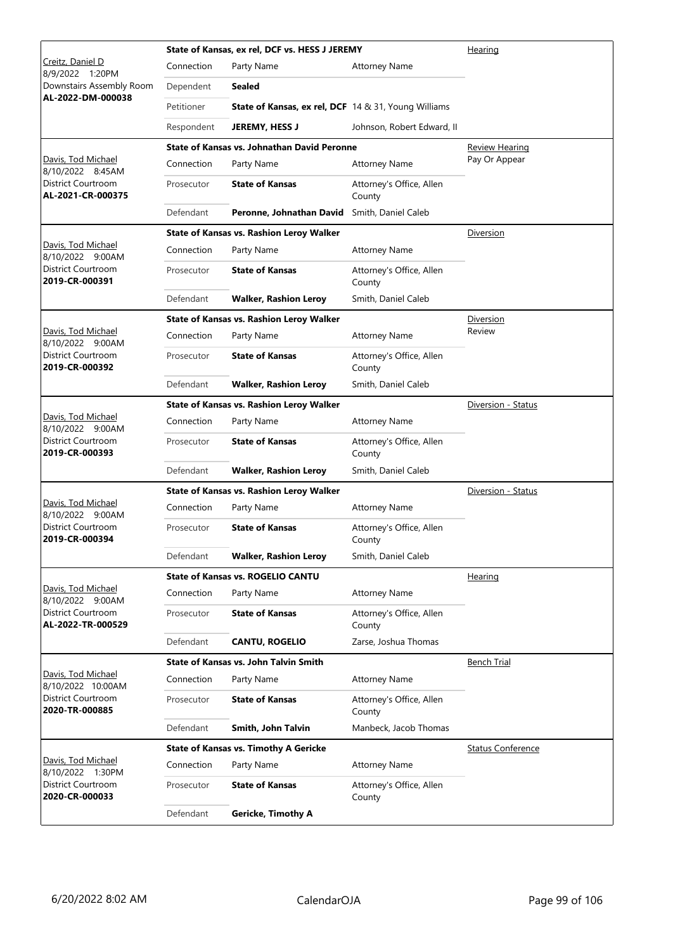|                                         |            | State of Kansas, ex rel, DCF vs. HESS J JEREMY              | Hearing                            |                          |
|-----------------------------------------|------------|-------------------------------------------------------------|------------------------------------|--------------------------|
| Creitz, Daniel D<br>8/9/2022<br>1:20PM  | Connection | Party Name                                                  | <b>Attorney Name</b>               |                          |
| Downstairs Assembly Room                | Dependent  | <b>Sealed</b>                                               |                                    |                          |
| AL-2022-DM-000038                       | Petitioner | <b>State of Kansas, ex rel, DCF</b> 14 & 31, Young Williams |                                    |                          |
|                                         | Respondent | <b>JEREMY, HESS J</b>                                       | Johnson, Robert Edward, II         |                          |
|                                         |            | <b>State of Kansas vs. Johnathan David Peronne</b>          |                                    | <b>Review Hearing</b>    |
| Davis, Tod Michael<br>8/10/2022 8:45AM  | Connection | Party Name                                                  | <b>Attorney Name</b>               | Pay Or Appear            |
| District Courtroom<br>AL-2021-CR-000375 | Prosecutor | <b>State of Kansas</b>                                      | Attorney's Office, Allen<br>County |                          |
|                                         | Defendant  | Peronne, Johnathan David                                    | Smith, Daniel Caleb                |                          |
|                                         |            | <b>State of Kansas vs. Rashion Leroy Walker</b>             |                                    | Diversion                |
| Davis, Tod Michael<br>8/10/2022 9:00AM  | Connection | Party Name                                                  | <b>Attorney Name</b>               |                          |
| District Courtroom<br>2019-CR-000391    | Prosecutor | <b>State of Kansas</b>                                      | Attorney's Office, Allen<br>County |                          |
|                                         | Defendant  | <b>Walker, Rashion Leroy</b>                                | Smith, Daniel Caleb                |                          |
|                                         |            | State of Kansas vs. Rashion Leroy Walker                    |                                    | <b>Diversion</b>         |
| Davis, Tod Michael<br>8/10/2022 9:00AM  | Connection | Party Name                                                  | <b>Attorney Name</b>               | Review                   |
| District Courtroom<br>2019-CR-000392    | Prosecutor | <b>State of Kansas</b>                                      | Attorney's Office, Allen<br>County |                          |
|                                         | Defendant  | <b>Walker, Rashion Leroy</b>                                | Smith, Daniel Caleb                |                          |
|                                         |            | State of Kansas vs. Rashion Leroy Walker                    |                                    | Diversion - Status       |
| Davis, Tod Michael<br>8/10/2022 9:00AM  | Connection | Party Name                                                  | <b>Attorney Name</b>               |                          |
| District Courtroom<br>2019-CR-000393    | Prosecutor | <b>State of Kansas</b>                                      | Attorney's Office, Allen<br>County |                          |
|                                         | Defendant  | <b>Walker, Rashion Leroy</b>                                | Smith, Daniel Caleb                |                          |
|                                         |            | <b>State of Kansas vs. Rashion Leroy Walker</b>             |                                    | Diversion - Status       |
| Davis, Tod Michael<br>8/10/2022 9:00AM  | Connection | Party Name                                                  | <b>Attorney Name</b>               |                          |
| District Courtroom<br>2019-CR-000394    | Prosecutor | <b>State of Kansas</b>                                      | Attorney's Office, Allen<br>County |                          |
|                                         | Defendant  | <b>Walker, Rashion Leroy</b>                                | Smith, Daniel Caleb                |                          |
|                                         |            | <b>State of Kansas vs. ROGELIO CANTU</b>                    |                                    | Hearing                  |
| Davis, Tod Michael<br>8/10/2022 9:00AM  | Connection | Party Name                                                  | <b>Attorney Name</b>               |                          |
| District Courtroom<br>AL-2022-TR-000529 | Prosecutor | <b>State of Kansas</b>                                      | Attorney's Office, Allen<br>County |                          |
|                                         | Defendant  | <b>CANTU, ROGELIO</b>                                       | Zarse, Joshua Thomas               |                          |
|                                         |            | <b>State of Kansas vs. John Talvin Smith</b>                |                                    | <b>Bench Trial</b>       |
| Davis, Tod Michael<br>8/10/2022 10:00AM | Connection | Party Name                                                  | <b>Attorney Name</b>               |                          |
| District Courtroom<br>2020-TR-000885    | Prosecutor | <b>State of Kansas</b>                                      | Attorney's Office, Allen<br>County |                          |
|                                         | Defendant  | Smith, John Talvin                                          | Manbeck, Jacob Thomas              |                          |
|                                         |            | <b>State of Kansas vs. Timothy A Gericke</b>                |                                    | <b>Status Conference</b> |
| Davis, Tod Michael<br>8/10/2022 1:30PM  | Connection | Party Name                                                  | <b>Attorney Name</b>               |                          |
| District Courtroom<br>2020-CR-000033    | Prosecutor | <b>State of Kansas</b>                                      | Attorney's Office, Allen<br>County |                          |
|                                         | Defendant  | <b>Gericke, Timothy A</b>                                   |                                    |                          |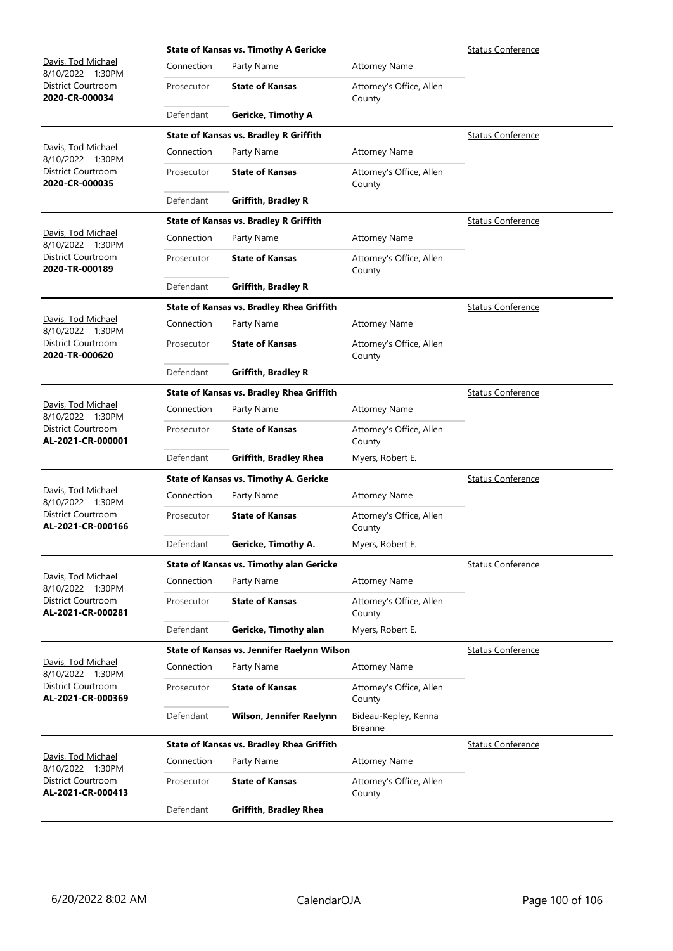|                                                |            | <b>State of Kansas vs. Timothy A Gericke</b>  | <b>Status Conference</b>           |                          |
|------------------------------------------------|------------|-----------------------------------------------|------------------------------------|--------------------------|
| Davis, Tod Michael<br>8/10/2022 1:30PM         | Connection | Party Name                                    | <b>Attorney Name</b>               |                          |
| District Courtroom<br>2020-CR-000034           | Prosecutor | <b>State of Kansas</b>                        | Attorney's Office, Allen<br>County |                          |
|                                                | Defendant  | <b>Gericke, Timothy A</b>                     |                                    |                          |
|                                                |            | <b>State of Kansas vs. Bradley R Griffith</b> |                                    | <b>Status Conference</b> |
| Davis, Tod Michael<br>8/10/2022 1:30PM         | Connection | Party Name                                    | <b>Attorney Name</b>               |                          |
| <b>District Courtroom</b><br>2020-CR-000035    | Prosecutor | <b>State of Kansas</b>                        | Attorney's Office, Allen<br>County |                          |
|                                                | Defendant  | <b>Griffith, Bradley R</b>                    |                                    |                          |
|                                                |            | <b>State of Kansas vs. Bradley R Griffith</b> |                                    | <b>Status Conference</b> |
| Davis, Tod Michael<br>8/10/2022 1:30PM         | Connection | Party Name                                    | <b>Attorney Name</b>               |                          |
| District Courtroom<br>2020-TR-000189           | Prosecutor | <b>State of Kansas</b>                        | Attorney's Office, Allen<br>County |                          |
|                                                | Defendant  | <b>Griffith, Bradley R</b>                    |                                    |                          |
|                                                |            | State of Kansas vs. Bradley Rhea Griffith     |                                    | <b>Status Conference</b> |
| Davis, Tod Michael<br>8/10/2022 1:30PM         | Connection | Party Name                                    | <b>Attorney Name</b>               |                          |
| District Courtroom<br>2020-TR-000620           | Prosecutor | <b>State of Kansas</b>                        | Attorney's Office, Allen<br>County |                          |
|                                                | Defendant  | <b>Griffith, Bradley R</b>                    |                                    |                          |
|                                                |            | State of Kansas vs. Bradley Rhea Griffith     |                                    | <b>Status Conference</b> |
| Davis, Tod Michael<br>8/10/2022 1:30PM         | Connection | Party Name                                    | <b>Attorney Name</b>               |                          |
| District Courtroom<br>AL-2021-CR-000001        | Prosecutor | <b>State of Kansas</b>                        | Attorney's Office, Allen<br>County |                          |
|                                                | Defendant  | <b>Griffith, Bradley Rhea</b>                 | Myers, Robert E.                   |                          |
|                                                |            | <b>State of Kansas vs. Timothy A. Gericke</b> |                                    | <b>Status Conference</b> |
| Davis, Tod Michael<br>8/10/2022 1:30PM         | Connection | Party Name                                    | <b>Attorney Name</b>               |                          |
| <b>District Courtroom</b><br>AL-2021-CR-000166 | Prosecutor | <b>State of Kansas</b>                        | Attorney's Office, Allen<br>County |                          |
|                                                | Defendant  | Gericke, Timothy A.                           | Myers, Robert E.                   |                          |
|                                                |            | State of Kansas vs. Timothy alan Gericke      |                                    | <b>Status Conference</b> |
| Davis, Tod Michael<br>8/10/2022 1:30PM         | Connection | Party Name                                    | <b>Attorney Name</b>               |                          |
| District Courtroom<br>AL-2021-CR-000281        | Prosecutor | <b>State of Kansas</b>                        | Attorney's Office, Allen<br>County |                          |
|                                                | Defendant  | Gericke, Timothy alan                         | Myers, Robert E.                   |                          |
|                                                |            | State of Kansas vs. Jennifer Raelynn Wilson   |                                    | <b>Status Conference</b> |
| Davis, Tod Michael<br>8/10/2022 1:30PM         | Connection | Party Name                                    | <b>Attorney Name</b>               |                          |
| District Courtroom<br>AL-2021-CR-000369        | Prosecutor | <b>State of Kansas</b>                        | Attorney's Office, Allen<br>County |                          |
|                                                | Defendant  | Wilson, Jennifer Raelynn                      | Bideau-Kepley, Kenna<br>Breanne    |                          |
|                                                |            | State of Kansas vs. Bradley Rhea Griffith     |                                    | <b>Status Conference</b> |
| Davis, Tod Michael<br>8/10/2022 1:30PM         | Connection | Party Name                                    | <b>Attorney Name</b>               |                          |
| District Courtroom<br>AL-2021-CR-000413        | Prosecutor | <b>State of Kansas</b>                        | Attorney's Office, Allen<br>County |                          |
|                                                | Defendant  | <b>Griffith, Bradley Rhea</b>                 |                                    |                          |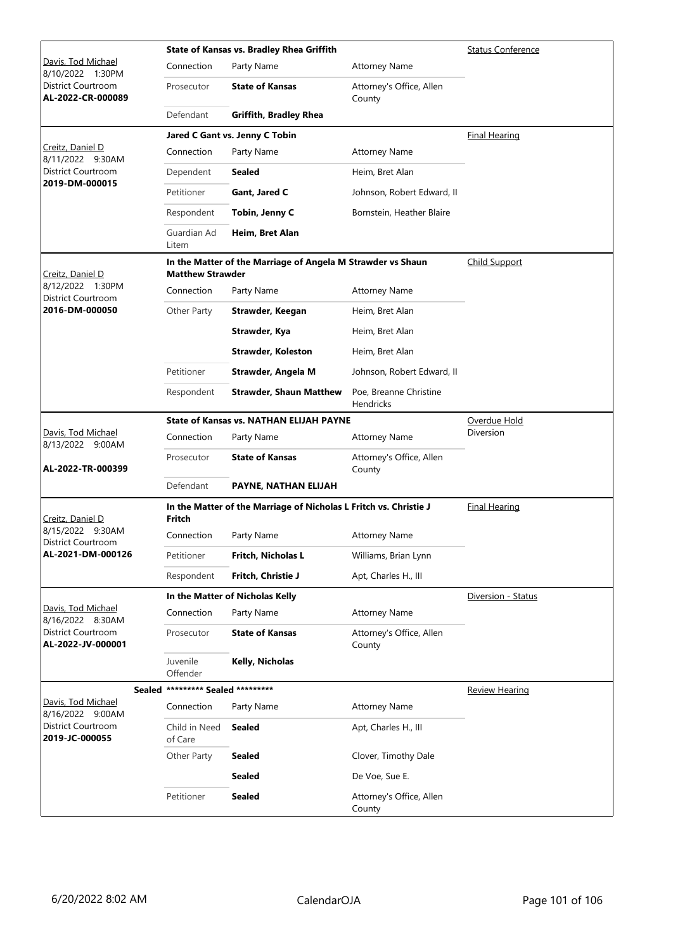|                                                |                                   | <b>State of Kansas vs. Bradley Rhea Griffith</b>                  | <b>Status Conference</b>            |                       |
|------------------------------------------------|-----------------------------------|-------------------------------------------------------------------|-------------------------------------|-----------------------|
| <u> Davis, Tod Michael</u><br>8/10/2022 1:30PM | Connection                        | Party Name                                                        | <b>Attorney Name</b>                |                       |
| District Courtroom<br>AL-2022-CR-000089        | Prosecutor                        | <b>State of Kansas</b>                                            | Attorney's Office, Allen<br>County  |                       |
|                                                | Defendant                         | <b>Griffith, Bradley Rhea</b>                                     |                                     |                       |
|                                                |                                   | Jared C Gant vs. Jenny C Tobin                                    |                                     | <b>Final Hearing</b>  |
| Creitz, Daniel D<br>8/11/2022 9:30AM           | Connection                        | Party Name                                                        | <b>Attorney Name</b>                |                       |
| District Courtroom<br>2019-DM-000015           | Dependent                         | Sealed                                                            | Heim, Bret Alan                     |                       |
|                                                | Petitioner                        | Gant, Jared C                                                     | Johnson, Robert Edward, II          |                       |
|                                                | Respondent                        | Tobin, Jenny C                                                    | Bornstein, Heather Blaire           |                       |
|                                                | Guardian Ad<br>Litem              | Heim, Bret Alan                                                   |                                     |                       |
| Creitz, Daniel D                               | <b>Matthew Strawder</b>           | In the Matter of the Marriage of Angela M Strawder vs Shaun       |                                     | <b>Child Support</b>  |
| 8/12/2022 1:30PM<br>District Courtroom         | Connection                        | Party Name                                                        | <b>Attorney Name</b>                |                       |
| 2016-DM-000050                                 | Other Party                       | Strawder, Keegan                                                  | Heim, Bret Alan                     |                       |
|                                                |                                   | Strawder, Kya                                                     | Heim, Bret Alan                     |                       |
|                                                |                                   | <b>Strawder, Koleston</b>                                         | Heim, Bret Alan                     |                       |
|                                                | Petitioner                        | Strawder, Angela M                                                | Johnson, Robert Edward, II          |                       |
|                                                | Respondent                        | <b>Strawder, Shaun Matthew</b>                                    | Poe, Breanne Christine<br>Hendricks |                       |
|                                                |                                   | <b>State of Kansas vs. NATHAN ELIJAH PAYNE</b>                    |                                     | Overdue Hold          |
| Davis, Tod Michael<br>8/13/2022 9:00AM         | Connection                        | Party Name                                                        | <b>Attorney Name</b>                | Diversion             |
| AL-2022-TR-000399                              | Prosecutor                        | <b>State of Kansas</b>                                            | Attorney's Office, Allen<br>County  |                       |
|                                                | Defendant                         | PAYNE, NATHAN ELIJAH                                              |                                     |                       |
| Creitz, Daniel D                               | Fritch                            | In the Matter of the Marriage of Nicholas L Fritch vs. Christie J |                                     | <b>Final Hearing</b>  |
| 8/15/2022 9:30AM<br>District Courtroom         | Connection                        | Party Name                                                        | <b>Attorney Name</b>                |                       |
| AL-2021-DM-000126                              | Petitioner                        | Fritch, Nicholas L                                                | Williams, Brian Lynn                |                       |
|                                                | Respondent                        | Fritch, Christie J                                                | Apt, Charles H., III                |                       |
|                                                |                                   | In the Matter of Nicholas Kelly                                   |                                     | Diversion - Status    |
| Davis, Tod Michael<br>8/16/2022 8:30AM         | Connection                        | Party Name                                                        | <b>Attorney Name</b>                |                       |
| District Courtroom<br>AL-2022-JV-000001        | Prosecutor                        | <b>State of Kansas</b>                                            | Attorney's Office, Allen<br>County  |                       |
|                                                | Juvenile<br>Offender              | Kelly, Nicholas                                                   |                                     |                       |
|                                                | Sealed ********* Sealed ********* |                                                                   |                                     | <b>Review Hearing</b> |
| Davis, Tod Michael<br>8/16/2022 9:00AM         | Connection                        | Party Name                                                        | <b>Attorney Name</b>                |                       |
| District Courtroom<br>2019-JC-000055           | Child in Need<br>of Care          | <b>Sealed</b>                                                     | Apt, Charles H., III                |                       |
|                                                | Other Party                       | <b>Sealed</b>                                                     | Clover, Timothy Dale                |                       |
|                                                |                                   | <b>Sealed</b>                                                     | De Voe, Sue E.                      |                       |
|                                                | Petitioner                        | <b>Sealed</b>                                                     | Attorney's Office, Allen<br>County  |                       |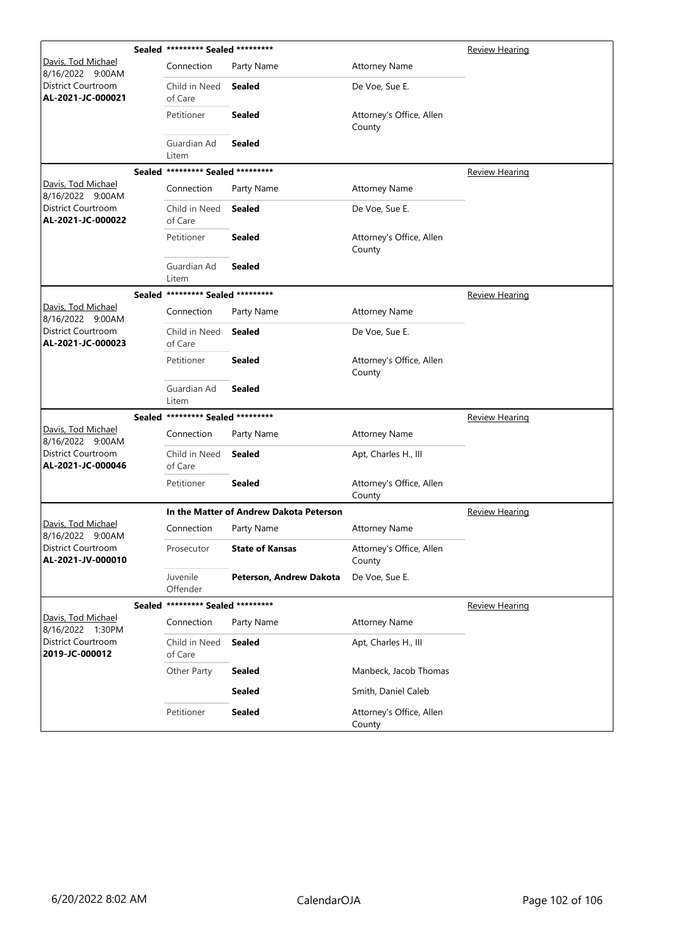|                                             |               | Sealed ********* Sealed ********* |                                         |                                    | <b>Review Hearing</b> |
|---------------------------------------------|---------------|-----------------------------------|-----------------------------------------|------------------------------------|-----------------------|
| Davis, Tod Michael<br>8/16/2022 9:00AM      |               | Connection                        | Party Name                              | <b>Attorney Name</b>               |                       |
| District Courtroom<br>AL-2021-JC-000021     |               | Child in Need<br>of Care          | <b>Sealed</b>                           | De Voe, Sue E.                     |                       |
|                                             |               | Petitioner                        | <b>Sealed</b>                           | Attorney's Office, Allen<br>County |                       |
|                                             |               | Guardian Ad<br>Litem              | <b>Sealed</b>                           |                                    |                       |
|                                             | <b>Sealed</b> | ********* Sealed *********        |                                         |                                    | <b>Review Hearing</b> |
| Davis, Tod Michael<br>8/16/2022 9:00AM      |               | Connection                        | Party Name                              | <b>Attorney Name</b>               |                       |
| District Courtroom<br>AL-2021-JC-000022     |               | Child in Need<br>of Care          | <b>Sealed</b>                           | De Voe, Sue E.                     |                       |
|                                             |               | Petitioner                        | <b>Sealed</b>                           | Attorney's Office, Allen<br>County |                       |
|                                             |               | Guardian Ad<br>Litem              | <b>Sealed</b>                           |                                    |                       |
|                                             | <b>Sealed</b> | ********* Sealed *********        |                                         |                                    | <b>Review Hearing</b> |
| Davis, Tod Michael<br>8/16/2022 9:00AM      |               | Connection                        | Party Name                              | <b>Attorney Name</b>               |                       |
| District Courtroom<br>AL-2021-JC-000023     |               | Child in Need<br>of Care          | <b>Sealed</b>                           | De Voe, Sue E.                     |                       |
|                                             |               | Petitioner                        | <b>Sealed</b>                           | Attorney's Office, Allen<br>County |                       |
|                                             |               | Guardian Ad<br>Litem              | Sealed                                  |                                    |                       |
|                                             | <b>Sealed</b> | ********* Sealed *********        |                                         |                                    | Review Hearing        |
| Davis, Tod Michael<br>8/16/2022 9:00AM      |               | Connection                        | Party Name                              | <b>Attorney Name</b>               |                       |
| District Courtroom<br>AL-2021-JC-000046     |               | Child in Need<br>of Care          | <b>Sealed</b>                           | Apt, Charles H., III               |                       |
|                                             |               | Petitioner                        | <b>Sealed</b>                           | Attorney's Office, Allen<br>County |                       |
|                                             |               |                                   | In the Matter of Andrew Dakota Peterson |                                    | <b>Review Hearing</b> |
| Davis, Tod Michael<br>8/16/2022 9:00AM      |               | Connection                        | Party Name                              | <b>Attorney Name</b>               |                       |
| District Courtroom<br>AL-2021-JV-000010     |               | Prosecutor                        | <b>State of Kansas</b>                  | Attorney's Office, Allen<br>County |                       |
|                                             |               | Juvenile<br>Offender              | Peterson, Andrew Dakota                 | De Voe, Sue E.                     |                       |
|                                             | Sealed        | ********* Sealed *********        |                                         |                                    | <b>Review Hearing</b> |
| Davis, Tod Michael<br>8/16/2022 1:30PM      |               | Connection                        | Party Name                              | <b>Attorney Name</b>               |                       |
| <b>District Courtroom</b><br>2019-JC-000012 |               | Child in Need<br>of Care          | <b>Sealed</b>                           | Apt, Charles H., III               |                       |
|                                             |               | Other Party                       | <b>Sealed</b>                           | Manbeck, Jacob Thomas              |                       |
|                                             |               |                                   | <b>Sealed</b>                           | Smith, Daniel Caleb                |                       |
|                                             |               | Petitioner                        | <b>Sealed</b>                           | Attorney's Office, Allen<br>County |                       |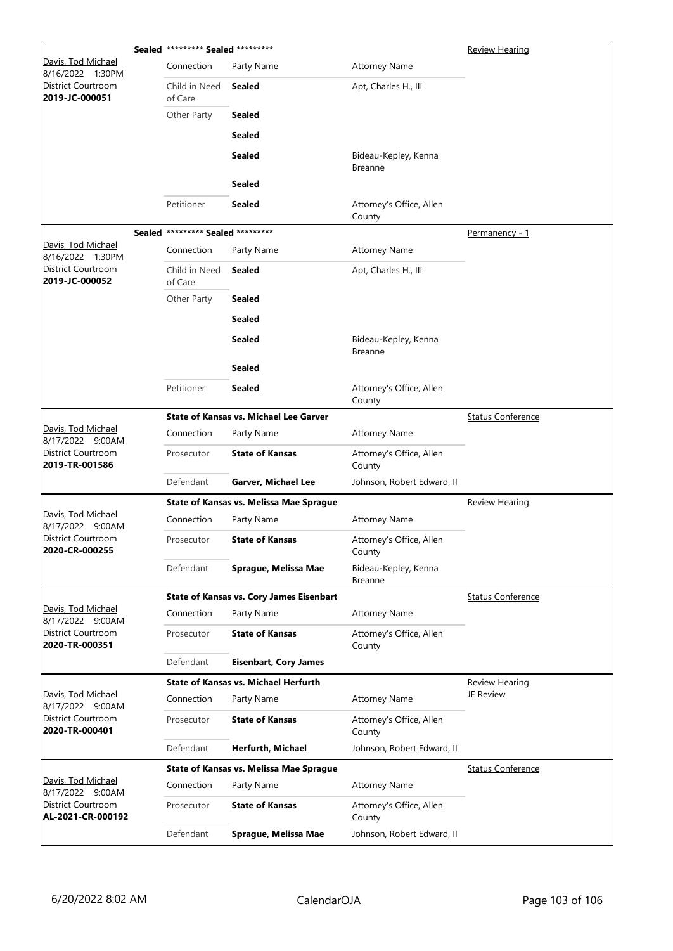|                                                | Sealed ********* Sealed ********* |                                                 |                                        | <b>Review Hearing</b>    |
|------------------------------------------------|-----------------------------------|-------------------------------------------------|----------------------------------------|--------------------------|
| Davis, Tod Michael<br>8/16/2022 1:30PM         | Connection                        | Party Name                                      | <b>Attorney Name</b>                   |                          |
| District Courtroom<br>2019-JC-000051           | Child in Need<br>of Care          | <b>Sealed</b>                                   | Apt, Charles H., III                   |                          |
|                                                | Other Party                       | <b>Sealed</b>                                   |                                        |                          |
|                                                |                                   | <b>Sealed</b>                                   |                                        |                          |
|                                                |                                   | <b>Sealed</b>                                   | Bideau-Kepley, Kenna<br><b>Breanne</b> |                          |
|                                                |                                   | Sealed                                          |                                        |                          |
|                                                | Petitioner                        | Sealed                                          | Attorney's Office, Allen<br>County     |                          |
|                                                | Sealed ********* Sealed ********* |                                                 |                                        | Permanency - 1           |
| <u> Davis, Tod Michael</u><br>8/16/2022 1:30PM | Connection                        | Party Name                                      | <b>Attorney Name</b>                   |                          |
| District Courtroom<br>2019-JC-000052           | Child in Need<br>of Care          | <b>Sealed</b>                                   | Apt, Charles H., III                   |                          |
|                                                | Other Party                       | <b>Sealed</b>                                   |                                        |                          |
|                                                |                                   | <b>Sealed</b>                                   |                                        |                          |
|                                                |                                   | <b>Sealed</b>                                   | Bideau-Kepley, Kenna<br><b>Breanne</b> |                          |
|                                                |                                   | <b>Sealed</b>                                   |                                        |                          |
|                                                | Petitioner                        | Sealed                                          | Attorney's Office, Allen<br>County     |                          |
|                                                |                                   | <b>State of Kansas vs. Michael Lee Garver</b>   |                                        | <b>Status Conference</b> |
| Davis, Tod Michael<br>8/17/2022 9:00AM         | Connection                        | Party Name                                      | <b>Attorney Name</b>                   |                          |
| District Courtroom<br>2019-TR-001586           | Prosecutor                        | <b>State of Kansas</b>                          | Attorney's Office, Allen<br>County     |                          |
|                                                | Defendant                         | <b>Garver, Michael Lee</b>                      | Johnson, Robert Edward, II             |                          |
|                                                |                                   | <b>State of Kansas vs. Melissa Mae Sprague</b>  |                                        | Review Hearing           |
| Davis, Tod Michael<br>8/17/2022 9:00AM         | Connection                        | Party Name                                      | <b>Attorney Name</b>                   |                          |
| <b>District Courtroom</b><br>2020-CR-000255    | Prosecutor                        | <b>State of Kansas</b>                          | Attorney's Office, Allen<br>County     |                          |
|                                                | Defendant                         | Sprague, Melissa Mae                            | Bideau-Kepley, Kenna<br><b>Breanne</b> |                          |
|                                                |                                   | <b>State of Kansas vs. Cory James Eisenbart</b> |                                        | <b>Status Conference</b> |
| Davis, Tod Michael<br>8/17/2022 9:00AM         | Connection                        | Party Name                                      | <b>Attorney Name</b>                   |                          |
| <b>District Courtroom</b><br>2020-TR-000351    | Prosecutor                        | <b>State of Kansas</b>                          | Attorney's Office, Allen<br>County     |                          |
|                                                | Defendant                         | <b>Eisenbart, Cory James</b>                    |                                        |                          |
|                                                |                                   | <b>State of Kansas vs. Michael Herfurth</b>     |                                        | <b>Review Hearing</b>    |
| Davis, Tod Michael<br>8/17/2022 9:00AM         | Connection                        | Party Name                                      | <b>Attorney Name</b>                   | JE Review                |
| District Courtroom<br>2020-TR-000401           | Prosecutor                        | <b>State of Kansas</b>                          | Attorney's Office, Allen<br>County     |                          |
|                                                | Defendant                         | Herfurth, Michael                               | Johnson, Robert Edward, II             |                          |
|                                                |                                   | <b>State of Kansas vs. Melissa Mae Sprague</b>  |                                        | <b>Status Conference</b> |
| Davis, Tod Michael<br>8/17/2022 9:00AM         | Connection                        | Party Name                                      | <b>Attorney Name</b>                   |                          |
| District Courtroom<br>AL-2021-CR-000192        | Prosecutor                        | <b>State of Kansas</b>                          | Attorney's Office, Allen<br>County     |                          |
|                                                | Defendant                         | Sprague, Melissa Mae                            | Johnson, Robert Edward, II             |                          |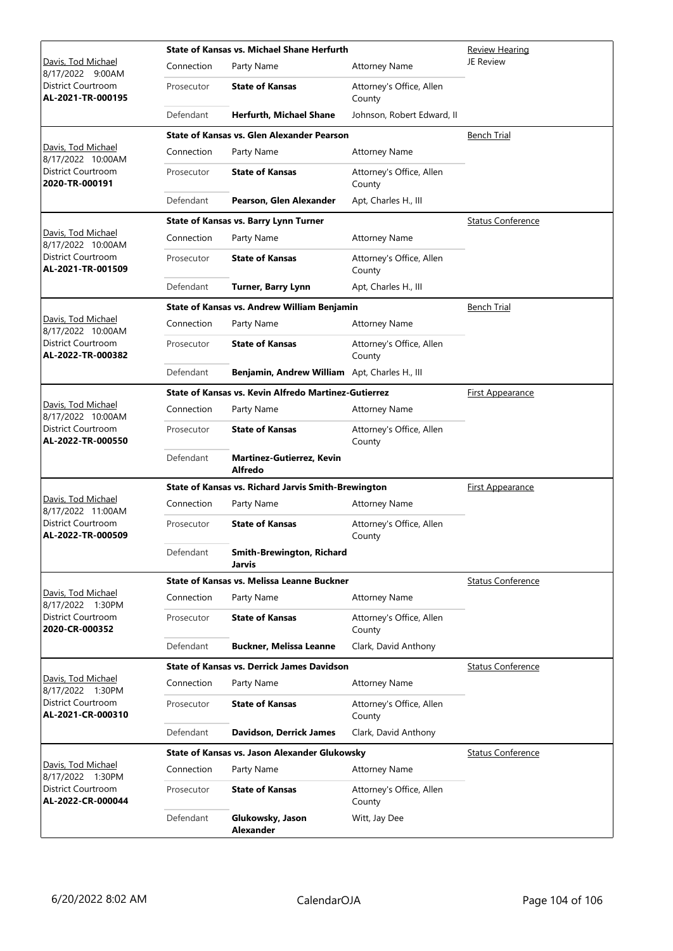|                                                |            | State of Kansas vs. Michael Shane Herfurth                 | <b>Review Hearing</b>              |                          |
|------------------------------------------------|------------|------------------------------------------------------------|------------------------------------|--------------------------|
| Davis, Tod Michael<br>8/17/2022 9:00AM         | Connection | Party Name                                                 | <b>Attorney Name</b>               | JE Review                |
| District Courtroom<br>AL-2021-TR-000195        | Prosecutor | <b>State of Kansas</b>                                     | Attorney's Office, Allen<br>County |                          |
|                                                | Defendant  | <b>Herfurth, Michael Shane</b>                             | Johnson, Robert Edward, II         |                          |
|                                                |            | State of Kansas vs. Glen Alexander Pearson                 |                                    | <b>Bench Trial</b>       |
| Davis, Tod Michael<br>8/17/2022 10:00AM        | Connection | Party Name                                                 | <b>Attorney Name</b>               |                          |
| <b>District Courtroom</b><br>2020-TR-000191    | Prosecutor | <b>State of Kansas</b>                                     | Attorney's Office, Allen<br>County |                          |
|                                                | Defendant  | Pearson, Glen Alexander                                    | Apt, Charles H., III               |                          |
|                                                |            | State of Kansas vs. Barry Lynn Turner                      |                                    | <b>Status Conference</b> |
| Davis, Tod Michael<br>8/17/2022 10:00AM        | Connection | Party Name                                                 | <b>Attorney Name</b>               |                          |
| District Courtroom<br>AL-2021-TR-001509        | Prosecutor | <b>State of Kansas</b>                                     | Attorney's Office, Allen<br>County |                          |
|                                                | Defendant  | Turner, Barry Lynn                                         | Apt, Charles H., III               |                          |
|                                                |            | State of Kansas vs. Andrew William Benjamin                |                                    | <b>Bench Trial</b>       |
| Davis, Tod Michael<br>8/17/2022 10:00AM        | Connection | Party Name                                                 | <b>Attorney Name</b>               |                          |
| District Courtroom<br>AL-2022-TR-000382        | Prosecutor | <b>State of Kansas</b>                                     | Attorney's Office, Allen<br>County |                          |
|                                                | Defendant  | Benjamin, Andrew William Apt, Charles H., III              |                                    |                          |
|                                                |            | State of Kansas vs. Kevin Alfredo Martinez-Gutierrez       |                                    | <b>First Appearance</b>  |
| Davis, Tod Michael<br>8/17/2022 10:00AM        | Connection | Party Name                                                 | <b>Attorney Name</b>               |                          |
| District Courtroom<br>AL-2022-TR-000550        | Prosecutor | <b>State of Kansas</b>                                     | Attorney's Office, Allen<br>County |                          |
|                                                | Defendant  | Martinez-Gutierrez, Kevin<br><b>Alfredo</b>                |                                    |                          |
|                                                |            | <b>State of Kansas vs. Richard Jarvis Smith-Brewington</b> |                                    | <b>First Appearance</b>  |
| Davis, Tod Michael<br>8/17/2022 11:00AM        | Connection | Party Name                                                 | <b>Attorney Name</b>               |                          |
| <b>District Courtroom</b><br>AL-2022-TR-000509 | Prosecutor | <b>State of Kansas</b>                                     | Attorney's Office, Allen<br>County |                          |
|                                                | Defendant  | <b>Smith-Brewington, Richard</b><br>Jarvis                 |                                    |                          |
|                                                |            | <b>State of Kansas vs. Melissa Leanne Buckner</b>          |                                    | <b>Status Conference</b> |
| Davis, Tod Michael<br>8/17/2022 1:30PM         | Connection | Party Name                                                 | <b>Attorney Name</b>               |                          |
| District Courtroom<br>2020-CR-000352           | Prosecutor | <b>State of Kansas</b>                                     | Attorney's Office, Allen<br>County |                          |
|                                                | Defendant  | <b>Buckner, Melissa Leanne</b>                             | Clark, David Anthony               |                          |
|                                                |            | <b>State of Kansas vs. Derrick James Davidson</b>          |                                    | <b>Status Conference</b> |
| Davis, Tod Michael<br>8/17/2022 1:30PM         | Connection | Party Name                                                 | <b>Attorney Name</b>               |                          |
| District Courtroom<br>AL-2021-CR-000310        | Prosecutor | <b>State of Kansas</b>                                     | Attorney's Office, Allen<br>County |                          |
|                                                | Defendant  | Davidson, Derrick James                                    | Clark, David Anthony               |                          |
|                                                |            | State of Kansas vs. Jason Alexander Glukowsky              |                                    | Status Conference        |
| Davis, Tod Michael<br>8/17/2022 1:30PM         | Connection | Party Name                                                 | <b>Attorney Name</b>               |                          |
| District Courtroom<br>AL-2022-CR-000044        | Prosecutor | <b>State of Kansas</b>                                     | Attorney's Office, Allen<br>County |                          |
|                                                | Defendant  | Glukowsky, Jason<br><b>Alexander</b>                       | Witt, Jay Dee                      |                          |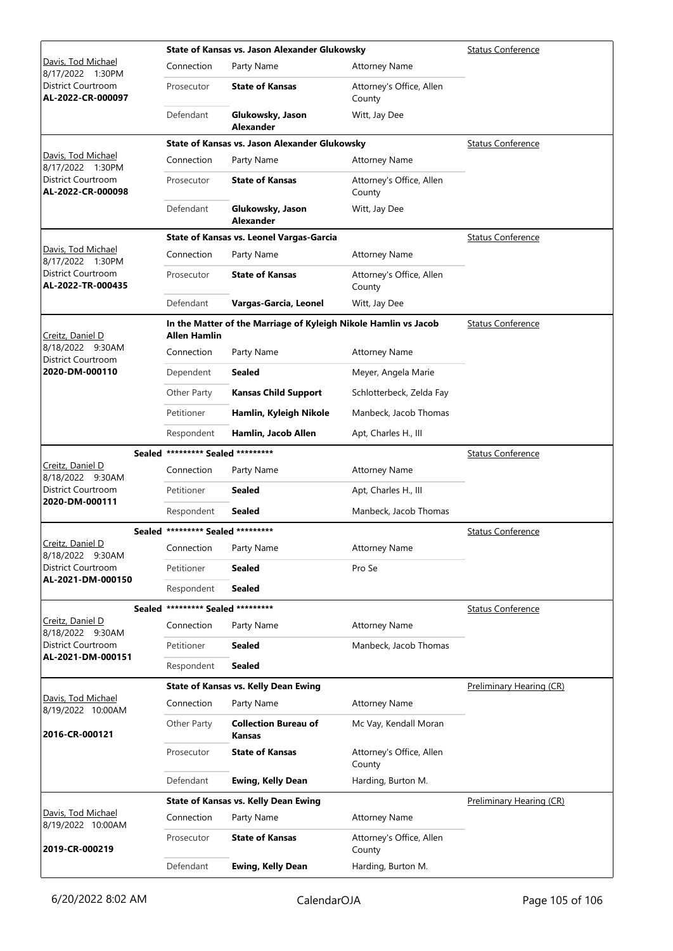|                                         |                                   | State of Kansas vs. Jason Alexander Glukowsky                   | <b>Status Conference</b>           |                          |
|-----------------------------------------|-----------------------------------|-----------------------------------------------------------------|------------------------------------|--------------------------|
| Davis, Tod Michael<br>8/17/2022 1:30PM  | Connection                        | Party Name                                                      | <b>Attorney Name</b>               |                          |
| District Courtroom<br>AL-2022-CR-000097 | Prosecutor                        | <b>State of Kansas</b>                                          | Attorney's Office, Allen<br>County |                          |
|                                         | Defendant                         | Glukowsky, Jason<br><b>Alexander</b>                            | Witt, Jay Dee                      |                          |
|                                         |                                   | State of Kansas vs. Jason Alexander Glukowsky                   |                                    | <b>Status Conference</b> |
| Davis, Tod Michael<br>8/17/2022 1:30PM  | Connection                        | Party Name                                                      | <b>Attorney Name</b>               |                          |
| District Courtroom<br>AL-2022-CR-000098 | Prosecutor                        | <b>State of Kansas</b>                                          | Attorney's Office, Allen<br>County |                          |
|                                         | Defendant                         | Glukowsky, Jason<br><b>Alexander</b>                            | Witt, Jay Dee                      |                          |
|                                         |                                   | <b>State of Kansas vs. Leonel Vargas-Garcia</b>                 |                                    | <b>Status Conference</b> |
| Davis, Tod Michael<br>8/17/2022 1:30PM  | Connection                        | Party Name                                                      | <b>Attorney Name</b>               |                          |
| District Courtroom<br>AL-2022-TR-000435 | Prosecutor                        | <b>State of Kansas</b>                                          | Attorney's Office, Allen<br>County |                          |
|                                         | Defendant                         | Vargas-Garcia, Leonel                                           | Witt, Jay Dee                      |                          |
| Creitz, Daniel D                        | Allen Hamlin                      | In the Matter of the Marriage of Kyleigh Nikole Hamlin vs Jacob |                                    | <b>Status Conference</b> |
| 8/18/2022 9:30AM<br>District Courtroom  | Connection                        | Party Name                                                      | <b>Attorney Name</b>               |                          |
| 2020-DM-000110                          | Dependent                         | <b>Sealed</b>                                                   | Meyer, Angela Marie                |                          |
|                                         | Other Party                       | <b>Kansas Child Support</b>                                     | Schlotterbeck, Zelda Fay           |                          |
|                                         | Petitioner                        | Hamlin, Kyleigh Nikole                                          | Manbeck, Jacob Thomas              |                          |
|                                         | Respondent                        | Hamlin, Jacob Allen                                             | Apt, Charles H., III               |                          |
|                                         | Sealed ********* Sealed ********* |                                                                 |                                    | <b>Status Conference</b> |
| Creitz, Daniel D<br>8/18/2022 9:30AM    | Connection                        | Party Name                                                      | <b>Attorney Name</b>               |                          |
| District Courtroom                      | Petitioner                        | Sealed                                                          | Apt, Charles H., III               |                          |
| 2020-DM-000111                          | Respondent                        | Sealed                                                          | Manbeck, Jacob Thomas              |                          |
|                                         | Sealed ********* Sealed ********* |                                                                 |                                    | <b>Status Conference</b> |
| Creitz, Daniel D<br>8/18/2022 9:30AM    | Connection Party Name             |                                                                 | <b>Attorney Name</b>               |                          |
| District Courtroom                      | Petitioner                        | <b>Sealed</b>                                                   | Pro Se                             |                          |
| AL-2021-DM-000150                       | Respondent                        | <b>Sealed</b>                                                   |                                    |                          |
|                                         | Sealed ********* Sealed ********* |                                                                 |                                    | <b>Status Conference</b> |
| Creitz, Daniel D<br>8/18/2022 9:30AM    | Connection                        | Party Name                                                      | <b>Attorney Name</b>               |                          |
| District Courtroom                      | Petitioner                        | Sealed                                                          | Manbeck, Jacob Thomas              |                          |
| AL-2021-DM-000151                       | Respondent                        | <b>Sealed</b>                                                   |                                    |                          |
|                                         |                                   | <b>State of Kansas vs. Kelly Dean Ewing</b>                     |                                    | Preliminary Hearing (CR) |
| Davis, Tod Michael<br>8/19/2022 10:00AM | Connection                        | Party Name                                                      | <b>Attorney Name</b>               |                          |
| 2016-CR-000121                          | Other Party                       | <b>Collection Bureau of</b><br>Kansas                           | Mc Vay, Kendall Moran              |                          |
|                                         | Prosecutor                        | <b>State of Kansas</b>                                          | Attorney's Office, Allen<br>County |                          |
|                                         | Defendant                         | <b>Ewing, Kelly Dean</b>                                        | Harding, Burton M.                 |                          |
|                                         |                                   | <b>State of Kansas vs. Kelly Dean Ewing</b>                     |                                    | Preliminary Hearing (CR) |
| Davis, Tod Michael<br>8/19/2022 10:00AM | Connection                        | Party Name                                                      | <b>Attorney Name</b>               |                          |
| 2019-CR-000219                          | Prosecutor                        | <b>State of Kansas</b>                                          | Attorney's Office, Allen<br>County |                          |
|                                         | Defendant                         | <b>Ewing, Kelly Dean</b>                                        | Harding, Burton M.                 |                          |